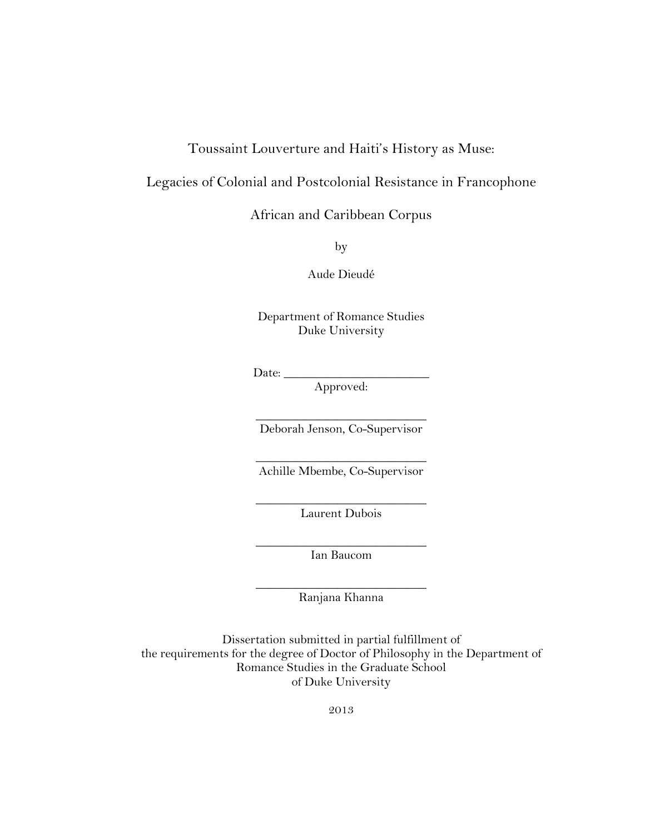## Toussaint Louverture and Haiti's History as Muse:

# Legacies of Colonial and Postcolonial Resistance in Francophone

African and Caribbean Corpus

by

Aude Dieudé

Department of Romance Studies Duke University

Date: \_\_\_\_\_\_\_\_\_\_\_\_\_\_\_\_\_\_\_\_\_\_\_

Approved:

 $\_$ Deborah Jenson, Co-Supervisor

 $\overline{\phantom{a}}$  , where  $\overline{\phantom{a}}$  , where  $\overline{\phantom{a}}$  , where  $\overline{\phantom{a}}$ Achille Mbembe, Co-Supervisor

 $\overline{\phantom{a}}$  , where  $\overline{\phantom{a}}$  , where  $\overline{\phantom{a}}$  , where  $\overline{\phantom{a}}$ Laurent Dubois

 $\_$ Ian Baucom

 $\_$ Ranjana Khanna

Dissertation submitted in partial fulfillment of the requirements for the degree of Doctor of Philosophy in the Department of Romance Studies in the Graduate School of Duke University

2013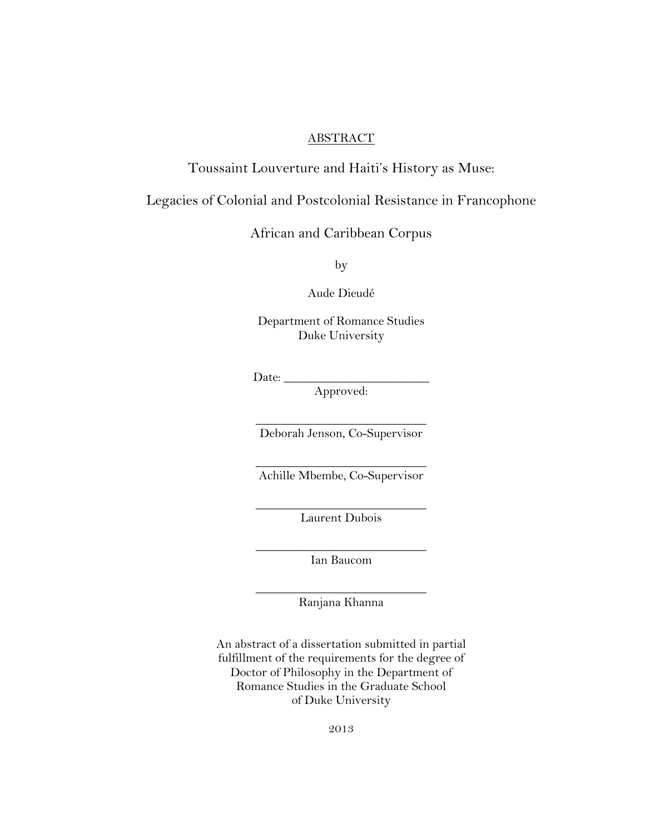### ABSTRACT

## Toussaint Louverture and Haiti's History as Muse:

## Legacies of Colonial and Postcolonial Resistance in Francophone

# African and Caribbean Corpus

by

Aude Dieudé

Department of Romance Studies Duke University

Date:  $\_\_$ 

Approved:

 $\overline{\phantom{a}}$  , where  $\overline{\phantom{a}}$  , where  $\overline{\phantom{a}}$  , where  $\overline{\phantom{a}}$ Deborah Jenson, Co-Supervisor

 $\overline{\phantom{a}}$  , where  $\overline{\phantom{a}}$  , where  $\overline{\phantom{a}}$  , where  $\overline{\phantom{a}}$ Achille Mbembe, Co-Supervisor

 $\overline{\phantom{a}}$  , where  $\overline{\phantom{a}}$  , where  $\overline{\phantom{a}}$  , where  $\overline{\phantom{a}}$ Laurent Dubois

 $\overline{\phantom{a}}$  , where  $\overline{\phantom{a}}$  , where  $\overline{\phantom{a}}$  , where  $\overline{\phantom{a}}$ Ian Baucom

 $\overline{\phantom{a}}$  , where  $\overline{\phantom{a}}$  , where  $\overline{\phantom{a}}$  , where  $\overline{\phantom{a}}$ Ranjana Khanna

An abstract of a dissertation submitted in partial fulfillment of the requirements for the degree of Doctor of Philosophy in the Department of Romance Studies in the Graduate School of Duke University

2013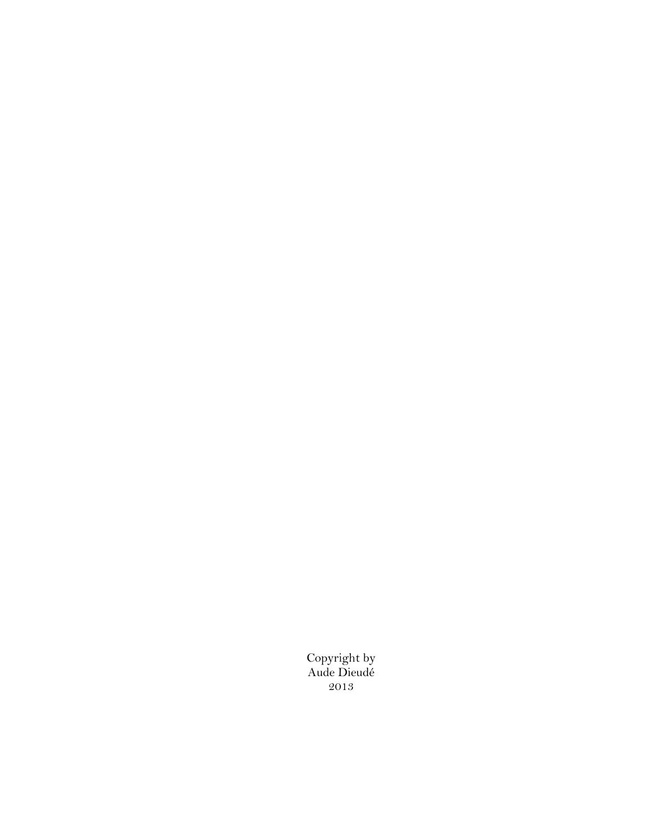Copyright by Aude Dieudé 2013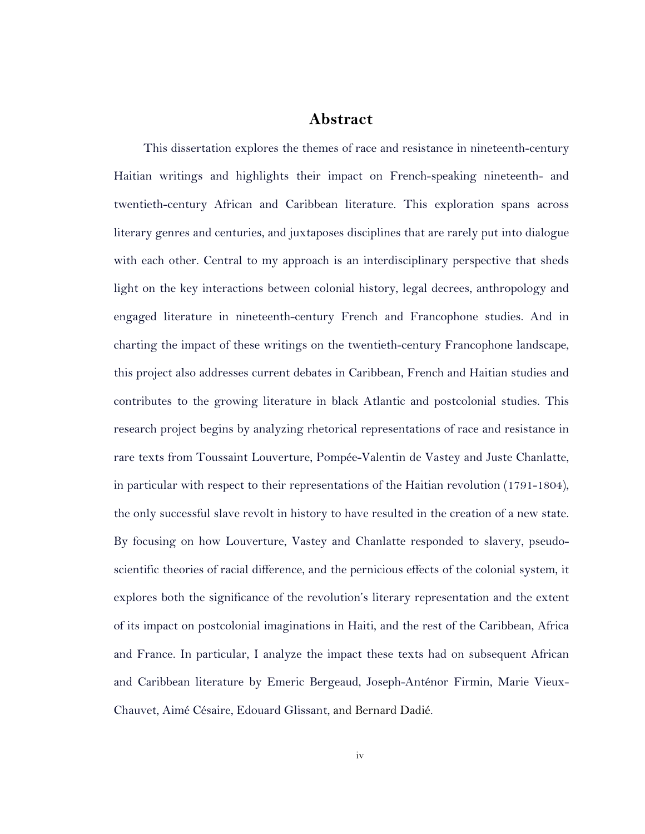### **Abstract**

This dissertation explores the themes of race and resistance in nineteenth-century Haitian writings and highlights their impact on French-speaking nineteenth- and twentieth-century African and Caribbean literature. This exploration spans across literary genres and centuries, and juxtaposes disciplines that are rarely put into dialogue with each other. Central to my approach is an interdisciplinary perspective that sheds light on the key interactions between colonial history, legal decrees, anthropology and engaged literature in nineteenth-century French and Francophone studies. And in charting the impact of these writings on the twentieth-century Francophone landscape, this project also addresses current debates in Caribbean, French and Haitian studies and contributes to the growing literature in black Atlantic and postcolonial studies. This research project begins by analyzing rhetorical representations of race and resistance in rare texts from Toussaint Louverture, Pompée-Valentin de Vastey and Juste Chanlatte, in particular with respect to their representations of the Haitian revolution (1791-1804), the only successful slave revolt in history to have resulted in the creation of a new state. By focusing on how Louverture, Vastey and Chanlatte responded to slavery, pseudoscientific theories of racial difference, and the pernicious effects of the colonial system, it explores both the significance of the revolution's literary representation and the extent of its impact on postcolonial imaginations in Haiti, and the rest of the Caribbean, Africa and France. In particular, I analyze the impact these texts had on subsequent African and Caribbean literature by Emeric Bergeaud, Joseph-Anténor Firmin, Marie Vieux-Chauvet, Aimé Césaire, Edouard Glissant, and Bernard Dadié.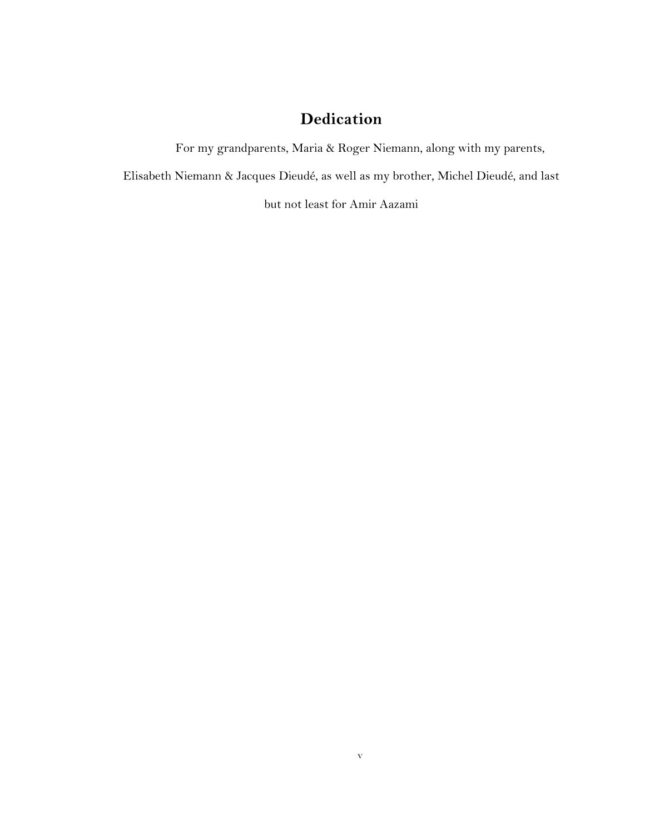# **Dedication**

For my grandparents, Maria & Roger Niemann, along with my parents,

v

Elisabeth Niemann & Jacques Dieudé, as well as my brother, Michel Dieudé, and last

but not least for Amir Aazami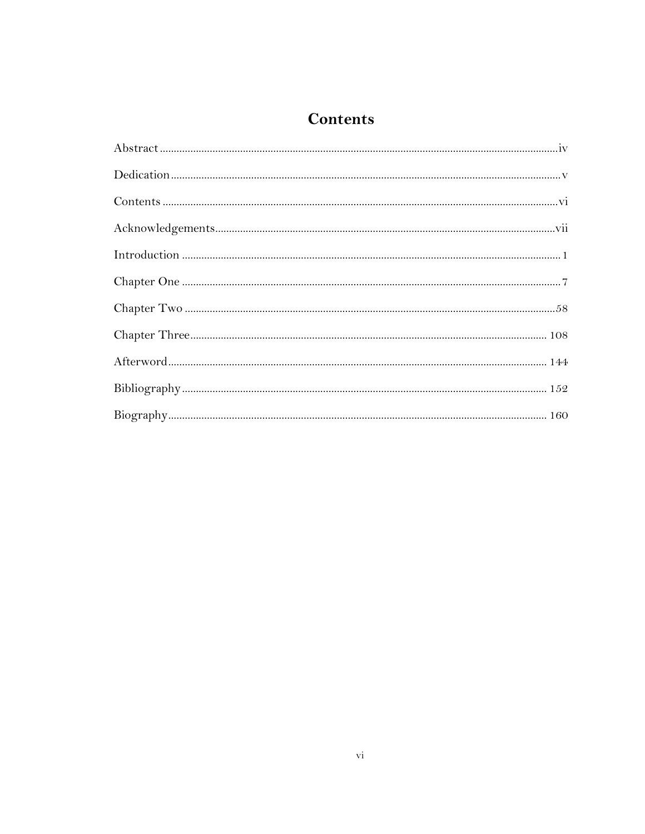# **Contents**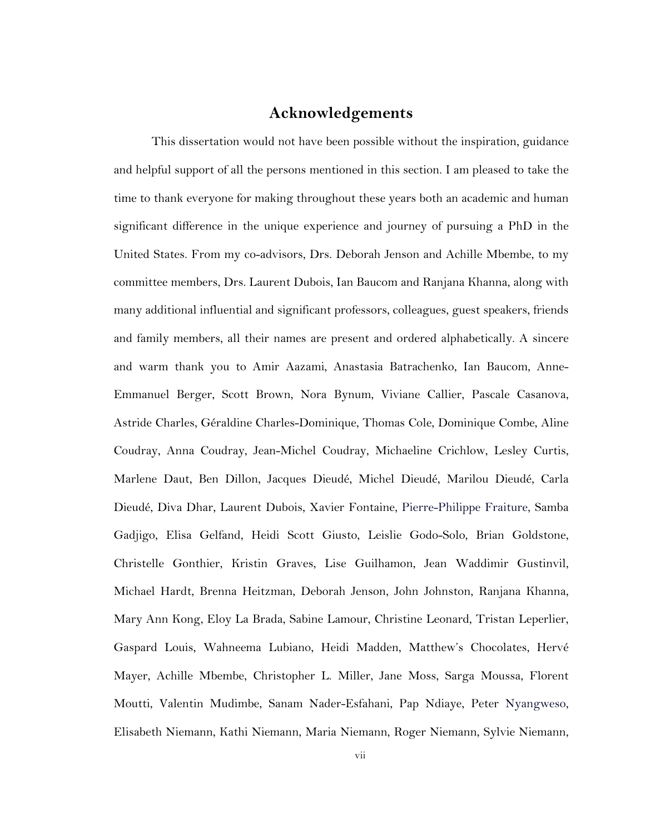# **Acknowledgements**

This dissertation would not have been possible without the inspiration, guidance and helpful support of all the persons mentioned in this section. I am pleased to take the time to thank everyone for making throughout these years both an academic and human significant difference in the unique experience and journey of pursuing a PhD in the United States. From my co-advisors, Drs. Deborah Jenson and Achille Mbembe, to my committee members, Drs. Laurent Dubois, Ian Baucom and Ranjana Khanna, along with many additional influential and significant professors, colleagues, guest speakers, friends and family members, all their names are present and ordered alphabetically. A sincere and warm thank you to Amir Aazami, Anastasia Batrachenko, Ian Baucom, Anne-Emmanuel Berger, Scott Brown, Nora Bynum, Viviane Callier, Pascale Casanova, Astride Charles, Géraldine Charles-Dominique, Thomas Cole, Dominique Combe, Aline Coudray, Anna Coudray, Jean-Michel Coudray, Michaeline Crichlow, Lesley Curtis, Marlene Daut, Ben Dillon, Jacques Dieudé, Michel Dieudé, Marilou Dieudé, Carla Dieudé, Diva Dhar, Laurent Dubois, Xavier Fontaine, Pierre-Philippe Fraiture, Samba Gadjigo, Elisa Gelfand, Heidi Scott Giusto, Leislie Godo-Solo, Brian Goldstone, Christelle Gonthier, Kristin Graves, Lise Guilhamon, Jean Waddimir Gustinvil, Michael Hardt, Brenna Heitzman, Deborah Jenson, John Johnston, Ranjana Khanna, Mary Ann Kong, Eloy La Brada, Sabine Lamour, Christine Leonard, Tristan Leperlier, Gaspard Louis, Wahneema Lubiano, Heidi Madden, Matthew's Chocolates, Hervé Mayer, Achille Mbembe, Christopher L. Miller, Jane Moss, Sarga Moussa, Florent Moutti, Valentin Mudimbe, Sanam Nader-Esfahani, Pap Ndiaye, Peter Nyangweso, Elisabeth Niemann, Kathi Niemann, Maria Niemann, Roger Niemann, Sylvie Niemann,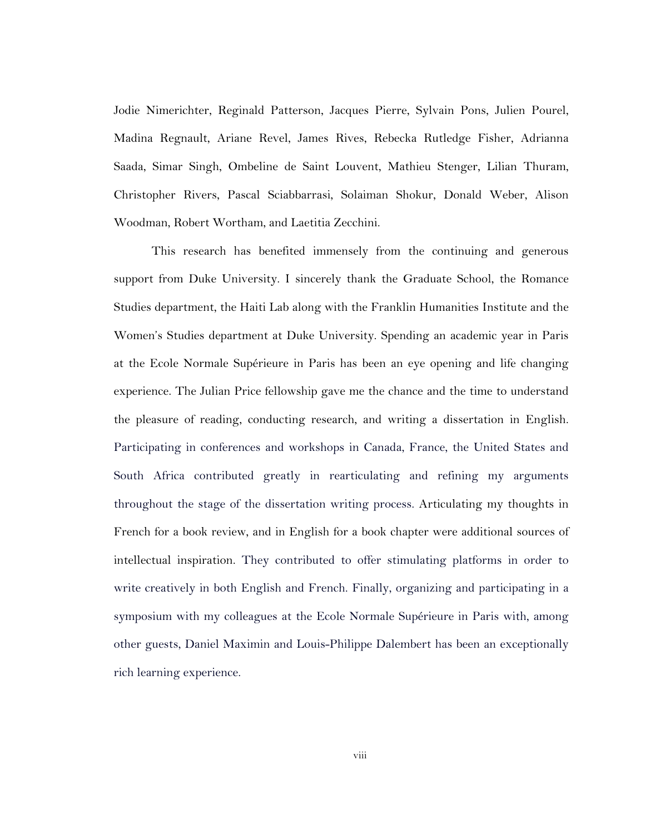Jodie Nimerichter, Reginald Patterson, Jacques Pierre, Sylvain Pons, Julien Pourel, Madina Regnault, Ariane Revel, James Rives, Rebecka Rutledge Fisher, Adrianna Saada, Simar Singh, Ombeline de Saint Louvent, Mathieu Stenger, Lilian Thuram, Christopher Rivers, Pascal Sciabbarrasi, Solaiman Shokur, Donald Weber, Alison Woodman, Robert Wortham, and Laetitia Zecchini.

This research has benefited immensely from the continuing and generous support from Duke University. I sincerely thank the Graduate School, the Romance Studies department, the Haiti Lab along with the Franklin Humanities Institute and the Women's Studies department at Duke University. Spending an academic year in Paris at the Ecole Normale Supérieure in Paris has been an eye opening and life changing experience. The Julian Price fellowship gave me the chance and the time to understand the pleasure of reading, conducting research, and writing a dissertation in English. Participating in conferences and workshops in Canada, France, the United States and South Africa contributed greatly in rearticulating and refining my arguments throughout the stage of the dissertation writing process. Articulating my thoughts in French for a book review, and in English for a book chapter were additional sources of intellectual inspiration. They contributed to offer stimulating platforms in order to write creatively in both English and French. Finally, organizing and participating in a symposium with my colleagues at the Ecole Normale Supérieure in Paris with, among other guests, Daniel Maximin and Louis-Philippe Dalembert has been an exceptionally rich learning experience.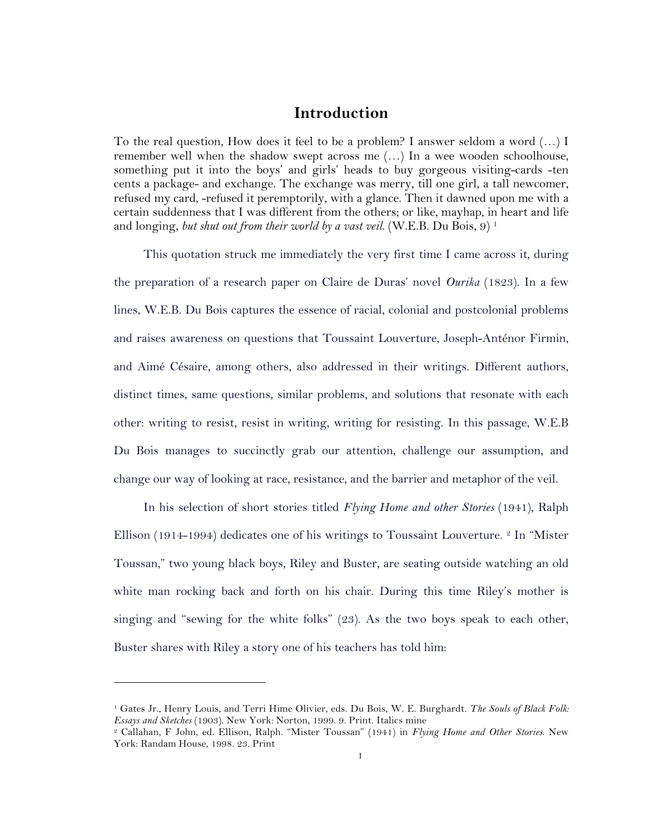# **Introduction**

To the real question, How does it feel to be a problem? I answer seldom a word (…) I remember well when the shadow swept across me (…) In a wee wooden schoolhouse, something put it into the boys' and girls' heads to buy gorgeous visiting-cards -ten cents a package- and exchange. The exchange was merry, till one girl, a tall newcomer, refused my card, -refused it peremptorily, with a glance. Then it dawned upon me with a certain suddenness that I was different from the others; or like, mayhap, in heart and life and longing, *but shut out from their world by a vast veil*. (W.E.B. Du Bois, 9) 1

This quotation struck me immediately the very first time I came across it, during the preparation of a research paper on Claire de Duras' novel *Ourika* (1823). In a few lines, W.E.B. Du Bois captures the essence of racial, colonial and postcolonial problems and raises awareness on questions that Toussaint Louverture, Joseph-Anténor Firmin, and Aimé Césaire, among others, also addressed in their writings. Different authors, distinct times, same questions, similar problems, and solutions that resonate with each other: writing to resist, resist in writing, writing for resisting. In this passage, W.E.B Du Bois manages to succinctly grab our attention, challenge our assumption, and change our way of looking at race, resistance, and the barrier and metaphor of the veil.

In his selection of short stories titled *Flying Home and other Stories* (1941), Ralph Ellison (1914-1994) dedicates one of his writings to Toussaint Louverture. 2 In "Mister Toussan," two young black boys, Riley and Buster, are seating outside watching an old white man rocking back and forth on his chair. During this time Riley's mother is singing and "sewing for the white folks" (23). As the two boys speak to each other, Buster shares with Riley a story one of his teachers has told him:

<sup>1</sup> Gates Jr., Henry Louis, and Terri Hime Olivier, eds. Du Bois, W. E. Burghardt. *The Souls of Black Folk: Essays and Sketches* (1903). New York: Norton, 1999. 9. Print. Italics mine

<sup>2</sup> Callahan, F John, ed. Ellison, Ralph. "Mister Toussan" (1941) in *Flying Home and Other Stories*. New York: Randam House, 1998. 23. Print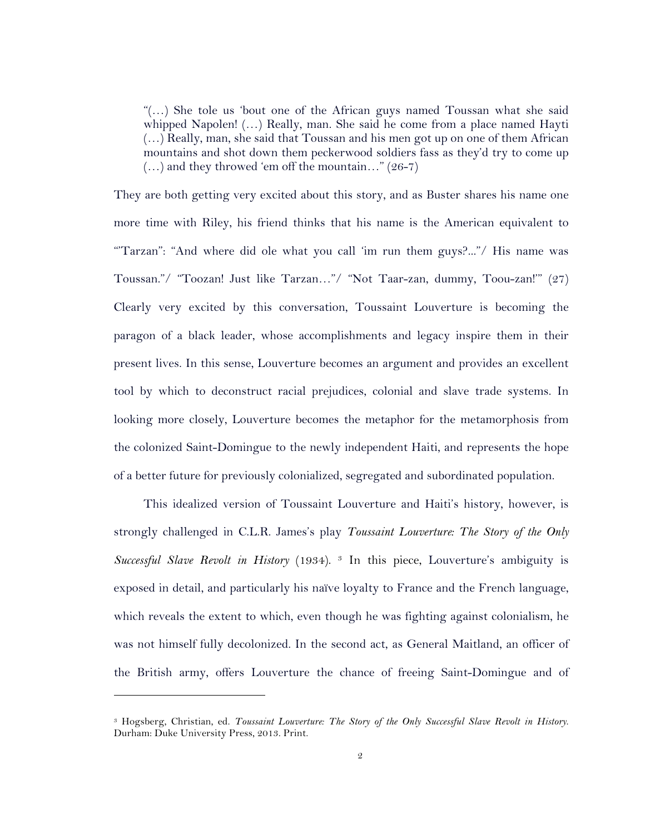"(…) She tole us 'bout one of the African guys named Toussan what she said whipped Napolen! (…) Really, man. She said he come from a place named Hayti (…) Really, man, she said that Toussan and his men got up on one of them African mountains and shot down them peckerwood soldiers fass as they'd try to come up  $(...)$  and they throwed 'em off the mountain..." (26-7)

They are both getting very excited about this story, and as Buster shares his name one more time with Riley, his friend thinks that his name is the American equivalent to "Tarzan": "And where did ole what you call 'im run them guys?..."/ His name was Toussan."/ "Toozan! Just like Tarzan…"/ "Not Taar-zan, dummy, Toou-zan!'" (27) Clearly very excited by this conversation, Toussaint Louverture is becoming the paragon of a black leader, whose accomplishments and legacy inspire them in their present lives. In this sense, Louverture becomes an argument and provides an excellent tool by which to deconstruct racial prejudices, colonial and slave trade systems. In looking more closely, Louverture becomes the metaphor for the metamorphosis from the colonized Saint-Domingue to the newly independent Haiti, and represents the hope of a better future for previously colonialized, segregated and subordinated population.

This idealized version of Toussaint Louverture and Haiti's history, however, is strongly challenged in C.L.R. James's play *Toussaint Louverture: The Story of the Only Successful Slave Revolt in History* (1934). 3 In this piece, Louverture's ambiguity is exposed in detail, and particularly his naïve loyalty to France and the French language, which reveals the extent to which, even though he was fighting against colonialism, he was not himself fully decolonized. In the second act, as General Maitland, an officer of the British army, offers Louverture the chance of freeing Saint-Domingue and of

<sup>3</sup> Hogsberg, Christian, ed. *Toussaint Louverture: The Story of the Only Successful Slave Revolt in History*. Durham: Duke University Press, 2013. Print.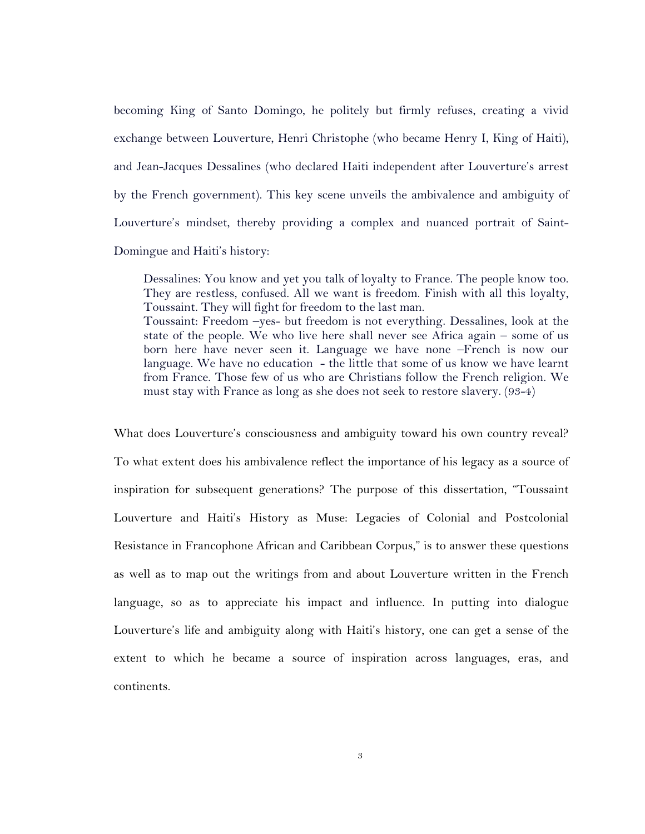becoming King of Santo Domingo, he politely but firmly refuses, creating a vivid exchange between Louverture, Henri Christophe (who became Henry I, King of Haiti), and Jean-Jacques Dessalines (who declared Haiti independent after Louverture's arrest by the French government). This key scene unveils the ambivalence and ambiguity of Louverture's mindset, thereby providing a complex and nuanced portrait of Saint-Domingue and Haiti's history:

Dessalines: You know and yet you talk of loyalty to France. The people know too. They are restless, confused. All we want is freedom. Finish with all this loyalty, Toussaint. They will fight for freedom to the last man. Toussaint: Freedom –yes- but freedom is not everything. Dessalines, look at the state of the people. We who live here shall never see Africa again – some of us born here have never seen it. Language we have none –French is now our language. We have no education - the little that some of us know we have learnt from France. Those few of us who are Christians follow the French religion. We must stay with France as long as she does not seek to restore slavery. (93-4)

What does Louverture's consciousness and ambiguity toward his own country reveal? To what extent does his ambivalence reflect the importance of his legacy as a source of inspiration for subsequent generations? The purpose of this dissertation, "Toussaint Louverture and Haiti's History as Muse: Legacies of Colonial and Postcolonial Resistance in Francophone African and Caribbean Corpus," is to answer these questions as well as to map out the writings from and about Louverture written in the French language, so as to appreciate his impact and influence. In putting into dialogue Louverture's life and ambiguity along with Haiti's history, one can get a sense of the extent to which he became a source of inspiration across languages, eras, and continents.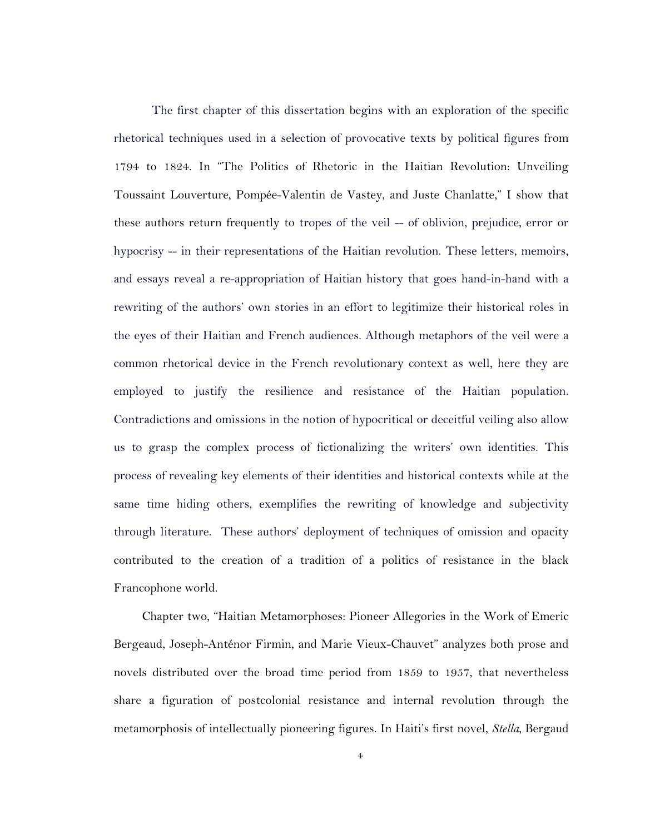The first chapter of this dissertation begins with an exploration of the specific rhetorical techniques used in a selection of provocative texts by political figures from 1794 to 1824. In "The Politics of Rhetoric in the Haitian Revolution: Unveiling Toussaint Louverture, Pompée-Valentin de Vastey, and Juste Chanlatte," I show that these authors return frequently to tropes of the veil -- of oblivion, prejudice, error or hypocrisy -- in their representations of the Haitian revolution. These letters, memoirs, and essays reveal a re-appropriation of Haitian history that goes hand-in-hand with a rewriting of the authors' own stories in an effort to legitimize their historical roles in the eyes of their Haitian and French audiences. Although metaphors of the veil were a common rhetorical device in the French revolutionary context as well, here they are employed to justify the resilience and resistance of the Haitian population. Contradictions and omissions in the notion of hypocritical or deceitful veiling also allow us to grasp the complex process of fictionalizing the writers' own identities. This process of revealing key elements of their identities and historical contexts while at the same time hiding others, exemplifies the rewriting of knowledge and subjectivity through literature. These authors' deployment of techniques of omission and opacity contributed to the creation of a tradition of a politics of resistance in the black Francophone world.

Chapter two, "Haitian Metamorphoses: Pioneer Allegories in the Work of Emeric Bergeaud, Joseph-Anténor Firmin, and Marie Vieux-Chauvet" analyzes both prose and novels distributed over the broad time period from 1859 to 1957, that nevertheless share a figuration of postcolonial resistance and internal revolution through the metamorphosis of intellectually pioneering figures. In Haiti's first novel, *Stella*, Bergaud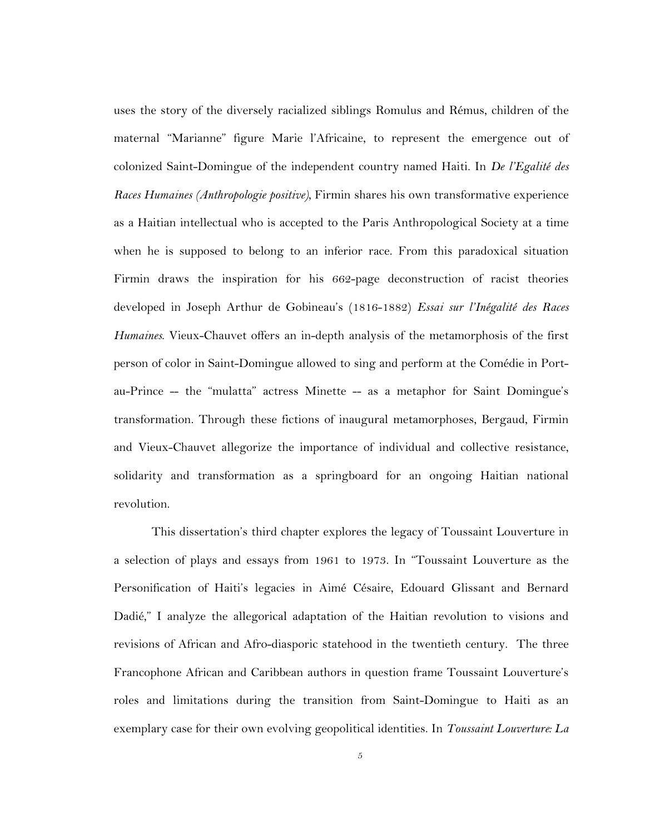uses the story of the diversely racialized siblings Romulus and Rémus, children of the maternal "Marianne" figure Marie l'Africaine, to represent the emergence out of colonized Saint-Domingue of the independent country named Haiti. In *De l'Egalité des Races Humaines (Anthropologie positive),* Firmin shares his own transformative experience as a Haitian intellectual who is accepted to the Paris Anthropological Society at a time when he is supposed to belong to an inferior race. From this paradoxical situation Firmin draws the inspiration for his 662-page deconstruction of racist theories developed in Joseph Arthur de Gobineau's (1816-1882) *Essai sur l'Inégalité des Races Humaines*. Vieux-Chauvet offers an in-depth analysis of the metamorphosis of the first person of color in Saint-Domingue allowed to sing and perform at the Comédie in Portau-Prince -- the "mulatta" actress Minette -- as a metaphor for Saint Domingue's transformation. Through these fictions of inaugural metamorphoses, Bergaud, Firmin and Vieux-Chauvet allegorize the importance of individual and collective resistance, solidarity and transformation as a springboard for an ongoing Haitian national revolution.

This dissertation's third chapter explores the legacy of Toussaint Louverture in a selection of plays and essays from 1961 to 1973. In "Toussaint Louverture as the Personification of Haiti's legacies in Aimé Césaire, Edouard Glissant and Bernard Dadié," I analyze the allegorical adaptation of the Haitian revolution to visions and revisions of African and Afro-diasporic statehood in the twentieth century. The three Francophone African and Caribbean authors in question frame Toussaint Louverture's roles and limitations during the transition from Saint-Domingue to Haiti as an exemplary case for their own evolving geopolitical identities. In *Toussaint Louverture: La*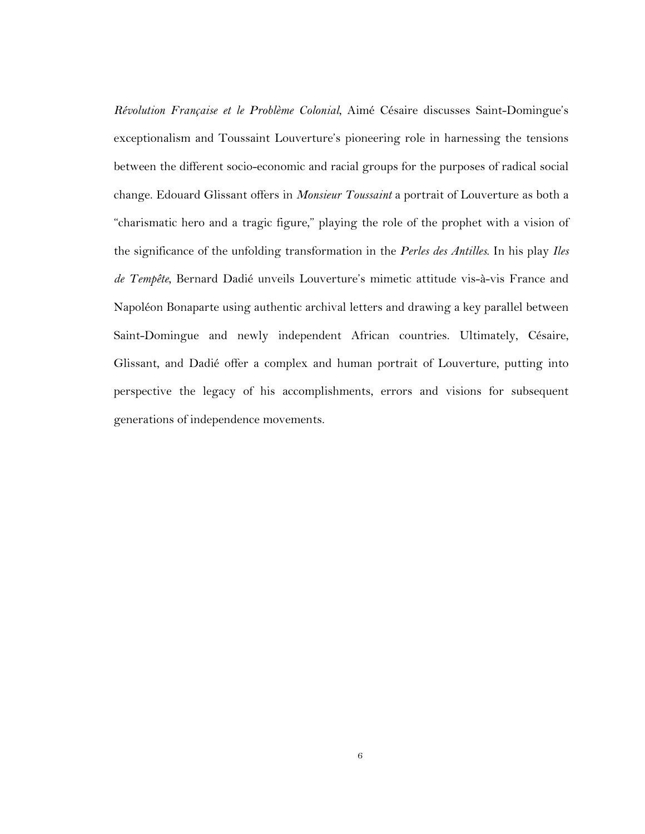*Révolution Française et le Problème Colonial*, Aimé Césaire discusses Saint-Domingue's exceptionalism and Toussaint Louverture's pioneering role in harnessing the tensions between the different socio-economic and racial groups for the purposes of radical social change. Edouard Glissant offers in *Monsieur Toussaint* a portrait of Louverture as both a "charismatic hero and a tragic figure," playing the role of the prophet with a vision of the significance of the unfolding transformation in the *Perles des Antilles*. In his play *Iles de Tempête*, Bernard Dadié unveils Louverture's mimetic attitude vis-à-vis France and Napoléon Bonaparte using authentic archival letters and drawing a key parallel between Saint-Domingue and newly independent African countries. Ultimately, Césaire, Glissant, and Dadié offer a complex and human portrait of Louverture, putting into perspective the legacy of his accomplishments, errors and visions for subsequent generations of independence movements.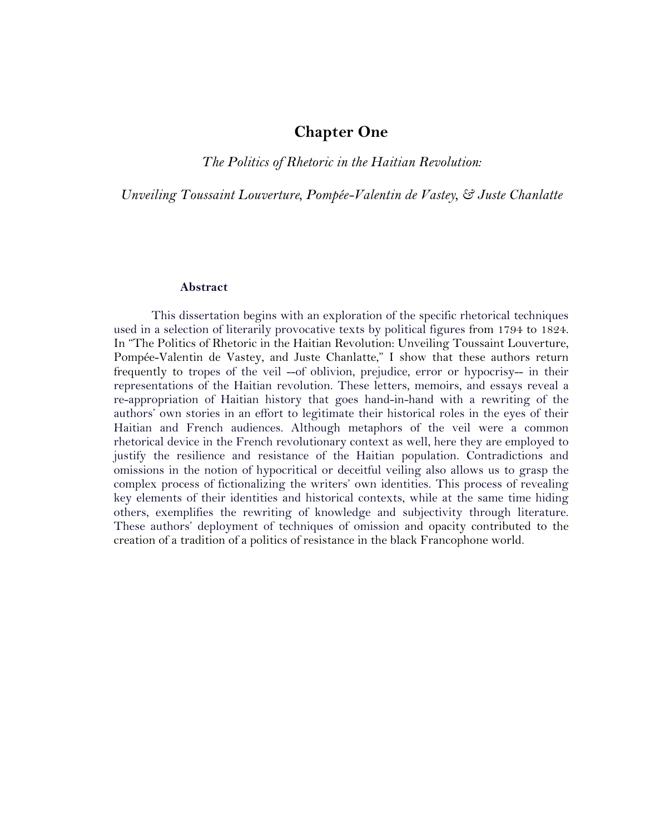# **Chapter One**

*The Politics of Rhetoric in the Haitian Revolution:* 

*Unveiling Toussaint Louverture, Pompée-Valentin de Vastey, & Juste Chanlatte*

#### **Abstract**

This dissertation begins with an exploration of the specific rhetorical techniques used in a selection of literarily provocative texts by political figures from 1794 to 1824. In "The Politics of Rhetoric in the Haitian Revolution: Unveiling Toussaint Louverture, Pompée-Valentin de Vastey, and Juste Chanlatte," I show that these authors return frequently to tropes of the veil --of oblivion, prejudice, error or hypocrisy-- in their representations of the Haitian revolution. These letters, memoirs, and essays reveal a re-appropriation of Haitian history that goes hand-in-hand with a rewriting of the authors' own stories in an effort to legitimate their historical roles in the eyes of their Haitian and French audiences. Although metaphors of the veil were a common rhetorical device in the French revolutionary context as well, here they are employed to justify the resilience and resistance of the Haitian population. Contradictions and omissions in the notion of hypocritical or deceitful veiling also allows us to grasp the complex process of fictionalizing the writers' own identities. This process of revealing key elements of their identities and historical contexts, while at the same time hiding others, exemplifies the rewriting of knowledge and subjectivity through literature. These authors' deployment of techniques of omission and opacity contributed to the creation of a tradition of a politics of resistance in the black Francophone world.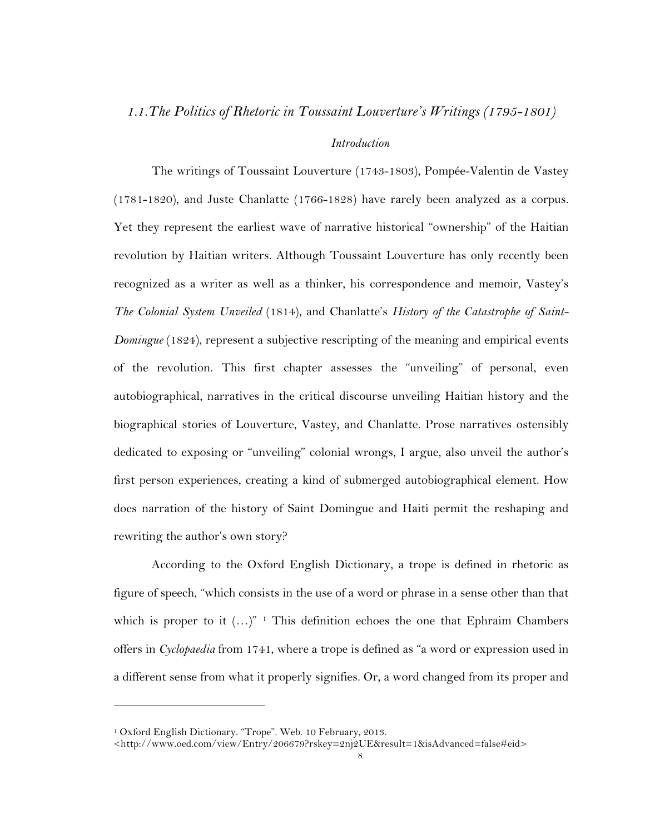### *1.1.The Politics of Rhetoric in Toussaint Louverture's Writings (1795-1801)*

### *Introduction*

The writings of Toussaint Louverture (1743-1803), Pompée-Valentin de Vastey (1781-1820), and Juste Chanlatte (1766-1828) have rarely been analyzed as a corpus. Yet they represent the earliest wave of narrative historical "ownership" of the Haitian revolution by Haitian writers. Although Toussaint Louverture has only recently been recognized as a writer as well as a thinker, his correspondence and memoir, Vastey's *The Colonial System Unveiled* (1814), and Chanlatte's *History of the Catastrophe of Saint-Domingue* (1824), represent a subjective rescripting of the meaning and empirical events of the revolution. This first chapter assesses the "unveiling" of personal, even autobiographical, narratives in the critical discourse unveiling Haitian history and the biographical stories of Louverture, Vastey, and Chanlatte. Prose narratives ostensibly dedicated to exposing or "unveiling" colonial wrongs, I argue, also unveil the author's first person experiences, creating a kind of submerged autobiographical element. How does narration of the history of Saint Domingue and Haiti permit the reshaping and rewriting the author's own story?

According to the Oxford English Dictionary, a trope is defined in rhetoric as figure of speech, "which consists in the use of a word or phrase in a sense other than that which is proper to it  $(...)^{n+1}$  This definition echoes the one that Ephraim Chambers offers in *Cyclopaedia* from 1741, where a trope is defined as "a word or expression used in a different sense from what it properly signifies. Or, a word changed from its proper and

<sup>1</sup> Oxford English Dictionary. "Trope". Web. 10 February, 2013.

<sup>&</sup>lt;http://www.oed.com/view/Entry/206679?rskey=2nj2UE&result=1&isAdvanced=false#eid>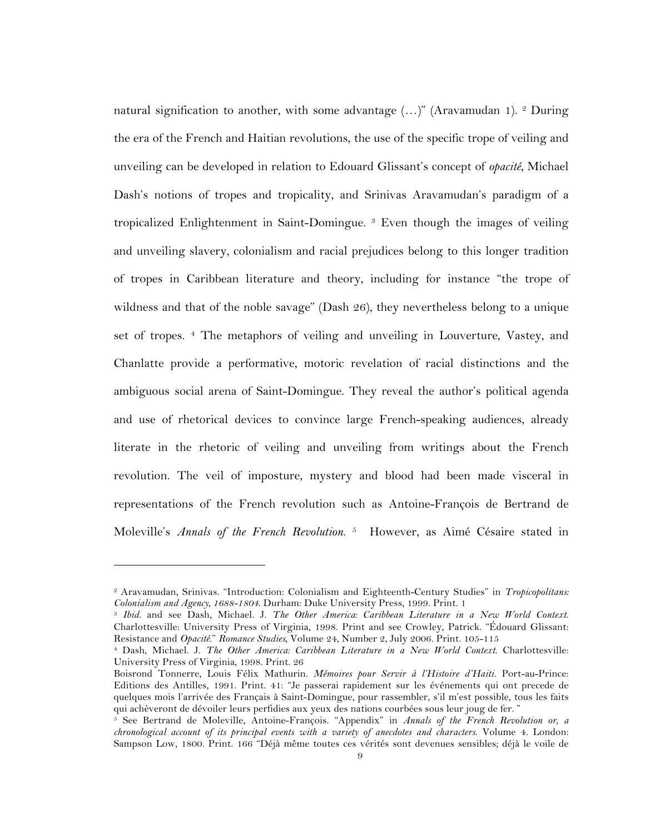natural signification to another, with some advantage  $(...)'$  (Aravamudan 1). <sup>2</sup> During the era of the French and Haitian revolutions, the use of the specific trope of veiling and unveiling can be developed in relation to Edouard Glissant's concept of *opacité*, Michael Dash's notions of tropes and tropicality, and Srinivas Aravamudan's paradigm of a tropicalized Enlightenment in Saint-Domingue. 3 Even though the images of veiling and unveiling slavery, colonialism and racial prejudices belong to this longer tradition of tropes in Caribbean literature and theory, including for instance "the trope of wildness and that of the noble savage" (Dash 26), they nevertheless belong to a unique set of tropes. 4 The metaphors of veiling and unveiling in Louverture, Vastey, and Chanlatte provide a performative, motoric revelation of racial distinctions and the ambiguous social arena of Saint-Domingue. They reveal the author's political agenda and use of rhetorical devices to convince large French-speaking audiences, already literate in the rhetoric of veiling and unveiling from writings about the French revolution. The veil of imposture, mystery and blood had been made visceral in representations of the French revolution such as Antoine-François de Bertrand de Moleville's *Annals of the French Revolution*. 5 However, as Aimé Césaire stated in

<sup>2</sup> Aravamudan, Srinivas. "Introduction: Colonialism and Eighteenth-Century Studies" in *Tropicopolitans: Colonialism and Agency, 1688-1804*. Durham: Duke University Press, 1999. Print. 1

<sup>3</sup> *Ibid.* and see Dash, Michael. J. *The Other America: Caribbean Literature in a New World Context*. Charlottesville: University Press of Virginia, 1998. Print and see Crowley, Patrick. "Édouard Glissant: Resistance and *Opacité*." *Romance Studies*, Volume 24, Number 2, July 2006. Print. 105-115

<sup>4</sup> Dash, Michael. J. *The Other America: Caribbean Literature in a New World Context*. Charlottesville: University Press of Virginia, 1998. Print. 26

Boisrond Tonnerre, Louis Félix Mathurin. *Mémoires pour Servir à l'Histoire d'Haiti.* Port-au-Prince: Editions des Antilles, 1991. Print. 41: "Je passerai rapidement sur les événements qui ont precede de quelques mois l'arrivée des Français à Saint-Domingue, pour rassembler, s'il m'est possible, tous les faits qui achèveront de dévoiler leurs perfidies aux yeux des nations courbées sous leur joug de fer. "

<sup>5</sup> See Bertrand de Moleville, Antoine-François. "Appendix" in *Annals of the French Revolution or, a chronological account of its principal events with a variety of anecdotes and characters*. Volume 4. London: Sampson Low, 1800. Print. 166 "Déjà même toutes ces vérités sont devenues sensibles; déjà le voile de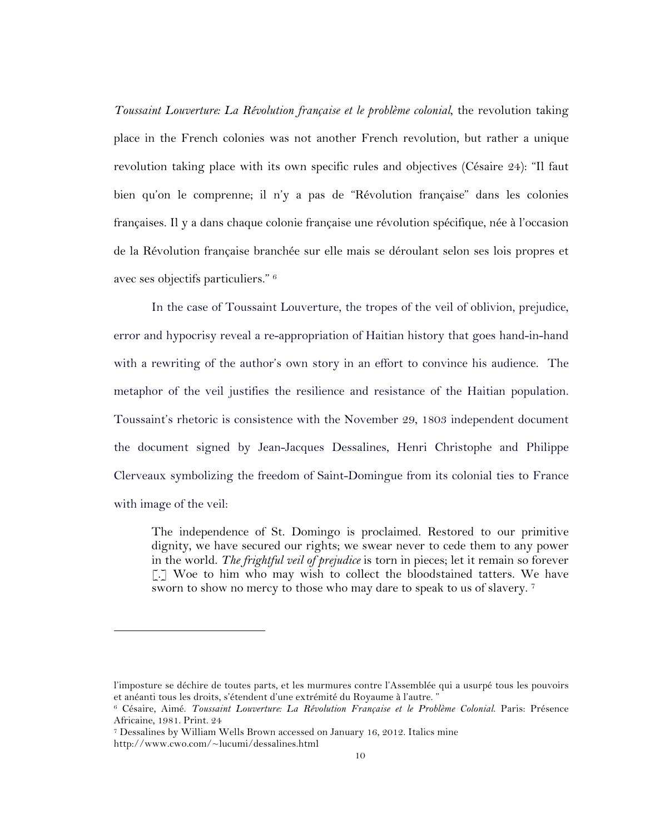*Toussaint Louverture: La Révolution française et le problème colonial*, the revolution taking place in the French colonies was not another French revolution, but rather a unique revolution taking place with its own specific rules and objectives (Césaire 24): "Il faut bien qu'on le comprenne; il n'y a pas de "Révolution française" dans les colonies françaises. Il y a dans chaque colonie française une révolution spécifique, née à l'occasion de la Révolution française branchée sur elle mais se déroulant selon ses lois propres et avec ses objectifs particuliers." <sup>6</sup>

In the case of Toussaint Louverture, the tropes of the veil of oblivion, prejudice, error and hypocrisy reveal a re-appropriation of Haitian history that goes hand-in-hand with a rewriting of the author's own story in an effort to convince his audience. The metaphor of the veil justifies the resilience and resistance of the Haitian population. Toussaint's rhetoric is consistence with the November 29, 1803 independent document the document signed by Jean-Jacques Dessalines, Henri Christophe and Philippe Clerveaux symbolizing the freedom of Saint-Domingue from its colonial ties to France with image of the veil:

The independence of St. Domingo is proclaimed. Restored to our primitive dignity, we have secured our rights; we swear never to cede them to any power in the world. *The frightful veil of prejudice* is torn in pieces; let it remain so forever [.] Woe to him who may wish to collect the bloodstained tatters. We have sworn to show no mercy to those who may dare to speak to us of slavery. <sup>7</sup>

l'imposture se déchire de toutes parts, et les murmures contre l'Assemblée qui a usurpé tous les pouvoirs et anéanti tous les droits, s'étendent d'une extrémité du Royaume à l'autre. "

<sup>6</sup> Césaire, Aimé. *Toussaint Louverture: La Révolution Française et le Problème Colonial*. Paris: Présence Africaine, 1981. Print. 24

<sup>7</sup> Dessalines by William Wells Brown accessed on January 16, 2012. Italics mine

http://www.cwo.com/~lucumi/dessalines.html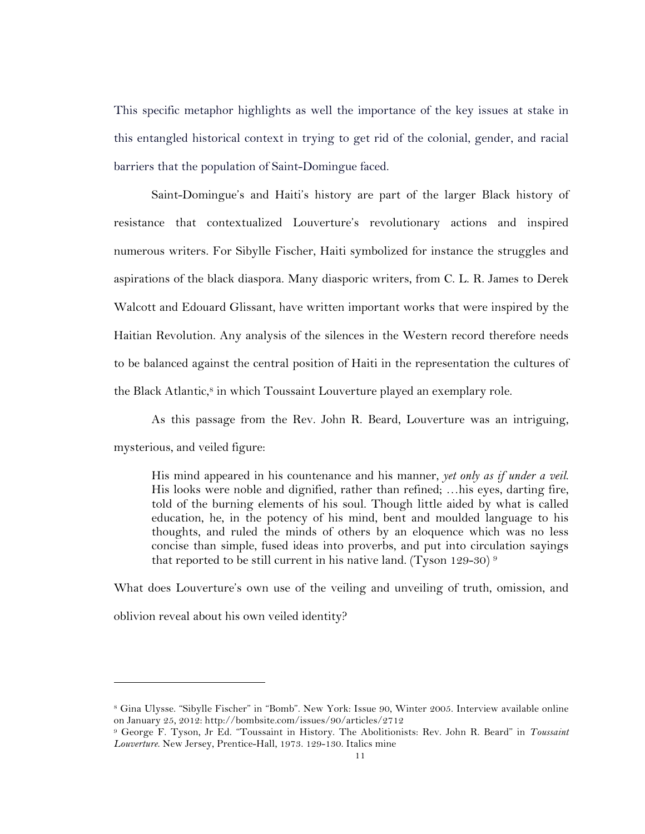This specific metaphor highlights as well the importance of the key issues at stake in this entangled historical context in trying to get rid of the colonial, gender, and racial barriers that the population of Saint-Domingue faced.

Saint-Domingue's and Haiti's history are part of the larger Black history of resistance that contextualized Louverture's revolutionary actions and inspired numerous writers. For Sibylle Fischer, Haiti symbolized for instance the struggles and aspirations of the black diaspora. Many diasporic writers, from C. L. R. James to Derek Walcott and Edouard Glissant, have written important works that were inspired by the Haitian Revolution. Any analysis of the silences in the Western record therefore needs to be balanced against the central position of Haiti in the representation the cultures of the Black Atlantic, <sup>8</sup> in which Toussaint Louverture played an exemplary role.

As this passage from the Rev. John R. Beard, Louverture was an intriguing, mysterious, and veiled figure:

His mind appeared in his countenance and his manner, *yet only as if under a veil*. His looks were noble and dignified, rather than refined; …his eyes, darting fire, told of the burning elements of his soul. Though little aided by what is called education, he, in the potency of his mind, bent and moulded language to his thoughts, and ruled the minds of others by an eloquence which was no less concise than simple, fused ideas into proverbs, and put into circulation sayings that reported to be still current in his native land. (Tyson 129-30)<sup>9</sup>

What does Louverture's own use of the veiling and unveiling of truth, omission, and oblivion reveal about his own veiled identity?

<sup>8</sup> Gina Ulysse. "Sibylle Fischer" in "Bomb". New York: Issue 90, Winter 2005. Interview available online on January 25, 2012: http://bombsite.com/issues/90/articles/2712

<sup>9</sup> George F. Tyson, Jr Ed. "Toussaint in History. The Abolitionists: Rev. John R. Beard" in *Toussaint Louverture*. New Jersey, Prentice-Hall, 1973. 129-130. Italics mine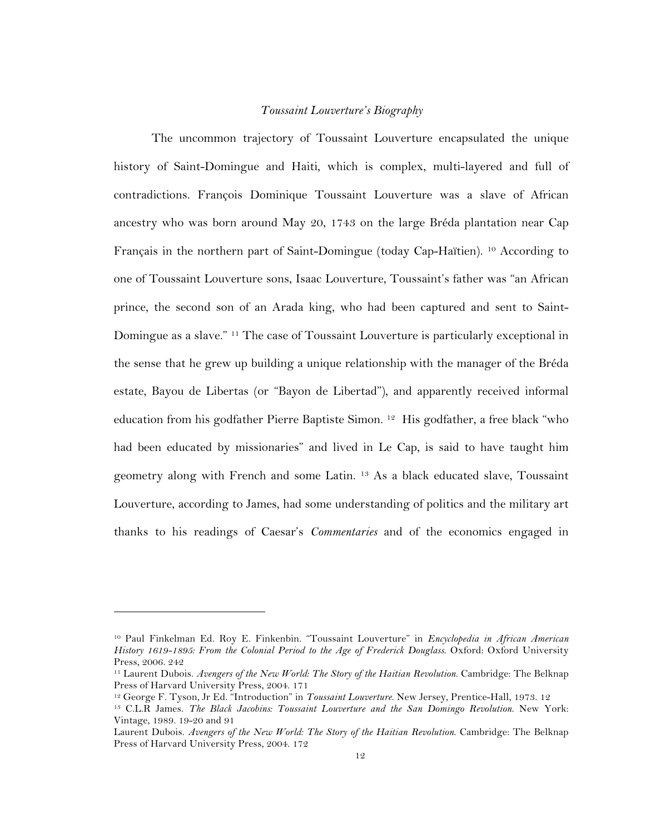#### *Toussaint Louverture's Biography*

The uncommon trajectory of Toussaint Louverture encapsulated the unique history of Saint-Domingue and Haiti, which is complex, multi-layered and full of contradictions. François Dominique Toussaint Louverture was a slave of African ancestry who was born around May 20, 1743 on the large Bréda plantation near Cap Français in the northern part of Saint-Domingue (today Cap-Haïtien). 10 According to one of Toussaint Louverture sons, Isaac Louverture, Toussaint's father was "an African prince, the second son of an Arada king, who had been captured and sent to Saint-Domingue as a slave." 11 The case of Toussaint Louverture is particularly exceptional in the sense that he grew up building a unique relationship with the manager of the Bréda estate, Bayou de Libertas (or "Bayon de Libertad"), and apparently received informal education from his godfather Pierre Baptiste Simon. 12 His godfather, a free black "who had been educated by missionaries" and lived in Le Cap, is said to have taught him geometry along with French and some Latin. 13 As a black educated slave, Toussaint Louverture, according to James, had some understanding of politics and the military art thanks to his readings of Caesar's *Commentaries* and of the economics engaged in

<sup>10</sup> Paul Finkelman Ed. Roy E. Finkenbin. "Toussaint Louverture" in *Encyclopedia in African American History 1619-1895: From the Colonial Period to the Age of Frederick Douglass*. Oxford: Oxford University Press, 2006. 242

<sup>11</sup> Laurent Dubois. *Avengers of the New World: The Story of the Haitian Revolution*. Cambridge: The Belknap Press of Harvard University Press, 2004. 171

<sup>12</sup> George F. Tyson, Jr Ed. "Introduction" in *Toussaint Louverture*. New Jersey, Prentice-Hall, 1973. 12

<sup>13</sup> C.L.R James. *The Black Jacobins: Toussaint Louverture and the San Domingo Revolution*. New York: Vintage, 1989. 19-20 and 91

Laurent Dubois. *Avengers of the New World: The Story of the Haitian Revolution*. Cambridge: The Belknap Press of Harvard University Press, 2004. 172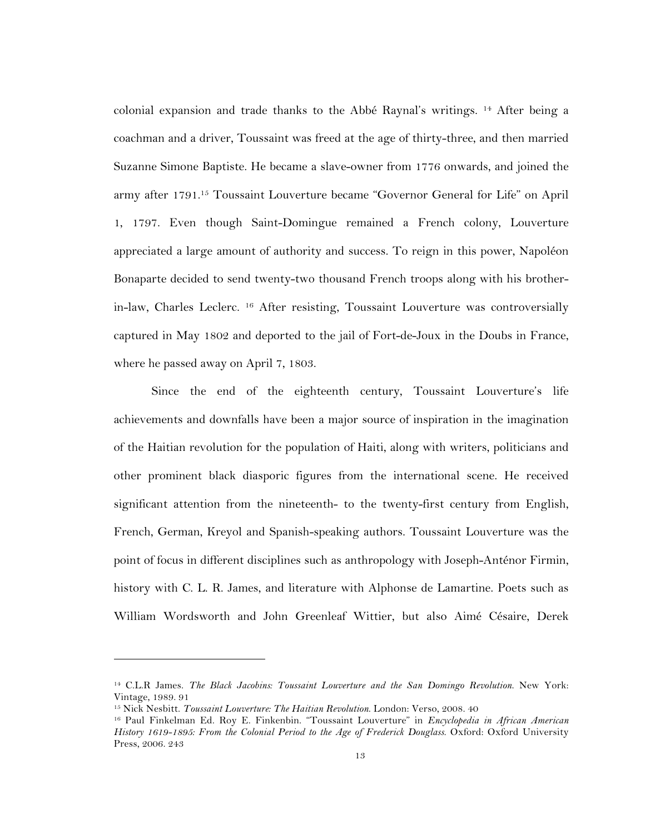colonial expansion and trade thanks to the Abbé Raynal's writings. 14 After being a coachman and a driver, Toussaint was freed at the age of thirty-three, and then married Suzanne Simone Baptiste. He became a slave-owner from 1776 onwards, and joined the army after 1791.15 Toussaint Louverture became "Governor General for Life" on April 1, 1797. Even though Saint-Domingue remained a French colony, Louverture appreciated a large amount of authority and success. To reign in this power, Napoléon Bonaparte decided to send twenty-two thousand French troops along with his brotherin-law, Charles Leclerc. 16 After resisting, Toussaint Louverture was controversially captured in May 1802 and deported to the jail of Fort-de-Joux in the Doubs in France, where he passed away on April 7, 1803.

Since the end of the eighteenth century, Toussaint Louverture's life achievements and downfalls have been a major source of inspiration in the imagination of the Haitian revolution for the population of Haiti, along with writers, politicians and other prominent black diasporic figures from the international scene. He received significant attention from the nineteenth- to the twenty-first century from English, French, German, Kreyol and Spanish-speaking authors. Toussaint Louverture was the point of focus in different disciplines such as anthropology with Joseph-Anténor Firmin, history with C. L. R. James, and literature with Alphonse de Lamartine. Poets such as William Wordsworth and John Greenleaf Wittier, but also Aimé Césaire, Derek

<sup>14</sup> C.L.R James. *The Black Jacobins: Toussaint Louverture and the San Domingo Revolution*. New York: Vintage, 1989. 91

<sup>15</sup> Nick Nesbitt. *Toussaint Louverture: The Haitian Revolution*. London: Verso, 2008. 40

<sup>16</sup> Paul Finkelman Ed. Roy E. Finkenbin. "Toussaint Louverture" in *Encyclopedia in African American History 1619-1895: From the Colonial Period to the Age of Frederick Douglass*. Oxford: Oxford University Press, 2006. 243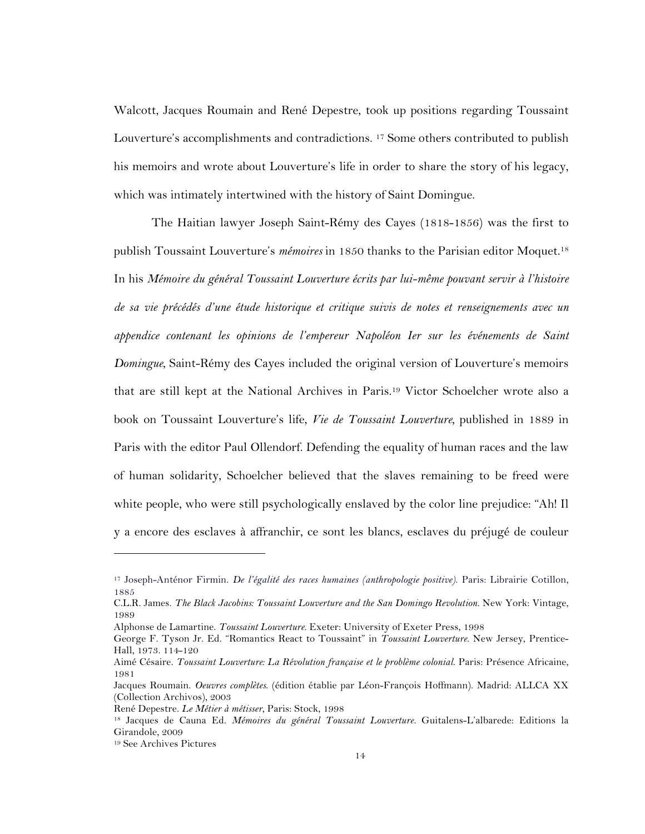Walcott, Jacques Roumain and René Depestre, took up positions regarding Toussaint Louverture's accomplishments and contradictions. 17 Some others contributed to publish his memoirs and wrote about Louverture's life in order to share the story of his legacy, which was intimately intertwined with the history of Saint Domingue.

The Haitian lawyer Joseph Saint-Rémy des Cayes (1818-1856) was the first to publish Toussaint Louverture's *mémoires* in 1850 thanks to the Parisian editor Moquet.18 In his *Mémoire du général Toussaint Louverture écrits par lui-même pouvant servir à l'histoire de sa vie précédés d'une étude historique et critique suivis de notes et renseignements avec un appendice contenant les opinions de l'empereur Napoléon Ier sur les événements de Saint Domingue*, Saint-Rémy des Cayes included the original version of Louverture's memoirs that are still kept at the National Archives in Paris.19 Victor Schoelcher wrote also a book on Toussaint Louverture's life, *Vie de Toussaint Louverture,* published in 1889 in Paris with the editor Paul Ollendorf. Defending the equality of human races and the law of human solidarity, Schoelcher believed that the slaves remaining to be freed were white people, who were still psychologically enslaved by the color line prejudice: "Ah! Il y a encore des esclaves à affranchir, ce sont les blancs, esclaves du préjugé de couleur

<sup>17</sup> Joseph-Anténor Firmin. *De l'égalité des races humaines (anthropologie positive)*. Paris: Librairie Cotillon, 1885

C.L.R. James. *The Black Jacobins: Toussaint Louverture and the San Domingo Revolution*. New York: Vintage, 1989

Alphonse de Lamartine. *Toussaint Louverture*. Exeter: University of Exeter Press, 1998

George F. Tyson Jr. Ed. "Romantics React to Toussaint" in *Toussaint Louverture*. New Jersey, Prentice-Hall, 1973. 114-120

Aimé Césaire. *Toussaint Louverture: La Révolution française et le problème colonial*. Paris: Présence Africaine, 1981

Jacques Roumain. *Oeuvres complètes*. (édition établie par Léon-François Hoffmann). Madrid: ALLCA XX (Collection Archivos), 2003

René Depestre. *Le Métier à métisser*, Paris: Stock, 1998

<sup>18</sup> Jacques de Cauna Ed. *Mémoires du général Toussaint Louverture.* Guitalens-L'albarede: Editions la Girandole, 2009

<sup>19</sup> See Archives Pictures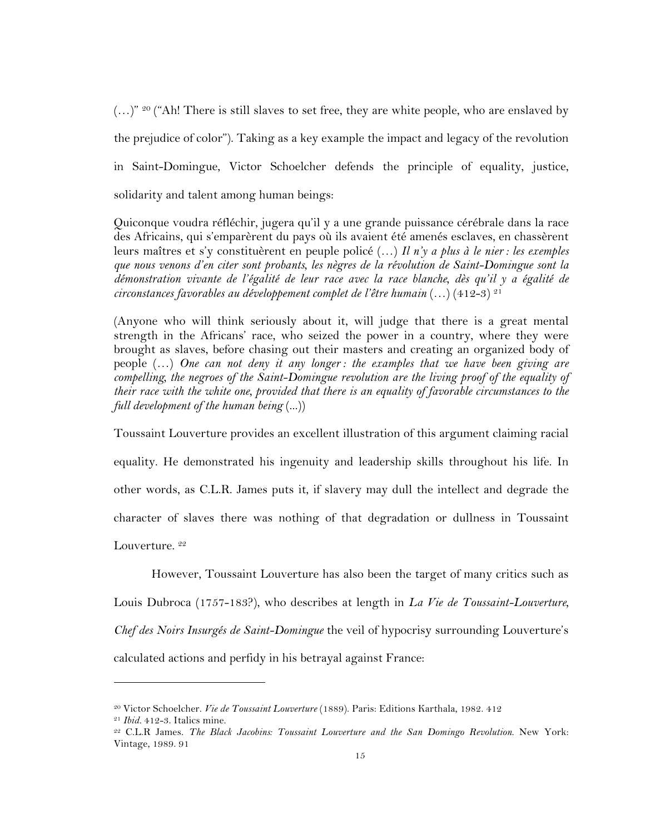(…)" 20 ("Ah! There is still slaves to set free, they are white people, who are enslaved by the prejudice of color"). Taking as a key example the impact and legacy of the revolution in Saint-Domingue, Victor Schoelcher defends the principle of equality, justice, solidarity and talent among human beings:

Quiconque voudra réfléchir, jugera qu'il y a une grande puissance cérébrale dans la race des Africains, qui s'emparèrent du pays où ils avaient été amenés esclaves, en chassèrent leurs maîtres et s'y constituèrent en peuple policé (…) *Il n'y a plus à le nier : les exemples que nous venons d'en citer sont probants, les nègres de la révolution de Saint-Domingue sont la démonstration vivante de l'égalité de leur race avec la race blanche, dès qu'il y a égalité de circonstances favorables au développement complet de l'être humain* (…) (412-3) 21

(Anyone who will think seriously about it, will judge that there is a great mental strength in the Africans' race, who seized the power in a country, where they were brought as slaves, before chasing out their masters and creating an organized body of people (…) *One can not deny it any longer : the examples that we have been giving are compelling, the negroes of the Saint-Domingue revolution are the living proof of the equality of their race with the white one, provided that there is an equality of favorable circumstances to the full development of the human being* (...))

Toussaint Louverture provides an excellent illustration of this argument claiming racial equality. He demonstrated his ingenuity and leadership skills throughout his life. In other words, as C.L.R. James puts it, if slavery may dull the intellect and degrade the character of slaves there was nothing of that degradation or dullness in Toussaint Louverture.<sup>22</sup>

However, Toussaint Louverture has also been the target of many critics such as Louis Dubroca (1757-183?), who describes at length in *La Vie de Toussaint-Louverture, Chef des Noirs Insurgés de Saint-Domingue* the veil of hypocrisy surrounding Louverture's calculated actions and perfidy in his betrayal against France:

<sup>20</sup> Victor Schoelcher. *Vie de Toussaint Louverture* (1889). Paris: Editions Karthala, 1982. 412

<sup>&</sup>lt;sup>21</sup> *Ibid.* 412-3. Italics mine.<br><sup>22</sup> C.L.R James. *The Black Jacobins: Toussaint Louverture and the San Domingo Revolution*. New York: Vintage, 1989. 91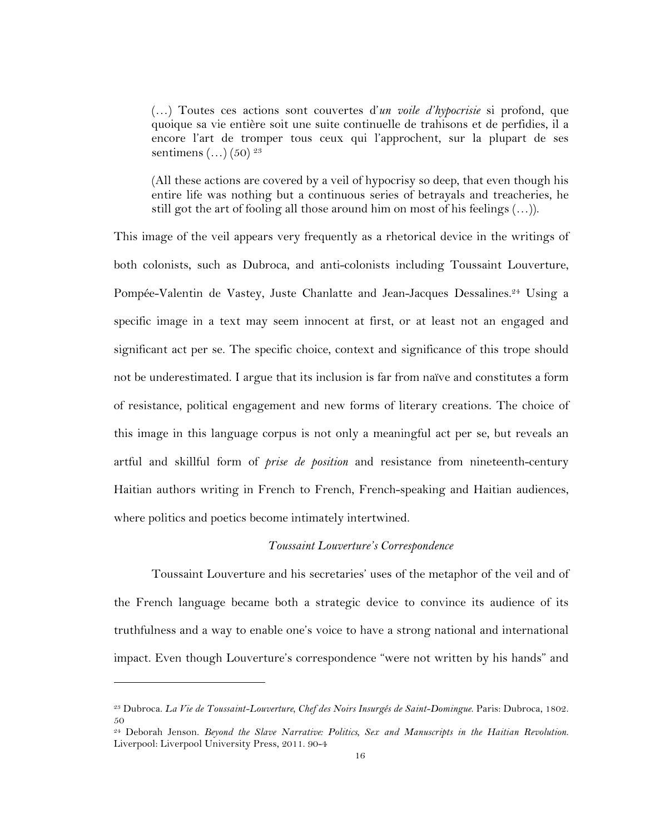(…) Toutes ces actions sont couvertes d'*un voile d'hypocrisie* si profond, que quoique sa vie entière soit une suite continuelle de trahisons et de perfidies, il a encore l'art de tromper tous ceux qui l'approchent, sur la plupart de ses sentimens  $(...)$  (50)  $^{23}$ 

(All these actions are covered by a veil of hypocrisy so deep, that even though his entire life was nothing but a continuous series of betrayals and treacheries, he still got the art of fooling all those around him on most of his feelings (…)).

This image of the veil appears very frequently as a rhetorical device in the writings of both colonists, such as Dubroca, and anti-colonists including Toussaint Louverture, Pompée-Valentin de Vastey, Juste Chanlatte and Jean-Jacques Dessalines.<sup>24</sup> Using a specific image in a text may seem innocent at first, or at least not an engaged and significant act per se. The specific choice, context and significance of this trope should not be underestimated. I argue that its inclusion is far from naïve and constitutes a form of resistance, political engagement and new forms of literary creations. The choice of this image in this language corpus is not only a meaningful act per se, but reveals an artful and skillful form of *prise de position* and resistance from nineteenth-century Haitian authors writing in French to French, French-speaking and Haitian audiences, where politics and poetics become intimately intertwined.

### *Toussaint Louverture's Correspondence*

Toussaint Louverture and his secretaries' uses of the metaphor of the veil and of the French language became both a strategic device to convince its audience of its truthfulness and a way to enable one's voice to have a strong national and international impact. Even though Louverture's correspondence "were not written by his hands" and

<sup>23</sup> Dubroca. *La Vie de Toussaint-Louverture, Chef des Noirs Insurgés de Saint-Domingue*. Paris: Dubroca, 1802. 50

<sup>24</sup> Deborah Jenson. *Beyond the Slave Narrative: Politics, Sex and Manuscripts in the Haitian Revolution*. Liverpool: Liverpool University Press, 2011. 90-4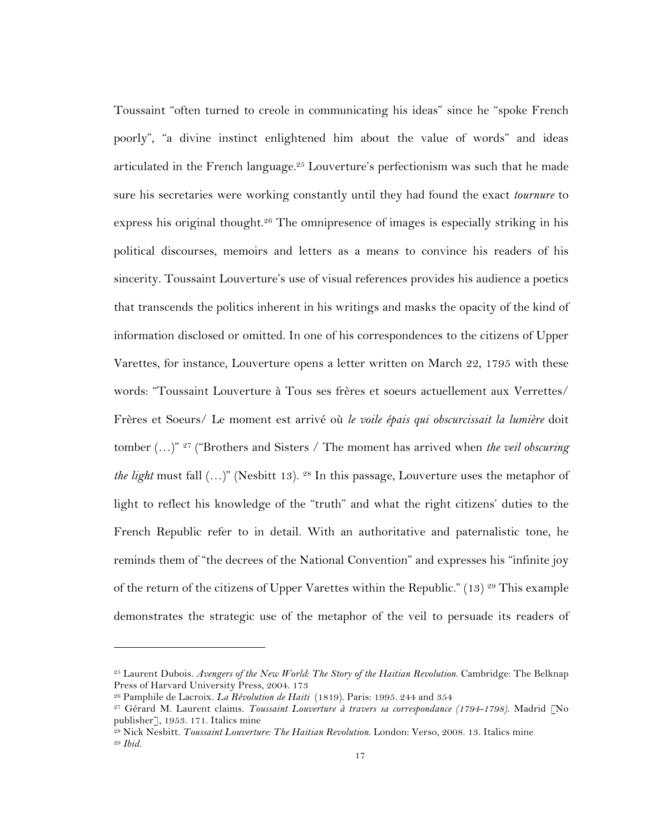Toussaint "often turned to creole in communicating his ideas" since he "spoke French poorly", "a divine instinct enlightened him about the value of words" and ideas articulated in the French language.<sup>25</sup> Louverture's perfectionism was such that he made sure his secretaries were working constantly until they had found the exact *tournure* to express his original thought.<sup>26</sup> The omnipresence of images is especially striking in his political discourses, memoirs and letters as a means to convince his readers of his sincerity. Toussaint Louverture's use of visual references provides his audience a poetics that transcends the politics inherent in his writings and masks the opacity of the kind of information disclosed or omitted. In one of his correspondences to the citizens of Upper Varettes, for instance, Louverture opens a letter written on March 22, 1795 with these words: "Toussaint Louverture à Tous ses frères et soeurs actuellement aux Verrettes/ Frères et Soeurs/ Le moment est arrivé où *le voile épais qui obscurcissait la lumière* doit tomber (…)" 27 ("Brothers and Sisters / The moment has arrived when *the veil obscuring the light* must fall  $(...)$ " (Nesbitt 13). <sup>28</sup> In this passage, Louverture uses the metaphor of light to reflect his knowledge of the "truth" and what the right citizens' duties to the French Republic refer to in detail. With an authoritative and paternalistic tone, he reminds them of "the decrees of the National Convention" and expresses his "infinite joy of the return of the citizens of Upper Varettes within the Republic." (13) <sup>29</sup> This example demonstrates the strategic use of the metaphor of the veil to persuade its readers of

<sup>25</sup> Laurent Dubois. *Avengers of the New World: The Story of the Haitian Revolution*. Cambridge: The Belknap Press of Harvard University Press, 2004. 173

<sup>26</sup> Pamphile de Lacroix. *La Révolution de Haiti* (1819). Paris: 1995. 244 and 354

<sup>27</sup> Gérard M. Laurent claims. *Toussaint Louverture à travers sa correspondance (1794-1798)*. Madrid [No publisher], 1953. 171. Italics mine

<sup>28</sup> Nick Nesbitt. *Toussaint Louverture: The Haitian Revolution*. London: Verso, 2008. 13. Italics mine <sup>29</sup> *Ibid.*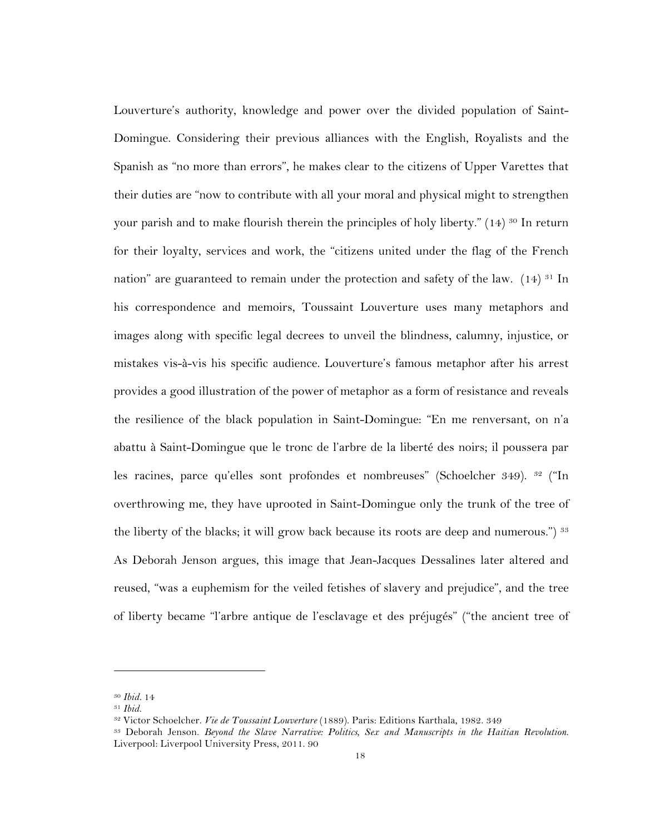Louverture's authority, knowledge and power over the divided population of Saint-Domingue. Considering their previous alliances with the English, Royalists and the Spanish as "no more than errors", he makes clear to the citizens of Upper Varettes that their duties are "now to contribute with all your moral and physical might to strengthen your parish and to make flourish therein the principles of holy liberty." (14) <sup>30</sup> In return for their loyalty, services and work, the "citizens united under the flag of the French nation" are guaranteed to remain under the protection and safety of the law.  $(14)$  <sup>31</sup> In his correspondence and memoirs, Toussaint Louverture uses many metaphors and images along with specific legal decrees to unveil the blindness, calumny, injustice, or mistakes vis-à-vis his specific audience. Louverture's famous metaphor after his arrest provides a good illustration of the power of metaphor as a form of resistance and reveals the resilience of the black population in Saint-Domingue: "En me renversant, on n'a abattu à Saint-Domingue que le tronc de l'arbre de la liberté des noirs; il poussera par les racines, parce qu'elles sont profondes et nombreuses" (Schoelcher 349). <sup>32</sup> ("In overthrowing me, they have uprooted in Saint-Domingue only the trunk of the tree of the liberty of the blacks; it will grow back because its roots are deep and numerous.") <sup>33</sup> As Deborah Jenson argues, this image that Jean-Jacques Dessalines later altered and reused, "was a euphemism for the veiled fetishes of slavery and prejudice", and the tree of liberty became "l'arbre antique de l'esclavage et des préjugés" ("the ancient tree of

<sup>30</sup> *Ibid.* 14

<sup>31</sup> *Ibid.*

<sup>32</sup> Victor Schoelcher. *Vie de Toussaint Louverture* (1889). Paris: Editions Karthala, 1982. 349

<sup>33</sup> Deborah Jenson. *Beyond the Slave Narrative: Politics, Sex and Manuscripts in the Haitian Revolution*. Liverpool: Liverpool University Press, 2011. 90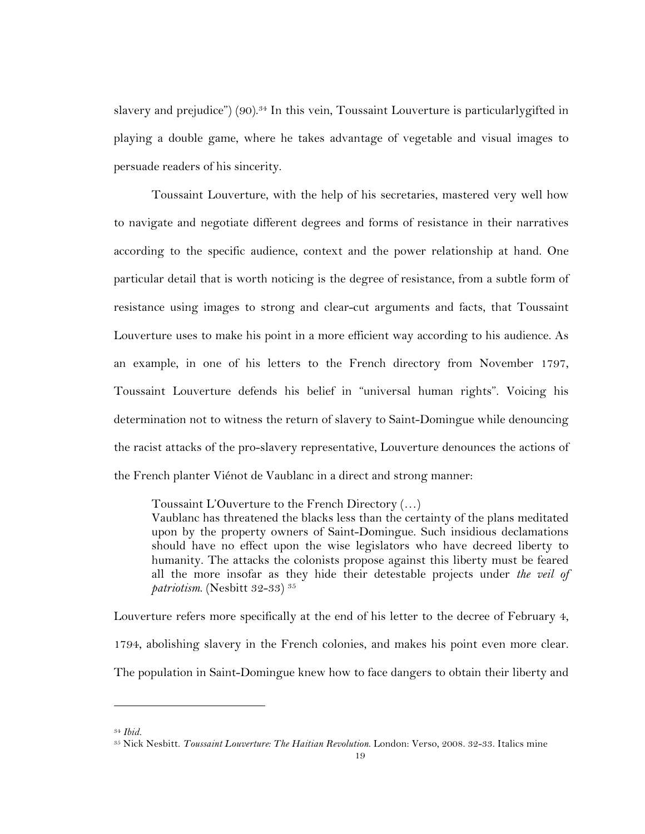slavery and prejudice") (90). <sup>34</sup> In this vein, Toussaint Louverture is particularlygifted in playing a double game, where he takes advantage of vegetable and visual images to persuade readers of his sincerity.

Toussaint Louverture, with the help of his secretaries, mastered very well how to navigate and negotiate different degrees and forms of resistance in their narratives according to the specific audience, context and the power relationship at hand. One particular detail that is worth noticing is the degree of resistance, from a subtle form of resistance using images to strong and clear-cut arguments and facts, that Toussaint Louverture uses to make his point in a more efficient way according to his audience. As an example, in one of his letters to the French directory from November 1797, Toussaint Louverture defends his belief in "universal human rights". Voicing his determination not to witness the return of slavery to Saint-Domingue while denouncing the racist attacks of the pro-slavery representative, Louverture denounces the actions of the French planter Viénot de Vaublanc in a direct and strong manner:

Toussaint L'Ouverture to the French Directory (…)

Vaublanc has threatened the blacks less than the certainty of the plans meditated upon by the property owners of Saint-Domingue. Such insidious declamations should have no effect upon the wise legislators who have decreed liberty to humanity. The attacks the colonists propose against this liberty must be feared all the more insofar as they hide their detestable projects under *the veil of patriotism*. (Nesbitt 32-33) 35

Louverture refers more specifically at the end of his letter to the decree of February 4, 1794, abolishing slavery in the French colonies, and makes his point even more clear. The population in Saint-Domingue knew how to face dangers to obtain their liberty and

<sup>34</sup> *Ibid.*

<sup>35</sup> Nick Nesbitt. *Toussaint Louverture: The Haitian Revolution*. London: Verso, 2008. 32-33. Italics mine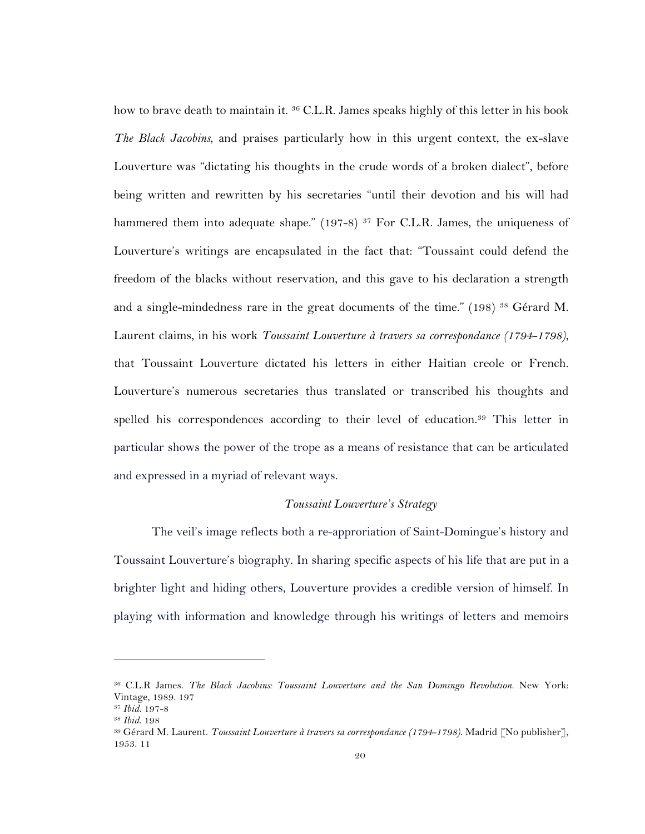how to brave death to maintain it. <sup>36</sup> C.L.R. James speaks highly of this letter in his book *The Black Jacobins*, and praises particularly how in this urgent context, the ex-slave Louverture was "dictating his thoughts in the crude words of a broken dialect", before being written and rewritten by his secretaries "until their devotion and his will had hammered them into adequate shape." (197-8) <sup>37</sup> For C.L.R. James, the uniqueness of Louverture's writings are encapsulated in the fact that: "Toussaint could defend the freedom of the blacks without reservation, and this gave to his declaration a strength and a single-mindedness rare in the great documents of the time." (198) <sup>38</sup> Gérard M. Laurent claims, in his work *Toussaint Louverture à travers sa correspondance (1794-1798)*, that Toussaint Louverture dictated his letters in either Haitian creole or French. Louverture's numerous secretaries thus translated or transcribed his thoughts and spelled his correspondences according to their level of education.39 This letter in particular shows the power of the trope as a means of resistance that can be articulated and expressed in a myriad of relevant ways.

#### *Toussaint Louverture's Strategy*

The veil's image reflects both a re-approriation of Saint-Domingue's history and Toussaint Louverture's biography. In sharing specific aspects of his life that are put in a brighter light and hiding others, Louverture provides a credible version of himself. In playing with information and knowledge through his writings of letters and memoirs

<sup>36</sup> C.L.R James. *The Black Jacobins: Toussaint Louverture and the San Domingo Revolution*. New York: Vintage, 1989. 197

<sup>37</sup> *Ibid.* 197-8

<sup>38</sup> *Ibid.* 198

<sup>39</sup> Gérard M. Laurent. *Toussaint Louverture à travers sa correspondance (1794-1798)*. Madrid [No publisher], 1953. 11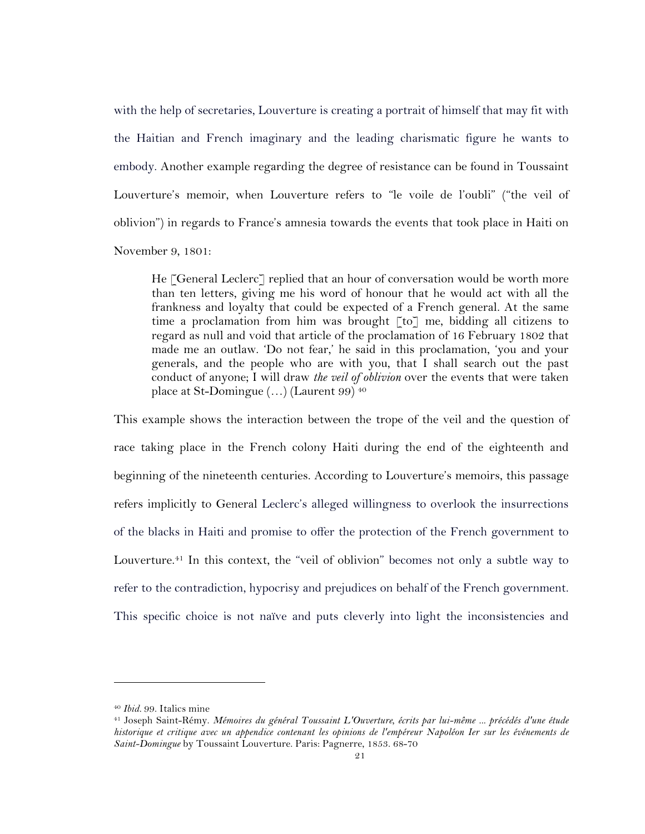with the help of secretaries, Louverture is creating a portrait of himself that may fit with the Haitian and French imaginary and the leading charismatic figure he wants to embody. Another example regarding the degree of resistance can be found in Toussaint Louverture's memoir, when Louverture refers to "le voile de l'oubli" ("the veil of oblivion") in regards to France's amnesia towards the events that took place in Haiti on November 9, 1801:

He [General Leclerc] replied that an hour of conversation would be worth more than ten letters, giving me his word of honour that he would act with all the frankness and loyalty that could be expected of a French general. At the same time a proclamation from him was brought [to] me, bidding all citizens to regard as null and void that article of the proclamation of 16 February 1802 that made me an outlaw. 'Do not fear,' he said in this proclamation, 'you and your generals, and the people who are with you, that I shall search out the past conduct of anyone; I will draw *the veil of oblivion* over the events that were taken place at St-Domingue (…) (Laurent 99) <sup>40</sup>

This example shows the interaction between the trope of the veil and the question of race taking place in the French colony Haiti during the end of the eighteenth and beginning of the nineteenth centuries. According to Louverture's memoirs, this passage refers implicitly to General Leclerc's alleged willingness to overlook the insurrections of the blacks in Haiti and promise to offer the protection of the French government to Louverture.41 In this context, the "veil of oblivion" becomes not only a subtle way to refer to the contradiction, hypocrisy and prejudices on behalf of the French government. This specific choice is not naïve and puts cleverly into light the inconsistencies and

<sup>40</sup> *Ibid.* 99. Italics mine

<sup>41</sup> Joseph Saint-Rémy. *Mémoires du général Toussaint L'Ouverture, écrits par lui-même ... précédés d'une étude historique et critique avec un appendice contenant les opinions de l'empéreur Napoléon Ier sur les événements de Saint-Domingue* by Toussaint Louverture. Paris: Pagnerre, 1853. 68-70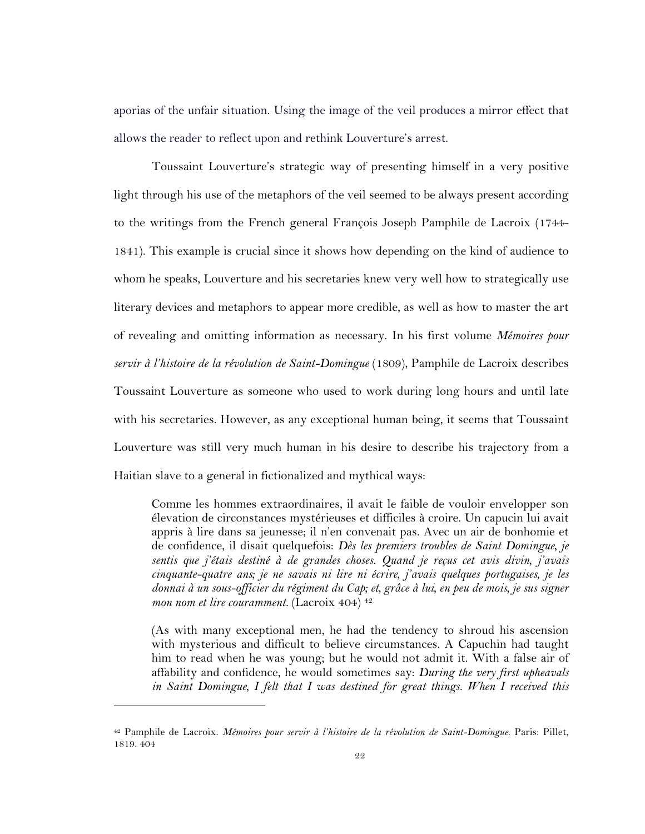aporias of the unfair situation. Using the image of the veil produces a mirror effect that allows the reader to reflect upon and rethink Louverture's arrest.

Toussaint Louverture's strategic way of presenting himself in a very positive light through his use of the metaphors of the veil seemed to be always present according to the writings from the French general François Joseph Pamphile de Lacroix (1744- 1841). This example is crucial since it shows how depending on the kind of audience to whom he speaks, Louverture and his secretaries knew very well how to strategically use literary devices and metaphors to appear more credible, as well as how to master the art of revealing and omitting information as necessary. In his first volume *Mémoires pour servir à l'histoire de la révolution de Saint-Domingue* (1809), Pamphile de Lacroix describes Toussaint Louverture as someone who used to work during long hours and until late with his secretaries. However, as any exceptional human being, it seems that Toussaint Louverture was still very much human in his desire to describe his trajectory from a Haitian slave to a general in fictionalized and mythical ways:

Comme les hommes extraordinaires, il avait le faible de vouloir envelopper son élevation de circonstances mystérieuses et difficiles à croire. Un capucin lui avait appris à lire dans sa jeunesse; il n'en convenait pas. Avec un air de bonhomie et de confidence, il disait quelquefois: *Dès les premiers troubles de Saint Domingue, je sentis que j'étais destiné à de grandes choses. Quand je reçus cet avis divin, j'avais cinquante-quatre ans; je ne savais ni lire ni écrire, j'avais quelques portugaises, je les donnai à un sous-officier du régiment du Cap; et, grâce à lui, en peu de mois, je sus signer mon nom et lire couramment.* (Lacroix 404) 42

(As with many exceptional men, he had the tendency to shroud his ascension with mysterious and difficult to believe circumstances. A Capuchin had taught him to read when he was young; but he would not admit it. With a false air of affability and confidence, he would sometimes say: *During the very first upheavals in Saint Domingue, I felt that I was destined for great things. When I received this* 

<sup>42</sup> Pamphile de Lacroix. *Mémoires pour servir à l'histoire de la révolution de Saint-Domingue*. Paris: Pillet, 1819. 404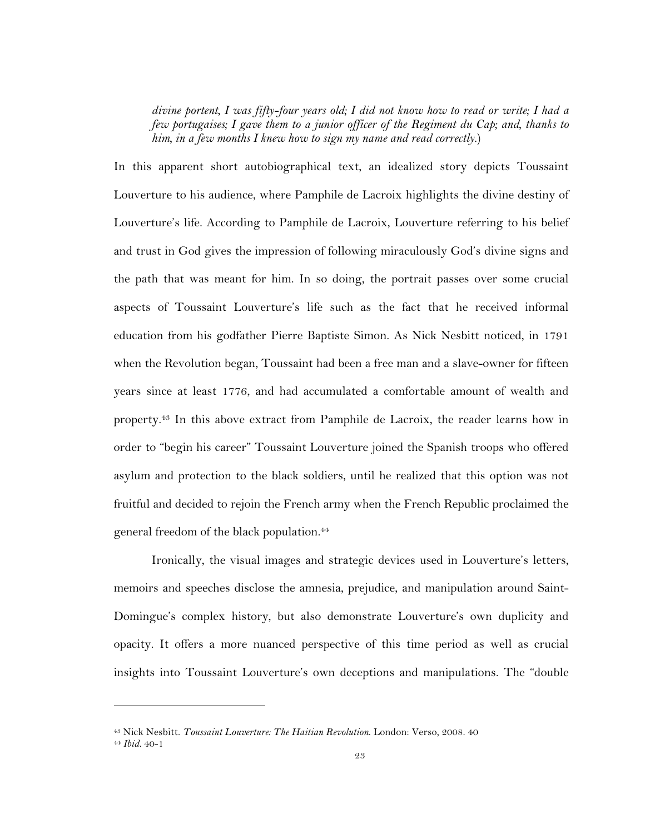*divine portent, I was fifty-four years old; I did not know how to read or write; I had a few portugaises; I gave them to a junior officer of the Regiment du Cap; and, thanks to him, in a few months I knew how to sign my name and read correctly.*)

In this apparent short autobiographical text, an idealized story depicts Toussaint Louverture to his audience, where Pamphile de Lacroix highlights the divine destiny of Louverture's life. According to Pamphile de Lacroix, Louverture referring to his belief and trust in God gives the impression of following miraculously God's divine signs and the path that was meant for him. In so doing, the portrait passes over some crucial aspects of Toussaint Louverture's life such as the fact that he received informal education from his godfather Pierre Baptiste Simon. As Nick Nesbitt noticed, in 1791 when the Revolution began, Toussaint had been a free man and a slave-owner for fifteen years since at least 1776, and had accumulated a comfortable amount of wealth and property.43 In this above extract from Pamphile de Lacroix, the reader learns how in order to "begin his career" Toussaint Louverture joined the Spanish troops who offered asylum and protection to the black soldiers, until he realized that this option was not fruitful and decided to rejoin the French army when the French Republic proclaimed the general freedom of the black population.44

Ironically, the visual images and strategic devices used in Louverture's letters, memoirs and speeches disclose the amnesia, prejudice, and manipulation around Saint-Domingue's complex history, but also demonstrate Louverture's own duplicity and opacity. It offers a more nuanced perspective of this time period as well as crucial insights into Toussaint Louverture's own deceptions and manipulations. The "double

<sup>43</sup> Nick Nesbitt. *Toussaint Louverture: The Haitian Revolution*. London: Verso, 2008. 40 <sup>44</sup> *Ibid.* 40-1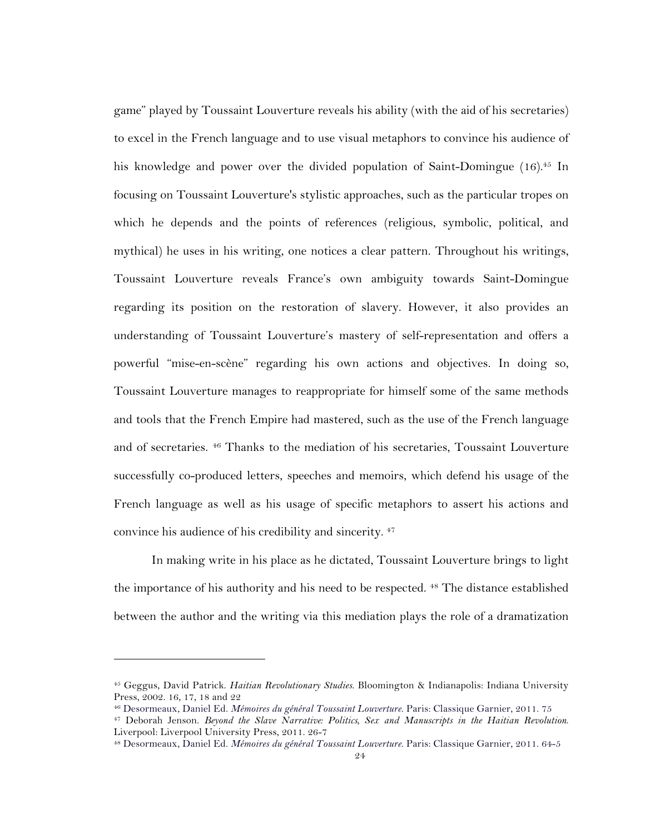game" played by Toussaint Louverture reveals his ability (with the aid of his secretaries) to excel in the French language and to use visual metaphors to convince his audience of his knowledge and power over the divided population of Saint-Domingue (16).<sup>45</sup> In focusing on Toussaint Louverture's stylistic approaches, such as the particular tropes on which he depends and the points of references (religious, symbolic, political, and mythical) he uses in his writing, one notices a clear pattern. Throughout his writings, Toussaint Louverture reveals France's own ambiguity towards Saint-Domingue regarding its position on the restoration of slavery. However, it also provides an understanding of Toussaint Louverture's mastery of self-representation and offers a powerful "mise-en-scène" regarding his own actions and objectives. In doing so, Toussaint Louverture manages to reappropriate for himself some of the same methods and tools that the French Empire had mastered, such as the use of the French language and of secretaries. 46 Thanks to the mediation of his secretaries, Toussaint Louverture successfully co-produced letters, speeches and memoirs, which defend his usage of the French language as well as his usage of specific metaphors to assert his actions and convince his audience of his credibility and sincerity. <sup>47</sup>

In making write in his place as he dictated, Toussaint Louverture brings to light the importance of his authority and his need to be respected. 48 The distance established between the author and the writing via this mediation plays the role of a dramatization

<sup>45</sup> Geggus, David Patrick. *Haitian Revolutionary Studies*. Bloomington & Indianapolis: Indiana University Press, 2002. 16, 17, 18 and 22

<sup>46</sup> Desormeaux, Daniel Ed. *Mémoires du général Toussaint Louverture*. Paris: Classique Garnier, 2011. 75

<sup>47</sup> Deborah Jenson. *Beyond the Slave Narrative: Politics, Sex and Manuscripts in the Haitian Revolution*. Liverpool: Liverpool University Press, 2011. 26-7

<sup>48</sup> Desormeaux, Daniel Ed. *Mémoires du général Toussaint Louverture*. Paris: Classique Garnier, 2011. 64-5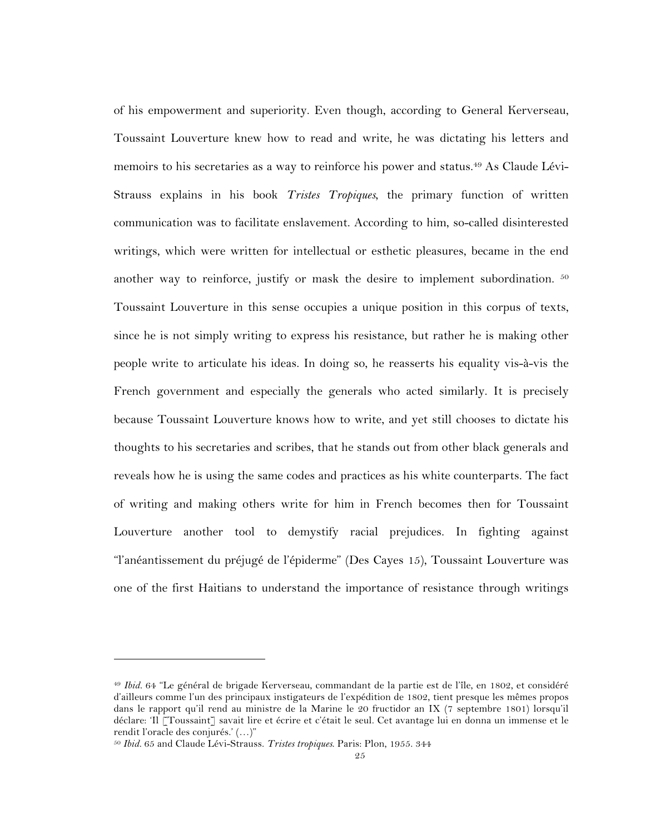of his empowerment and superiority. Even though, according to General Kerverseau, Toussaint Louverture knew how to read and write, he was dictating his letters and memoirs to his secretaries as a way to reinforce his power and status.<sup>49</sup> As Claude Lévi-Strauss explains in his book *Tristes Tropiques*, the primary function of written communication was to facilitate enslavement. According to him, so-called disinterested writings, which were written for intellectual or esthetic pleasures, became in the end another way to reinforce, justify or mask the desire to implement subordination. <sup>50</sup> Toussaint Louverture in this sense occupies a unique position in this corpus of texts, since he is not simply writing to express his resistance, but rather he is making other people write to articulate his ideas. In doing so, he reasserts his equality vis-à-vis the French government and especially the generals who acted similarly. It is precisely because Toussaint Louverture knows how to write, and yet still chooses to dictate his thoughts to his secretaries and scribes, that he stands out from other black generals and reveals how he is using the same codes and practices as his white counterparts. The fact of writing and making others write for him in French becomes then for Toussaint Louverture another tool to demystify racial prejudices. In fighting against "l'anéantissement du préjugé de l'épiderme" (Des Cayes 15), Toussaint Louverture was one of the first Haitians to understand the importance of resistance through writings

<sup>49</sup> *Ibid.* 64 "Le général de brigade Kerverseau, commandant de la partie est de l'île, en 1802, et considéré d'ailleurs comme l'un des principaux instigateurs de l'expédition de 1802, tient presque les mêmes propos dans le rapport qu'il rend au ministre de la Marine le 20 fructidor an IX (7 septembre 1801) lorsqu'il déclare: 'Il [Toussaint] savait lire et écrire et c'était le seul. Cet avantage lui en donna un immense et le rendit l'oracle des conjurés.' (…)"

<sup>50</sup> *Ibid.* 65 and Claude Lévi-Strauss. *Tristes tropiques*. Paris: Plon, 1955. 344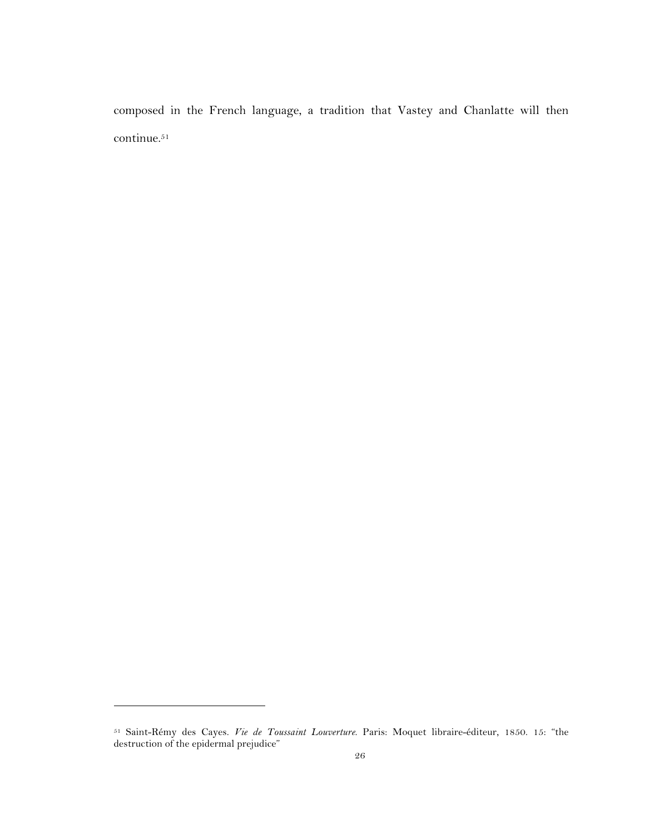composed in the French language, a tradition that Vastey and Chanlatte will then continue. 51

<sup>51</sup> Saint-Rémy des Cayes. *Vie de Toussaint Louverture*. Paris: Moquet libraire-éditeur, 1850. 15: "the destruction of the epidermal prejudice"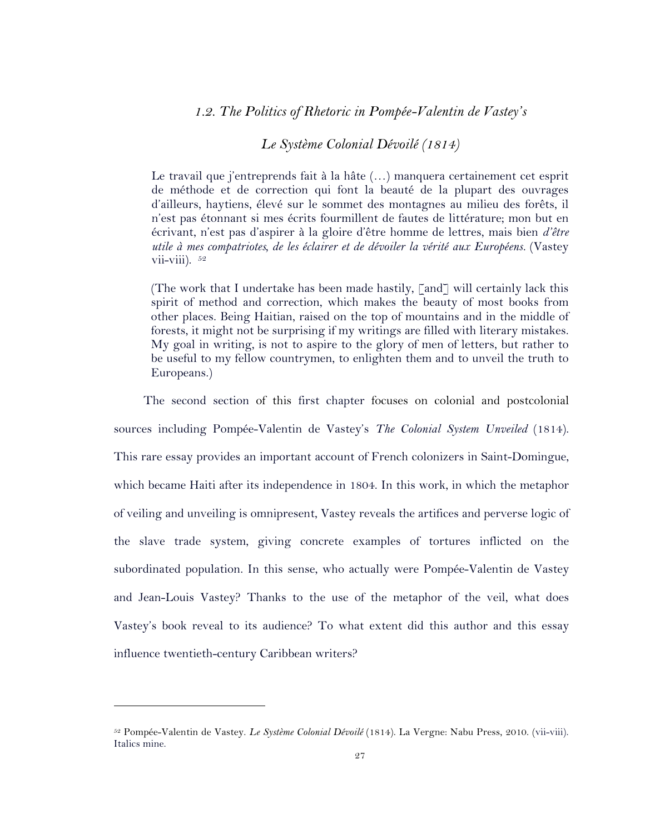### *1.2. The Politics of Rhetoric in Pompée-Valentin de Vastey's*

### *Le Système Colonial Dévoilé (1814)*

Le travail que j'entreprends fait à la hâte (…) manquera certainement cet esprit de méthode et de correction qui font la beauté de la plupart des ouvrages d'ailleurs, haytiens, élevé sur le sommet des montagnes au milieu des forêts, il n'est pas étonnant si mes écrits fourmillent de fautes de littérature; mon but en écrivant, n'est pas d'aspirer à la gloire d'être homme de lettres, mais bien *d'être utile à mes compatriotes, de les éclairer et de dévoiler la vérité aux Européens.* (Vastey vii-viii).  $52$ 

(The work that I undertake has been made hastily, [and] will certainly lack this spirit of method and correction, which makes the beauty of most books from other places. Being Haitian, raised on the top of mountains and in the middle of forests, it might not be surprising if my writings are filled with literary mistakes. My goal in writing, is not to aspire to the glory of men of letters, but rather to be useful to my fellow countrymen, to enlighten them and to unveil the truth to Europeans.)

The second section of this first chapter focuses on colonial and postcolonial sources including Pompée-Valentin de Vastey's *The Colonial System Unveiled* (1814). This rare essay provides an important account of French colonizers in Saint-Domingue, which became Haiti after its independence in 1804. In this work, in which the metaphor of veiling and unveiling is omnipresent, Vastey reveals the artifices and perverse logic of the slave trade system, giving concrete examples of tortures inflicted on the subordinated population. In this sense, who actually were Pompée-Valentin de Vastey and Jean-Louis Vastey? Thanks to the use of the metaphor of the veil, what does Vastey's book reveal to its audience? To what extent did this author and this essay influence twentieth-century Caribbean writers?

<sup>52</sup> Pompée-Valentin de Vastey. *Le Système Colonial Dévoilé* (1814). La Vergne: Nabu Press, 2010. (vii-viii). Italics mine.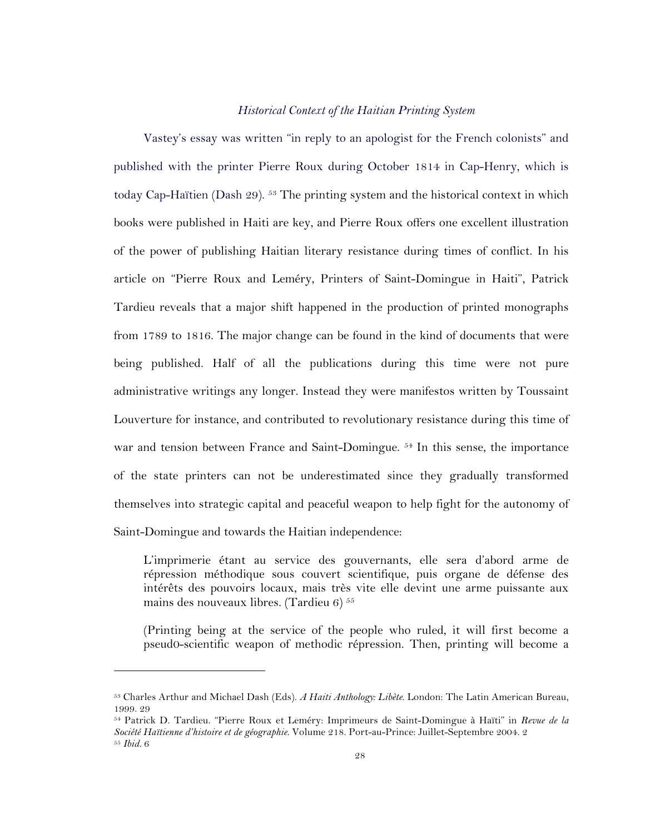#### *Historical Context of the Haitian Printing System*

Vastey's essay was written "in reply to an apologist for the French colonists" and published with the printer Pierre Roux during October 1814 in Cap-Henry, which is today Cap-Haïtien (Dash 29). <sup>53</sup> The printing system and the historical context in which books were published in Haiti are key, and Pierre Roux offers one excellent illustration of the power of publishing Haitian literary resistance during times of conflict. In his article on "Pierre Roux and Leméry, Printers of Saint-Domingue in Haiti", Patrick Tardieu reveals that a major shift happened in the production of printed monographs from 1789 to 1816. The major change can be found in the kind of documents that were being published. Half of all the publications during this time were not pure administrative writings any longer. Instead they were manifestos written by Toussaint Louverture for instance, and contributed to revolutionary resistance during this time of war and tension between France and Saint-Domingue.<sup>54</sup> In this sense, the importance of the state printers can not be underestimated since they gradually transformed themselves into strategic capital and peaceful weapon to help fight for the autonomy of Saint-Domingue and towards the Haitian independence:

L'imprimerie étant au service des gouvernants, elle sera d'abord arme de répression méthodique sous couvert scientifique, puis organe de défense des intérêts des pouvoirs locaux, mais très vite elle devint une arme puissante aux mains des nouveaux libres. (Tardieu 6)  $55$ 

(Printing being at the service of the people who ruled, it will first become a pseud0-scientific weapon of methodic répression. Then, printing will become a

<sup>53</sup> Charles Arthur and Michael Dash (Eds). *A Haiti Anthology: Libète*. London: The Latin American Bureau, 1999. 29

<sup>54</sup> Patrick D. Tardieu. "Pierre Roux et Leméry: Imprimeurs de Saint-Domingue à Haïti" in *Revue de la Société Haïtienne d'histoire et de géographie*. Volume 218. Port-au-Prince: Juillet-Septembre 2004. 2 <sup>55</sup> *Ibid.* 6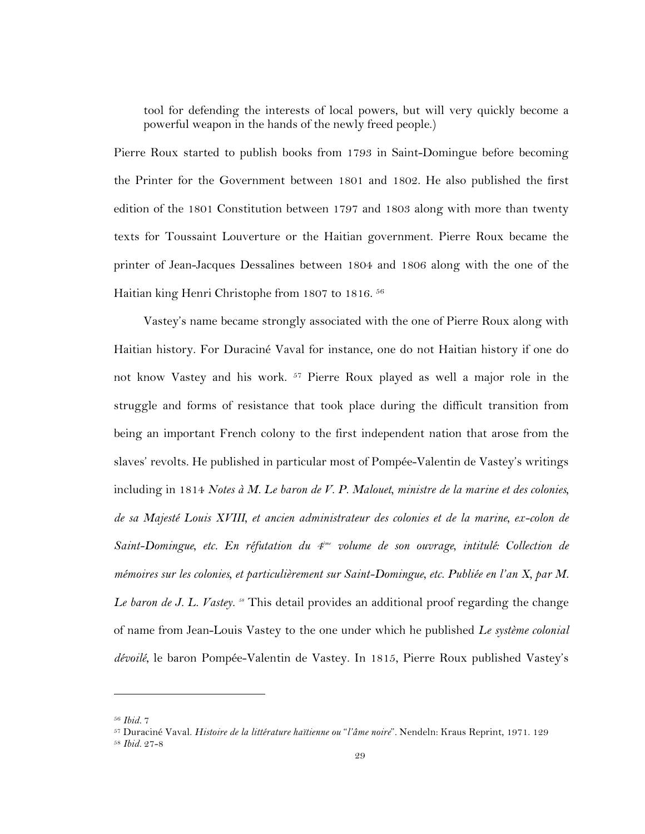tool for defending the interests of local powers, but will very quickly become a powerful weapon in the hands of the newly freed people.)

Pierre Roux started to publish books from 1793 in Saint-Domingue before becoming the Printer for the Government between 1801 and 1802. He also published the first edition of the 1801 Constitution between 1797 and 1803 along with more than twenty texts for Toussaint Louverture or the Haitian government. Pierre Roux became the printer of Jean-Jacques Dessalines between 1804 and 1806 along with the one of the Haitian king Henri Christophe from 1807 to 1816. 56

Vastey's name became strongly associated with the one of Pierre Roux along with Haitian history. For Duraciné Vaval for instance, one do not Haitian history if one do not know Vastey and his work. 57 Pierre Roux played as well a major role in the struggle and forms of resistance that took place during the difficult transition from being an important French colony to the first independent nation that arose from the slaves' revolts. He published in particular most of Pompée-Valentin de Vastey's writings including in 1814 *Notes à M. Le baron de V. P. Malouet, ministre de la marine et des colonies, de sa Majesté Louis XVIII, et ancien administrateur des colonies et de la marine, ex-colon de Saint-Domingue, etc. En réfutation du 4ème volume de son ouvrage, intitulé: Collection de mémoires sur les colonies, et particulièrement sur Saint-Domingue, etc. Publiée en l'an X, par M. Le baron de J. L. Vastey. 58* This detail provides an additional proof regarding the change of name from Jean-Louis Vastey to the one under which he published *Le système colonial dévoilé*, le baron Pompée-Valentin de Vastey. In 1815, Pierre Roux published Vastey's

<sup>56</sup> *Ibid.* 7

<sup>57</sup> Duraciné Vaval. *Histoire de la littérature haïtienne ou* "*l'âme noire*"*.* Nendeln: Kraus Reprint, 1971. 129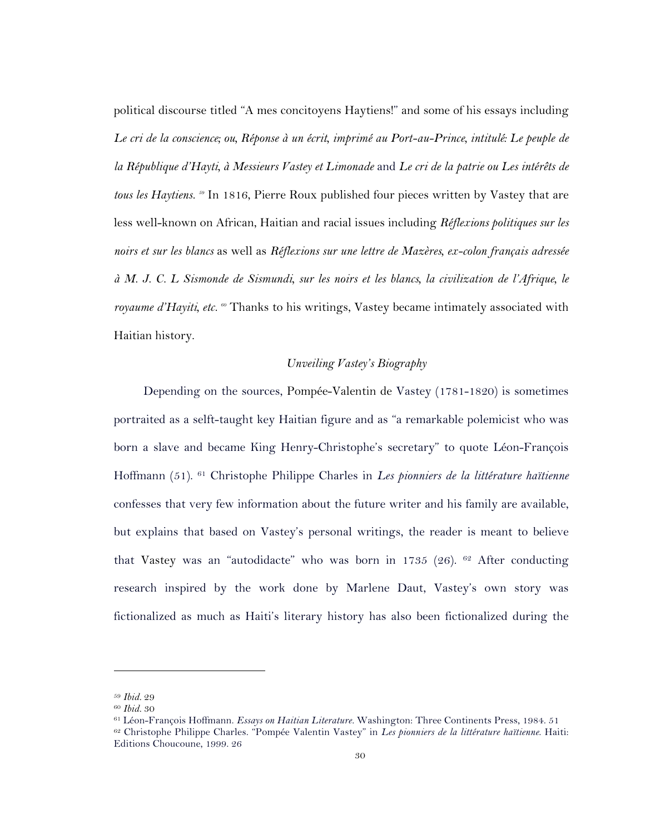political discourse titled "A mes concitoyens Haytiens!" and some of his essays including *Le cri de la conscience; ou, Réponse à un écrit, imprimé au Port-au-Prince, intitulé: Le peuple de la République d'Hayti, à Messieurs Vastey et Limonade* and *Le cri de la patrie ou Les intérêts de tous les Haytiens. 59* In 1816, Pierre Roux published four pieces written by Vastey that are less well-known on African, Haitian and racial issues including *Réflexions politiques sur les noirs et sur les blancs* as well as *Réflexions sur une lettre de Mazères, ex-colon français adressée à M. J. C. L Sismonde de Sismundi, sur les noirs et les blancs, la civilization de l'Afrique, le royaume d'Hayiti, etc. 60* Thanks to his writings, Vastey became intimately associated with Haitian history.

### *Unveiling Vastey's Biography*

Depending on the sources, Pompée-Valentin de Vastey (1781-1820) is sometimes portraited as a selft-taught key Haitian figure and as "a remarkable polemicist who was born a slave and became King Henry-Christophe's secretary" to quote Léon-François Hoffmann (51). <sup>61</sup> Christophe Philippe Charles in *Les pionniers de la littérature haïtienne* confesses that very few information about the future writer and his family are available, but explains that based on Vastey's personal writings, the reader is meant to believe that Vastey was an "autodidacte" who was born in 1735 (26). 62 After conducting research inspired by the work done by Marlene Daut, Vastey's own story was fictionalized as much as Haiti's literary history has also been fictionalized during the

<sup>59</sup> *Ibid.* 29

<sup>60</sup> *Ibid.* 30

<sup>61</sup> Léon-François Hoffmann. *Essays on Haitian Literature.* Washington: Three Continents Press, 1984. 51 <sup>62</sup> Christophe Philippe Charles. "Pompée Valentin Vastey" in *Les pionniers de la littérature haïtienne*. Haiti: Editions Choucoune, 1999. 26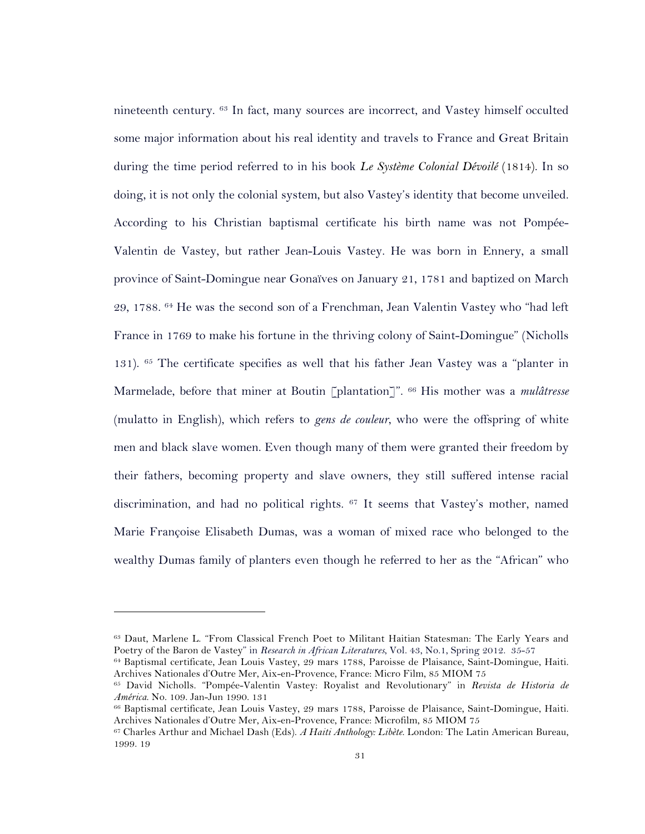nineteenth century. 63 In fact, many sources are incorrect, and Vastey himself occulted some major information about his real identity and travels to France and Great Britain during the time period referred to in his book *Le Système Colonial Dévoilé* (1814). In so doing, it is not only the colonial system, but also Vastey's identity that become unveiled. According to his Christian baptismal certificate his birth name was not Pompée-Valentin de Vastey, but rather Jean-Louis Vastey. He was born in Ennery, a small province of Saint-Domingue near Gonaïves on January 21, 1781 and baptized on March 29, 1788. <sup>64</sup> He was the second son of a Frenchman, Jean Valentin Vastey who "had left France in 1769 to make his fortune in the thriving colony of Saint-Domingue" (Nicholls 131). <sup>65</sup> The certificate specifies as well that his father Jean Vastey was a "planter in Marmelade, before that miner at Boutin [plantation]". 66 His mother was a *mulâtresse* (mulatto in English), which refers to *gens de couleur*, who were the offspring of white men and black slave women. Even though many of them were granted their freedom by their fathers, becoming property and slave owners, they still suffered intense racial discrimination, and had no political rights. <sup>67</sup> It seems that Vastey's mother, named Marie Françoise Elisabeth Dumas, was a woman of mixed race who belonged to the wealthy Dumas family of planters even though he referred to her as the "African" who

<sup>63</sup> Daut, Marlene L. "From Classical French Poet to Militant Haitian Statesman: The Early Years and Poetry of the Baron de Vastey" in *Research in African Literatures*, Vol. 43, No.1, Spring 2012. 35-57

<sup>64</sup> Baptismal certificate, Jean Louis Vastey, 29 mars 1788, Paroisse de Plaisance, Saint-Domingue, Haiti. Archives Nationales d'Outre Mer, Aix-en-Provence, France: Micro Film, 85 MIOM 75

<sup>65</sup> David Nicholls. "Pompée-Valentin Vastey: Royalist and Revolutionary" in *Revista de Historia de América*. No. 109. Jan-Jun 1990. 131

<sup>66</sup> Baptismal certificate, Jean Louis Vastey, 29 mars 1788, Paroisse de Plaisance, Saint-Domingue, Haiti. Archives Nationales d'Outre Mer, Aix-en-Provence, France: Microfilm, 85 MIOM 75

<sup>67</sup> Charles Arthur and Michael Dash (Eds). *A Haiti Anthology: Libète*. London: The Latin American Bureau, 1999. 19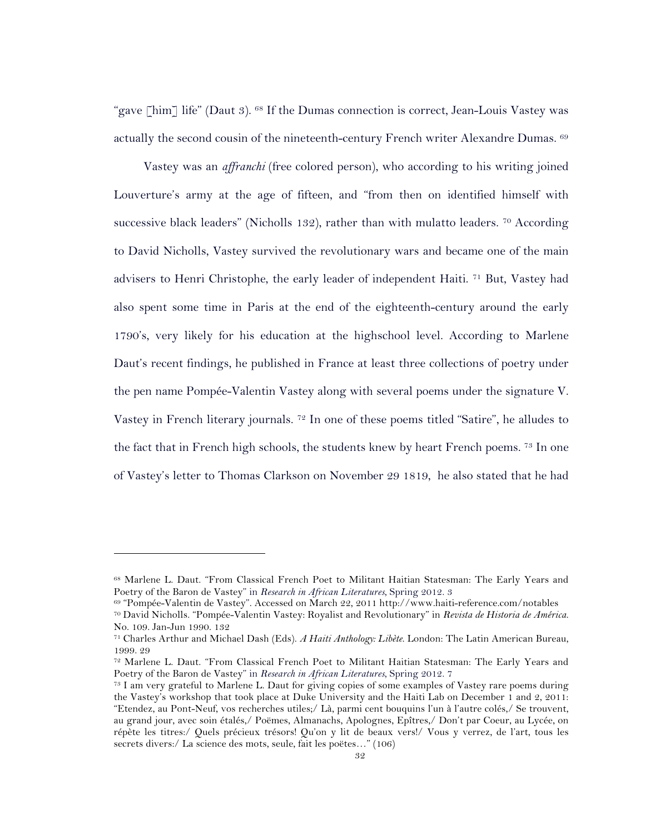"gave [him] life" (Daut 3). <sup>68</sup> If the Dumas connection is correct, Jean-Louis Vastey was actually the second cousin of the nineteenth-century French writer Alexandre Dumas. 69

Vastey was an *affranchi* (free colored person), who according to his writing joined Louverture's army at the age of fifteen, and "from then on identified himself with successive black leaders" (Nicholls 132), rather than with mulatto leaders. <sup>70</sup> According to David Nicholls, Vastey survived the revolutionary wars and became one of the main advisers to Henri Christophe, the early leader of independent Haiti. <sup>71</sup> But, Vastey had also spent some time in Paris at the end of the eighteenth-century around the early 1790's, very likely for his education at the highschool level. According to Marlene Daut's recent findings, he published in France at least three collections of poetry under the pen name Pompée-Valentin Vastey along with several poems under the signature V. Vastey in French literary journals.  $7<sup>2</sup>$  In one of these poems titled "Satire", he alludes to the fact that in French high schools, the students knew by heart French poems. 73 In one of Vastey's letter to Thomas Clarkson on November 29 1819, he also stated that he had

<sup>68</sup> Marlene L. Daut. "From Classical French Poet to Militant Haitian Statesman: The Early Years and Poetry of the Baron de Vastey" in *Research in African Literatures*, Spring 2012. 3

<sup>69</sup> "Pompée-Valentin de Vastey". Accessed on March 22, 2011 http://www.haiti-reference.com/notables

<sup>70</sup> David Nicholls. "Pompée-Valentin Vastey: Royalist and Revolutionary" in *Revista de Historia de América*. No. 109. Jan-Jun 1990. 132

<sup>71</sup> Charles Arthur and Michael Dash (Eds). *A Haiti Anthology: Libète*. London: The Latin American Bureau, 1999. 29

<sup>72</sup> Marlene L. Daut. "From Classical French Poet to Militant Haitian Statesman: The Early Years and Poetry of the Baron de Vastey" in *Research in African Literatures*, Spring 2012. 7

<sup>73</sup> I am very grateful to Marlene L. Daut for giving copies of some examples of Vastey rare poems during the Vastey's workshop that took place at Duke University and the Haiti Lab on December 1 and 2, 2011: "Etendez, au Pont-Neuf, vos recherches utiles;/ Là, parmi cent bouquins l'un à l'autre colés,/ Se trouvent, au grand jour, avec soin étalés,/ Poëmes, Almanachs, Apolognes, Epîtres,/ Don't par Coeur, au Lycée, on répète les titres:/ Quels précieux trésors! Qu'on y lit de beaux vers!/ Vous y verrez, de l'art, tous les secrets divers:/ La science des mots, seule, fait les poëtes…" (106)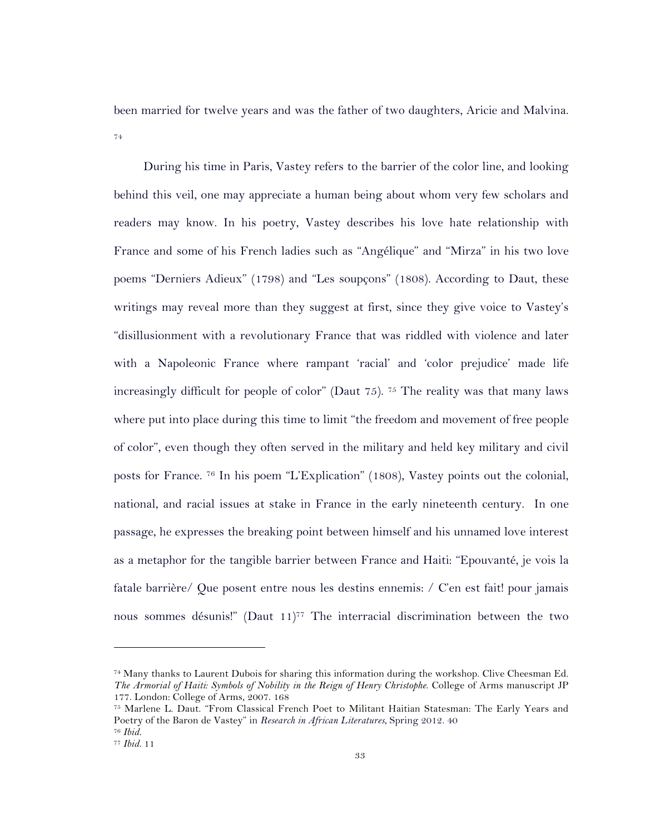been married for twelve years and was the father of two daughters, Aricie and Malvina. 74

During his time in Paris, Vastey refers to the barrier of the color line, and looking behind this veil, one may appreciate a human being about whom very few scholars and readers may know. In his poetry, Vastey describes his love hate relationship with France and some of his French ladies such as "Angélique" and "Mirza" in his two love poems "Derniers Adieux" (1798) and "Les soupçons" (1808). According to Daut, these writings may reveal more than they suggest at first, since they give voice to Vastey's "disillusionment with a revolutionary France that was riddled with violence and later with a Napoleonic France where rampant 'racial' and 'color prejudice' made life increasingly difficult for people of color" (Daut 75). <sup>75</sup> The reality was that many laws where put into place during this time to limit "the freedom and movement of free people of color", even though they often served in the military and held key military and civil posts for France. 76 In his poem "L'Explication" (1808), Vastey points out the colonial, national, and racial issues at stake in France in the early nineteenth century. In one passage, he expresses the breaking point between himself and his unnamed love interest as a metaphor for the tangible barrier between France and Haiti: "Epouvanté, je vois la fatale barrière/ Que posent entre nous les destins ennemis: / C'en est fait! pour jamais nous sommes désunis!" (Daut  $11$ )<sup>77</sup> The interracial discrimination between the two

<sup>74</sup> Many thanks to Laurent Dubois for sharing this information during the workshop. Clive Cheesman Ed. *The Armorial of Haiti: Symbols of Nobility in the Reign of Henry Christophe*. College of Arms manuscript JP 177. London: College of Arms, 2007. 168

<sup>75</sup> Marlene L. Daut. "From Classical French Poet to Militant Haitian Statesman: The Early Years and Poetry of the Baron de Vastey" in *Research in African Literatures*, Spring 2012. 40 76 *Ibid.*

<sup>77</sup> *Ibid.* 11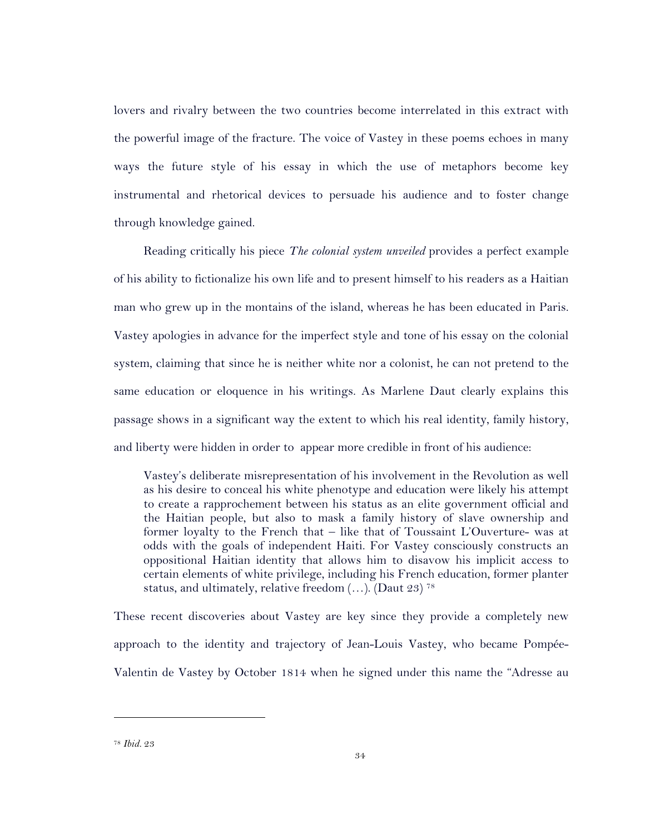lovers and rivalry between the two countries become interrelated in this extract with the powerful image of the fracture. The voice of Vastey in these poems echoes in many ways the future style of his essay in which the use of metaphors become key instrumental and rhetorical devices to persuade his audience and to foster change through knowledge gained.

Reading critically his piece *The colonial system unveiled* provides a perfect example of his ability to fictionalize his own life and to present himself to his readers as a Haitian man who grew up in the montains of the island, whereas he has been educated in Paris. Vastey apologies in advance for the imperfect style and tone of his essay on the colonial system, claiming that since he is neither white nor a colonist, he can not pretend to the same education or eloquence in his writings. As Marlene Daut clearly explains this passage shows in a significant way the extent to which his real identity, family history, and liberty were hidden in order to appear more credible in front of his audience:

Vastey's deliberate misrepresentation of his involvement in the Revolution as well as his desire to conceal his white phenotype and education were likely his attempt to create a rapprochement between his status as an elite government official and the Haitian people, but also to mask a family history of slave ownership and former loyalty to the French that – like that of Toussaint L'Ouverture- was at odds with the goals of independent Haiti. For Vastey consciously constructs an oppositional Haitian identity that allows him to disavow his implicit access to certain elements of white privilege, including his French education, former planter status, and ultimately, relative freedom  $(...)$ . (Daut 23)<sup>78</sup>

These recent discoveries about Vastey are key since they provide a completely new approach to the identity and trajectory of Jean-Louis Vastey, who became Pompée-Valentin de Vastey by October 1814 when he signed under this name the "Adresse au

<sup>78</sup> *Ibid.* 23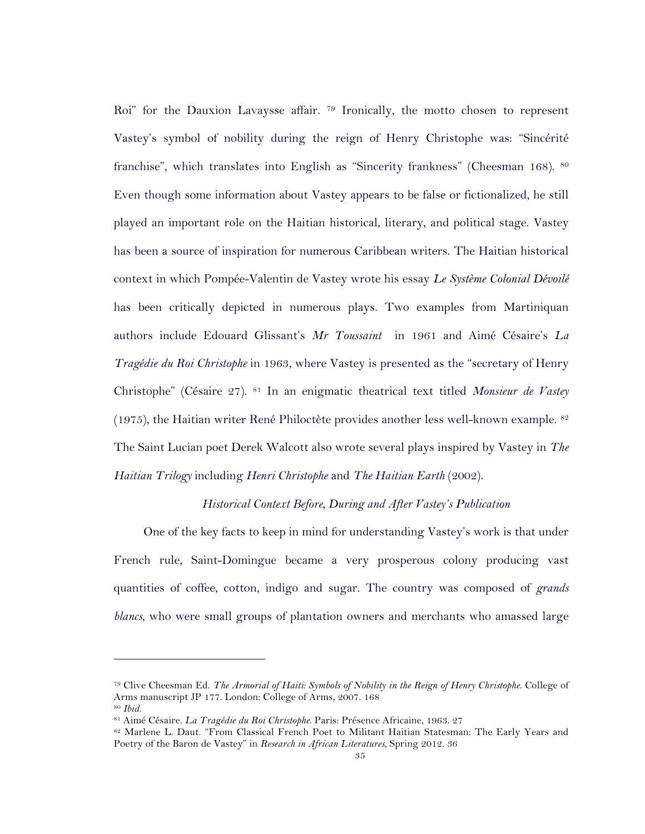Roi" for the Dauxion Lavaysse affair. 79 Ironically, the motto chosen to represent Vastey's symbol of nobility during the reign of Henry Christophe was: "Sincérité franchise", which translates into English as "Sincerity frankness" (Cheesman 168). <sup>80</sup> Even though some information about Vastey appears to be false or fictionalized, he still played an important role on the Haitian historical, literary, and political stage. Vastey has been a source of inspiration for numerous Caribbean writers. The Haitian historical context in which Pompée-Valentin de Vastey wrote his essay *Le Système Colonial Dévoilé* has been critically depicted in numerous plays. Two examples from Martiniquan authors include Edouard Glissant's *Mr Toussaint* in 1961 and Aimé Césaire's *La Tragédie du Roi Christophe* in 1963, where Vastey is presented as the "secretary of Henry Christophe" (Césaire 27). 81 In an enigmatic theatrical text titled *Monsieur de Vastey* (1975), the Haitian writer René Philoctète provides another less well-known example.  $s<sup>2</sup>$ The Saint Lucian poet Derek Walcott also wrote several plays inspired by Vastey in *The Haitian Trilogy* including *Henri Christophe* and *The Haitian Earth* (2002).

### *Historical Context Before, During and After Vastey's Publication*

One of the key facts to keep in mind for understanding Vastey's work is that under French rule, Saint-Domingue became a very prosperous colony producing vast quantities of coffee, cotton, indigo and sugar. The country was composed of *grands blancs*, who were small groups of plantation owners and merchants who amassed large

<sup>79</sup> Clive Cheesman Ed. *The Armorial of Haiti: Symbols of Nobility in the Reign of Henry Christophe*. College of Arms manuscript JP 177. London: College of Arms, 2007. 168

<sup>80</sup> *Ibid.*

<sup>81</sup> Aimé Césaire. *La Tragédie du Roi Christophe*. Paris: Présence Africaine, 1963. 27

<sup>82</sup> Marlene L. Daut. "From Classical French Poet to Militant Haitian Statesman: The Early Years and Poetry of the Baron de Vastey" in *Research in African Literatures*, Spring 2012. 36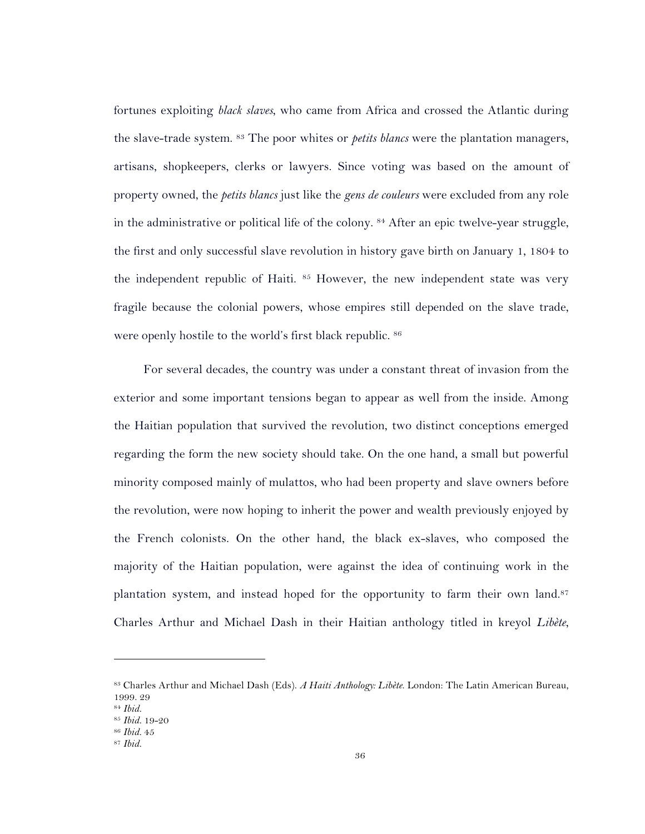fortunes exploiting *black slaves*, who came from Africa and crossed the Atlantic during the slave-trade system. <sup>83</sup> The poor whites or *petits blancs* were the plantation managers, artisans, shopkeepers, clerks or lawyers. Since voting was based on the amount of property owned, the *petits blancs* just like the *gens de couleurs* were excluded from any role in the administrative or political life of the colony. <sup>84</sup> After an epic twelve-year struggle, the first and only successful slave revolution in history gave birth on January 1, 1804 to the independent republic of Haiti. <sup>85</sup> However, the new independent state was very fragile because the colonial powers, whose empires still depended on the slave trade, were openly hostile to the world's first black republic. <sup>86</sup>

For several decades, the country was under a constant threat of invasion from the exterior and some important tensions began to appear as well from the inside. Among the Haitian population that survived the revolution, two distinct conceptions emerged regarding the form the new society should take. On the one hand, a small but powerful minority composed mainly of mulattos, who had been property and slave owners before the revolution, were now hoping to inherit the power and wealth previously enjoyed by the French colonists. On the other hand, the black ex-slaves, who composed the majority of the Haitian population, were against the idea of continuing work in the plantation system, and instead hoped for the opportunity to farm their own land.<sup>87</sup> Charles Arthur and Michael Dash in their Haitian anthology titled in kreyol *Libète*,

<sup>83</sup> Charles Arthur and Michael Dash (Eds). *A Haiti Anthology: Libète*. London: The Latin American Bureau, 1999. 29

<sup>84</sup> *Ibid.*

<sup>85</sup> *Ibid.* 19-20

<sup>86</sup> *Ibid.* 45

<sup>87</sup> *Ibid.*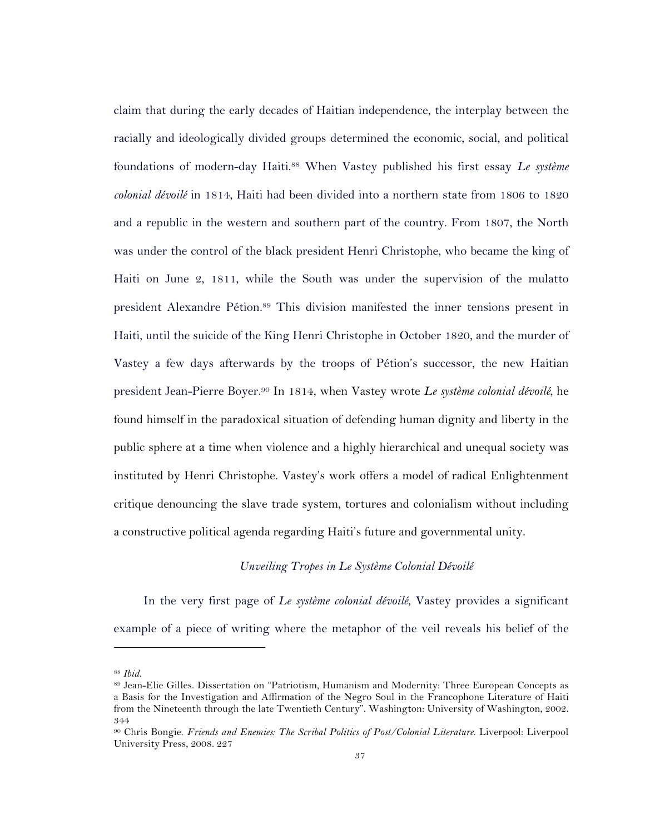claim that during the early decades of Haitian independence, the interplay between the racially and ideologically divided groups determined the economic, social, and political foundations of modern-day Haiti.88 When Vastey published his first essay *Le système colonial dévoilé* in 1814, Haiti had been divided into a northern state from 1806 to 1820 and a republic in the western and southern part of the country. From 1807, the North was under the control of the black president Henri Christophe, who became the king of Haiti on June 2, 1811, while the South was under the supervision of the mulatto president Alexandre Pétion.<sup>89</sup> This division manifested the inner tensions present in Haiti, until the suicide of the King Henri Christophe in October 1820, and the murder of Vastey a few days afterwards by the troops of Pétion's successor, the new Haitian president Jean-Pierre Boyer.90 In 1814, when Vastey wrote *Le système colonial dévoilé*, he found himself in the paradoxical situation of defending human dignity and liberty in the public sphere at a time when violence and a highly hierarchical and unequal society was instituted by Henri Christophe. Vastey's work offers a model of radical Enlightenment critique denouncing the slave trade system, tortures and colonialism without including a constructive political agenda regarding Haiti's future and governmental unity.

## *Unveiling Tropes in Le Système Colonial Dévoilé*

In the very first page of *Le système colonial dévoilé*, Vastey provides a significant example of a piece of writing where the metaphor of the veil reveals his belief of the

<sup>88</sup> *Ibid.*

<sup>89</sup> Jean-Elie Gilles. Dissertation on "Patriotism, Humanism and Modernity: Three European Concepts as a Basis for the Investigation and Affirmation of the Negro Soul in the Francophone Literature of Haiti from the Nineteenth through the late Twentieth Century". Washington: University of Washington, 2002. 344

<sup>90</sup> Chris Bongie. *Friends and Enemies: The Scribal Politics of Post/Colonial Literature*. Liverpool: Liverpool University Press, 2008. 227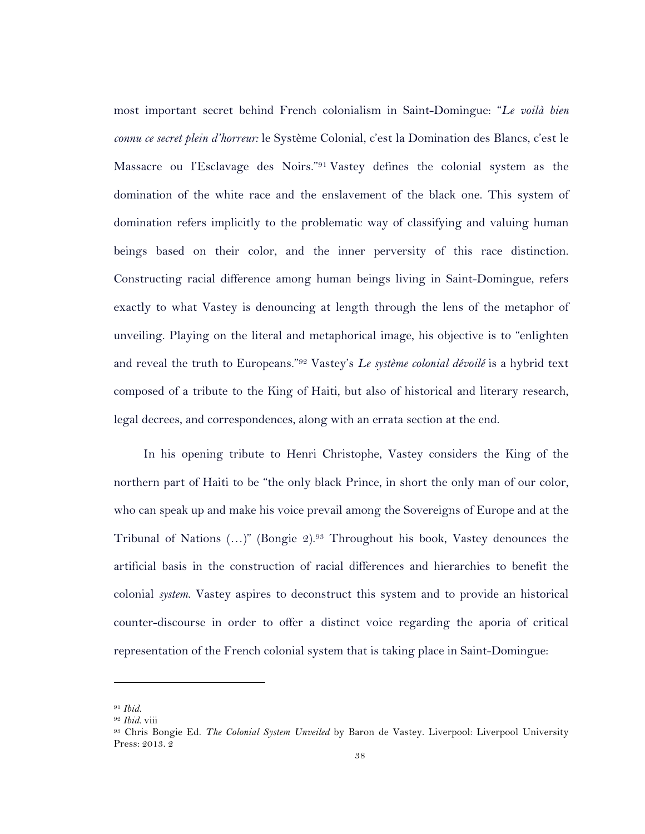most important secret behind French colonialism in Saint-Domingue: "*Le voilà bien connu ce secret plein d'horreur:* le Système Colonial, c'est la Domination des Blancs, c'est le Massacre ou l'Esclavage des Noirs."91 Vastey defines the colonial system as the domination of the white race and the enslavement of the black one. This system of domination refers implicitly to the problematic way of classifying and valuing human beings based on their color, and the inner perversity of this race distinction. Constructing racial difference among human beings living in Saint-Domingue, refers exactly to what Vastey is denouncing at length through the lens of the metaphor of unveiling. Playing on the literal and metaphorical image, his objective is to "enlighten and reveal the truth to Europeans."92 Vastey's *Le système colonial dévoilé* is a hybrid text composed of a tribute to the King of Haiti, but also of historical and literary research, legal decrees, and correspondences, along with an errata section at the end.

In his opening tribute to Henri Christophe, Vastey considers the King of the northern part of Haiti to be "the only black Prince, in short the only man of our color, who can speak up and make his voice prevail among the Sovereigns of Europe and at the Tribunal of Nations  $(...)$ " (Bongie 2).<sup>93</sup> Throughout his book, Vastey denounces the artificial basis in the construction of racial differences and hierarchies to benefit the colonial *system*. Vastey aspires to deconstruct this system and to provide an historical counter-discourse in order to offer a distinct voice regarding the aporia of critical representation of the French colonial system that is taking place in Saint-Domingue:

<sup>91</sup> *Ibid.* 

<sup>92</sup> *Ibid.* viii

<sup>93</sup> Chris Bongie Ed. *The Colonial System Unveiled* by Baron de Vastey. Liverpool: Liverpool University Press: 2013. 2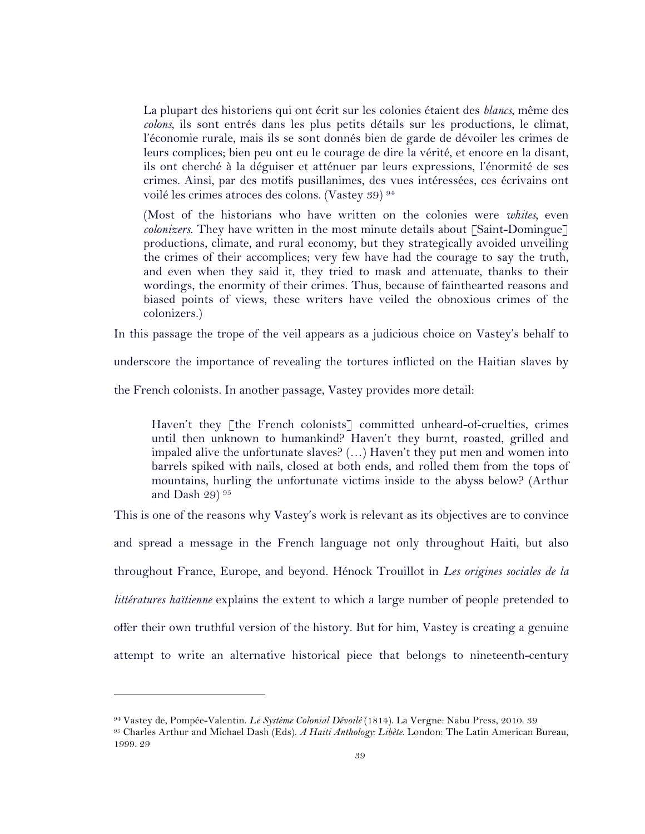La plupart des historiens qui ont écrit sur les colonies étaient des *blancs*, même des *colons*, ils sont entrés dans les plus petits détails sur les productions, le climat, l'économie rurale, mais ils se sont donnés bien de garde de dévoiler les crimes de leurs complices; bien peu ont eu le courage de dire la vérité, et encore en la disant, ils ont cherché à la déguiser et atténuer par leurs expressions, l'énormité de ses crimes. Ainsi, par des motifs pusillanimes, des vues intéressées, ces écrivains ont voilé les crimes atroces des colons. (Vastey 39) <sup>94</sup>

(Most of the historians who have written on the colonies were *whites,* even *colonizers*. They have written in the most minute details about [Saint-Domingue] productions, climate, and rural economy, but they strategically avoided unveiling the crimes of their accomplices; very few have had the courage to say the truth, and even when they said it, they tried to mask and attenuate, thanks to their wordings, the enormity of their crimes. Thus, because of fainthearted reasons and biased points of views, these writers have veiled the obnoxious crimes of the colonizers.)

In this passage the trope of the veil appears as a judicious choice on Vastey's behalf to

underscore the importance of revealing the tortures inflicted on the Haitian slaves by

the French colonists. In another passage, Vastey provides more detail:

Haven't they [the French colonists] committed unheard-of-cruelties, crimes until then unknown to humankind? Haven't they burnt, roasted, grilled and impaled alive the unfortunate slaves?  $(...)$  Haven't they put men and women into barrels spiked with nails, closed at both ends, and rolled them from the tops of mountains, hurling the unfortunate victims inside to the abyss below? (Arthur and Dash 29) 95

This is one of the reasons why Vastey's work is relevant as its objectives are to convince and spread a message in the French language not only throughout Haiti, but also throughout France, Europe, and beyond. Hénock Trouillot in *Les origines sociales de la littératures haïtienne* explains the extent to which a large number of people pretended to offer their own truthful version of the history. But for him, Vastey is creating a genuine attempt to write an alternative historical piece that belongs to nineteenth-century

<sup>94</sup> Vastey de, Pompée-Valentin. *Le Système Colonial Dévoilé* (1814). La Vergne: Nabu Press, 2010. 39

<sup>95</sup> Charles Arthur and Michael Dash (Eds). *A Haiti Anthology: Libète*. London: The Latin American Bureau, 1999. 29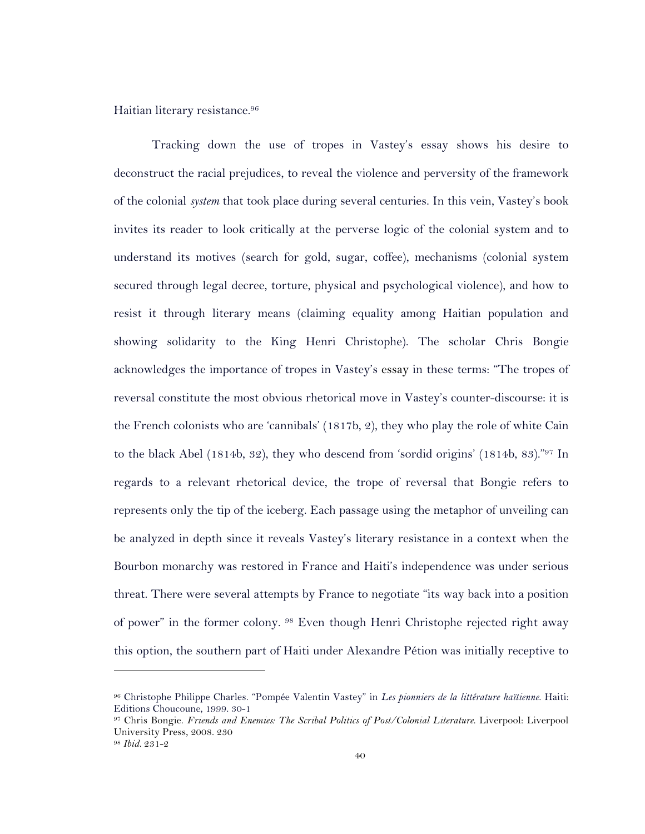Haitian literary resistance.96

Tracking down the use of tropes in Vastey's essay shows his desire to deconstruct the racial prejudices, to reveal the violence and perversity of the framework of the colonial *system* that took place during several centuries. In this vein, Vastey's book invites its reader to look critically at the perverse logic of the colonial system and to understand its motives (search for gold, sugar, coffee), mechanisms (colonial system secured through legal decree, torture, physical and psychological violence), and how to resist it through literary means (claiming equality among Haitian population and showing solidarity to the King Henri Christophe). The scholar Chris Bongie acknowledges the importance of tropes in Vastey's essay in these terms: "The tropes of reversal constitute the most obvious rhetorical move in Vastey's counter-discourse: it is the French colonists who are 'cannibals' (1817b, 2), they who play the role of white Cain to the black Abel (1814b, 32), they who descend from 'sordid origins' (1814b, 83)."97 In regards to a relevant rhetorical device, the trope of reversal that Bongie refers to represents only the tip of the iceberg. Each passage using the metaphor of unveiling can be analyzed in depth since it reveals Vastey's literary resistance in a context when the Bourbon monarchy was restored in France and Haiti's independence was under serious threat. There were several attempts by France to negotiate "its way back into a position of power" in the former colony. <sup>98</sup> Even though Henri Christophe rejected right away this option, the southern part of Haiti under Alexandre Pétion was initially receptive to

<sup>96</sup> Christophe Philippe Charles. "Pompée Valentin Vastey" in *Les pionniers de la littérature haïtienne*. Haiti: Editions Choucoune, 1999. 30-1

<sup>97</sup> Chris Bongie. *Friends and Enemies: The Scribal Politics of Post/Colonial Literature*. Liverpool: Liverpool University Press, 2008. 230

<sup>98</sup> *Ibid.* 231-2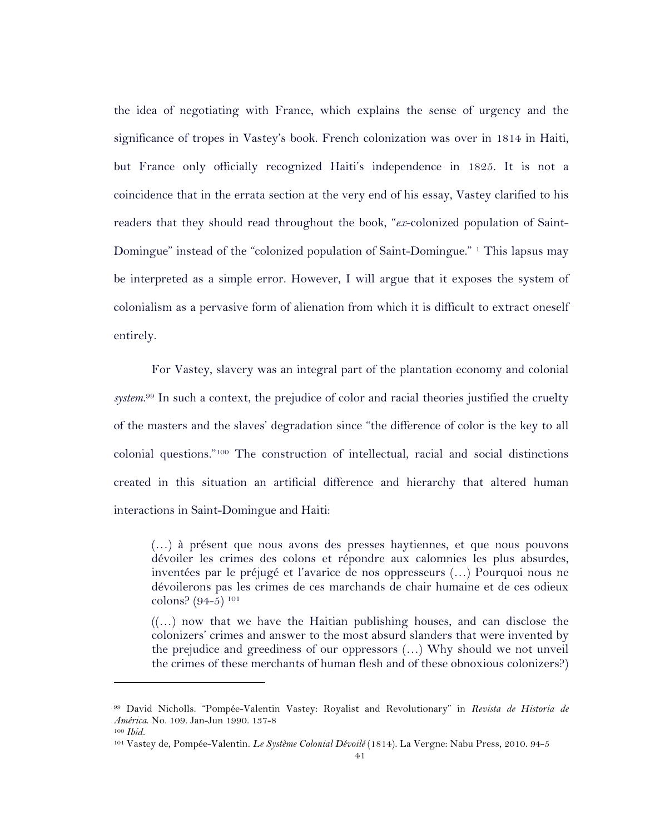the idea of negotiating with France, which explains the sense of urgency and the significance of tropes in Vastey's book. French colonization was over in 1814 in Haiti, but France only officially recognized Haiti's independence in 1825. It is not a coincidence that in the errata section at the very end of his essay, Vastey clarified to his readers that they should read throughout the book, "*ex*-colonized population of Saint-Domingue" instead of the "colonized population of Saint-Domingue." 1 This lapsus may be interpreted as a simple error. However, I will argue that it exposes the system of colonialism as a pervasive form of alienation from which it is difficult to extract oneself entirely.

For Vastey, slavery was an integral part of the plantation economy and colonial *system*. <sup>99</sup> In such a context, the prejudice of color and racial theories justified the cruelty of the masters and the slaves' degradation since "the difference of color is the key to all colonial questions."100 The construction of intellectual, racial and social distinctions created in this situation an artificial difference and hierarchy that altered human interactions in Saint-Domingue and Haiti:

(…) à présent que nous avons des presses haytiennes, et que nous pouvons dévoiler les crimes des colons et répondre aux calomnies les plus absurdes, inventées par le préjugé et l'avarice de nos oppresseurs (…) Pourquoi nous ne dévoilerons pas les crimes de ces marchands de chair humaine et de ces odieux colons? (94-5) 101

 $((\ldots))$  now that we have the Haitian publishing houses, and can disclose the colonizers' crimes and answer to the most absurd slanders that were invented by the prejudice and greediness of our oppressors (…) Why should we not unveil the crimes of these merchants of human flesh and of these obnoxious colonizers?)

<sup>99</sup> David Nicholls. "Pompée-Valentin Vastey: Royalist and Revolutionary" in *Revista de Historia de América*. No. 109. Jan-Jun 1990. 137-8 <sup>100</sup> *Ibid.*

<sup>101</sup> Vastey de, Pompée-Valentin. *Le Système Colonial Dévoilé* (1814). La Vergne: Nabu Press, 2010. 94-5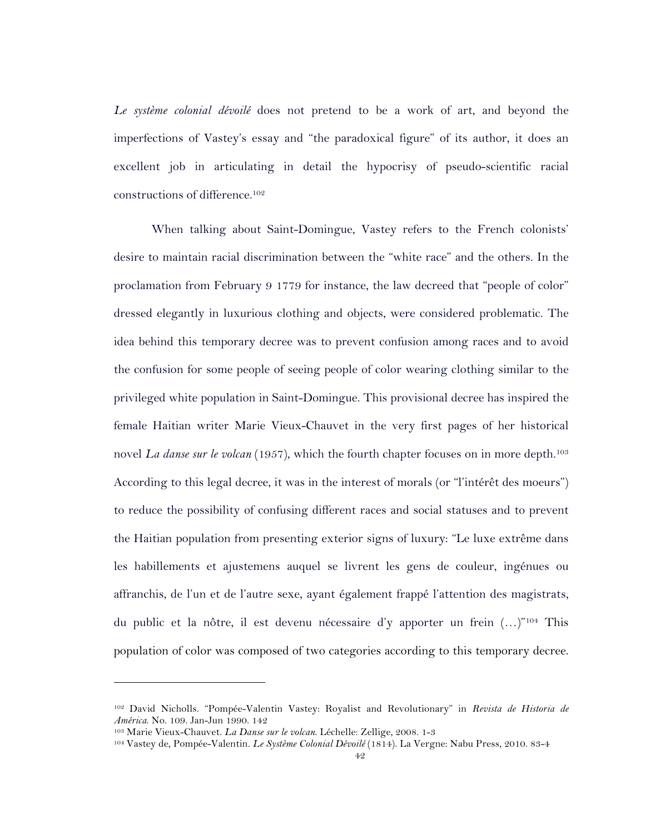*Le système colonial dévoilé* does not pretend to be a work of art, and beyond the imperfections of Vastey's essay and "the paradoxical figure" of its author, it does an excellent job in articulating in detail the hypocrisy of pseudo-scientific racial constructions of difference.102

When talking about Saint-Domingue, Vastey refers to the French colonists' desire to maintain racial discrimination between the "white race" and the others. In the proclamation from February 9 1779 for instance, the law decreed that "people of color" dressed elegantly in luxurious clothing and objects, were considered problematic. The idea behind this temporary decree was to prevent confusion among races and to avoid the confusion for some people of seeing people of color wearing clothing similar to the privileged white population in Saint-Domingue. This provisional decree has inspired the female Haitian writer Marie Vieux-Chauvet in the very first pages of her historical novel *La danse sur le volcan* (1957), which the fourth chapter focuses on in more depth.<sup>103</sup> According to this legal decree, it was in the interest of morals (or "l'intérêt des moeurs") to reduce the possibility of confusing different races and social statuses and to prevent the Haitian population from presenting exterior signs of luxury: "Le luxe extrême dans les habillements et ajustemens auquel se livrent les gens de couleur, ingénues ou affranchis, de l'un et de l'autre sexe, ayant également frappé l'attention des magistrats, du public et la nôtre, il est devenu nécessaire d'y apporter un frein (…)"104 This population of color was composed of two categories according to this temporary decree.

<sup>102</sup> David Nicholls. "Pompée-Valentin Vastey: Royalist and Revolutionary" in *Revista de Historia de América*. No. 109. Jan-Jun 1990. 142

<sup>103</sup> Marie Vieux-Chauvet. *La Danse sur le volcan*. Léchelle: Zellige, 2008. 1-3

<sup>104</sup> Vastey de, Pompée-Valentin. *Le Système Colonial Dévoilé* (1814). La Vergne: Nabu Press, 2010. 83-4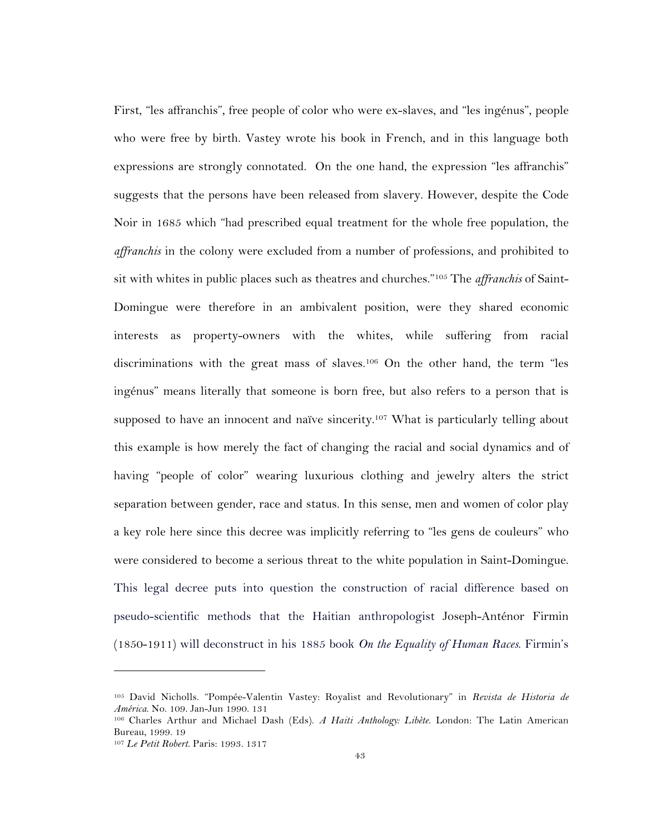First, "les affranchis", free people of color who were ex-slaves, and "les ingénus", people who were free by birth. Vastey wrote his book in French, and in this language both expressions are strongly connotated. On the one hand, the expression "les affranchis" suggests that the persons have been released from slavery. However, despite the Code Noir in 1685 which "had prescribed equal treatment for the whole free population, the *affranchis* in the colony were excluded from a number of professions, and prohibited to sit with whites in public places such as theatres and churches."105 The *affranchis* of Saint-Domingue were therefore in an ambivalent position, were they shared economic interests as property-owners with the whites, while suffering from racial discriminations with the great mass of slaves.106 On the other hand, the term "les ingénus" means literally that someone is born free, but also refers to a person that is supposed to have an innocent and naïve sincerity.<sup>107</sup> What is particularly telling about this example is how merely the fact of changing the racial and social dynamics and of having "people of color" wearing luxurious clothing and jewelry alters the strict separation between gender, race and status. In this sense, men and women of color play a key role here since this decree was implicitly referring to "les gens de couleurs" who were considered to become a serious threat to the white population in Saint-Domingue. This legal decree puts into question the construction of racial difference based on pseudo-scientific methods that the Haitian anthropologist Joseph-Anténor Firmin (1850-1911) will deconstruct in his 1885 book *On the Equality of Human Races*. Firmin's

<sup>105</sup> David Nicholls. "Pompée-Valentin Vastey: Royalist and Revolutionary" in *Revista de Historia de América*. No. 109. Jan-Jun 1990. 131

<sup>106</sup> Charles Arthur and Michael Dash (Eds). *A Haiti Anthology: Libète*. London: The Latin American Bureau, 1999. 19

<sup>107</sup> *Le Petit Robert*. Paris: 1993. 1317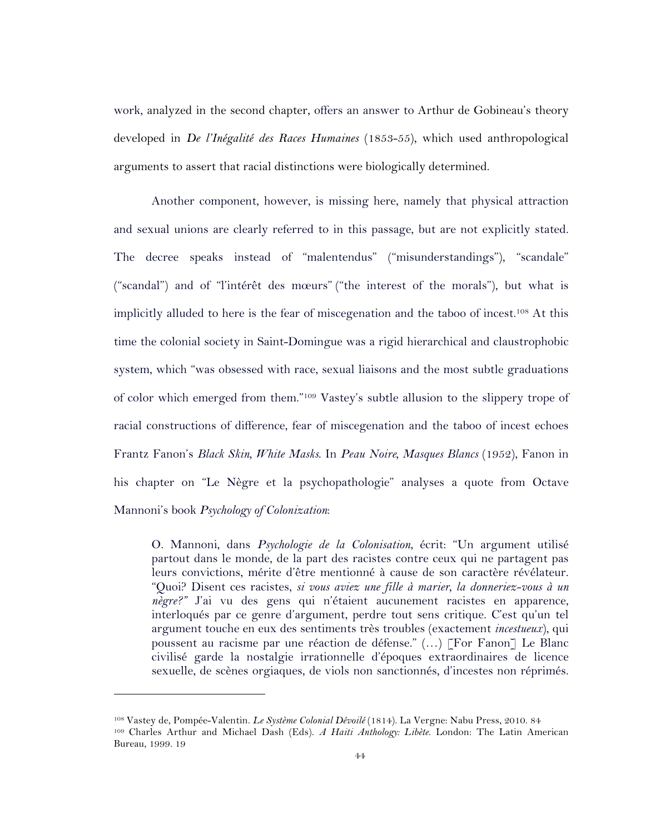work, analyzed in the second chapter, offers an answer to Arthur de Gobineau's theory developed in *De l'Inégalité des Races Humaines* (1853-55), which used anthropological arguments to assert that racial distinctions were biologically determined.

Another component, however, is missing here, namely that physical attraction and sexual unions are clearly referred to in this passage, but are not explicitly stated. The decree speaks instead of "malentendus" ("misunderstandings"), "scandale" ("scandal") and of "l'intérêt des mœurs" ("the interest of the morals"), but what is implicitly alluded to here is the fear of miscegenation and the taboo of incest.108 At this time the colonial society in Saint-Domingue was a rigid hierarchical and claustrophobic system, which "was obsessed with race, sexual liaisons and the most subtle graduations of color which emerged from them."109 Vastey's subtle allusion to the slippery trope of racial constructions of difference, fear of miscegenation and the taboo of incest echoes Frantz Fanon's *Black Skin, White Masks*. In *Peau Noire, Masques Blancs* (1952), Fanon in his chapter on "Le Nègre et la psychopathologie" analyses a quote from Octave Mannoni's book *Psychology of Colonization*:

O. Mannoni, dans *Psychologie de la Colonisation*, écrit: "Un argument utilisé partout dans le monde, de la part des racistes contre ceux qui ne partagent pas leurs convictions, mérite d'être mentionné à cause de son caractère révélateur. "Quoi? Disent ces racistes, *si vous aviez une fille à marier, la donneriez-vous à un nègre?"* J'ai vu des gens qui n'étaient aucunement racistes en apparence, interloqués par ce genre d'argument, perdre tout sens critique. C'est qu'un tel argument touche en eux des sentiments très troubles (exactement *incestueux*), qui poussent au racisme par une réaction de défense." (…) [For Fanon] Le Blanc civilisé garde la nostalgie irrationnelle d'époques extraordinaires de licence sexuelle, de scènes orgiaques, de viols non sanctionnés, d'incestes non réprimés.

<sup>108</sup> Vastey de, Pompée-Valentin. *Le Système Colonial Dévoilé* (1814). La Vergne: Nabu Press, 2010. 84 <sup>109</sup> Charles Arthur and Michael Dash (Eds). *A Haiti Anthology: Libète*. London: The Latin American Bureau, 1999. 19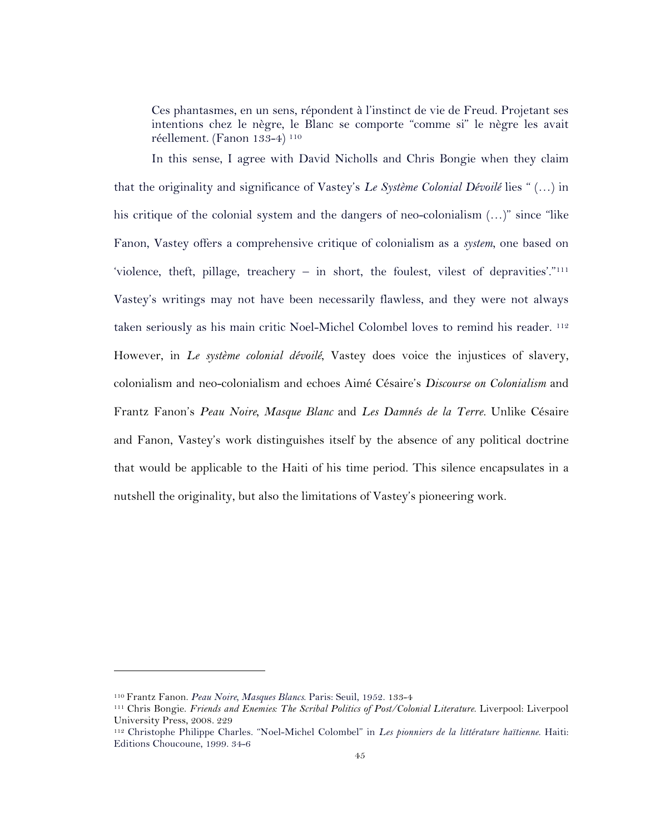Ces phantasmes, en un sens, répondent à l'instinct de vie de Freud. Projetant ses intentions chez le nègre, le Blanc se comporte "comme si" le nègre les avait réellement. (Fanon 133-4) 110

In this sense, I agree with David Nicholls and Chris Bongie when they claim that the originality and significance of Vastey's *Le Système Colonial Dévoilé* lies " (…) in his critique of the colonial system and the dangers of neo-colonialism  $(...)$ " since "like" Fanon, Vastey offers a comprehensive critique of colonialism as a *system*, one based on 'violence, theft, pillage, treachery – in short, the foulest, vilest of depravities'."111 Vastey's writings may not have been necessarily flawless, and they were not always taken seriously as his main critic Noel-Michel Colombel loves to remind his reader. <sup>112</sup> However, in *Le système colonial dévoilé*, Vastey does voice the injustices of slavery, colonialism and neo-colonialism and echoes Aimé Césaire's *Discourse on Colonialism* and Frantz Fanon's *Peau Noire, Masque Blanc* and *Les Damnés de la Terre.* Unlike Césaire and Fanon, Vastey's work distinguishes itself by the absence of any political doctrine that would be applicable to the Haiti of his time period. This silence encapsulates in a nutshell the originality, but also the limitations of Vastey's pioneering work.

<sup>110</sup> Frantz Fanon. *Peau Noire, Masques Blancs*. Paris: Seuil, 1952. 133-4

<sup>111</sup> Chris Bongie. *Friends and Enemies: The Scribal Politics of Post/Colonial Literature*. Liverpool: Liverpool University Press, 2008. 229

<sup>112</sup> Christophe Philippe Charles. "Noel-Michel Colombel" in *Les pionniers de la littérature haïtienne*. Haiti: Editions Choucoune, 1999. 34-6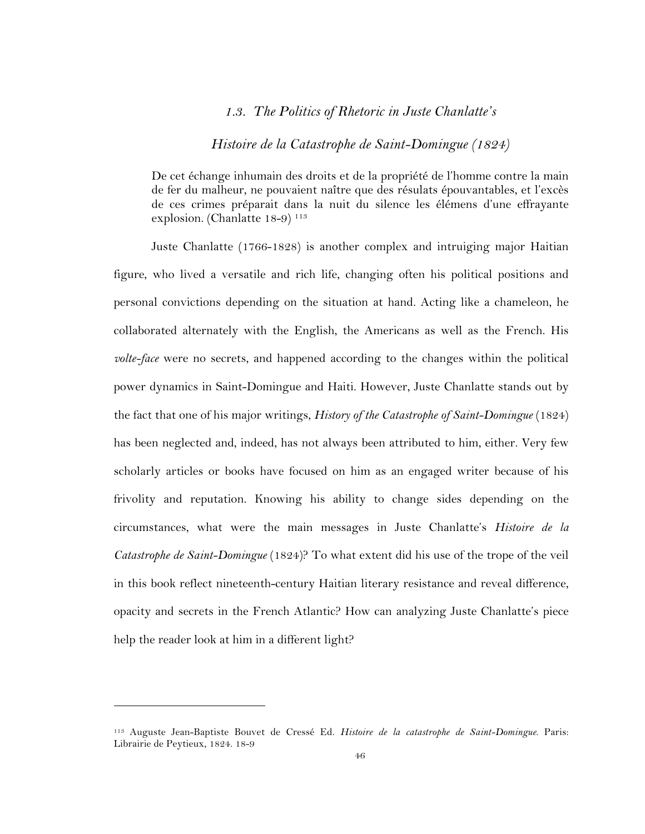## *1.3. The Politics of Rhetoric in Juste Chanlatte's*

## *Histoire de la Catastrophe de Saint-Domingue (1824)*

De cet échange inhumain des droits et de la propriété de l'homme contre la main de fer du malheur, ne pouvaient naître que des résulats épouvantables, et l'excès de ces crimes préparait dans la nuit du silence les élémens d'une effrayante explosion. (Chanlatte 18-9)<sup>113</sup>

Juste Chanlatte (1766-1828) is another complex and intruiging major Haitian figure, who lived a versatile and rich life, changing often his political positions and personal convictions depending on the situation at hand. Acting like a chameleon, he collaborated alternately with the English, the Americans as well as the French. His *volte-face* were no secrets, and happened according to the changes within the political power dynamics in Saint-Domingue and Haiti. However, Juste Chanlatte stands out by the fact that one of his major writings, *History of the Catastrophe of Saint-Domingue* (1824) has been neglected and, indeed, has not always been attributed to him, either. Very few scholarly articles or books have focused on him as an engaged writer because of his frivolity and reputation. Knowing his ability to change sides depending on the circumstances, what were the main messages in Juste Chanlatte's *Histoire de la Catastrophe de Saint-Domingue* (1824)? To what extent did his use of the trope of the veil in this book reflect nineteenth-century Haitian literary resistance and reveal difference, opacity and secrets in the French Atlantic? How can analyzing Juste Chanlatte's piece help the reader look at him in a different light?

<sup>113</sup> Auguste Jean-Baptiste Bouvet de Cressé Ed. *Histoire de la catastrophe de Saint-Domingue*. Paris: Librairie de Peytieux, 1824. 18-9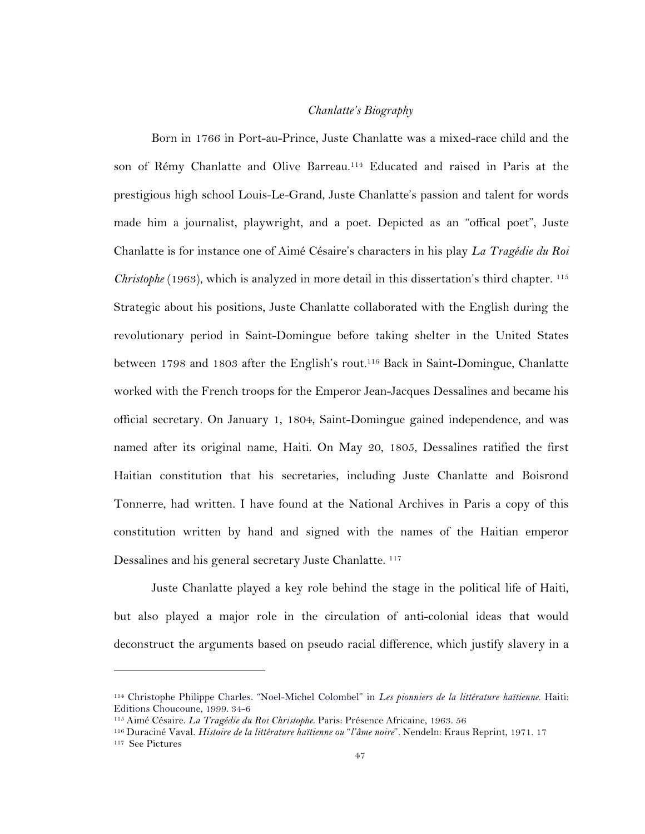### *Chanlatte's Biography*

Born in 1766 in Port-au-Prince, Juste Chanlatte was a mixed-race child and the son of Rémy Chanlatte and Olive Barreau.114 Educated and raised in Paris at the prestigious high school Louis-Le-Grand, Juste Chanlatte's passion and talent for words made him a journalist, playwright, and a poet. Depicted as an "offical poet", Juste Chanlatte is for instance one of Aimé Césaire's characters in his play *La Tragédie du Roi Christophe* (1963), which is analyzed in more detail in this dissertation's third chapter. <sup>115</sup> Strategic about his positions, Juste Chanlatte collaborated with the English during the revolutionary period in Saint-Domingue before taking shelter in the United States between 1798 and 1803 after the English's rout.116 Back in Saint-Domingue, Chanlatte worked with the French troops for the Emperor Jean-Jacques Dessalines and became his official secretary. On January 1, 1804, Saint-Domingue gained independence, and was named after its original name, Haiti. On May 20, 1805, Dessalines ratified the first Haitian constitution that his secretaries, including Juste Chanlatte and Boisrond Tonnerre, had written. I have found at the National Archives in Paris a copy of this constitution written by hand and signed with the names of the Haitian emperor Dessalines and his general secretary Juste Chanlatte.<sup>117</sup>

Juste Chanlatte played a key role behind the stage in the political life of Haiti, but also played a major role in the circulation of anti-colonial ideas that would deconstruct the arguments based on pseudo racial difference, which justify slavery in a

<sup>114</sup> Christophe Philippe Charles. "Noel-Michel Colombel" in *Les pionniers de la littérature haïtienne*. Haiti: Editions Choucoune, 1999. 34-6

<sup>115</sup> Aimé Césaire. *La Tragédie du Roi Christophe*. Paris: Présence Africaine, 1963. 56

<sup>116</sup> Duraciné Vaval. *Histoire de la littérature haïtienne ou* "*l'âme noire*"*.* Nendeln: Kraus Reprint, 1971. 17

<sup>117</sup> See Pictures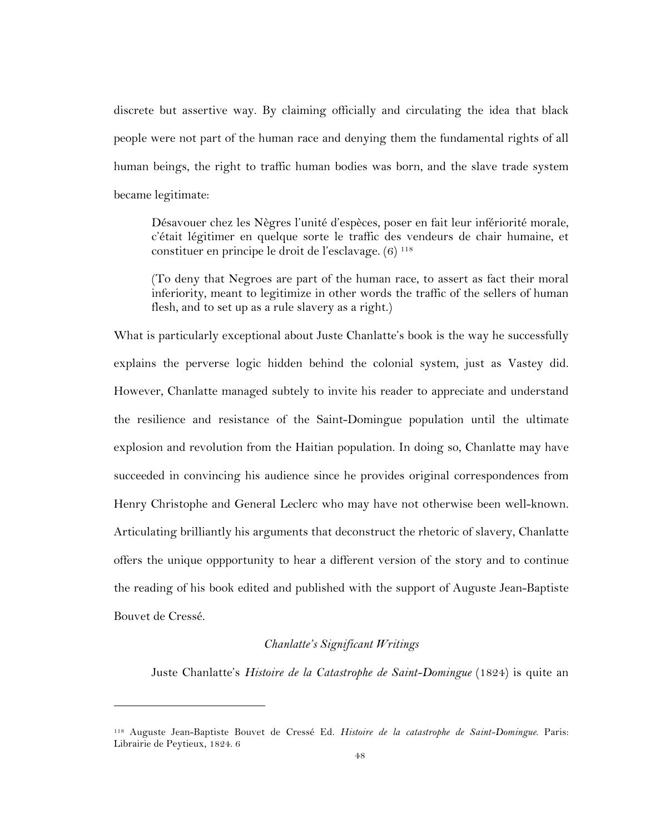discrete but assertive way. By claiming officially and circulating the idea that black people were not part of the human race and denying them the fundamental rights of all human beings, the right to traffic human bodies was born, and the slave trade system became legitimate:

Désavouer chez les Nègres l'unité d'espèces, poser en fait leur infériorité morale, c'était légitimer en quelque sorte le traffic des vendeurs de chair humaine, et constituer en principe le droit de l'esclavage. (6) 118

(To deny that Negroes are part of the human race, to assert as fact their moral inferiority, meant to legitimize in other words the traffic of the sellers of human flesh, and to set up as a rule slavery as a right.)

What is particularly exceptional about Juste Chanlatte's book is the way he successfully explains the perverse logic hidden behind the colonial system, just as Vastey did. However, Chanlatte managed subtely to invite his reader to appreciate and understand the resilience and resistance of the Saint-Domingue population until the ultimate explosion and revolution from the Haitian population. In doing so, Chanlatte may have succeeded in convincing his audience since he provides original correspondences from Henry Christophe and General Leclerc who may have not otherwise been well-known. Articulating brilliantly his arguments that deconstruct the rhetoric of slavery, Chanlatte offers the unique oppportunity to hear a different version of the story and to continue the reading of his book edited and published with the support of Auguste Jean-Baptiste Bouvet de Cressé.

### *Chanlatte's Significant Writings*

Juste Chanlatte's *Histoire de la Catastrophe de Saint-Domingue* (1824) is quite an

<sup>118</sup> Auguste Jean-Baptiste Bouvet de Cressé Ed. *Histoire de la catastrophe de Saint-Domingue*. Paris: Librairie de Peytieux, 1824. 6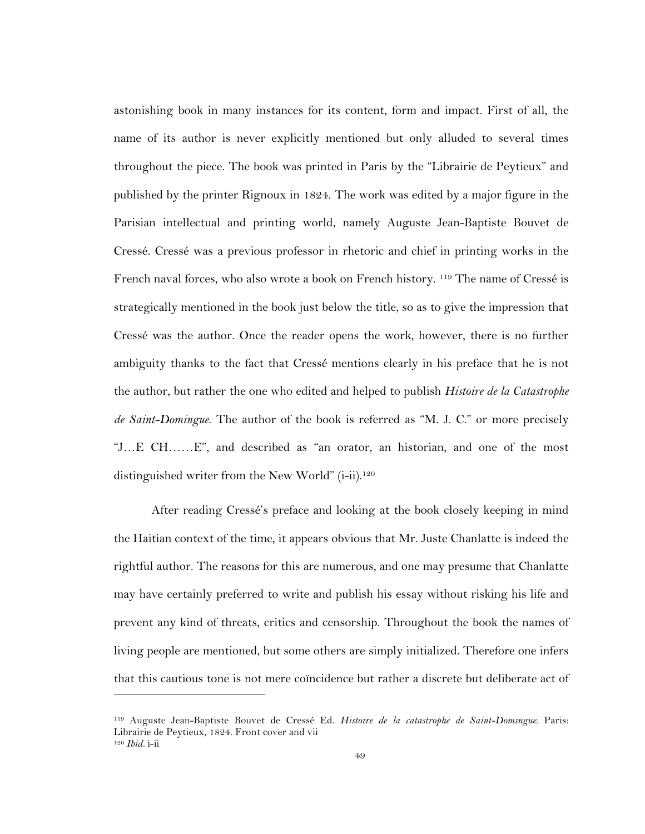astonishing book in many instances for its content, form and impact. First of all, the name of its author is never explicitly mentioned but only alluded to several times throughout the piece. The book was printed in Paris by the "Librairie de Peytieux" and published by the printer Rignoux in 1824. The work was edited by a major figure in the Parisian intellectual and printing world, namely Auguste Jean-Baptiste Bouvet de Cressé. Cressé was a previous professor in rhetoric and chief in printing works in the French naval forces, who also wrote a book on French history. 119 The name of Cressé is strategically mentioned in the book just below the title, so as to give the impression that Cressé was the author. Once the reader opens the work, however, there is no further ambiguity thanks to the fact that Cressé mentions clearly in his preface that he is not the author, but rather the one who edited and helped to publish *Histoire de la Catastrophe de Saint-Domingue*. The author of the book is referred as "M. J. C." or more precisely "J…E CH……E", and described as "an orator, an historian, and one of the most distinguished writer from the New World" (i-ii).<sup>120</sup>

After reading Cressé's preface and looking at the book closely keeping in mind the Haitian context of the time, it appears obvious that Mr. Juste Chanlatte is indeed the rightful author. The reasons for this are numerous, and one may presume that Chanlatte may have certainly preferred to write and publish his essay without risking his life and prevent any kind of threats, critics and censorship. Throughout the book the names of living people are mentioned, but some others are simply initialized. Therefore one infers that this cautious tone is not mere coïncidence but rather a discrete but deliberate act of

<sup>119</sup> Auguste Jean-Baptiste Bouvet de Cressé Ed. *Histoire de la catastrophe de Saint-Domingue*. Paris: Librairie de Peytieux, 1824. Front cover and vii <sup>120</sup> *Ibid.* i-ii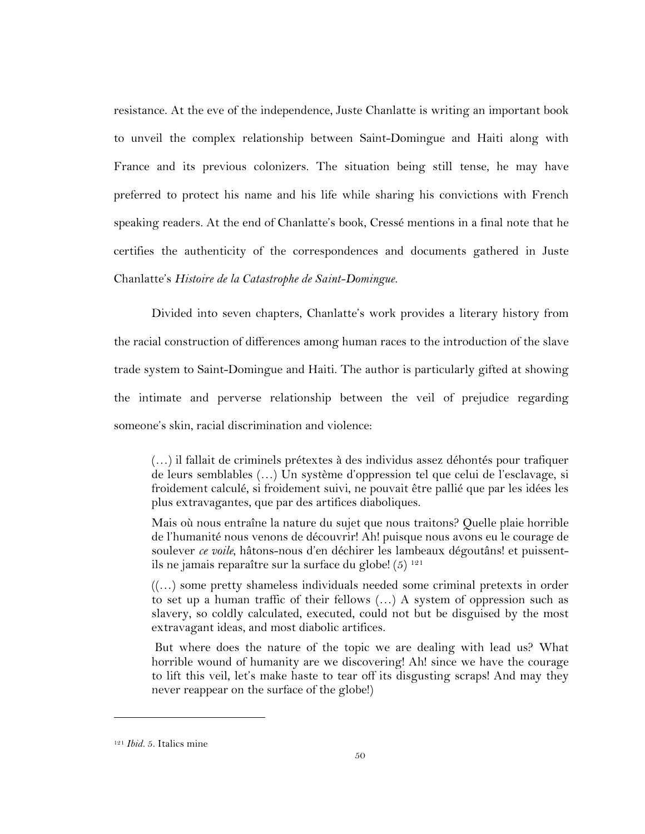resistance. At the eve of the independence, Juste Chanlatte is writing an important book to unveil the complex relationship between Saint-Domingue and Haiti along with France and its previous colonizers. The situation being still tense, he may have preferred to protect his name and his life while sharing his convictions with French speaking readers. At the end of Chanlatte's book, Cressé mentions in a final note that he certifies the authenticity of the correspondences and documents gathered in Juste Chanlatte's *Histoire de la Catastrophe de Saint-Domingue.* 

Divided into seven chapters, Chanlatte's work provides a literary history from the racial construction of differences among human races to the introduction of the slave trade system to Saint-Domingue and Haiti. The author is particularly gifted at showing the intimate and perverse relationship between the veil of prejudice regarding someone's skin, racial discrimination and violence:

(…) il fallait de criminels prétextes à des individus assez déhontés pour trafiquer de leurs semblables (…) Un système d'oppression tel que celui de l'esclavage, si froidement calculé, si froidement suivi, ne pouvait être pallié que par les idées les plus extravagantes, que par des artifices diaboliques.

Mais où nous entraîne la nature du sujet que nous traitons? Quelle plaie horrible de l'humanité nous venons de découvrir! Ah! puisque nous avons eu le courage de soulever *ce voile*, hâtons-nous d'en déchirer les lambeaux dégoutâns! et puissentils ne jamais reparaître sur la surface du globe!  $(5)^{121}$ 

((…) some pretty shameless individuals needed some criminal pretexts in order to set up a human traffic of their fellows (…) A system of oppression such as slavery, so coldly calculated, executed, could not but be disguised by the most extravagant ideas, and most diabolic artifices.

But where does the nature of the topic we are dealing with lead us? What horrible wound of humanity are we discovering! Ah! since we have the courage to lift this veil, let's make haste to tear off its disgusting scraps! And may they never reappear on the surface of the globe!)

<sup>121</sup> *Ibid.* 5. Italics mine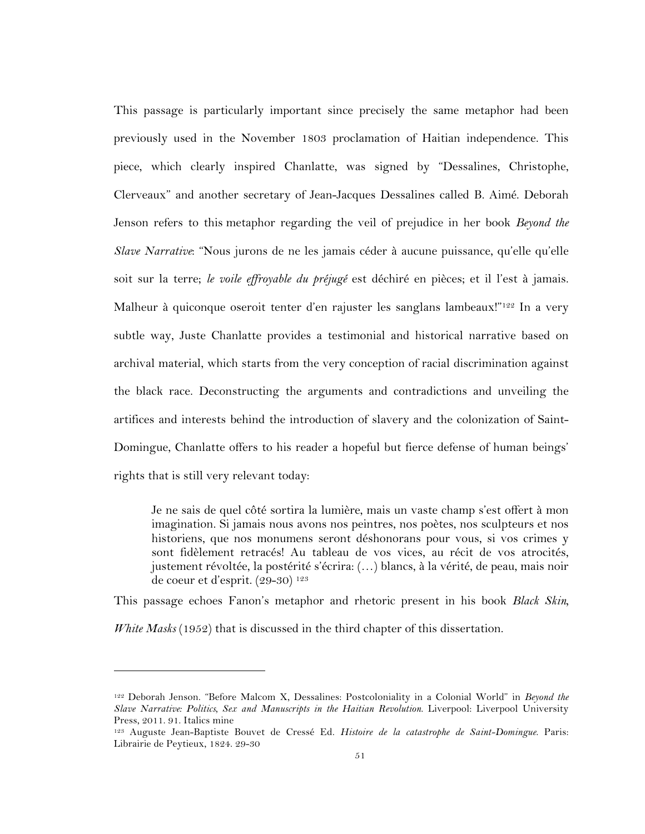This passage is particularly important since precisely the same metaphor had been previously used in the November 1803 proclamation of Haitian independence. This piece, which clearly inspired Chanlatte, was signed by "Dessalines, Christophe, Clerveaux" and another secretary of Jean-Jacques Dessalines called B. Aimé. Deborah Jenson refers to this metaphor regarding the veil of prejudice in her book *Beyond the Slave Narrative*: "Nous jurons de ne les jamais céder à aucune puissance, qu'elle qu'elle soit sur la terre; *le voile effroyable du préjugé* est déchiré en pièces; et il l'est à jamais. Malheur à quiconque oseroit tenter d'en rajuster les sanglans lambeaux!"<sup>122</sup> In a very subtle way, Juste Chanlatte provides a testimonial and historical narrative based on archival material, which starts from the very conception of racial discrimination against the black race. Deconstructing the arguments and contradictions and unveiling the artifices and interests behind the introduction of slavery and the colonization of Saint-Domingue, Chanlatte offers to his reader a hopeful but fierce defense of human beings' rights that is still very relevant today:

Je ne sais de quel côté sortira la lumière, mais un vaste champ s'est offert à mon imagination. Si jamais nous avons nos peintres, nos poètes, nos sculpteurs et nos historiens, que nos monumens seront déshonorans pour vous, si vos crimes y sont fidèlement retracés! Au tableau de vos vices, au récit de vos atrocités, justement révoltée, la postérité s'écrira: (…) blancs, à la vérité, de peau, mais noir de coeur et d'esprit. (29-30) 123

This passage echoes Fanon's metaphor and rhetoric present in his book *Black Skin,* 

*White Masks* (1952) that is discussed in the third chapter of this dissertation.

<sup>122</sup> Deborah Jenson. "Before Malcom X, Dessalines: Postcoloniality in a Colonial World" in *Beyond the Slave Narrative: Politics, Sex and Manuscripts in the Haitian Revolution*. Liverpool: Liverpool University Press, 2011. 91. Italics mine

<sup>123</sup> Auguste Jean-Baptiste Bouvet de Cressé Ed. *Histoire de la catastrophe de Saint-Domingue*. Paris: Librairie de Peytieux, 1824. 29-30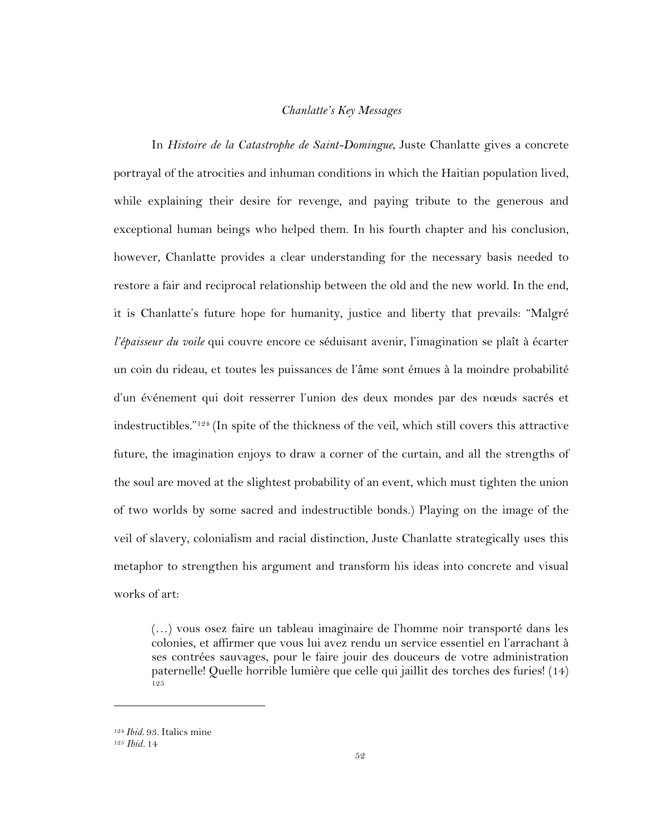### *Chanlatte's Key Messages*

In *Histoire de la Catastrophe de Saint-Domingue*, Juste Chanlatte gives a concrete portrayal of the atrocities and inhuman conditions in which the Haitian population lived, while explaining their desire for revenge, and paying tribute to the generous and exceptional human beings who helped them. In his fourth chapter and his conclusion, however, Chanlatte provides a clear understanding for the necessary basis needed to restore a fair and reciprocal relationship between the old and the new world. In the end, it is Chanlatte's future hope for humanity, justice and liberty that prevails: "Malgré *l'épaisseur du voile* qui couvre encore ce séduisant avenir, l'imagination se plaît à écarter un coin du rideau, et toutes les puissances de l'âme sont émues à la moindre probabilité d'un événement qui doit resserrer l'union des deux mondes par des nœuds sacrés et indestructibles."124 (In spite of the thickness of the veil, which still covers this attractive future, the imagination enjoys to draw a corner of the curtain, and all the strengths of the soul are moved at the slightest probability of an event, which must tighten the union of two worlds by some sacred and indestructible bonds.) Playing on the image of the veil of slavery, colonialism and racial distinction, Juste Chanlatte strategically uses this metaphor to strengthen his argument and transform his ideas into concrete and visual works of art:

(…) vous osez faire un tableau imaginaire de l'homme noir transporté dans les colonies, et affirmer que vous lui avez rendu un service essentiel en l'arrachant à ses contrées sauvages, pour le faire jouir des douceurs de votre administration paternelle! Quelle horrible lumière que celle qui jaillit des torches des furies! (14) 125

<sup>124</sup> *Ibid.* 93. Italics mine

<sup>125</sup> *Ibid.* 14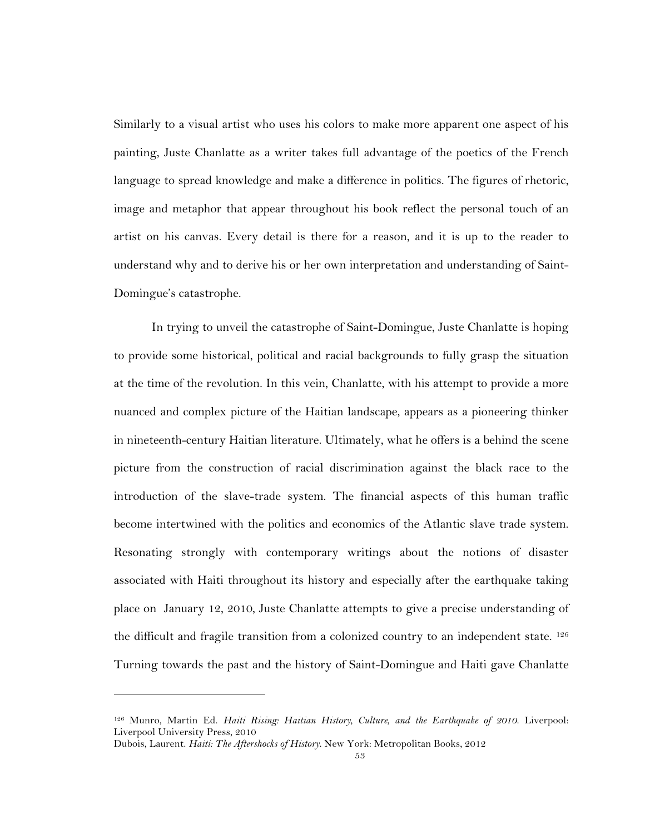Similarly to a visual artist who uses his colors to make more apparent one aspect of his painting, Juste Chanlatte as a writer takes full advantage of the poetics of the French language to spread knowledge and make a difference in politics. The figures of rhetoric, image and metaphor that appear throughout his book reflect the personal touch of an artist on his canvas. Every detail is there for a reason, and it is up to the reader to understand why and to derive his or her own interpretation and understanding of Saint-Domingue's catastrophe.

In trying to unveil the catastrophe of Saint-Domingue, Juste Chanlatte is hoping to provide some historical, political and racial backgrounds to fully grasp the situation at the time of the revolution. In this vein, Chanlatte, with his attempt to provide a more nuanced and complex picture of the Haitian landscape, appears as a pioneering thinker in nineteenth-century Haitian literature. Ultimately, what he offers is a behind the scene picture from the construction of racial discrimination against the black race to the introduction of the slave-trade system. The financial aspects of this human traffic become intertwined with the politics and economics of the Atlantic slave trade system. Resonating strongly with contemporary writings about the notions of disaster associated with Haiti throughout its history and especially after the earthquake taking place on January 12, 2010, Juste Chanlatte attempts to give a precise understanding of the difficult and fragile transition from a colonized country to an independent state. <sup>126</sup> Turning towards the past and the history of Saint-Domingue and Haiti gave Chanlatte

<sup>126</sup> Munro, Martin Ed. *Haiti Rising: Haitian History, Culture, and the Earthquake of 2010*. Liverpool: Liverpool University Press, 2010

Dubois, Laurent. *Haiti: The Aftershocks of History*. New York: Metropolitan Books, 2012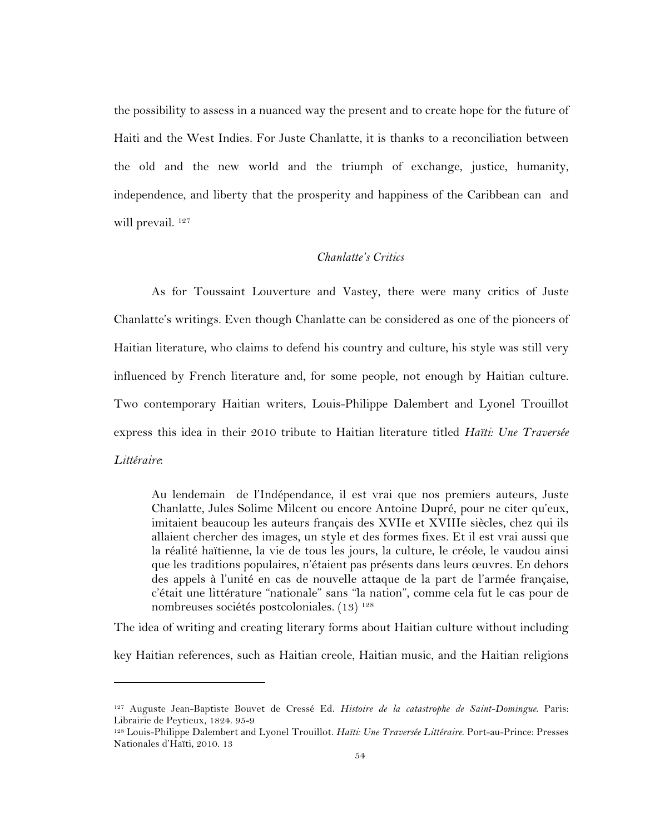the possibility to assess in a nuanced way the present and to create hope for the future of Haiti and the West Indies. For Juste Chanlatte, it is thanks to a reconciliation between the old and the new world and the triumph of exchange, justice, humanity, independence, and liberty that the prosperity and happiness of the Caribbean can and will prevail. 127

## *Chanlatte's Critics*

As for Toussaint Louverture and Vastey, there were many critics of Juste Chanlatte's writings. Even though Chanlatte can be considered as one of the pioneers of Haitian literature, who claims to defend his country and culture, his style was still very influenced by French literature and, for some people, not enough by Haitian culture. Two contemporary Haitian writers, Louis-Philippe Dalembert and Lyonel Trouillot express this idea in their 2010 tribute to Haitian literature titled *Haïti: Une Traversée Littéraire*:

Au lendemain de l'Indépendance, il est vrai que nos premiers auteurs, Juste Chanlatte, Jules Solime Milcent ou encore Antoine Dupré, pour ne citer qu'eux, imitaient beaucoup les auteurs français des XVIIe et XVIIIe siècles, chez qui ils allaient chercher des images, un style et des formes fixes. Et il est vrai aussi que la réalité haïtienne, la vie de tous les jours, la culture, le créole, le vaudou ainsi que les traditions populaires, n'étaient pas présents dans leurs œuvres. En dehors des appels à l'unité en cas de nouvelle attaque de la part de l'armée française, c'était une littérature "nationale" sans "la nation", comme cela fut le cas pour de nombreuses sociétés postcoloniales. (13) 128

The idea of writing and creating literary forms about Haitian culture without including

key Haitian references, such as Haitian creole, Haitian music, and the Haitian religions

<sup>127</sup> Auguste Jean-Baptiste Bouvet de Cressé Ed. *Histoire de la catastrophe de Saint-Domingue*. Paris: Librairie de Peytieux, 1824. 95-9

<sup>128</sup> Louis-Philippe Dalembert and Lyonel Trouillot. *Haïti: Une Traversée Littéraire*. Port-au-Prince: Presses Nationales d'Haïti, 2010. 13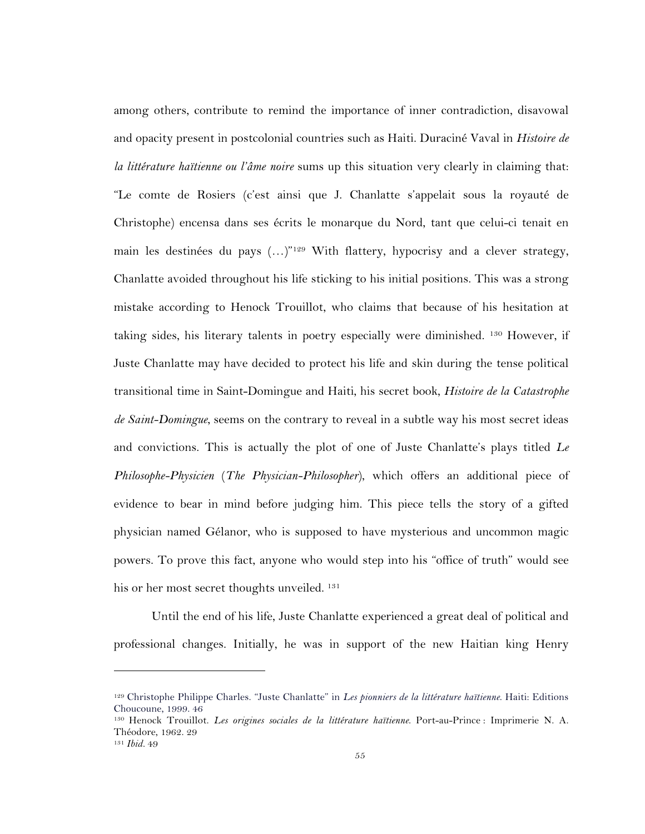among others, contribute to remind the importance of inner contradiction, disavowal and opacity present in postcolonial countries such as Haiti. Duraciné Vaval in *Histoire de la littérature haïtienne ou l'âme noire* sums up this situation very clearly in claiming that: "Le comte de Rosiers (c'est ainsi que J. Chanlatte s'appelait sous la royauté de Christophe) encensa dans ses écrits le monarque du Nord, tant que celui-ci tenait en main les destinées du pays (...)"<sup>129</sup> With flattery, hypocrisy and a clever strategy, Chanlatte avoided throughout his life sticking to his initial positions. This was a strong mistake according to Henock Trouillot, who claims that because of his hesitation at taking sides, his literary talents in poetry especially were diminished. 130 However, if Juste Chanlatte may have decided to protect his life and skin during the tense political transitional time in Saint-Domingue and Haiti, his secret book, *Histoire de la Catastrophe de Saint-Domingue*, seems on the contrary to reveal in a subtle way his most secret ideas and convictions. This is actually the plot of one of Juste Chanlatte's plays titled *Le Philosophe-Physicien* (*The Physician-Philosopher*), which offers an additional piece of evidence to bear in mind before judging him. This piece tells the story of a gifted physician named Gélanor, who is supposed to have mysterious and uncommon magic powers. To prove this fact, anyone who would step into his "office of truth" would see his or her most secret thoughts unveiled. <sup>131</sup>

Until the end of his life, Juste Chanlatte experienced a great deal of political and professional changes. Initially, he was in support of the new Haitian king Henry

<sup>129</sup> Christophe Philippe Charles. "Juste Chanlatte" in *Les pionniers de la littérature haïtienne*. Haiti: Editions Choucoune, 1999. 46

<sup>130</sup> Henock Trouillot. *Les origines sociales de la littérature haïtienne*. Port-au-Prince : Imprimerie N. A. Théodore, 1962. 29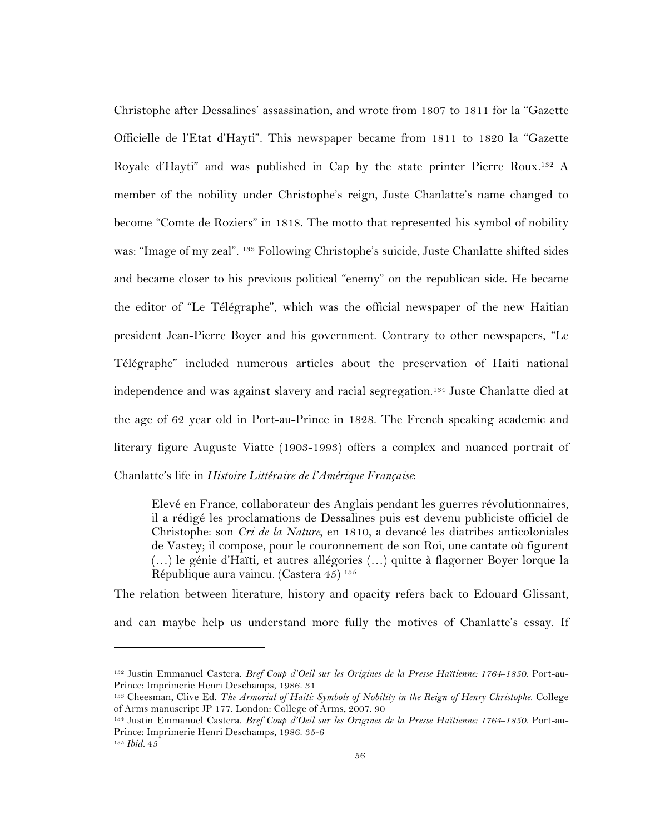Christophe after Dessalines' assassination, and wrote from 1807 to 1811 for la "Gazette Officielle de l'Etat d'Hayti". This newspaper became from 1811 to 1820 la "Gazette Royale d'Hayti" and was published in Cap by the state printer Pierre Roux.<sup>132</sup> A member of the nobility under Christophe's reign, Juste Chanlatte's name changed to become "Comte de Roziers" in 1818. The motto that represented his symbol of nobility was: "Image of my zeal". 133 Following Christophe's suicide, Juste Chanlatte shifted sides and became closer to his previous political "enemy" on the republican side. He became the editor of "Le Télégraphe", which was the official newspaper of the new Haitian president Jean-Pierre Boyer and his government. Contrary to other newspapers, "Le Télégraphe" included numerous articles about the preservation of Haiti national independence and was against slavery and racial segregation.134 Juste Chanlatte died at the age of 62 year old in Port-au-Prince in 1828. The French speaking academic and literary figure Auguste Viatte (1903-1993) offers a complex and nuanced portrait of Chanlatte's life in *Histoire Littéraire de l'Amérique Française*:

Elevé en France, collaborateur des Anglais pendant les guerres révolutionnaires, il a rédigé les proclamations de Dessalines puis est devenu publiciste officiel de Christophe: son *Cri de la Nature*, en 1810, a devancé les diatribes anticoloniales de Vastey; il compose, pour le couronnement de son Roi, une cantate où figurent (…) le génie d'Haïti, et autres allégories (…) quitte à flagorner Boyer lorque la République aura vaincu. (Castera 45) 135

The relation between literature, history and opacity refers back to Edouard Glissant,

and can maybe help us understand more fully the motives of Chanlatte's essay. If

<sup>132</sup> Justin Emmanuel Castera. *Bref Coup d'Oeil sur les Origines de la Presse Haïtienne: 1764-1850*. Port-au-Prince: Imprimerie Henri Deschamps, 1986. 31

<sup>133</sup> Cheesman, Clive Ed. *The Armorial of Haiti: Symbols of Nobility in the Reign of Henry Christophe*. College of Arms manuscript JP 177. London: College of Arms, 2007. 90

<sup>134</sup> Justin Emmanuel Castera. *Bref Coup d'Oeil sur les Origines de la Presse Haïtienne: 1764-1850*. Port-au-Prince: Imprimerie Henri Deschamps, 1986. 35-6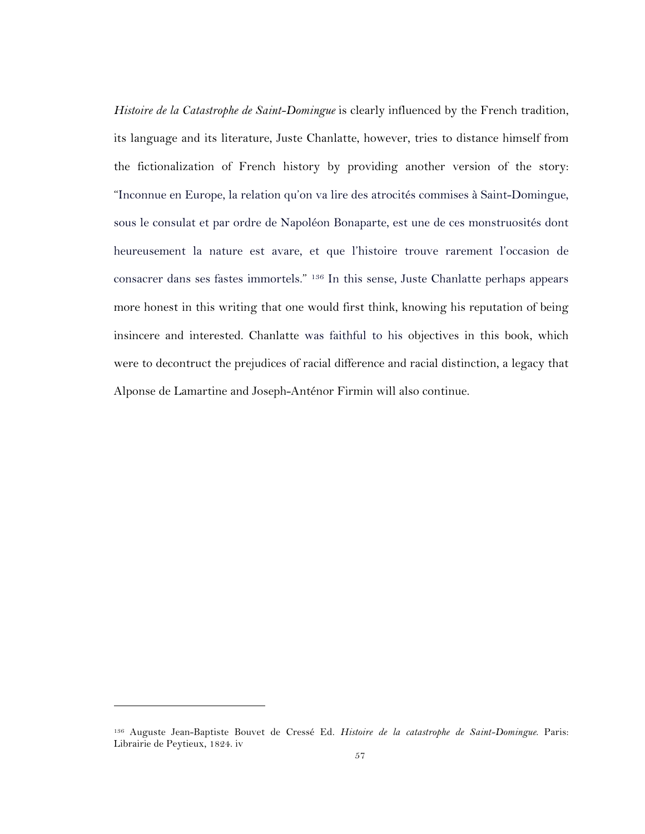*Histoire de la Catastrophe de Saint-Domingue* is clearly influenced by the French tradition, its language and its literature, Juste Chanlatte, however, tries to distance himself from the fictionalization of French history by providing another version of the story: "Inconnue en Europe, la relation qu'on va lire des atrocités commises à Saint-Domingue, sous le consulat et par ordre de Napoléon Bonaparte, est une de ces monstruosités dont heureusement la nature est avare, et que l'histoire trouve rarement l'occasion de consacrer dans ses fastes immortels." 136 In this sense, Juste Chanlatte perhaps appears more honest in this writing that one would first think, knowing his reputation of being insincere and interested. Chanlatte was faithful to his objectives in this book, which were to decontruct the prejudices of racial difference and racial distinction, a legacy that Alponse de Lamartine and Joseph-Anténor Firmin will also continue.

<sup>136</sup> Auguste Jean-Baptiste Bouvet de Cressé Ed. *Histoire de la catastrophe de Saint-Domingue*. Paris: Librairie de Peytieux, 1824. iv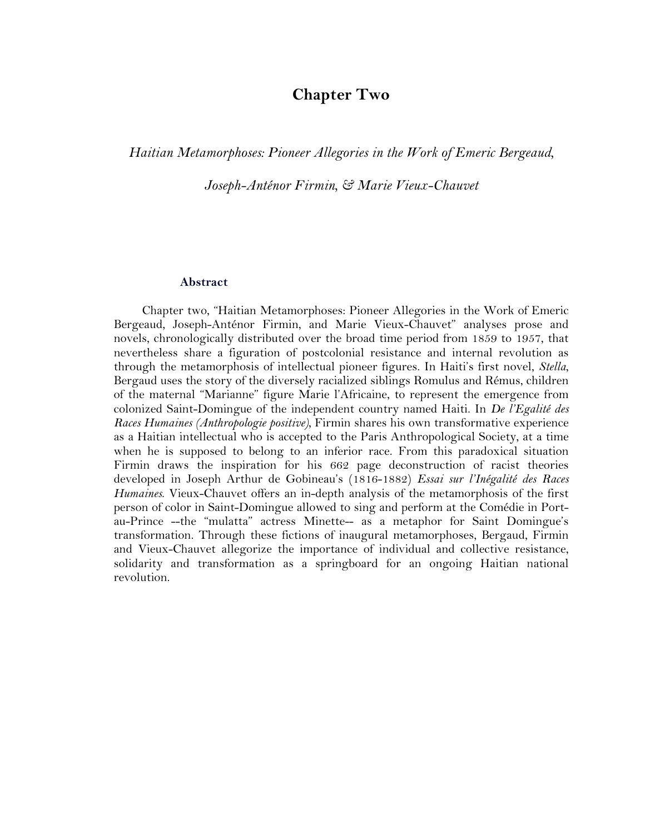# **Chapter Two**

*Haitian Metamorphoses: Pioneer Allegories in the Work of Emeric Bergeaud,* 

*Joseph-Anténor Firmin, & Marie Vieux-Chauvet*

#### **Abstract**

Chapter two, "Haitian Metamorphoses: Pioneer Allegories in the Work of Emeric Bergeaud, Joseph-Anténor Firmin, and Marie Vieux-Chauvet" analyses prose and novels, chronologically distributed over the broad time period from 1859 to 1957, that nevertheless share a figuration of postcolonial resistance and internal revolution as through the metamorphosis of intellectual pioneer figures. In Haiti's first novel, *Stella*, Bergaud uses the story of the diversely racialized siblings Romulus and Rémus, children of the maternal "Marianne" figure Marie l'Africaine, to represent the emergence from colonized Saint-Domingue of the independent country named Haiti. In *De l'Egalité des Races Humaines (Anthropologie positive),* Firmin shares his own transformative experience as a Haitian intellectual who is accepted to the Paris Anthropological Society, at a time when he is supposed to belong to an inferior race. From this paradoxical situation Firmin draws the inspiration for his 662 page deconstruction of racist theories developed in Joseph Arthur de Gobineau's (1816-1882) *Essai sur l'Inégalité des Races Humaines*. Vieux-Chauvet offers an in-depth analysis of the metamorphosis of the first person of color in Saint-Domingue allowed to sing and perform at the Comédie in Portau-Prince --the "mulatta" actress Minette-- as a metaphor for Saint Domingue's transformation. Through these fictions of inaugural metamorphoses, Bergaud, Firmin and Vieux-Chauvet allegorize the importance of individual and collective resistance, solidarity and transformation as a springboard for an ongoing Haitian national revolution.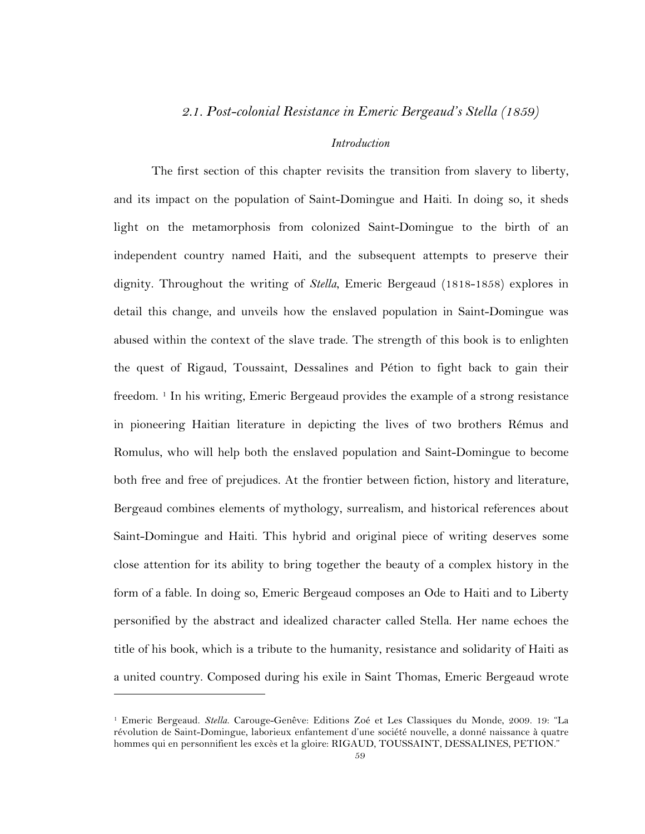### *2.1. Post-colonial Resistance in Emeric Bergeaud's Stella (1859)*

### *Introduction*

The first section of this chapter revisits the transition from slavery to liberty, and its impact on the population of Saint-Domingue and Haiti. In doing so, it sheds light on the metamorphosis from colonized Saint-Domingue to the birth of an independent country named Haiti, and the subsequent attempts to preserve their dignity. Throughout the writing of *Stella*, Emeric Bergeaud (1818-1858) explores in detail this change, and unveils how the enslaved population in Saint-Domingue was abused within the context of the slave trade. The strength of this book is to enlighten the quest of Rigaud, Toussaint, Dessalines and Pétion to fight back to gain their freedom.<sup>1</sup> In his writing, Emeric Bergeaud provides the example of a strong resistance in pioneering Haitian literature in depicting the lives of two brothers Rémus and Romulus, who will help both the enslaved population and Saint-Domingue to become both free and free of prejudices. At the frontier between fiction, history and literature, Bergeaud combines elements of mythology, surrealism, and historical references about Saint-Domingue and Haiti. This hybrid and original piece of writing deserves some close attention for its ability to bring together the beauty of a complex history in the form of a fable. In doing so, Emeric Bergeaud composes an Ode to Haiti and to Liberty personified by the abstract and idealized character called Stella. Her name echoes the title of his book, which is a tribute to the humanity, resistance and solidarity of Haiti as a united country. Composed during his exile in Saint Thomas, Emeric Bergeaud wrote

<sup>1</sup> Emeric Bergeaud. *Stella*. Carouge-Genêve: Editions Zoé et Les Classiques du Monde, 2009. 19: "La révolution de Saint-Domingue, laborieux enfantement d'une société nouvelle, a donné naissance à quatre hommes qui en personnifient les excès et la gloire: RIGAUD, TOUSSAINT, DESSALINES, PETION."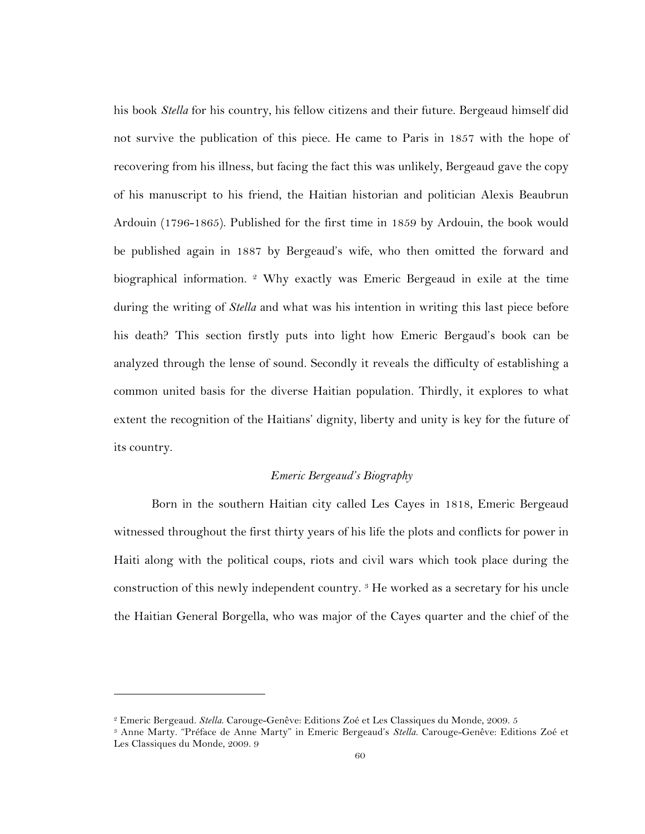his book *Stella* for his country, his fellow citizens and their future. Bergeaud himself did not survive the publication of this piece. He came to Paris in 1857 with the hope of recovering from his illness, but facing the fact this was unlikely, Bergeaud gave the copy of his manuscript to his friend, the Haitian historian and politician Alexis Beaubrun Ardouin (1796-1865). Published for the first time in 1859 by Ardouin, the book would be published again in 1887 by Bergeaud's wife, who then omitted the forward and biographical information.  $2$  Why exactly was Emeric Bergeaud in exile at the time during the writing of *Stella* and what was his intention in writing this last piece before his death? This section firstly puts into light how Emeric Bergaud's book can be analyzed through the lense of sound. Secondly it reveals the difficulty of establishing a common united basis for the diverse Haitian population. Thirdly, it explores to what extent the recognition of the Haitians' dignity, liberty and unity is key for the future of its country.

### *Emeric Bergeaud's Biography*

Born in the southern Haitian city called Les Cayes in 1818, Emeric Bergeaud witnessed throughout the first thirty years of his life the plots and conflicts for power in Haiti along with the political coups, riots and civil wars which took place during the construction of this newly independent country. 3 He worked as a secretary for his uncle the Haitian General Borgella, who was major of the Cayes quarter and the chief of the

<sup>2</sup> Emeric Bergeaud. *Stella*. Carouge-Genêve: Editions Zoé et Les Classiques du Monde, 2009. 5

<sup>3</sup> Anne Marty. "Préface de Anne Marty" in Emeric Bergeaud's *Stella*. Carouge-Genêve: Editions Zoé et Les Classiques du Monde, 2009. 9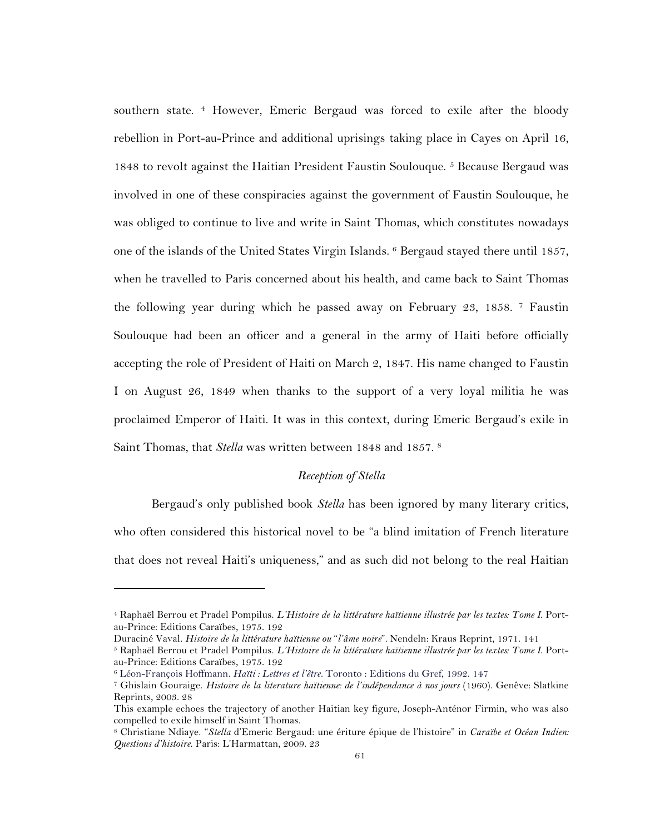southern state. <sup>4</sup> However, Emeric Bergaud was forced to exile after the bloody rebellion in Port-au-Prince and additional uprisings taking place in Cayes on April 16, 1848 to revolt against the Haitian President Faustin Soulouque. 5 Because Bergaud was involved in one of these conspiracies against the government of Faustin Soulouque, he was obliged to continue to live and write in Saint Thomas, which constitutes nowadays one of the islands of the United States Virgin Islands. <sup>6</sup> Bergaud stayed there until 1857, when he travelled to Paris concerned about his health, and came back to Saint Thomas the following year during which he passed away on February 23, 1858. 7 Faustin Soulouque had been an officer and a general in the army of Haiti before officially accepting the role of President of Haiti on March 2, 1847. His name changed to Faustin I on August 26, 1849 when thanks to the support of a very loyal militia he was proclaimed Emperor of Haiti. It was in this context, during Emeric Bergaud's exile in Saint Thomas, that *Stella* was written between 1848 and 1857. 8

### *Reception of Stella*

Bergaud's only published book *Stella* has been ignored by many literary critics, who often considered this historical novel to be "a blind imitation of French literature that does not reveal Haiti's uniqueness," and as such did not belong to the real Haitian

<sup>4</sup> Raphaël Berrou et Pradel Pompilus. *L'Histoire de la littérature haïtienne illustrée par les textes: Tome I*. Portau-Prince: Editions Caraïbes, 1975. 192

Duraciné Vaval. *Histoire de la littérature haïtienne ou* "*l'âme noire*"*.* Nendeln: Kraus Reprint, 1971. 141

<sup>5</sup> Raphaël Berrou et Pradel Pompilus. *L'Histoire de la littérature haïtienne illustrée par les textes: Tome I*. Portau-Prince: Editions Caraïbes, 1975. 192

<sup>6</sup> Léon-François Hoffmann. *Haïti : Lettres et l'être.* Toronto : Editions du Gref, 1992. 147

<sup>&</sup>lt;sup>7</sup> Ghislain Gouraige. *Histoire de la literature haïtienne: de l'indépendance à nos jours* (1960). Genêve: Slatkine Reprints, 2003. 28

This example echoes the trajectory of another Haitian key figure, Joseph-Anténor Firmin, who was also compelled to exile himself in Saint Thomas.

<sup>8</sup> Christiane Ndiaye. "*Stella* d'Emeric Bergaud: une ériture épique de l'histoire" in *Caraïbe et Océan Indien: Questions d'histoire*. Paris: L'Harmattan, 2009. 23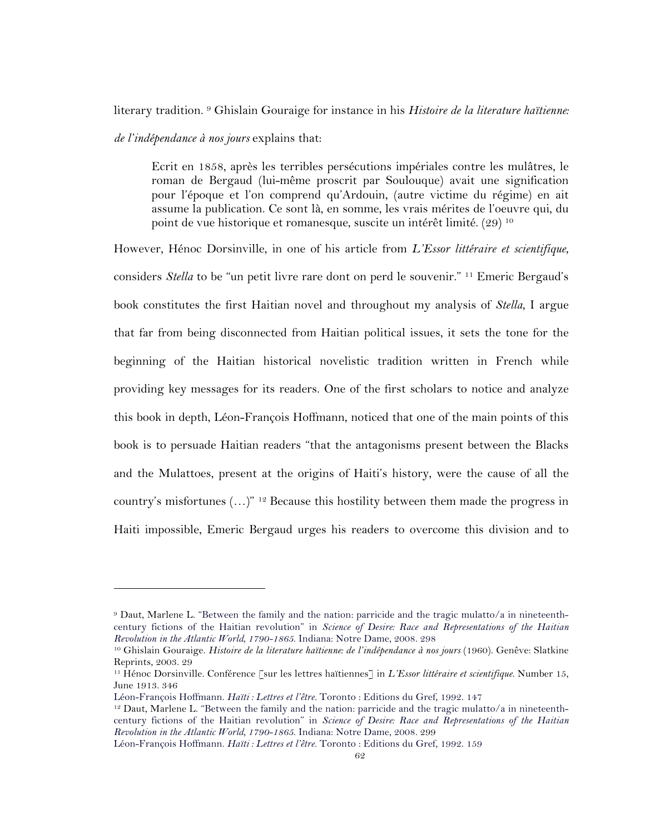literary tradition. <sup>9</sup> Ghislain Gouraige for instance in his *Histoire de la literature haïtienne: de l'indépendance à nos jours* explains that:

Ecrit en 1858, après les terribles persécutions impériales contre les mulâtres, le roman de Bergaud (lui-même proscrit par Soulouque) avait une signification pour l'époque et l'on comprend qu'Ardouin, (autre victime du régime) en ait assume la publication. Ce sont là, en somme, les vrais mérites de l'oeuvre qui, du point de vue historique et romanesque, suscite un intérêt limité. (29) <sup>10</sup>

However, Hénoc Dorsinville, in one of his article from *L'Essor littéraire et scientifique*, considers *Stella* to be "un petit livre rare dont on perd le souvenir." 11 Emeric Bergaud's book constitutes the first Haitian novel and throughout my analysis of *Stella*, I argue that far from being disconnected from Haitian political issues, it sets the tone for the beginning of the Haitian historical novelistic tradition written in French while providing key messages for its readers. One of the first scholars to notice and analyze this book in depth, Léon-François Hoffmann, noticed that one of the main points of this book is to persuade Haitian readers "that the antagonisms present between the Blacks and the Mulattoes, present at the origins of Haiti's history, were the cause of all the country's misfortunes  $(...)^{n+2}$  Because this hostility between them made the progress in Haiti impossible, Emeric Bergaud urges his readers to overcome this division and to

<sup>9</sup> Daut, Marlene L. "Between the family and the nation: parricide and the tragic mulatto/a in nineteenthcentury fictions of the Haitian revolution" in *Science of Desire: Race and Representations of the Haitian Revolution in the Atlantic World, 1790-1865*. Indiana: Notre Dame, 2008. 298

<sup>&</sup>lt;sup>10</sup> Ghislain Gouraige. *Histoire de la literature haïtienne: de l'indépendance à nos jours* (1960). Genêve: Slatkine Reprints, 2003. 29

<sup>11</sup> Hénoc Dorsinville. Conférence [sur les lettres haïtiennes] in *L'Essor littéraire et scientifique*. Number 15, June 1913. 346

Léon-François Hoffmann. *Haïti : Lettres et l'être.* Toronto : Editions du Gref, 1992. 147

 $12$  Daut, Marlene L. "Between the family and the nation: parricide and the tragic mulatto/a in nineteenthcentury fictions of the Haitian revolution" in *Science of Desire: Race and Representations of the Haitian Revolution in the Atlantic World, 1790-1865*. Indiana: Notre Dame, 2008. 299

Léon-François Hoffmann. *Haïti : Lettres et l'être.* Toronto : Editions du Gref, 1992. 159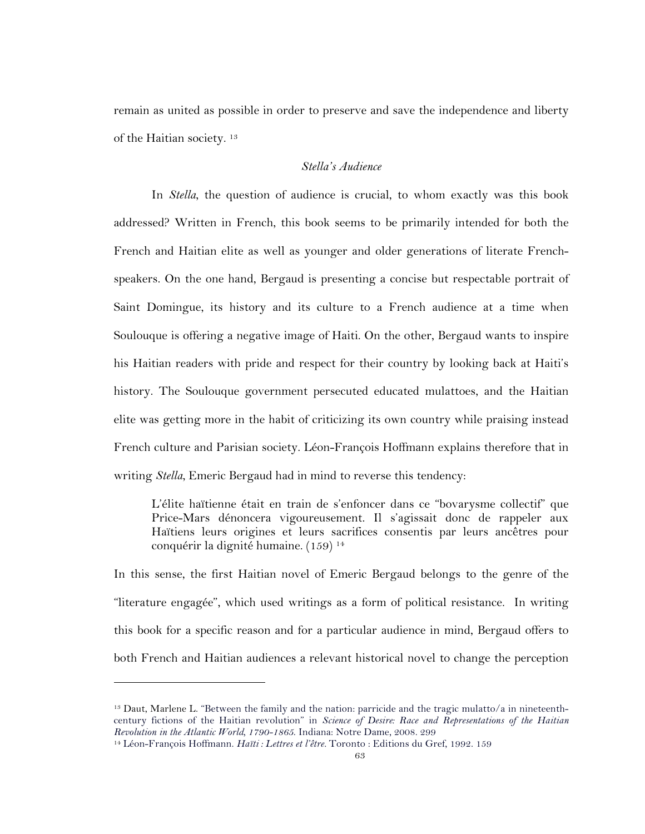remain as united as possible in order to preserve and save the independence and liberty of the Haitian society. 13

## *Stella's Audience*

In *Stella*, the question of audience is crucial, to whom exactly was this book addressed? Written in French, this book seems to be primarily intended for both the French and Haitian elite as well as younger and older generations of literate Frenchspeakers. On the one hand, Bergaud is presenting a concise but respectable portrait of Saint Domingue, its history and its culture to a French audience at a time when Soulouque is offering a negative image of Haiti. On the other, Bergaud wants to inspire his Haitian readers with pride and respect for their country by looking back at Haiti's history. The Soulouque government persecuted educated mulattoes, and the Haitian elite was getting more in the habit of criticizing its own country while praising instead French culture and Parisian society. Léon-François Hoffmann explains therefore that in writing *Stella*, Emeric Bergaud had in mind to reverse this tendency:

L'élite haïtienne était en train de s'enfoncer dans ce "bovarysme collectif" que Price-Mars dénoncera vigoureusement. Il s'agissait donc de rappeler aux Haïtiens leurs origines et leurs sacrifices consentis par leurs ancêtres pour conquérir la dignité humaine. (159) 14

In this sense, the first Haitian novel of Emeric Bergaud belongs to the genre of the "literature engagée", which used writings as a form of political resistance. In writing this book for a specific reason and for a particular audience in mind, Bergaud offers to both French and Haitian audiences a relevant historical novel to change the perception

<sup>13</sup> Daut, Marlene L. "Between the family and the nation: parricide and the tragic mulatto/a in nineteenthcentury fictions of the Haitian revolution" in *Science of Desire: Race and Representations of the Haitian Revolution in the Atlantic World, 1790-1865*. Indiana: Notre Dame, 2008. 299

<sup>14</sup> Léon-François Hoffmann. *Haïti : Lettres et l'être.* Toronto : Editions du Gref, 1992. 159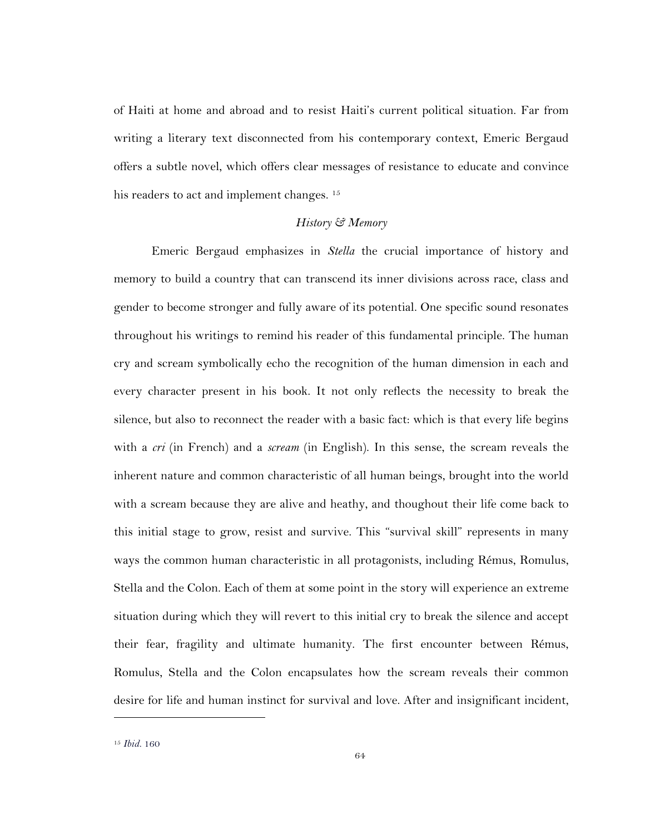of Haiti at home and abroad and to resist Haiti's current political situation. Far from writing a literary text disconnected from his contemporary context, Emeric Bergaud offers a subtle novel, which offers clear messages of resistance to educate and convince his readers to act and implement changes.<sup>15</sup>

### *History & Memory*

Emeric Bergaud emphasizes in *Stella* the crucial importance of history and memory to build a country that can transcend its inner divisions across race, class and gender to become stronger and fully aware of its potential. One specific sound resonates throughout his writings to remind his reader of this fundamental principle. The human cry and scream symbolically echo the recognition of the human dimension in each and every character present in his book. It not only reflects the necessity to break the silence, but also to reconnect the reader with a basic fact: which is that every life begins with a *cri* (in French) and a *scream* (in English). In this sense, the scream reveals the inherent nature and common characteristic of all human beings, brought into the world with a scream because they are alive and heathy, and thoughout their life come back to this initial stage to grow, resist and survive. This "survival skill" represents in many ways the common human characteristic in all protagonists, including Rémus, Romulus, Stella and the Colon. Each of them at some point in the story will experience an extreme situation during which they will revert to this initial cry to break the silence and accept their fear, fragility and ultimate humanity. The first encounter between Rémus, Romulus, Stella and the Colon encapsulates how the scream reveals their common desire for life and human instinct for survival and love. After and insignificant incident,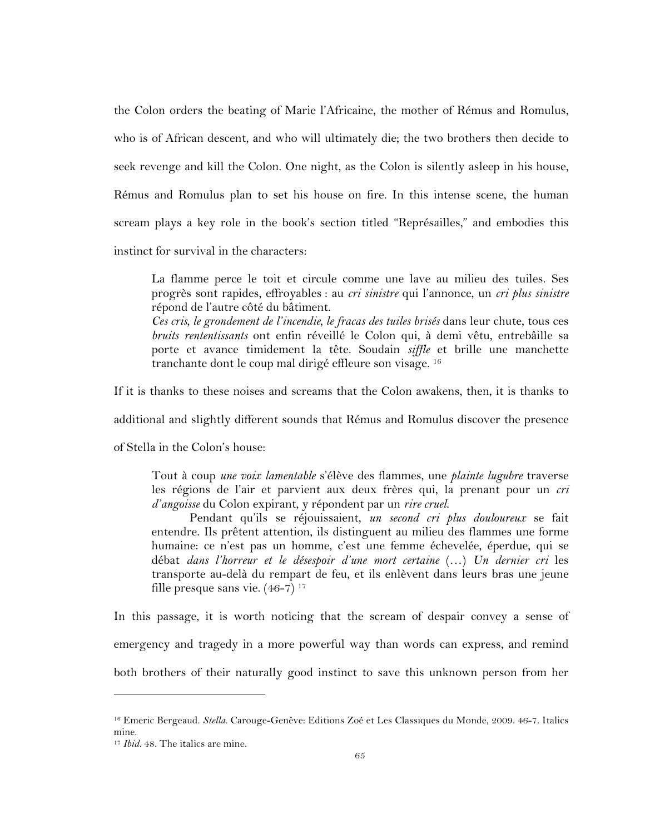the Colon orders the beating of Marie l'Africaine, the mother of Rémus and Romulus, who is of African descent, and who will ultimately die; the two brothers then decide to seek revenge and kill the Colon. One night, as the Colon is silently asleep in his house, Rémus and Romulus plan to set his house on fire. In this intense scene, the human scream plays a key role in the book's section titled "Représailles," and embodies this instinct for survival in the characters:

La flamme perce le toit et circule comme une lave au milieu des tuiles. Ses progrès sont rapides, effroyables : au *cri sinistre* qui l'annonce, un *cri plus sinistre* répond de l'autre côté du bâtiment.

*Ces cris, le grondement de l'incendie, le fracas des tuiles brisés* dans leur chute, tous ces *bruits rententissants* ont enfin réveillé le Colon qui, à demi vêtu, entrebâille sa porte et avance timidement la tête. Soudain *siffle* et brille une manchette tranchante dont le coup mal dirigé effleure son visage. 16

If it is thanks to these noises and screams that the Colon awakens, then, it is thanks to

additional and slightly different sounds that Rémus and Romulus discover the presence

of Stella in the Colon's house:

Tout à coup *une voix lamentable* s'élève des flammes, une *plainte lugubre* traverse les régions de l'air et parvient aux deux frères qui, la prenant pour un *cri d'angoisse* du Colon expirant, y répondent par un *rire cruel*.

Pendant qu'ils se réjouissaient, *un second cri plus douloureux* se fait entendre. Ils prêtent attention, ils distinguent au milieu des flammes une forme humaine: ce n'est pas un homme, c'est une femme échevelée, éperdue, qui se débat *dans l'horreur et le désespoir d'une mort certaine* (…) *Un dernier cri* les transporte au-delà du rempart de feu, et ils enlèvent dans leurs bras une jeune fille presque sans vie.  $(46-7)^{17}$ 

In this passage, it is worth noticing that the scream of despair convey a sense of emergency and tragedy in a more powerful way than words can express, and remind both brothers of their naturally good instinct to save this unknown person from her

<sup>16</sup> Emeric Bergeaud. *Stella*. Carouge-Genêve: Editions Zoé et Les Classiques du Monde, 2009. 46-7. Italics mine.

<sup>17</sup> *Ibid.* 48. The italics are mine.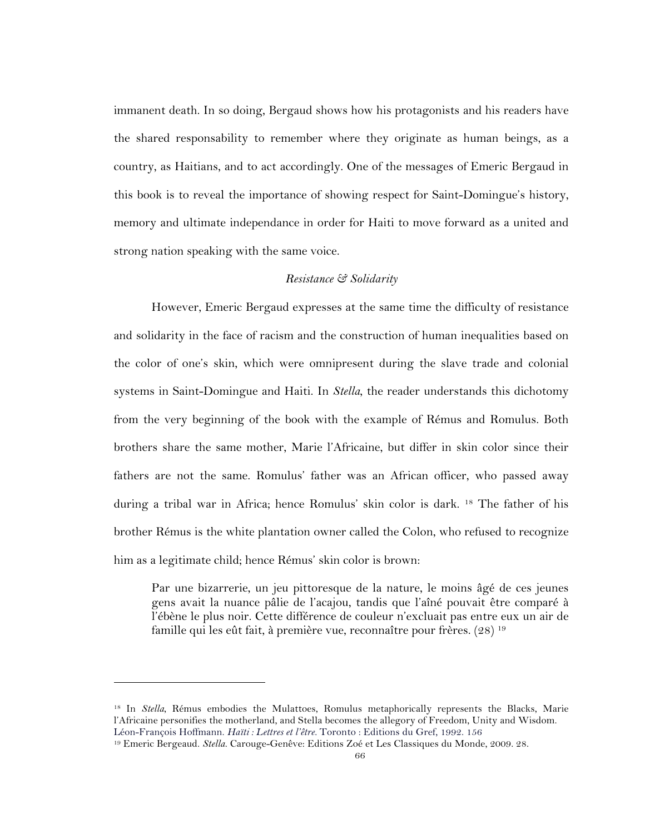immanent death. In so doing, Bergaud shows how his protagonists and his readers have the shared responsability to remember where they originate as human beings, as a country, as Haitians, and to act accordingly. One of the messages of Emeric Bergaud in this book is to reveal the importance of showing respect for Saint-Domingue's history, memory and ultimate independance in order for Haiti to move forward as a united and strong nation speaking with the same voice.

### *Resistance & Solidarity*

However, Emeric Bergaud expresses at the same time the difficulty of resistance and solidarity in the face of racism and the construction of human inequalities based on the color of one's skin, which were omnipresent during the slave trade and colonial systems in Saint-Domingue and Haiti. In *Stella*, the reader understands this dichotomy from the very beginning of the book with the example of Rémus and Romulus. Both brothers share the same mother, Marie l'Africaine, but differ in skin color since their fathers are not the same. Romulus' father was an African officer, who passed away during a tribal war in Africa; hence Romulus' skin color is dark. <sup>18</sup> The father of his brother Rémus is the white plantation owner called the Colon, who refused to recognize him as a legitimate child; hence Rémus' skin color is brown:

Par une bizarrerie, un jeu pittoresque de la nature, le moins âgé de ces jeunes gens avait la nuance pâlie de l'acajou, tandis que l'aîné pouvait être comparé à l'ébène le plus noir. Cette différence de couleur n'excluait pas entre eux un air de famille qui les eût fait, à première vue, reconnaître pour frères. (28) 19

<sup>&</sup>lt;sup>18</sup> In *Stella*, Rémus embodies the Mulattoes, Romulus metaphorically represents the Blacks, Marie l'Africaine personifies the motherland, and Stella becomes the allegory of Freedom, Unity and Wisdom. Léon-François Hoffmann. *Haïti : Lettres et l'être.* Toronto : Editions du Gref, 1992. 156

<sup>19</sup> Emeric Bergeaud. *Stella*. Carouge-Genêve: Editions Zoé et Les Classiques du Monde, 2009. 28.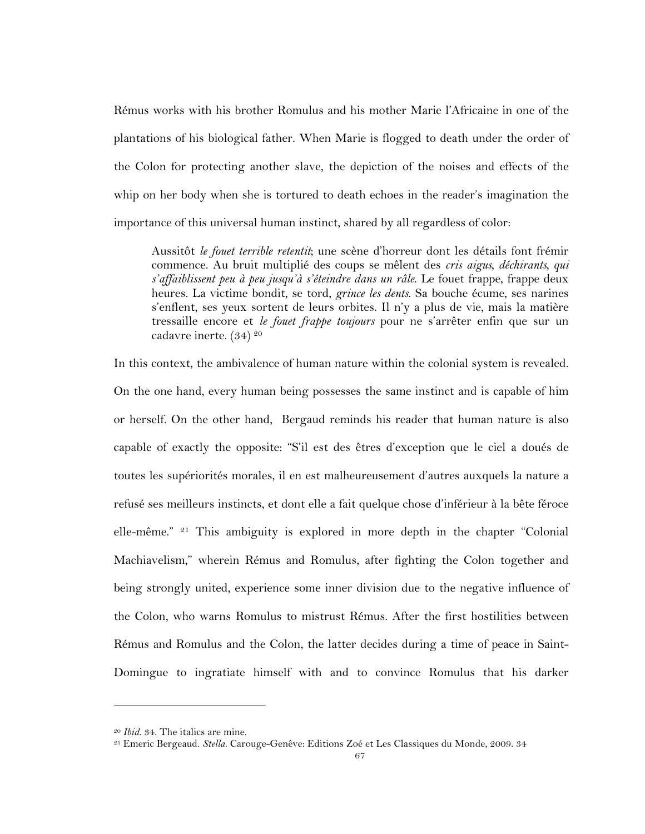Rémus works with his brother Romulus and his mother Marie l'Africaine in one of the plantations of his biological father. When Marie is flogged to death under the order of the Colon for protecting another slave, the depiction of the noises and effects of the whip on her body when she is tortured to death echoes in the reader's imagination the importance of this universal human instinct, shared by all regardless of color:

Aussitôt *le fouet terrible retentit*; une scène d'horreur dont les détails font frémir commence. Au bruit multiplié des coups se mêlent des *cris aigus, déchirants, qui s'affaiblissent peu à peu jusqu'à s'éteindre dans un râle*. Le fouet frappe, frappe deux heures. La victime bondit, se tord, *grince les dents*. Sa bouche écume, ses narines s'enflent, ses yeux sortent de leurs orbites. Il n'y a plus de vie, mais la matière tressaille encore et *le fouet frappe toujours* pour ne s'arrêter enfin que sur un cadavre inerte. (34) 20

In this context, the ambivalence of human nature within the colonial system is revealed. On the one hand, every human being possesses the same instinct and is capable of him or herself. On the other hand, Bergaud reminds his reader that human nature is also capable of exactly the opposite: "S'il est des êtres d'exception que le ciel a doués de toutes les supériorités morales, il en est malheureusement d'autres auxquels la nature a refusé ses meilleurs instincts, et dont elle a fait quelque chose d'inférieur à la bête féroce elle-même."  $2^1$  This ambiguity is explored in more depth in the chapter "Colonial" Machiavelism," wherein Rémus and Romulus, after fighting the Colon together and being strongly united, experience some inner division due to the negative influence of the Colon, who warns Romulus to mistrust Rémus. After the first hostilities between Rémus and Romulus and the Colon, the latter decides during a time of peace in Saint-Domingue to ingratiate himself with and to convince Romulus that his darker

<sup>20</sup> *Ibid.* 34. The italics are mine.

<sup>21</sup> Emeric Bergeaud. *Stella*. Carouge-Genêve: Editions Zoé et Les Classiques du Monde, 2009. 34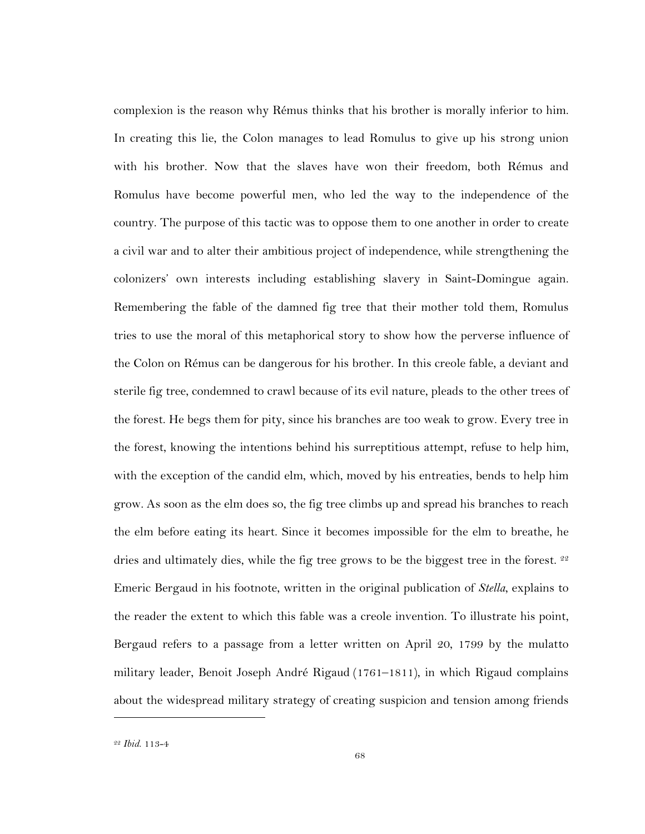complexion is the reason why Rémus thinks that his brother is morally inferior to him. In creating this lie, the Colon manages to lead Romulus to give up his strong union with his brother. Now that the slaves have won their freedom, both Rémus and Romulus have become powerful men, who led the way to the independence of the country. The purpose of this tactic was to oppose them to one another in order to create a civil war and to alter their ambitious project of independence, while strengthening the colonizers' own interests including establishing slavery in Saint-Domingue again. Remembering the fable of the damned fig tree that their mother told them, Romulus tries to use the moral of this metaphorical story to show how the perverse influence of the Colon on Rémus can be dangerous for his brother. In this creole fable, a deviant and sterile fig tree, condemned to crawl because of its evil nature, pleads to the other trees of the forest. He begs them for pity, since his branches are too weak to grow. Every tree in the forest, knowing the intentions behind his surreptitious attempt, refuse to help him, with the exception of the candid elm, which, moved by his entreaties, bends to help him grow. As soon as the elm does so, the fig tree climbs up and spread his branches to reach the elm before eating its heart. Since it becomes impossible for the elm to breathe, he dries and ultimately dies, while the fig tree grows to be the biggest tree in the forest. <sup>22</sup> Emeric Bergaud in his footnote, written in the original publication of *Stella*, explains to the reader the extent to which this fable was a creole invention. To illustrate his point, Bergaud refers to a passage from a letter written on April 20, 1799 by the mulatto military leader, Benoit Joseph André Rigaud (1761–1811), in which Rigaud complains about the widespread military strategy of creating suspicion and tension among friends

<sup>22</sup> *Ibid*. 113-4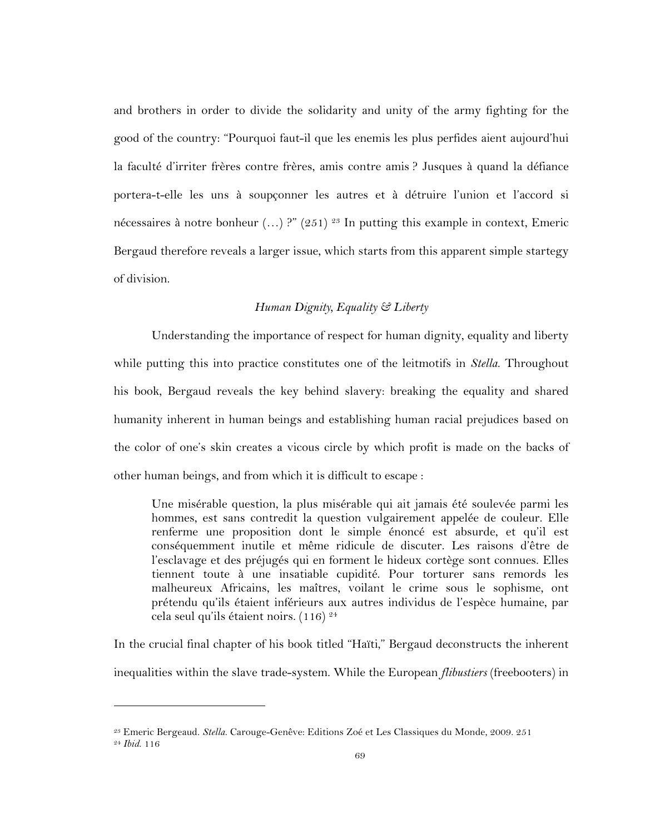and brothers in order to divide the solidarity and unity of the army fighting for the good of the country: "Pourquoi faut-il que les enemis les plus perfides aient aujourd'hui la faculté d'irriter frères contre frères, amis contre amis ? Jusques à quand la défiance portera-t-elle les uns à soupçonner les autres et à détruire l'union et l'accord si nécessaires à notre bonheur  $(...)$ ?"  $(251)$  <sup>23</sup> In putting this example in context, Emeric Bergaud therefore reveals a larger issue, which starts from this apparent simple startegy of division.

## *Human Dignity, Equality & Liberty*

Understanding the importance of respect for human dignity, equality and liberty while putting this into practice constitutes one of the leitmotifs in *Stella*. Throughout his book, Bergaud reveals the key behind slavery: breaking the equality and shared humanity inherent in human beings and establishing human racial prejudices based on the color of one's skin creates a vicous circle by which profit is made on the backs of other human beings, and from which it is difficult to escape :

Une misérable question, la plus misérable qui ait jamais été soulevée parmi les hommes, est sans contredit la question vulgairement appelée de couleur. Elle renferme une proposition dont le simple énoncé est absurde, et qu'il est conséquemment inutile et même ridicule de discuter. Les raisons d'être de l'esclavage et des préjugés qui en forment le hideux cortège sont connues. Elles tiennent toute à une insatiable cupidité. Pour torturer sans remords les malheureux Africains, les maîtres, voilant le crime sous le sophisme, ont prétendu qu'ils étaient inférieurs aux autres individus de l'espèce humaine, par cela seul qu'ils étaient noirs. (116) 24

In the crucial final chapter of his book titled "Haïti," Bergaud deconstructs the inherent inequalities within the slave trade-system. While the European *flibustiers* (freebooters) in

<sup>23</sup> Emeric Bergeaud. *Stella*. Carouge-Genêve: Editions Zoé et Les Classiques du Monde, 2009. 251 <sup>24</sup> *Ibid*. 116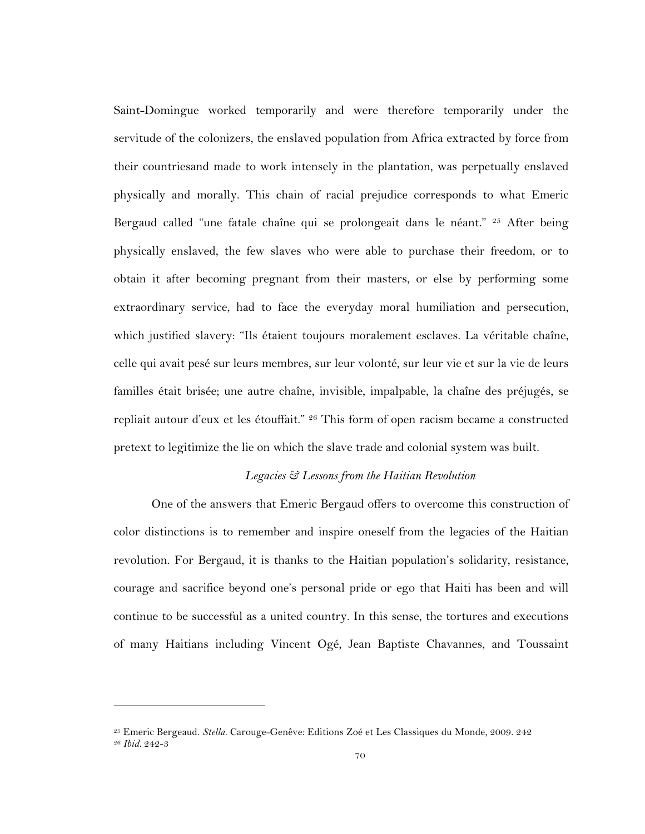Saint-Domingue worked temporarily and were therefore temporarily under the servitude of the colonizers, the enslaved population from Africa extracted by force from their countriesand made to work intensely in the plantation, was perpetually enslaved physically and morally. This chain of racial prejudice corresponds to what Emeric Bergaud called "une fatale chaîne qui se prolongeait dans le néant." <sup>25</sup> After being physically enslaved, the few slaves who were able to purchase their freedom, or to obtain it after becoming pregnant from their masters, or else by performing some extraordinary service, had to face the everyday moral humiliation and persecution, which justified slavery: "Ils étaient toujours moralement esclaves. La véritable chaîne, celle qui avait pesé sur leurs membres, sur leur volonté, sur leur vie et sur la vie de leurs familles était brisée; une autre chaîne, invisible, impalpable, la chaîne des préjugés, se repliait autour d'eux et les étouffait." <sup>26</sup> This form of open racism became a constructed pretext to legitimize the lie on which the slave trade and colonial system was built.

#### *Legacies & Lessons from the Haitian Revolution*

One of the answers that Emeric Bergaud offers to overcome this construction of color distinctions is to remember and inspire oneself from the legacies of the Haitian revolution. For Bergaud, it is thanks to the Haitian population's solidarity, resistance, courage and sacrifice beyond one's personal pride or ego that Haiti has been and will continue to be successful as a united country. In this sense, the tortures and executions of many Haitians including Vincent Ogé, Jean Baptiste Chavannes, and Toussaint

<sup>25</sup> Emeric Bergeaud. *Stella*. Carouge-Genêve: Editions Zoé et Les Classiques du Monde, 2009. 242 <sup>26</sup> *Ibid.* 242-3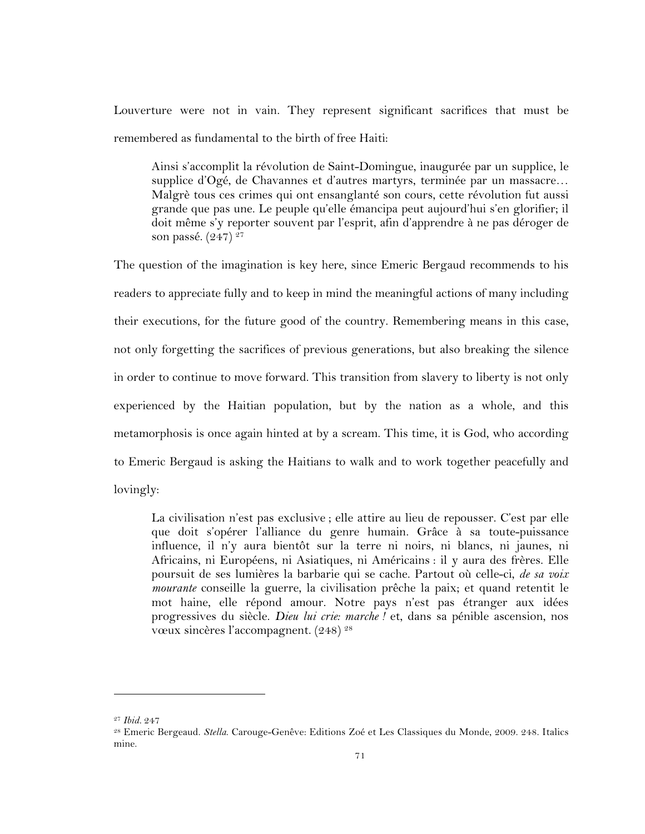Louverture were not in vain. They represent significant sacrifices that must be remembered as fundamental to the birth of free Haiti:

Ainsi s'accomplit la révolution de Saint-Domingue, inaugurée par un supplice, le supplice d'Ogé, de Chavannes et d'autres martyrs, terminée par un massacre... Malgrè tous ces crimes qui ont ensanglanté son cours, cette révolution fut aussi grande que pas une. Le peuple qu'elle émancipa peut aujourd'hui s'en glorifier; il doit même s'y reporter souvent par l'esprit, afin d'apprendre à ne pas déroger de son passé. (247)<sup>27</sup>

The question of the imagination is key here, since Emeric Bergaud recommends to his readers to appreciate fully and to keep in mind the meaningful actions of many including their executions, for the future good of the country. Remembering means in this case, not only forgetting the sacrifices of previous generations, but also breaking the silence in order to continue to move forward. This transition from slavery to liberty is not only experienced by the Haitian population, but by the nation as a whole, and this metamorphosis is once again hinted at by a scream. This time, it is God, who according to Emeric Bergaud is asking the Haitians to walk and to work together peacefully and lovingly:

La civilisation n'est pas exclusive ; elle attire au lieu de repousser. C'est par elle que doit s'opérer l'alliance du genre humain. Grâce à sa toute-puissance influence, il n'y aura bientôt sur la terre ni noirs, ni blancs, ni jaunes, ni Africains, ni Européens, ni Asiatiques, ni Américains : il y aura des frères. Elle poursuit de ses lumières la barbarie qui se cache. Partout où celle-ci, *de sa voix mourante* conseille la guerre, la civilisation prêche la paix; et quand retentit le mot haine, elle répond amour. Notre pays n'est pas étranger aux idées progressives du siècle. *Dieu lui crie: marche !* et, dans sa pénible ascension, nos vœux sincères l'accompagnent. (248)<sup>28</sup>

<sup>27</sup> *Ibid.* 247

<sup>28</sup> Emeric Bergeaud. *Stella*. Carouge-Genêve: Editions Zoé et Les Classiques du Monde, 2009. 248. Italics mine.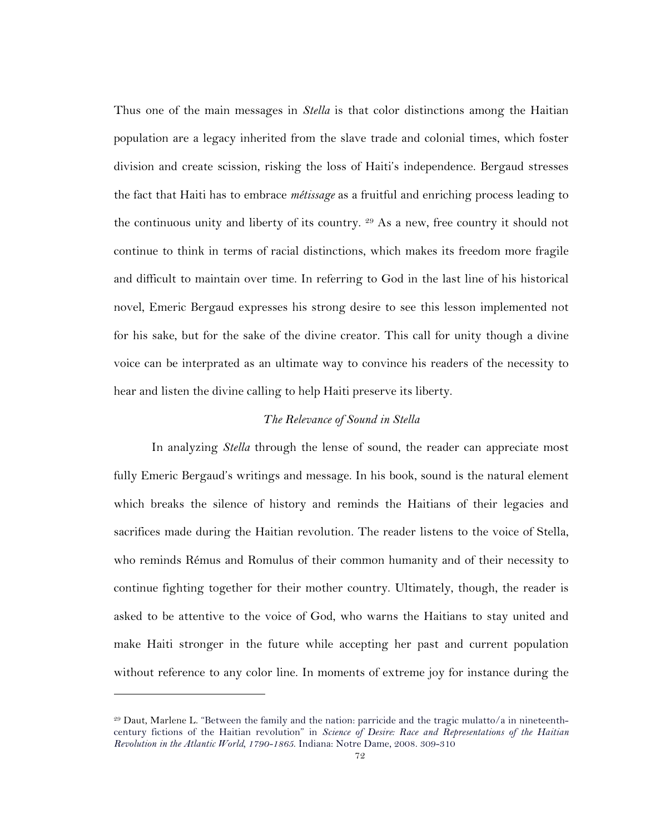Thus one of the main messages in *Stella* is that color distinctions among the Haitian population are a legacy inherited from the slave trade and colonial times, which foster division and create scission, risking the loss of Haiti's independence. Bergaud stresses the fact that Haiti has to embrace *métissage* as a fruitful and enriching process leading to the continuous unity and liberty of its country. <sup>29</sup> As a new, free country it should not continue to think in terms of racial distinctions, which makes its freedom more fragile and difficult to maintain over time. In referring to God in the last line of his historical novel, Emeric Bergaud expresses his strong desire to see this lesson implemented not for his sake, but for the sake of the divine creator. This call for unity though a divine voice can be interprated as an ultimate way to convince his readers of the necessity to hear and listen the divine calling to help Haiti preserve its liberty.

#### *The Relevance of Sound in Stella*

In analyzing *Stella* through the lense of sound, the reader can appreciate most fully Emeric Bergaud's writings and message. In his book, sound is the natural element which breaks the silence of history and reminds the Haitians of their legacies and sacrifices made during the Haitian revolution. The reader listens to the voice of Stella, who reminds Rémus and Romulus of their common humanity and of their necessity to continue fighting together for their mother country. Ultimately, though, the reader is asked to be attentive to the voice of God, who warns the Haitians to stay united and make Haiti stronger in the future while accepting her past and current population without reference to any color line. In moments of extreme joy for instance during the

<sup>29</sup> Daut, Marlene L. "Between the family and the nation: parricide and the tragic mulatto/a in nineteenthcentury fictions of the Haitian revolution" in *Science of Desire: Race and Representations of the Haitian Revolution in the Atlantic World, 1790-1865*. Indiana: Notre Dame, 2008. 309-310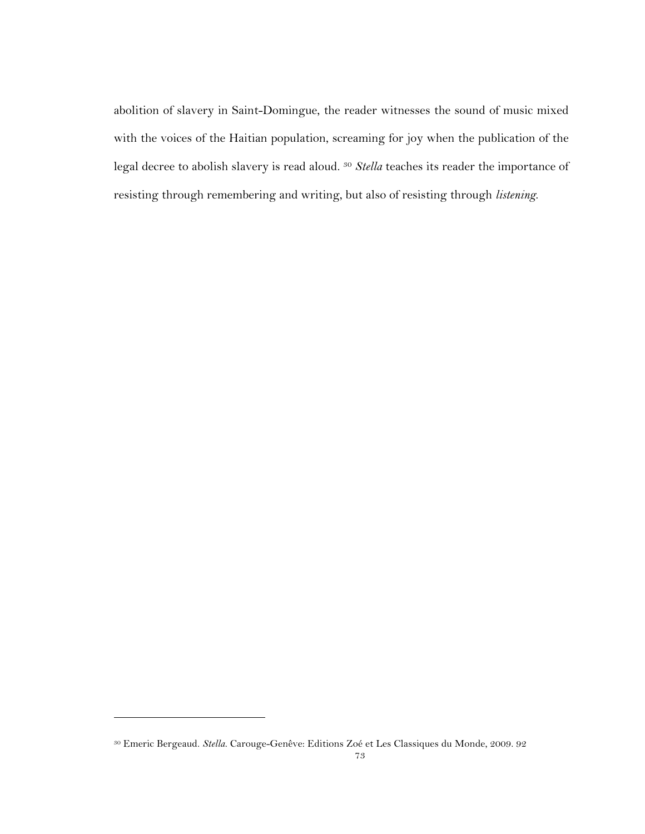abolition of slavery in Saint-Domingue, the reader witnesses the sound of music mixed with the voices of the Haitian population, screaming for joy when the publication of the legal decree to abolish slavery is read aloud. 30 *Stella* teaches its reader the importance of resisting through remembering and writing, but also of resisting through *listening*.

<sup>30</sup> Emeric Bergeaud. *Stella*. Carouge-Genêve: Editions Zoé et Les Classiques du Monde, 2009. 92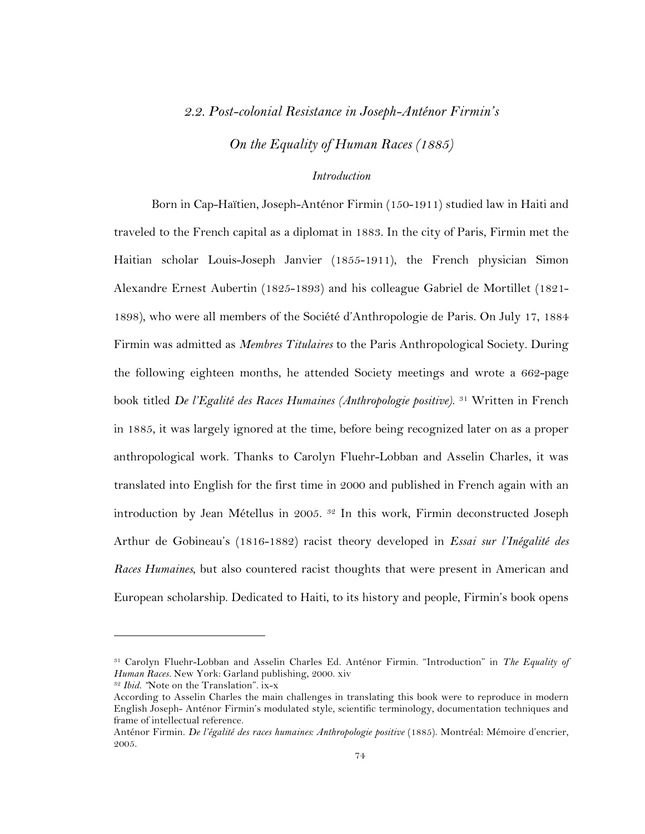# *2.2. Post-colonial Resistance in Joseph-Anténor Firmin's*

*On the Equality of Human Races (1885)*

# *Introduction*

Born in Cap-Haïtien, Joseph-Anténor Firmin (150-1911) studied law in Haiti and traveled to the French capital as a diplomat in 1883. In the city of Paris, Firmin met the Haitian scholar Louis-Joseph Janvier (1855-1911), the French physician Simon Alexandre Ernest Aubertin (1825-1893) and his colleague Gabriel de Mortillet (1821- 1898), who were all members of the Société d'Anthropologie de Paris. On July 17, 1884 Firmin was admitted as *Membres Titulaires* to the Paris Anthropological Society. During the following eighteen months, he attended Society meetings and wrote a 662-page book titled *De l'Egalité des Races Humaines (Anthropologie positive)*. 31 Written in French in 1885, it was largely ignored at the time, before being recognized later on as a proper anthropological work. Thanks to Carolyn Fluehr-Lobban and Asselin Charles, it was translated into English for the first time in 2000 and published in French again with an introduction by Jean Métellus in 2005. 32 In this work, Firmin deconstructed Joseph Arthur de Gobineau's (1816-1882) racist theory developed in *Essai sur l'Inégalité des Races Humaines*, but also countered racist thoughts that were present in American and European scholarship. Dedicated to Haiti, to its history and people, Firmin's book opens

<sup>31</sup> Carolyn Fluehr-Lobban and Asselin Charles Ed. Anténor Firmin. "Introduction" in *The Equality of Human Races.* New York: Garland publishing, 2000. xiv

<sup>32</sup> *Ibid. "*Note on the Translation". ix-x

According to Asselin Charles the main challenges in translating this book were to reproduce in modern English Joseph- Anténor Firmin's modulated style, scientific terminology, documentation techniques and frame of intellectual reference.

Anténor Firmin. *De l'égalité des races humaines: Anthropologie positive* (1885). Montréal: Mémoire d'encrier, 2005.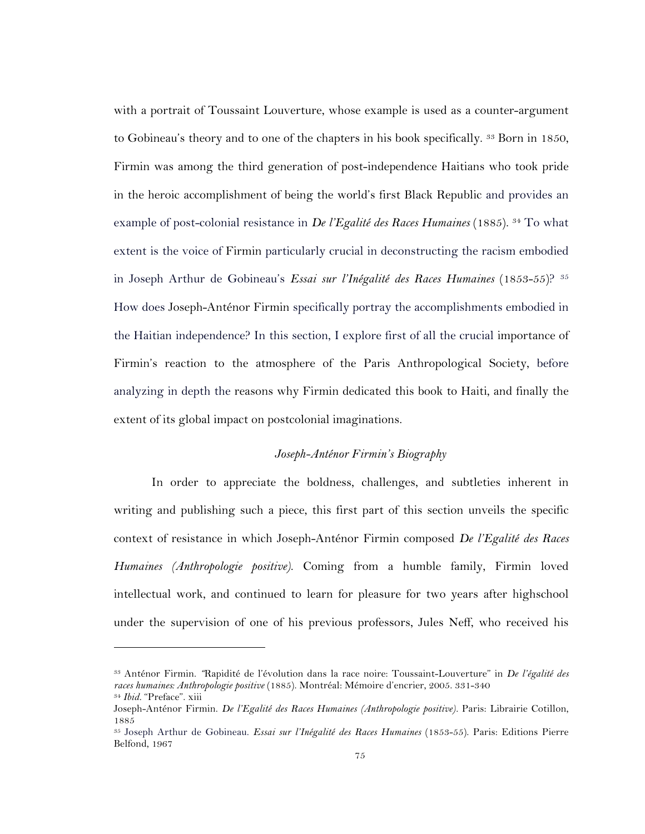with a portrait of Toussaint Louverture, whose example is used as a counter-argument to Gobineau's theory and to one of the chapters in his book specifically. <sup>33</sup> Born in 1850, Firmin was among the third generation of post-independence Haitians who took pride in the heroic accomplishment of being the world's first Black Republic and provides an example of post-colonial resistance in *De l'Egalité des Races Humaines* (1885). 34 To what extent is the voice of Firmin particularly crucial in deconstructing the racism embodied in Joseph Arthur de Gobineau's *Essai sur l'Inégalité des Races Humaines* (1853-55)? 35 How does Joseph-Anténor Firmin specifically portray the accomplishments embodied in the Haitian independence? In this section, I explore first of all the crucial importance of Firmin's reaction to the atmosphere of the Paris Anthropological Society, before analyzing in depth the reasons why Firmin dedicated this book to Haiti, and finally the extent of its global impact on postcolonial imaginations.

### *Joseph-Anténor Firmin's Biography*

In order to appreciate the boldness, challenges, and subtleties inherent in writing and publishing such a piece, this first part of this section unveils the specific context of resistance in which Joseph-Anténor Firmin composed *De l'Egalité des Races Humaines (Anthropologie positive)*. Coming from a humble family, Firmin loved intellectual work, and continued to learn for pleasure for two years after highschool under the supervision of one of his previous professors, Jules Neff, who received his

<sup>33</sup> Anténor Firmin. *"*Rapidité de l'évolution dans la race noire: Toussaint-Louverture" in *De l'égalité des races humaines: Anthropologie positive* (1885). Montréal: Mémoire d'encrier, 2005. 331-340 <sup>34</sup> *Ibid.* "Preface". xiii

Joseph-Anténor Firmin. *De l'Egalité des Races Humaines (Anthropologie positive).* Paris: Librairie Cotillon, 1885

<sup>35</sup> Joseph Arthur de Gobineau. *Essai sur l'Inégalité des Races Humaines* (1853-55). Paris: Editions Pierre Belfond, 1967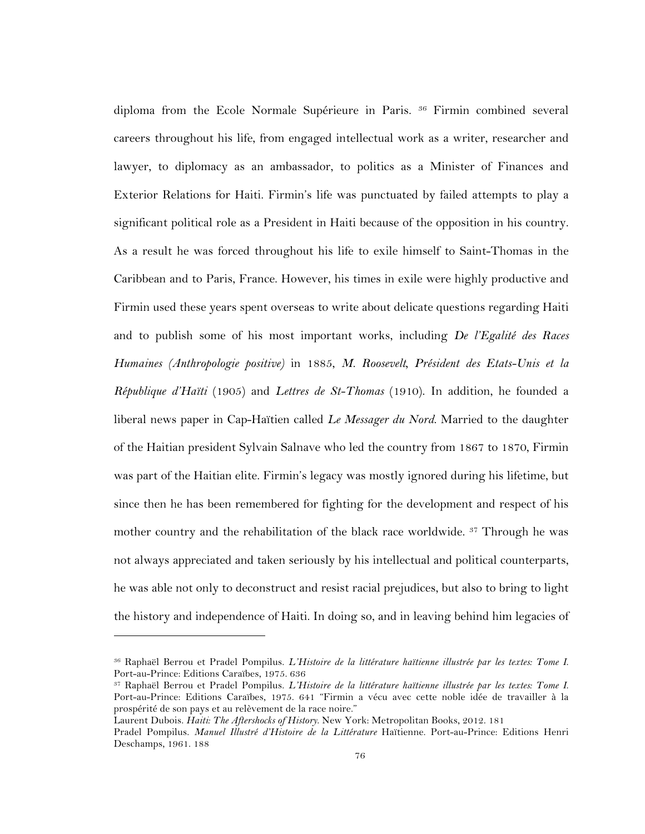diploma from the Ecole Normale Supérieure in Paris. 36 Firmin combined several careers throughout his life, from engaged intellectual work as a writer, researcher and lawyer, to diplomacy as an ambassador, to politics as a Minister of Finances and Exterior Relations for Haiti. Firmin's life was punctuated by failed attempts to play a significant political role as a President in Haiti because of the opposition in his country. As a result he was forced throughout his life to exile himself to Saint-Thomas in the Caribbean and to Paris, France. However, his times in exile were highly productive and Firmin used these years spent overseas to write about delicate questions regarding Haiti and to publish some of his most important works, including *De l'Egalité des Races Humaines (Anthropologie positive)* in 1885, *M. Roosevelt, Président des Etats-Unis et la République d'Haïti* (1905) and *Lettres de St-Thomas* (1910). In addition, he founded a liberal news paper in Cap-Haïtien called *Le Messager du Nord*. Married to the daughter of the Haitian president Sylvain Salnave who led the country from 1867 to 1870, Firmin was part of the Haitian elite. Firmin's legacy was mostly ignored during his lifetime, but since then he has been remembered for fighting for the development and respect of his mother country and the rehabilitation of the black race worldwide. <sup>37</sup> Through he was not always appreciated and taken seriously by his intellectual and political counterparts, he was able not only to deconstruct and resist racial prejudices, but also to bring to light the history and independence of Haiti. In doing so, and in leaving behind him legacies of

<sup>36</sup> Raphaël Berrou et Pradel Pompilus. *L'Histoire de la littérature haïtienne illustrée par les textes: Tome I*. Port-au-Prince: Editions Caraïbes, 1975. 636

<sup>37</sup> Raphaël Berrou et Pradel Pompilus. *L'Histoire de la littérature haïtienne illustrée par les textes: Tome I*. Port-au-Prince: Editions Caraïbes, 1975. 641 "Firmin a vécu avec cette noble idée de travailler à la prospérité de son pays et au relèvement de la race noire."

Laurent Dubois. *Haiti: The Aftershocks of History*. New York: Metropolitan Books, 2012. 181

Pradel Pompilus. *Manuel Illustré d'Histoire de la Littérature* Haïtienne. Port-au-Prince: Editions Henri Deschamps, 1961. 188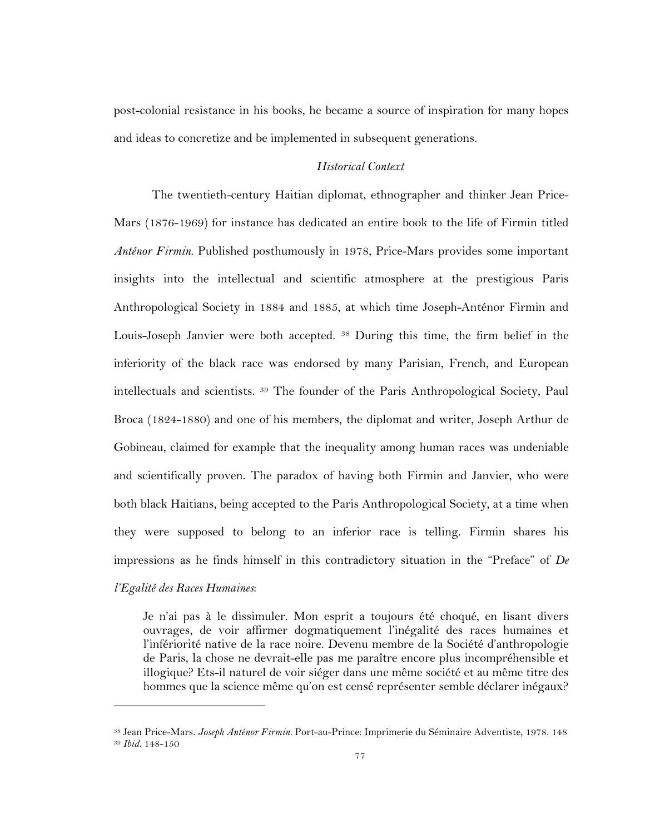post-colonial resistance in his books, he became a source of inspiration for many hopes and ideas to concretize and be implemented in subsequent generations.

# *Historical Context*

The twentieth-century Haitian diplomat, ethnographer and thinker Jean Price-Mars (1876-1969) for instance has dedicated an entire book to the life of Firmin titled *Anténor Firmin*. Published posthumously in 1978, Price-Mars provides some important insights into the intellectual and scientific atmosphere at the prestigious Paris Anthropological Society in 1884 and 1885, at which time Joseph-Anténor Firmin and Louis-Joseph Janvier were both accepted. 38 During this time, the firm belief in the inferiority of the black race was endorsed by many Parisian, French, and European intellectuals and scientists. 39 The founder of the Paris Anthropological Society, Paul Broca (1824-1880) and one of his members, the diplomat and writer, Joseph Arthur de Gobineau, claimed for example that the inequality among human races was undeniable and scientifically proven. The paradox of having both Firmin and Janvier, who were both black Haitians, being accepted to the Paris Anthropological Society, at a time when they were supposed to belong to an inferior race is telling. Firmin shares his impressions as he finds himself in this contradictory situation in the "Preface" of *De l'Egalité des Races Humaines*:

Je n'ai pas à le dissimuler. Mon esprit a toujours été choqué, en lisant divers ouvrages, de voir affirmer dogmatiquement l'inégalité des races humaines et l'infériorité native de la race noire. Devenu membre de la Société d'anthropologie de Paris, la chose ne devrait-elle pas me paraître encore plus incompréhensible et illogique? Ets-il naturel de voir siéger dans une même société et au même titre des hommes que la science même qu'on est censé représenter semble déclarer inégaux?

<sup>38</sup> Jean Price-Mars. *Joseph Anténor Firmin.* Port-au-Prince: Imprimerie du Séminaire Adventiste, 1978. 148 <sup>39</sup> *Ibid.* 148-150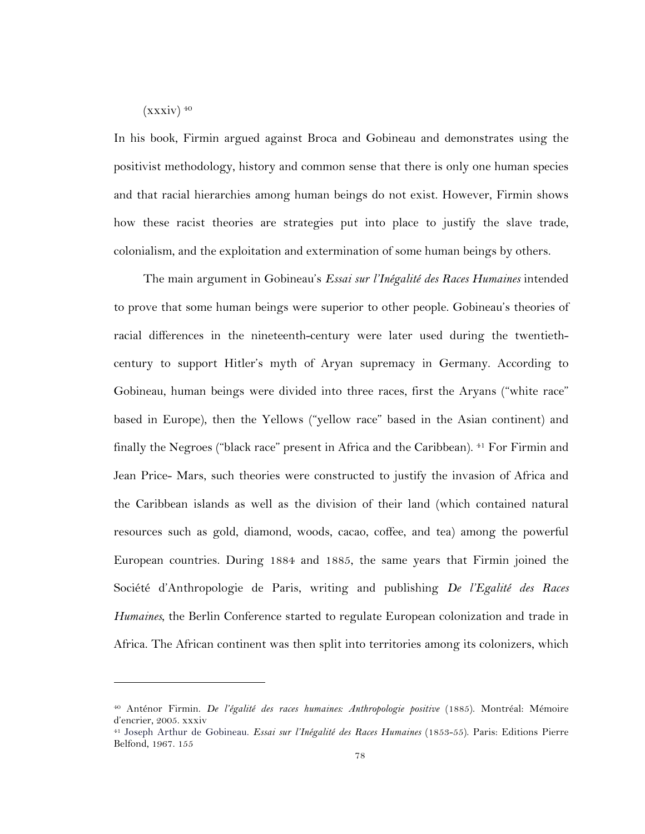$(xxxiv)$ <sup>40</sup>

 $\overline{a}$ 

In his book, Firmin argued against Broca and Gobineau and demonstrates using the positivist methodology, history and common sense that there is only one human species and that racial hierarchies among human beings do not exist. However, Firmin shows how these racist theories are strategies put into place to justify the slave trade, colonialism, and the exploitation and extermination of some human beings by others.

The main argument in Gobineau's *Essai sur l'Inégalité des Races Humaines* intended to prove that some human beings were superior to other people. Gobineau's theories of racial differences in the nineteenth-century were later used during the twentiethcentury to support Hitler's myth of Aryan supremacy in Germany. According to Gobineau, human beings were divided into three races, first the Aryans ("white race" based in Europe), then the Yellows ("yellow race" based in the Asian continent) and finally the Negroes ("black race" present in Africa and the Caribbean). <sup>41</sup> For Firmin and Jean Price- Mars, such theories were constructed to justify the invasion of Africa and the Caribbean islands as well as the division of their land (which contained natural resources such as gold, diamond, woods, cacao, coffee, and tea) among the powerful European countries. During 1884 and 1885, the same years that Firmin joined the Société d'Anthropologie de Paris, writing and publishing *De l'Egalité des Races Humaines*, the Berlin Conference started to regulate European colonization and trade in Africa. The African continent was then split into territories among its colonizers, which

<sup>40</sup> Anténor Firmin. *De l'égalité des races humaines: Anthropologie positive* (1885). Montréal: Mémoire d'encrier, 2005. xxxiv

<sup>41</sup> Joseph Arthur de Gobineau. *Essai sur l'Inégalité des Races Humaines* (1853-55). Paris: Editions Pierre Belfond, 1967. 155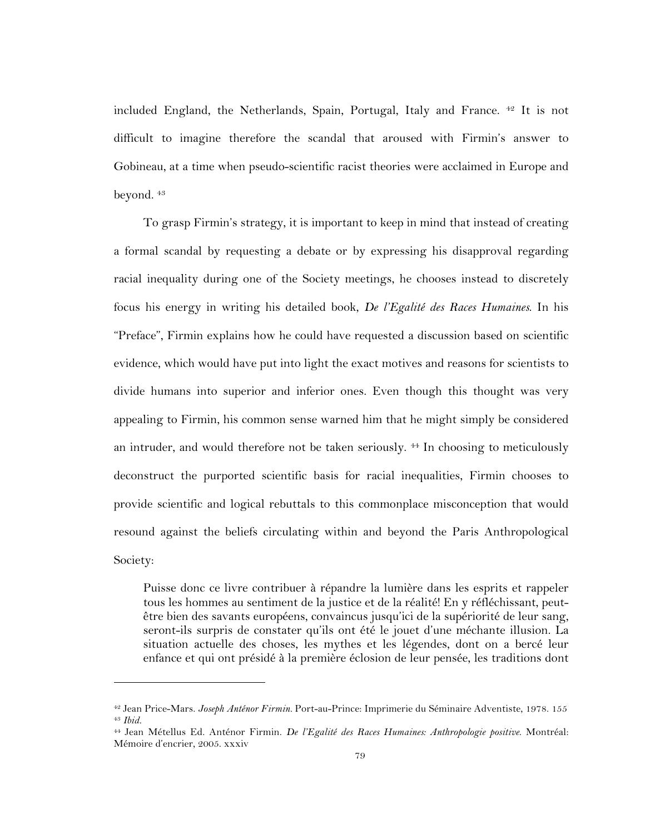included England, the Netherlands, Spain, Portugal, Italy and France. <sup>42</sup> It is not difficult to imagine therefore the scandal that aroused with Firmin's answer to Gobineau, at a time when pseudo-scientific racist theories were acclaimed in Europe and beyond. 43

To grasp Firmin's strategy, it is important to keep in mind that instead of creating a formal scandal by requesting a debate or by expressing his disapproval regarding racial inequality during one of the Society meetings, he chooses instead to discretely focus his energy in writing his detailed book, *De l'Egalité des Races Humaines*. In his "Preface", Firmin explains how he could have requested a discussion based on scientific evidence, which would have put into light the exact motives and reasons for scientists to divide humans into superior and inferior ones. Even though this thought was very appealing to Firmin, his common sense warned him that he might simply be considered an intruder, and would therefore not be taken seriously. 44 In choosing to meticulously deconstruct the purported scientific basis for racial inequalities, Firmin chooses to provide scientific and logical rebuttals to this commonplace misconception that would resound against the beliefs circulating within and beyond the Paris Anthropological Society:

Puisse donc ce livre contribuer à répandre la lumière dans les esprits et rappeler tous les hommes au sentiment de la justice et de la réalité! En y réfléchissant, peutêtre bien des savants européens, convaincus jusqu'ici de la supériorité de leur sang, seront-ils surpris de constater qu'ils ont été le jouet d'une méchante illusion. La situation actuelle des choses, les mythes et les légendes, dont on a bercé leur enfance et qui ont présidé à la première éclosion de leur pensée, les traditions dont

<sup>42</sup> Jean Price-Mars. *Joseph Anténor Firmin.* Port-au-Prince: Imprimerie du Séminaire Adventiste, 1978. 155 <sup>43</sup> *Ibid.* 

<sup>44</sup> Jean Métellus Ed. Anténor Firmin. *De l'Egalité des Races Humaines: Anthropologie positive*. Montréal: Mémoire d'encrier, 2005. xxxiv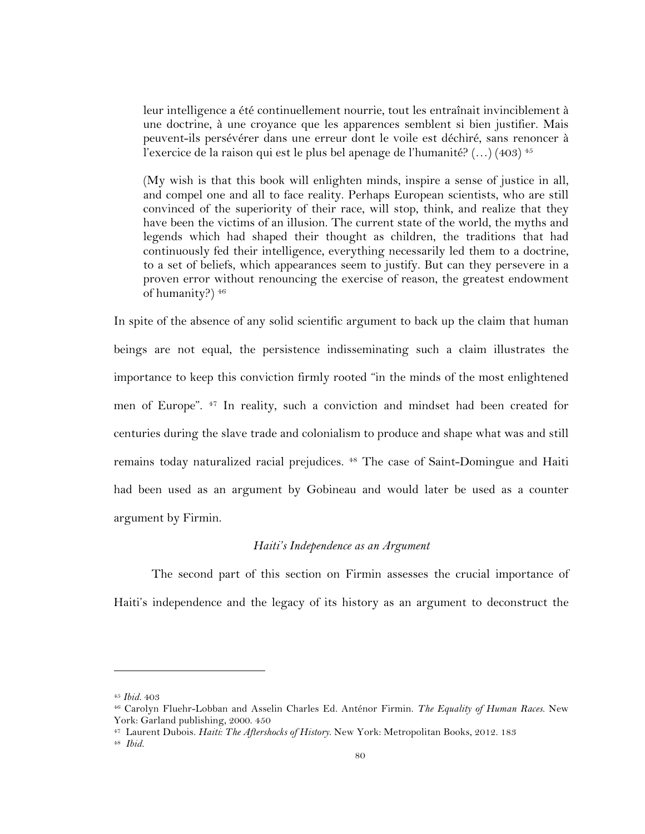leur intelligence a été continuellement nourrie, tout les entraînait invinciblement à une doctrine, à une croyance que les apparences semblent si bien justifier. Mais peuvent-ils persévérer dans une erreur dont le voile est déchiré, sans renoncer à l'exercice de la raison qui est le plus bel apenage de l'humanité?  $(...)$  (403)<sup>45</sup>

(My wish is that this book will enlighten minds, inspire a sense of justice in all, and compel one and all to face reality. Perhaps European scientists, who are still convinced of the superiority of their race, will stop, think, and realize that they have been the victims of an illusion. The current state of the world, the myths and legends which had shaped their thought as children, the traditions that had continuously fed their intelligence, everything necessarily led them to a doctrine, to a set of beliefs, which appearances seem to justify. But can they persevere in a proven error without renouncing the exercise of reason, the greatest endowment of humanity?) 46

In spite of the absence of any solid scientific argument to back up the claim that human beings are not equal, the persistence indisseminating such a claim illustrates the importance to keep this conviction firmly rooted "in the minds of the most enlightened men of Europe". 47 In reality, such a conviction and mindset had been created for centuries during the slave trade and colonialism to produce and shape what was and still remains today naturalized racial prejudices. 48 The case of Saint-Domingue and Haiti had been used as an argument by Gobineau and would later be used as a counter argument by Firmin.

#### *Haiti's Independence as an Argument*

The second part of this section on Firmin assesses the crucial importance of Haiti's independence and the legacy of its history as an argument to deconstruct the

<sup>45</sup> *Ibid.* 403

<sup>46</sup> Carolyn Fluehr-Lobban and Asselin Charles Ed. Anténor Firmin. *The Equality of Human Races.* New York: Garland publishing, 2000. 450

<sup>47</sup> Laurent Dubois. *Haiti: The Aftershocks of History*. New York: Metropolitan Books, 2012. 183

<sup>48</sup> *Ibid.*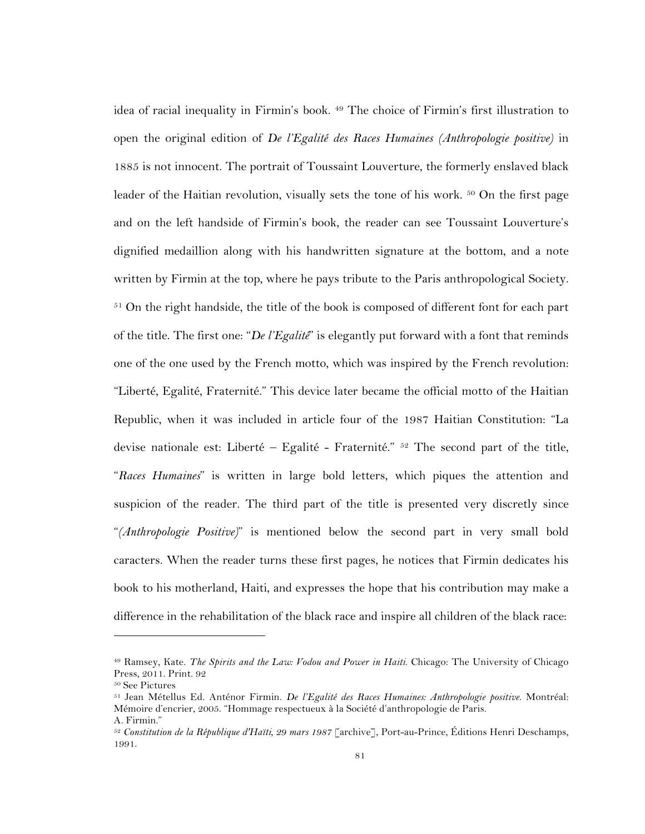idea of racial inequality in Firmin's book. 49 The choice of Firmin's first illustration to open the original edition of *De l'Egalité des Races Humaines (Anthropologie positive)* in 1885 is not innocent. The portrait of Toussaint Louverture, the formerly enslaved black leader of the Haitian revolution, visually sets the tone of his work. <sup>50</sup> On the first page and on the left handside of Firmin's book, the reader can see Toussaint Louverture's dignified medaillion along with his handwritten signature at the bottom, and a note written by Firmin at the top, where he pays tribute to the Paris anthropological Society. <sup>51</sup> On the right handside, the title of the book is composed of different font for each part of the title. The first one: "*De l'Egalité*" is elegantly put forward with a font that reminds one of the one used by the French motto, which was inspired by the French revolution: "Liberté, Egalité, Fraternité." This device later became the official motto of the Haitian Republic, when it was included in article four of the 1987 Haitian Constitution: "La devise nationale est: Liberté - Egalité - Fraternité."  $52$  The second part of the title, "*Races Humaines*" is written in large bold letters, which piques the attention and suspicion of the reader. The third part of the title is presented very discretly since "*(Anthropologie Positive)*" is mentioned below the second part in very small bold caracters. When the reader turns these first pages, he notices that Firmin dedicates his book to his motherland, Haiti, and expresses the hope that his contribution may make a difference in the rehabilitation of the black race and inspire all children of the black race:

<sup>49</sup> Ramsey, Kate. *The Spirits and the Law: Vodou and Power in Haiti*. Chicago: The University of Chicago Press, 2011. Print. 92<br>50 See Pictures

<sup>&</sup>lt;sup>51</sup> Jean Métellus Ed. Anténor Firmin. *De l'Egalité des Races Humaines: Anthropologie positive*. Montréal: Mémoire d'encrier, 2005. "Hommage respectueux à la Société d'anthropologie de Paris. A. Firmin."

<sup>52</sup> *Constitution de la République d'Haïti, 29 mars 1987* [archive], Port-au-Prince, Éditions Henri Deschamps, 1991.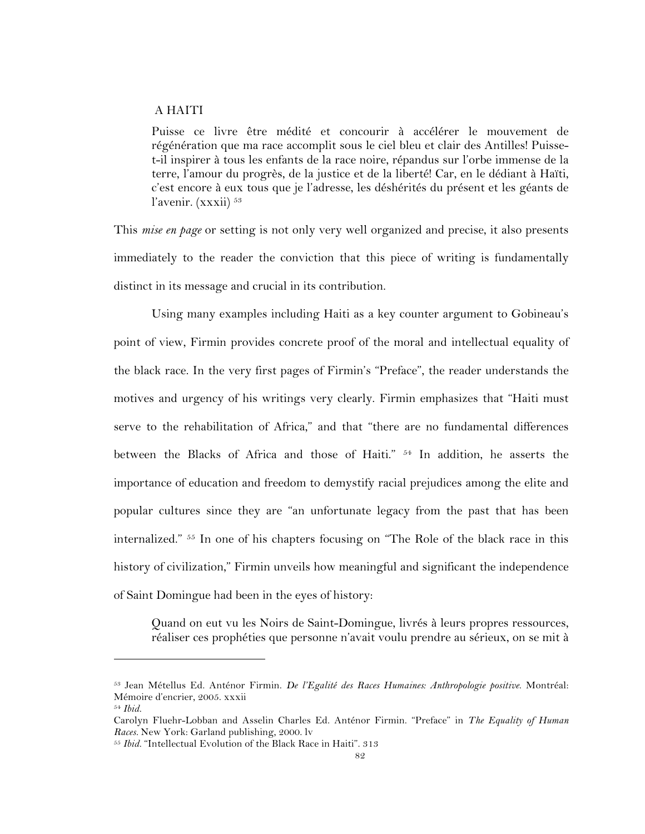### A HAITI

Puisse ce livre être médité et concourir à accélérer le mouvement de régénération que ma race accomplit sous le ciel bleu et clair des Antilles! Puisset-il inspirer à tous les enfants de la race noire, répandus sur l'orbe immense de la terre, l'amour du progrès, de la justice et de la liberté! Car, en le dédiant à Haïti, c'est encore à eux tous que je l'adresse, les déshérités du présent et les géants de l'avenir. (xxxii) 53

This *mise en page* or setting is not only very well organized and precise, it also presents immediately to the reader the conviction that this piece of writing is fundamentally distinct in its message and crucial in its contribution.

Using many examples including Haiti as a key counter argument to Gobineau's point of view, Firmin provides concrete proof of the moral and intellectual equality of the black race. In the very first pages of Firmin's "Preface", the reader understands the motives and urgency of his writings very clearly. Firmin emphasizes that "Haiti must serve to the rehabilitation of Africa," and that "there are no fundamental differences between the Blacks of Africa and those of Haiti." 54 In addition, he asserts the importance of education and freedom to demystify racial prejudices among the elite and popular cultures since they are "an unfortunate legacy from the past that has been internalized." 55 In one of his chapters focusing on "The Role of the black race in this history of civilization," Firmin unveils how meaningful and significant the independence of Saint Domingue had been in the eyes of history:

Quand on eut vu les Noirs de Saint-Domingue, livrés à leurs propres ressources, réaliser ces prophéties que personne n'avait voulu prendre au sérieux, on se mit à

<sup>53</sup> Jean Métellus Ed. Anténor Firmin. *De l'Egalité des Races Humaines: Anthropologie positive*. Montréal: Mémoire d'encrier, 2005. xxxii

<sup>54</sup> *Ibid.*

Carolyn Fluehr-Lobban and Asselin Charles Ed. Anténor Firmin. "Preface" in *The Equality of Human Races.* New York: Garland publishing, 2000. lv

<sup>55</sup> *Ibid.* "Intellectual Evolution of the Black Race in Haiti". 313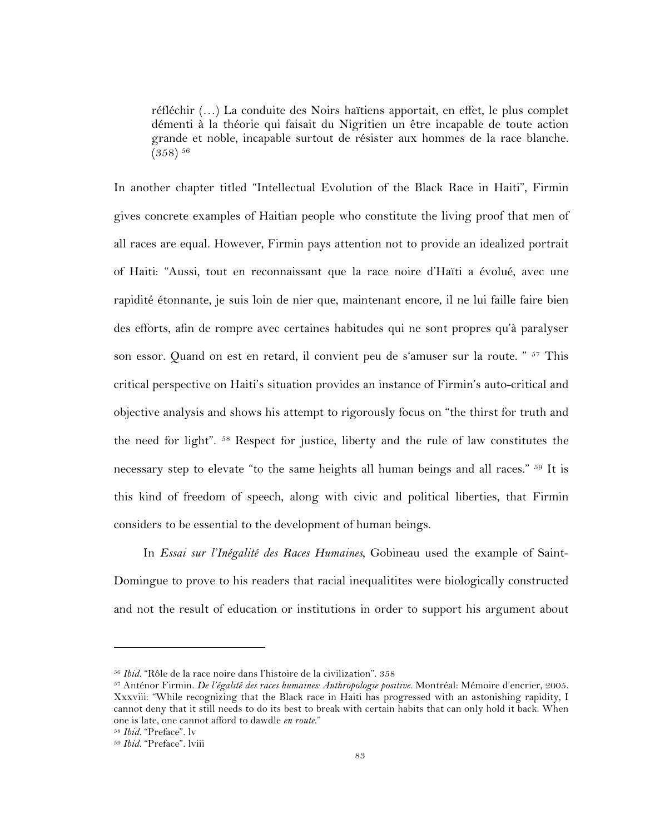réfléchir (…) La conduite des Noirs haïtiens apportait, en effet, le plus complet démenti à la théorie qui faisait du Nigritien un être incapable de toute action grande et noble, incapable surtout de résister aux hommes de la race blanche.  $(358)$ <sup>56</sup>

In another chapter titled "Intellectual Evolution of the Black Race in Haiti", Firmin gives concrete examples of Haitian people who constitute the living proof that men of all races are equal. However, Firmin pays attention not to provide an idealized portrait of Haiti: "Aussi, tout en reconnaissant que la race noire d'Haïti a évolué, avec une rapidité étonnante, je suis loin de nier que, maintenant encore, il ne lui faille faire bien des efforts, afin de rompre avec certaines habitudes qui ne sont propres qu'à paralyser son essor. Quand on est en retard, il convient peu de s'amuser sur la route. " <sup>57</sup> This critical perspective on Haiti's situation provides an instance of Firmin's auto-critical and objective analysis and shows his attempt to rigorously focus on "the thirst for truth and the need for light". 58 Respect for justice, liberty and the rule of law constitutes the necessary step to elevate "to the same heights all human beings and all races." 59 It is this kind of freedom of speech, along with civic and political liberties, that Firmin considers to be essential to the development of human beings.

In *Essai sur l'Inégalité des Races Humaines,* Gobineau used the example of Saint-Domingue to prove to his readers that racial inequalitites were biologically constructed and not the result of education or institutions in order to support his argument about

<sup>56</sup> *Ibid.* "Rôle de la race noire dans l'histoire de la civilization". 358

<sup>57</sup> Anténor Firmin. *De l'égalité des races humaines: Anthropologie positive*. Montréal: Mémoire d'encrier, 2005. Xxxviii: "While recognizing that the Black race in Haiti has progressed with an astonishing rapidity, I cannot deny that it still needs to do its best to break with certain habits that can only hold it back. When one is late, one cannot afford to dawdle *en route*."

<sup>58</sup> *Ibid.* "Preface". lv

<sup>59</sup> *Ibid.* "Preface". lviii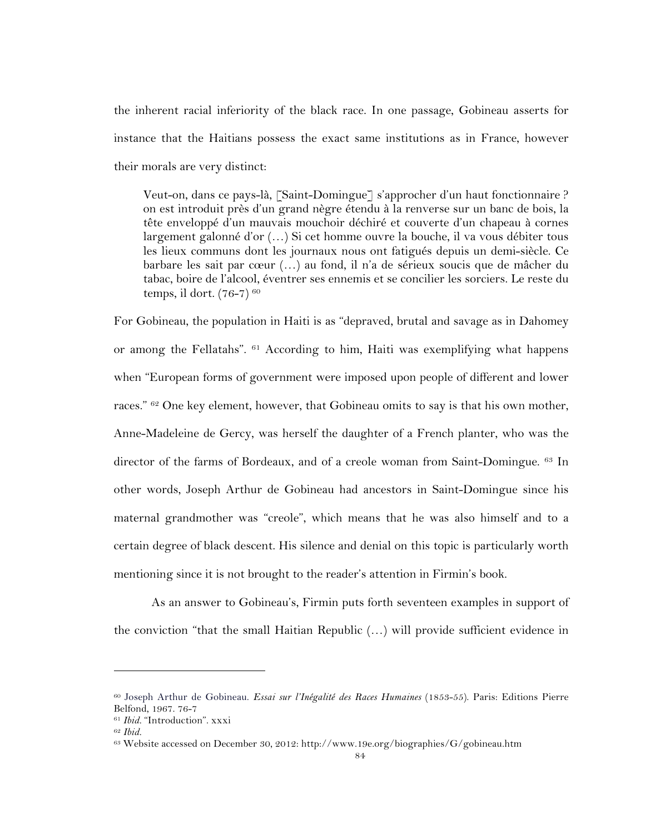the inherent racial inferiority of the black race. In one passage, Gobineau asserts for instance that the Haitians possess the exact same institutions as in France, however their morals are very distinct:

Veut-on, dans ce pays-là, [Saint-Domingue] s'approcher d'un haut fonctionnaire ? on est introduit près d'un grand nègre étendu à la renverse sur un banc de bois, la tête enveloppé d'un mauvais mouchoir déchiré et couverte d'un chapeau à cornes largement galonné d'or (…) Si cet homme ouvre la bouche, il va vous débiter tous les lieux communs dont les journaux nous ont fatigués depuis un demi-siècle. Ce barbare les sait par cœur (…) au fond, il n'a de sérieux soucis que de mâcher du tabac, boire de l'alcool, éventrer ses ennemis et se concilier les sorciers. Le reste du temps, il dort.  $(76-7)^{60}$ 

For Gobineau, the population in Haiti is as "depraved, brutal and savage as in Dahomey or among the Fellatahs". 61 According to him, Haiti was exemplifying what happens when "European forms of government were imposed upon people of different and lower races." <sup>62</sup> One key element, however, that Gobineau omits to say is that his own mother, Anne-Madeleine de Gercy, was herself the daughter of a French planter, who was the director of the farms of Bordeaux, and of a creole woman from Saint-Domingue. 63 In other words, Joseph Arthur de Gobineau had ancestors in Saint-Domingue since his maternal grandmother was "creole", which means that he was also himself and to a certain degree of black descent. His silence and denial on this topic is particularly worth mentioning since it is not brought to the reader's attention in Firmin's book.

As an answer to Gobineau's, Firmin puts forth seventeen examples in support of the conviction "that the small Haitian Republic (…) will provide sufficient evidence in

<sup>60</sup> Joseph Arthur de Gobineau. *Essai sur l'Inégalité des Races Humaines* (1853-55). Paris: Editions Pierre Belfond, 1967. 76-7

<sup>61</sup> *Ibid.* "Introduction". xxxi

<sup>62</sup> *Ibid.*

<sup>63</sup> Website accessed on December 30, 2012: http://www.19e.org/biographies/G/gobineau.htm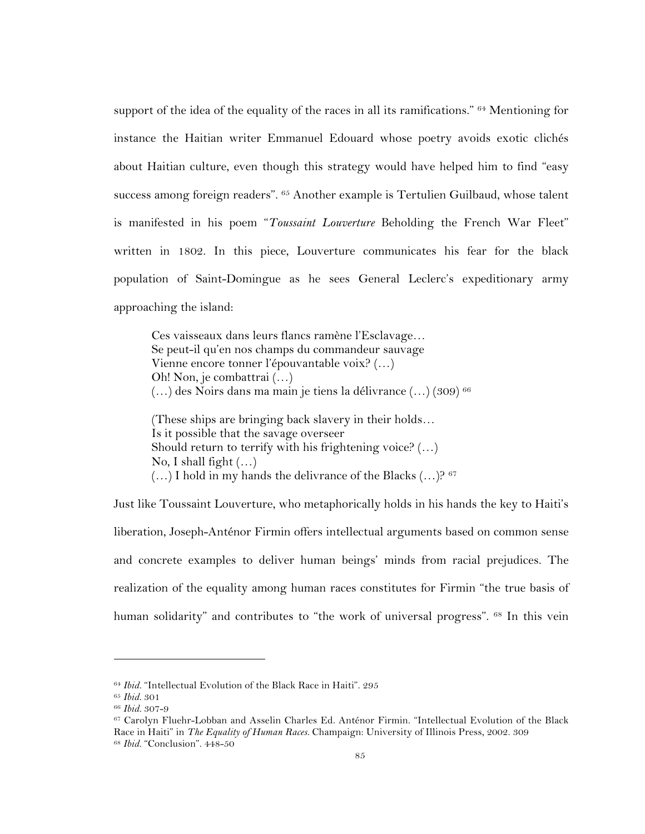support of the idea of the equality of the races in all its ramifications." <sup>64</sup> Mentioning for instance the Haitian writer Emmanuel Edouard whose poetry avoids exotic clichés about Haitian culture, even though this strategy would have helped him to find "easy success among foreign readers". 65 Another example is Tertulien Guilbaud, whose talent is manifested in his poem "*Toussaint Louverture* Beholding the French War Fleet" written in 1802. In this piece, Louverture communicates his fear for the black population of Saint-Domingue as he sees General Leclerc's expeditionary army approaching the island:

Ces vaisseaux dans leurs flancs ramène l'Esclavage… Se peut-il qu'en nos champs du commandeur sauvage Vienne encore tonner l'épouvantable voix? (…) Oh! Non, je combattrai (…) (…) des Noirs dans ma main je tiens la délivrance (…) (309) 66

(These ships are bringing back slavery in their holds… Is it possible that the savage overseer Should return to terrify with his frightening voice? (...) No, I shall fight  $(...)$  $(...)$  I hold in my hands the delivrance of the Blacks  $(...)$ ?  $67$ 

Just like Toussaint Louverture, who metaphorically holds in his hands the key to Haiti's liberation, Joseph-Anténor Firmin offers intellectual arguments based on common sense and concrete examples to deliver human beings' minds from racial prejudices. The realization of the equality among human races constitutes for Firmin "the true basis of human solidarity" and contributes to "the work of universal progress". <sup>68</sup> In this vein

<sup>64</sup> *Ibid.* "Intellectual Evolution of the Black Race in Haiti". 295

<sup>65</sup> *Ibid.* 301

<sup>66</sup> *Ibid.* 307-9

<sup>67</sup> Carolyn Fluehr-Lobban and Asselin Charles Ed. Anténor Firmin. "Intellectual Evolution of the Black Race in Haiti" in *The Equality of Human Races.* Champaign: University of Illinois Press, 2002. 309 <sup>68</sup> *Ibid.* "Conclusion". 448-50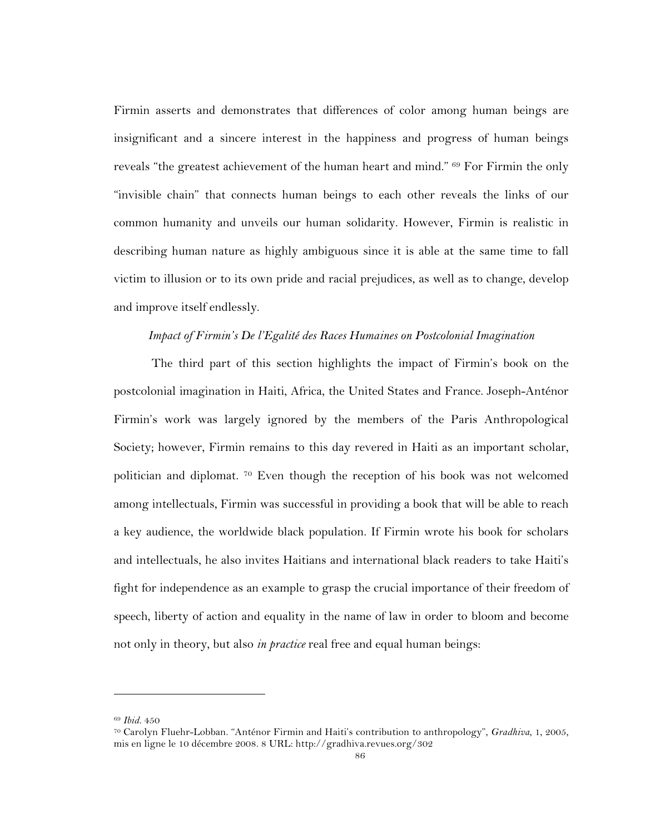Firmin asserts and demonstrates that differences of color among human beings are insignificant and a sincere interest in the happiness and progress of human beings reveals "the greatest achievement of the human heart and mind." <sup>69</sup> For Firmin the only "invisible chain" that connects human beings to each other reveals the links of our common humanity and unveils our human solidarity. However, Firmin is realistic in describing human nature as highly ambiguous since it is able at the same time to fall victim to illusion or to its own pride and racial prejudices, as well as to change, develop and improve itself endlessly.

#### *Impact of Firmin's De l'Egalité des Races Humaines on Postcolonial Imagination*

The third part of this section highlights the impact of Firmin's book on the postcolonial imagination in Haiti, Africa, the United States and France. Joseph-Anténor Firmin's work was largely ignored by the members of the Paris Anthropological Society; however, Firmin remains to this day revered in Haiti as an important scholar, politician and diplomat. 70 Even though the reception of his book was not welcomed among intellectuals, Firmin was successful in providing a book that will be able to reach a key audience, the worldwide black population. If Firmin wrote his book for scholars and intellectuals, he also invites Haitians and international black readers to take Haiti's fight for independence as an example to grasp the crucial importance of their freedom of speech, liberty of action and equality in the name of law in order to bloom and become not only in theory, but also *in practice* real free and equal human beings:

<sup>69</sup> *Ibid.* 450

<sup>70</sup> Carolyn Fluehr-Lobban. "Anténor Firmin and Haiti's contribution to anthropology", *Gradhiva*, 1, 2005, mis en ligne le 10 décembre 2008. 8 URL: http://gradhiva.revues.org/302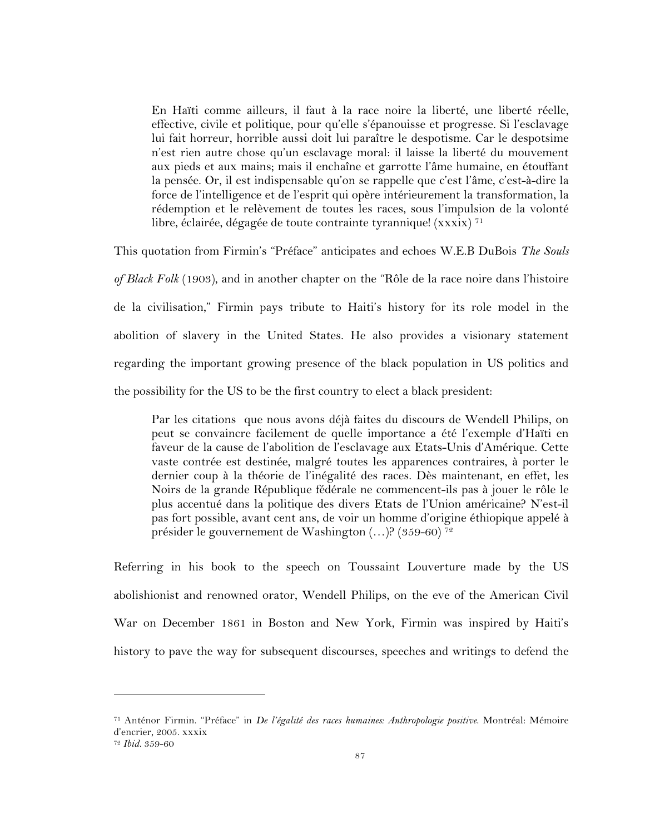En Haïti comme ailleurs, il faut à la race noire la liberté, une liberté réelle, effective, civile et politique, pour qu'elle s'épanouisse et progresse. Si l'esclavage lui fait horreur, horrible aussi doit lui paraître le despotisme. Car le despotsime n'est rien autre chose qu'un esclavage moral: il laisse la liberté du mouvement aux pieds et aux mains; mais il enchaîne et garrotte l'âme humaine, en étouffant la pensée. Or, il est indispensable qu'on se rappelle que c'est l'âme, c'est-à-dire la force de l'intelligence et de l'esprit qui opère intérieurement la transformation, la rédemption et le relèvement de toutes les races, sous l'impulsion de la volonté libre, éclairée, dégagée de toute contrainte tyrannique! (xxxix) <sup>71</sup>

This quotation from Firmin's "Préface" anticipates and echoes W.E.B DuBois *The Souls of Black Folk* (1903), and in another chapter on the "Rôle de la race noire dans l'histoire de la civilisation," Firmin pays tribute to Haiti's history for its role model in the abolition of slavery in the United States. He also provides a visionary statement regarding the important growing presence of the black population in US politics and the possibility for the US to be the first country to elect a black president:

Par les citations que nous avons déjà faites du discours de Wendell Philips, on peut se convaincre facilement de quelle importance a été l'exemple d'Haïti en faveur de la cause de l'abolition de l'esclavage aux Etats-Unis d'Amérique. Cette vaste contrée est destinée, malgré toutes les apparences contraires, à porter le dernier coup à la théorie de l'inégalité des races. Dès maintenant, en effet, les Noirs de la grande République fédérale ne commencent-ils pas à jouer le rôle le plus accentué dans la politique des divers Etats de l'Union américaine? N'est-il pas fort possible, avant cent ans, de voir un homme d'origine éthiopique appelé à présider le gouvernement de Washington (…)? (359-60) 72

Referring in his book to the speech on Toussaint Louverture made by the US abolishionist and renowned orator, Wendell Philips, on the eve of the American Civil War on December 1861 in Boston and New York, Firmin was inspired by Haiti's history to pave the way for subsequent discourses, speeches and writings to defend the

<sup>71</sup> Anténor Firmin. "Préface" in *De l'égalité des races humaines: Anthropologie positive*. Montréal: Mémoire d'encrier, 2005. xxxix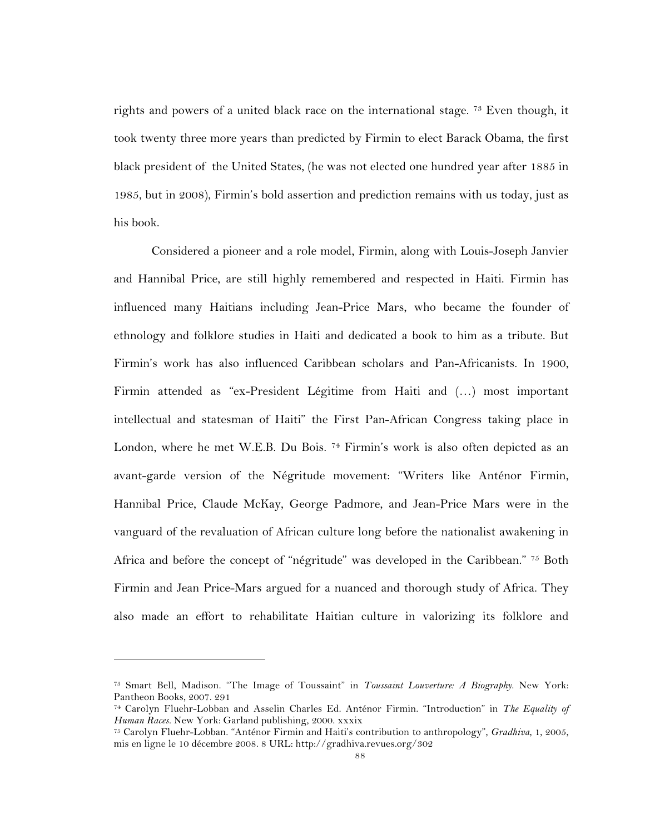rights and powers of a united black race on the international stage. <sup>73</sup> Even though, it took twenty three more years than predicted by Firmin to elect Barack Obama, the first black president of the United States, (he was not elected one hundred year after 1885 in 1985, but in 2008), Firmin's bold assertion and prediction remains with us today, just as his book.

Considered a pioneer and a role model, Firmin, along with Louis-Joseph Janvier and Hannibal Price, are still highly remembered and respected in Haiti. Firmin has influenced many Haitians including Jean-Price Mars, who became the founder of ethnology and folklore studies in Haiti and dedicated a book to him as a tribute. But Firmin's work has also influenced Caribbean scholars and Pan-Africanists. In 1900, Firmin attended as "ex-President Légitime from Haiti and (…) most important intellectual and statesman of Haiti" the First Pan-African Congress taking place in London, where he met W.E.B. Du Bois. <sup>74</sup> Firmin's work is also often depicted as an avant-garde version of the Négritude movement: "Writers like Anténor Firmin, Hannibal Price, Claude McKay, George Padmore, and Jean-Price Mars were in the vanguard of the revaluation of African culture long before the nationalist awakening in Africa and before the concept of "négritude" was developed in the Caribbean." <sup>75</sup> Both Firmin and Jean Price-Mars argued for a nuanced and thorough study of Africa. They also made an effort to rehabilitate Haitian culture in valorizing its folklore and

<sup>73</sup> Smart Bell, Madison. "The Image of Toussaint" in *Toussaint Louverture: A Biography*. New York: Pantheon Books, 2007. 291

<sup>74</sup> Carolyn Fluehr-Lobban and Asselin Charles Ed. Anténor Firmin. "Introduction" in *The Equality of Human Races.* New York: Garland publishing, 2000. xxxix

<sup>75</sup> Carolyn Fluehr-Lobban. "Anténor Firmin and Haiti's contribution to anthropology", *Gradhiva*, 1, 2005, mis en ligne le 10 décembre 2008. 8 URL: http://gradhiva.revues.org/302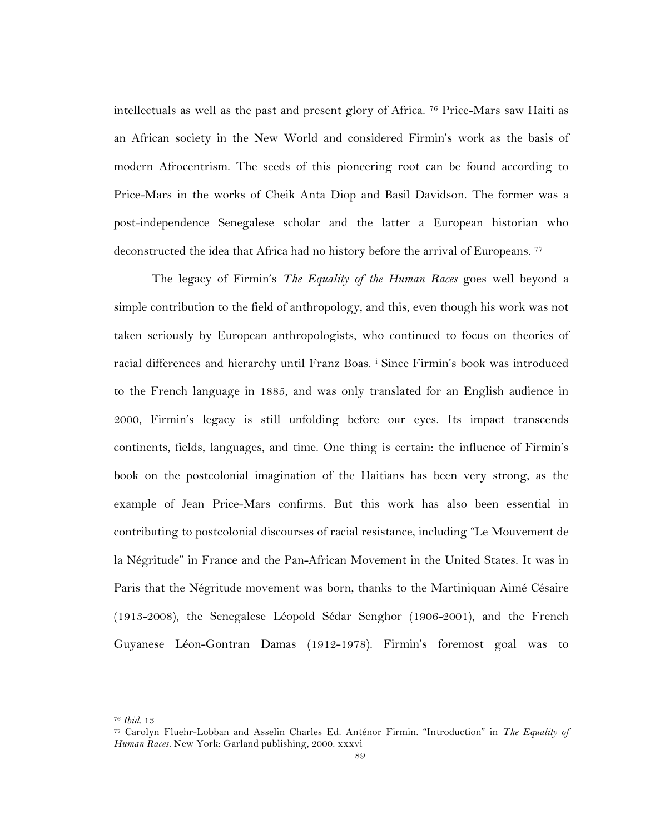intellectuals as well as the past and present glory of Africa. 76 Price-Mars saw Haiti as an African society in the New World and considered Firmin's work as the basis of modern Afrocentrism. The seeds of this pioneering root can be found according to Price-Mars in the works of Cheik Anta Diop and Basil Davidson. The former was a post-independence Senegalese scholar and the latter a European historian who deconstructed the idea that Africa had no history before the arrival of Europeans. 77

The legacy of Firmin's *The Equality of the Human Races* goes well beyond a simple contribution to the field of anthropology, and this, even though his work was not taken seriously by European anthropologists, who continued to focus on theories of racial differences and hierarchy until Franz Boas. <sup>i</sup> Since Firmin's book was introduced to the French language in 1885, and was only translated for an English audience in 2000, Firmin's legacy is still unfolding before our eyes. Its impact transcends continents, fields, languages, and time. One thing is certain: the influence of Firmin's book on the postcolonial imagination of the Haitians has been very strong, as the example of Jean Price-Mars confirms. But this work has also been essential in contributing to postcolonial discourses of racial resistance, including "Le Mouvement de la Négritude" in France and the Pan-African Movement in the United States. It was in Paris that the Négritude movement was born, thanks to the Martiniquan Aimé Césaire (1913-2008), the Senegalese Léopold Sédar Senghor (1906-2001), and the French Guyanese Léon-Gontran Damas (1912-1978). Firmin's foremost goal was to

<sup>76</sup> *Ibid.* 13

<sup>77</sup> Carolyn Fluehr-Lobban and Asselin Charles Ed. Anténor Firmin. "Introduction" in *The Equality of Human Races.* New York: Garland publishing, 2000. xxxvi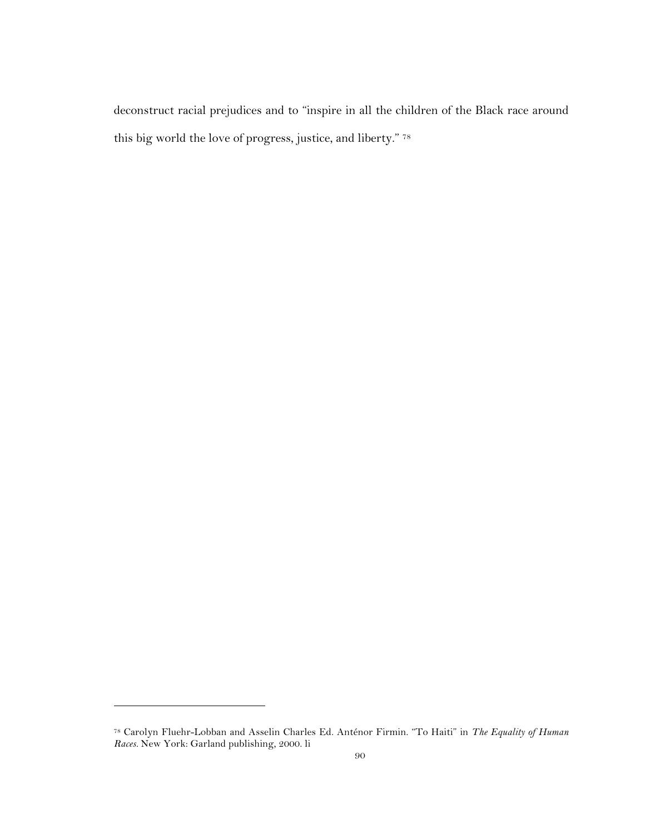deconstruct racial prejudices and to "inspire in all the children of the Black race around this big world the love of progress, justice, and liberty." 78

<sup>78</sup> Carolyn Fluehr-Lobban and Asselin Charles Ed. Anténor Firmin. "To Haiti" in *The Equality of Human Races.* New York: Garland publishing, 2000. li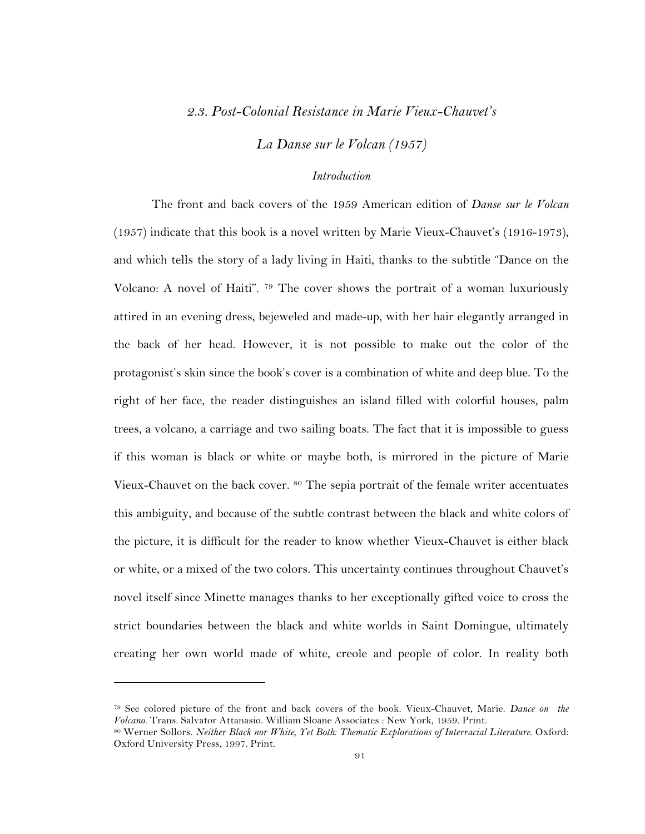## *2.3. Post-Colonial Resistance in Marie Vieux-Chauvet's*

*La Danse sur le Volcan (1957)*

# *Introduction*

The front and back covers of the 1959 American edition of *Danse sur le Volcan* (1957) indicate that this book is a novel written by Marie Vieux-Chauvet's (1916-1973), and which tells the story of a lady living in Haiti, thanks to the subtitle "Dance on the Volcano: A novel of Haiti". 79 The cover shows the portrait of a woman luxuriously attired in an evening dress, bejeweled and made-up, with her hair elegantly arranged in the back of her head. However, it is not possible to make out the color of the protagonist's skin since the book's cover is a combination of white and deep blue. To the right of her face, the reader distinguishes an island filled with colorful houses, palm trees, a volcano, a carriage and two sailing boats. The fact that it is impossible to guess if this woman is black or white or maybe both, is mirrored in the picture of Marie Vieux-Chauvet on the back cover. <sup>80</sup> The sepia portrait of the female writer accentuates this ambiguity, and because of the subtle contrast between the black and white colors of the picture, it is difficult for the reader to know whether Vieux-Chauvet is either black or white, or a mixed of the two colors. This uncertainty continues throughout Chauvet's novel itself since Minette manages thanks to her exceptionally gifted voice to cross the strict boundaries between the black and white worlds in Saint Domingue, ultimately creating her own world made of white, creole and people of color. In reality both

<sup>79</sup> See colored picture of the front and back covers of the book. Vieux-Chauvet, Marie. *Dance on the Volcano*. Trans. Salvator Attanasio. William Sloane Associates : New York, 1959. Print. 80 Werner Sollors. *Neither Black nor White, Yet Both: Thematic Explorations of Interracial Literature*. Oxford:

Oxford University Press, 1997. Print.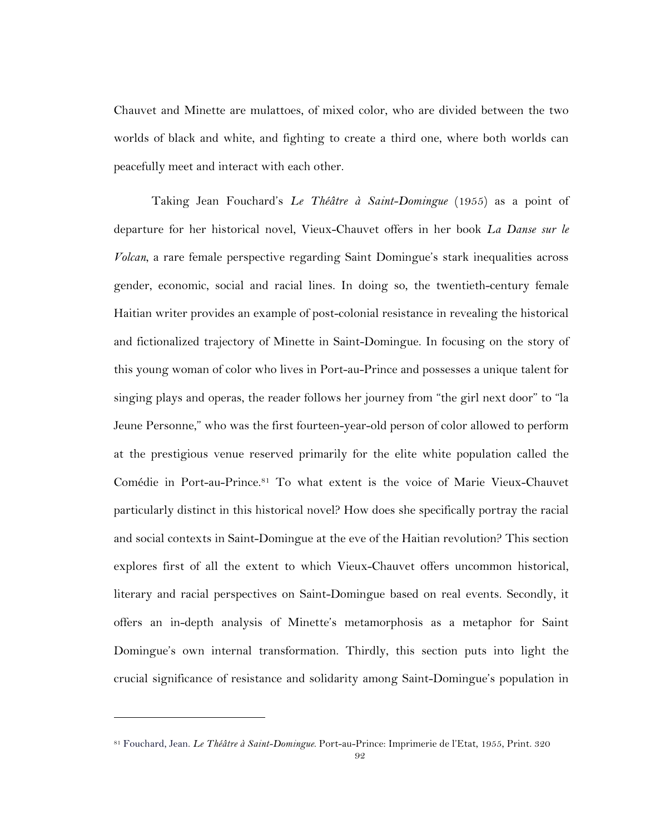Chauvet and Minette are mulattoes, of mixed color, who are divided between the two worlds of black and white, and fighting to create a third one, where both worlds can peacefully meet and interact with each other.

Taking Jean Fouchard's *Le Théâtre à Saint-Domingue* (1955) as a point of departure for her historical novel, Vieux-Chauvet offers in her book *La Danse sur le Volcan*, a rare female perspective regarding Saint Domingue's stark inequalities across gender, economic, social and racial lines. In doing so, the twentieth-century female Haitian writer provides an example of post-colonial resistance in revealing the historical and fictionalized trajectory of Minette in Saint-Domingue. In focusing on the story of this young woman of color who lives in Port-au-Prince and possesses a unique talent for singing plays and operas, the reader follows her journey from "the girl next door" to "la Jeune Personne," who was the first fourteen-year-old person of color allowed to perform at the prestigious venue reserved primarily for the elite white population called the Comédie in Port-au-Prince.<sup>81</sup> To what extent is the voice of Marie Vieux-Chauvet particularly distinct in this historical novel? How does she specifically portray the racial and social contexts in Saint-Domingue at the eve of the Haitian revolution? This section explores first of all the extent to which Vieux-Chauvet offers uncommon historical, literary and racial perspectives on Saint-Domingue based on real events. Secondly, it offers an in-depth analysis of Minette's metamorphosis as a metaphor for Saint Domingue's own internal transformation. Thirdly, this section puts into light the crucial significance of resistance and solidarity among Saint-Domingue's population in

<sup>81</sup> Fouchard, Jean. *Le Théâtre à Saint-Domingue*. Port-au-Prince: Imprimerie de l'Etat, 1955, Print. 320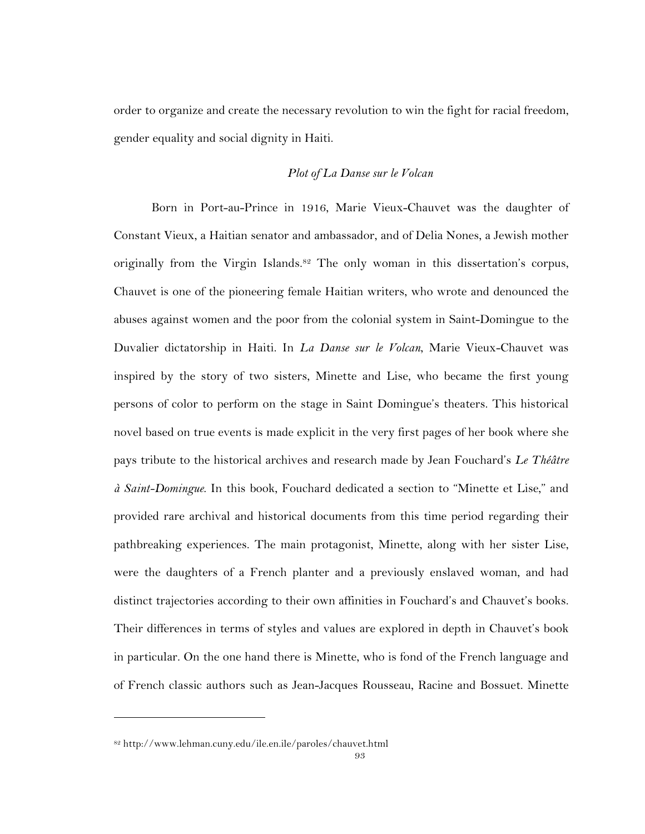order to organize and create the necessary revolution to win the fight for racial freedom, gender equality and social dignity in Haiti.

## *Plot of La Danse sur le Volcan*

Born in Port-au-Prince in 1916, Marie Vieux-Chauvet was the daughter of Constant Vieux, a Haitian senator and ambassador, and of Delia Nones, a Jewish mother originally from the Virgin Islands.82 The only woman in this dissertation's corpus, Chauvet is one of the pioneering female Haitian writers, who wrote and denounced the abuses against women and the poor from the colonial system in Saint-Domingue to the Duvalier dictatorship in Haiti. In *La Danse sur le Volcan*, Marie Vieux-Chauvet was inspired by the story of two sisters, Minette and Lise, who became the first young persons of color to perform on the stage in Saint Domingue's theaters. This historical novel based on true events is made explicit in the very first pages of her book where she pays tribute to the historical archives and research made by Jean Fouchard's *Le Théâtre à Saint-Domingue*. In this book, Fouchard dedicated a section to "Minette et Lise," and provided rare archival and historical documents from this time period regarding their pathbreaking experiences. The main protagonist, Minette, along with her sister Lise, were the daughters of a French planter and a previously enslaved woman, and had distinct trajectories according to their own affinities in Fouchard's and Chauvet's books. Their differences in terms of styles and values are explored in depth in Chauvet's book in particular. On the one hand there is Minette, who is fond of the French language and of French classic authors such as Jean-Jacques Rousseau, Racine and Bossuet. Minette

<sup>82</sup> http://www.lehman.cuny.edu/ile.en.ile/paroles/chauvet.html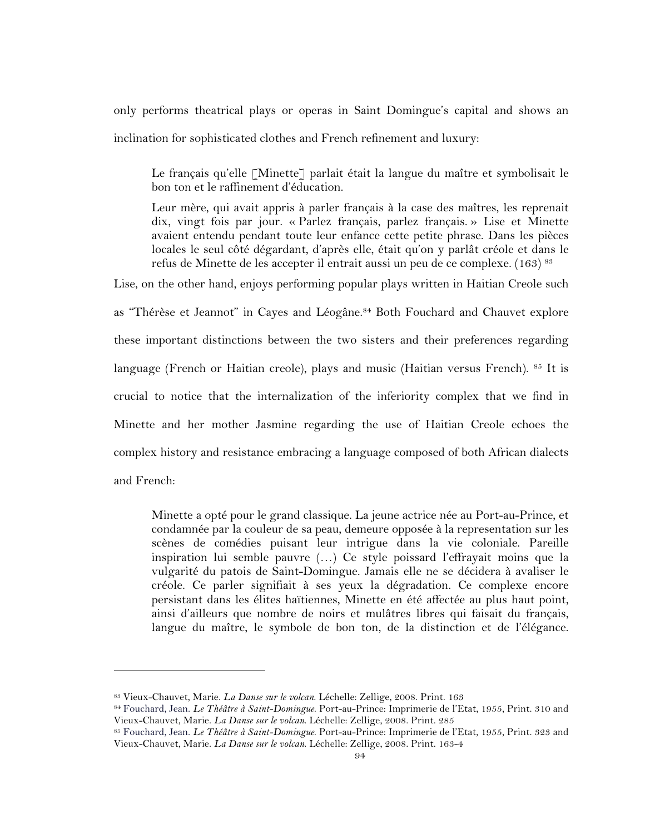only performs theatrical plays or operas in Saint Domingue's capital and shows an inclination for sophisticated clothes and French refinement and luxury:

Le français qu'elle [Minette] parlait était la langue du maître et symbolisait le bon ton et le raffinement d'éducation.

Leur mère, qui avait appris à parler français à la case des maîtres, les reprenait dix, vingt fois par jour. « Parlez français, parlez français. » Lise et Minette avaient entendu pendant toute leur enfance cette petite phrase. Dans les pièces locales le seul côté dégardant, d'après elle, était qu'on y parlât créole et dans le refus de Minette de les accepter il entrait aussi un peu de ce complexe. (163) <sup>83</sup>

Lise, on the other hand, enjoys performing popular plays written in Haitian Creole such as "Thérèse et Jeannot" in Cayes and Léogâne. <sup>84</sup> Both Fouchard and Chauvet explore these important distinctions between the two sisters and their preferences regarding language (French or Haitian creole), plays and music (Haitian versus French). 85 It is crucial to notice that the internalization of the inferiority complex that we find in Minette and her mother Jasmine regarding the use of Haitian Creole echoes the complex history and resistance embracing a language composed of both African dialects and French:

Minette a opté pour le grand classique. La jeune actrice née au Port-au-Prince, et condamnée par la couleur de sa peau, demeure opposée à la representation sur les scènes de comédies puisant leur intrigue dans la vie coloniale. Pareille inspiration lui semble pauvre (…) Ce style poissard l'effrayait moins que la vulgarité du patois de Saint-Domingue. Jamais elle ne se décidera à avaliser le créole. Ce parler signifiait à ses yeux la dégradation. Ce complexe encore persistant dans les élites haïtiennes, Minette en été affectée au plus haut point, ainsi d'ailleurs que nombre de noirs et mulâtres libres qui faisait du français, langue du maître, le symbole de bon ton, de la distinction et de l'élégance.

<sup>83</sup> Vieux-Chauvet, Marie. *La Danse sur le volcan*. Léchelle: Zellige, 2008. Print. 163

<sup>84</sup> Fouchard, Jean. *Le Théâtre à Saint-Domingue*. Port-au-Prince: Imprimerie de l'Etat, 1955, Print. 310 and Vieux-Chauvet, Marie. *La Danse sur le volcan*. Léchelle: Zellige, 2008. Print. 285

<sup>85</sup> Fouchard, Jean. *Le Théâtre à Saint-Domingue*. Port-au-Prince: Imprimerie de l'Etat, 1955, Print. 323 and Vieux-Chauvet, Marie. *La Danse sur le volcan*. Léchelle: Zellige, 2008. Print. 163-4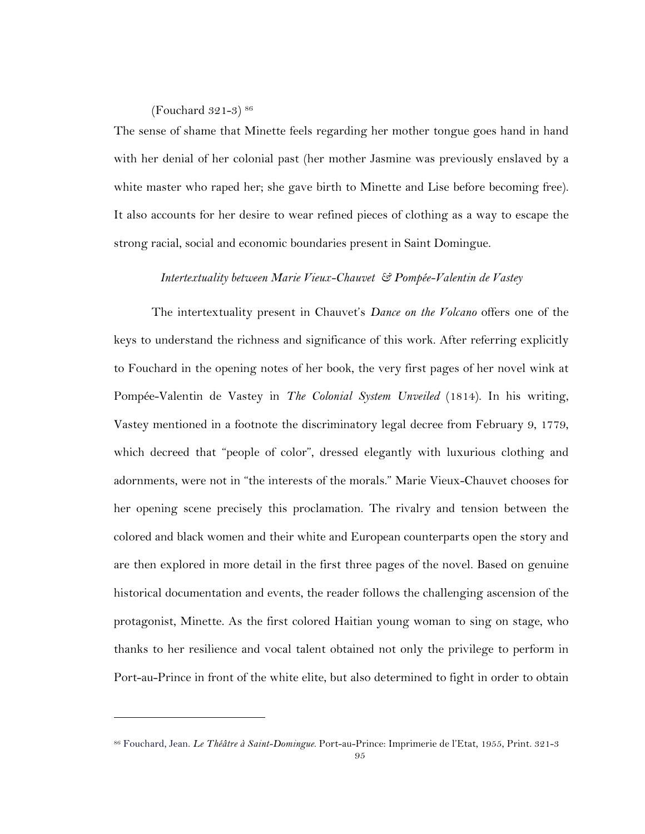(Fouchard 321-3) 86

 $\overline{a}$ 

The sense of shame that Minette feels regarding her mother tongue goes hand in hand with her denial of her colonial past (her mother Jasmine was previously enslaved by a white master who raped her; she gave birth to Minette and Lise before becoming free). It also accounts for her desire to wear refined pieces of clothing as a way to escape the strong racial, social and economic boundaries present in Saint Domingue.

### *Intertextuality between Marie Vieux-Chauvet & Pompée-Valentin de Vastey*

The intertextuality present in Chauvet's *Dance on the Volcano* offers one of the keys to understand the richness and significance of this work. After referring explicitly to Fouchard in the opening notes of her book, the very first pages of her novel wink at Pompée-Valentin de Vastey in *The Colonial System Unveiled* (1814). In his writing, Vastey mentioned in a footnote the discriminatory legal decree from February 9, 1779, which decreed that "people of color", dressed elegantly with luxurious clothing and adornments, were not in "the interests of the morals." Marie Vieux-Chauvet chooses for her opening scene precisely this proclamation. The rivalry and tension between the colored and black women and their white and European counterparts open the story and are then explored in more detail in the first three pages of the novel. Based on genuine historical documentation and events, the reader follows the challenging ascension of the protagonist, Minette. As the first colored Haitian young woman to sing on stage, who thanks to her resilience and vocal talent obtained not only the privilege to perform in Port-au-Prince in front of the white elite, but also determined to fight in order to obtain

<sup>86</sup> Fouchard, Jean. *Le Théâtre à Saint-Domingue*. Port-au-Prince: Imprimerie de l'Etat, 1955, Print. 321-3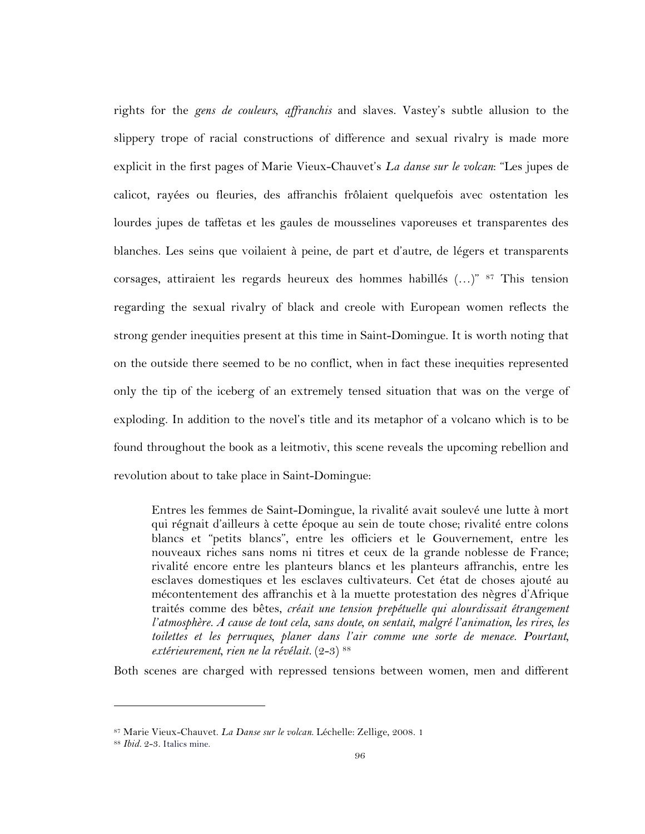rights for the *gens de couleurs*, *affranchis* and slaves. Vastey's subtle allusion to the slippery trope of racial constructions of difference and sexual rivalry is made more explicit in the first pages of Marie Vieux-Chauvet's *La danse sur le volcan*: "Les jupes de calicot, rayées ou fleuries, des affranchis frôlaient quelquefois avec ostentation les lourdes jupes de taffetas et les gaules de mousselines vaporeuses et transparentes des blanches. Les seins que voilaient à peine, de part et d'autre, de légers et transparents corsages, attiraient les regards heureux des hommes habillés (…)" <sup>87</sup> This tension regarding the sexual rivalry of black and creole with European women reflects the strong gender inequities present at this time in Saint-Domingue. It is worth noting that on the outside there seemed to be no conflict, when in fact these inequities represented only the tip of the iceberg of an extremely tensed situation that was on the verge of exploding. In addition to the novel's title and its metaphor of a volcano which is to be found throughout the book as a leitmotiv, this scene reveals the upcoming rebellion and revolution about to take place in Saint-Domingue:

Entres les femmes de Saint-Domingue, la rivalité avait soulevé une lutte à mort qui régnait d'ailleurs à cette époque au sein de toute chose; rivalité entre colons blancs et "petits blancs", entre les officiers et le Gouvernement, entre les nouveaux riches sans noms ni titres et ceux de la grande noblesse de France; rivalité encore entre les planteurs blancs et les planteurs affranchis, entre les esclaves domestiques et les esclaves cultivateurs. Cet état de choses ajouté au mécontentement des affranchis et à la muette protestation des nègres d'Afrique traités comme des bêtes, *créait une tension prepétuelle qui alourdissait étrangement l'atmosphère. A cause de tout cela, sans doute, on sentait, malgré l'animation, les rires, les toilettes et les perruques, planer dans l'air comme une sorte de menace. Pourtant, extérieurement, rien ne la révélait.* (2-3) 88

Both scenes are charged with repressed tensions between women, men and different

<sup>87</sup> Marie Vieux-Chauvet. *La Danse sur le volcan*. Léchelle: Zellige, 2008. 1

<sup>88</sup> *Ibid.* 2-3. Italics mine.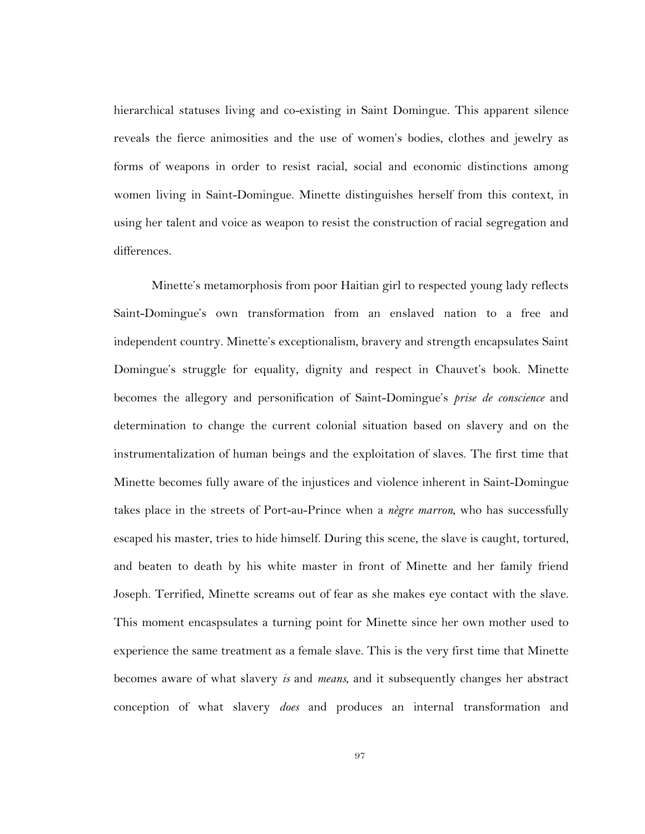hierarchical statuses living and co-existing in Saint Domingue. This apparent silence reveals the fierce animosities and the use of women's bodies, clothes and jewelry as forms of weapons in order to resist racial, social and economic distinctions among women living in Saint-Domingue. Minette distinguishes herself from this context, in using her talent and voice as weapon to resist the construction of racial segregation and differences.

Minette's metamorphosis from poor Haitian girl to respected young lady reflects Saint-Domingue's own transformation from an enslaved nation to a free and independent country. Minette's exceptionalism, bravery and strength encapsulates Saint Domingue's struggle for equality, dignity and respect in Chauvet's book. Minette becomes the allegory and personification of Saint-Domingue's *prise de conscience* and determination to change the current colonial situation based on slavery and on the instrumentalization of human beings and the exploitation of slaves. The first time that Minette becomes fully aware of the injustices and violence inherent in Saint-Domingue takes place in the streets of Port-au-Prince when a *nègre marron*, who has successfully escaped his master, tries to hide himself. During this scene, the slave is caught, tortured, and beaten to death by his white master in front of Minette and her family friend Joseph. Terrified, Minette screams out of fear as she makes eye contact with the slave. This moment encaspsulates a turning point for Minette since her own mother used to experience the same treatment as a female slave. This is the very first time that Minette becomes aware of what slavery *is* and *means*, and it subsequently changes her abstract conception of what slavery *does* and produces an internal transformation and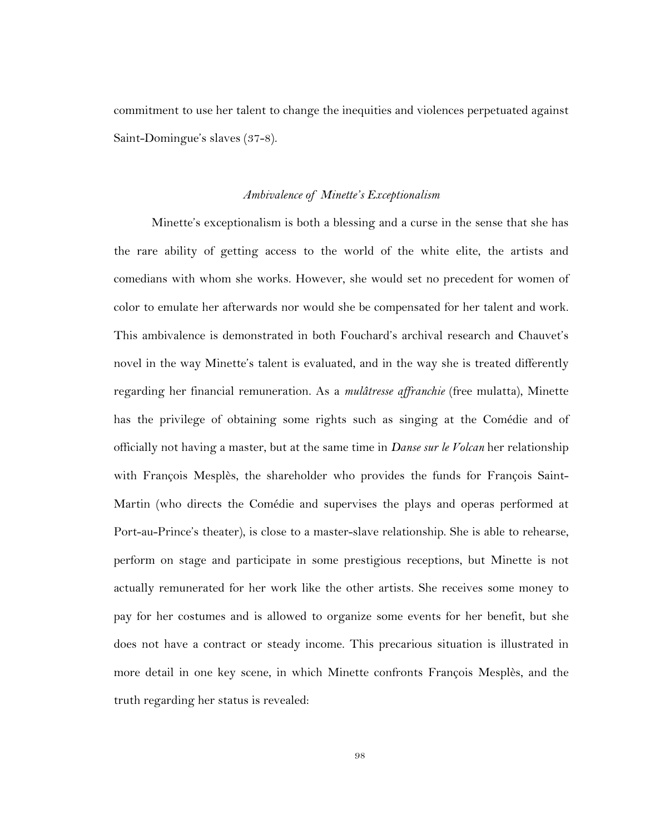commitment to use her talent to change the inequities and violences perpetuated against Saint-Domingue's slaves (37-8).

#### *Ambivalence of Minette's Exceptionalism*

Minette's exceptionalism is both a blessing and a curse in the sense that she has the rare ability of getting access to the world of the white elite, the artists and comedians with whom she works. However, she would set no precedent for women of color to emulate her afterwards nor would she be compensated for her talent and work. This ambivalence is demonstrated in both Fouchard's archival research and Chauvet's novel in the way Minette's talent is evaluated, and in the way she is treated differently regarding her financial remuneration. As a *mulâtresse affranchie* (free mulatta), Minette has the privilege of obtaining some rights such as singing at the Comédie and of officially not having a master, but at the same time in *Danse sur le Volcan* her relationship with François Mesplès, the shareholder who provides the funds for François Saint-Martin (who directs the Comédie and supervises the plays and operas performed at Port-au-Prince's theater), is close to a master-slave relationship. She is able to rehearse, perform on stage and participate in some prestigious receptions, but Minette is not actually remunerated for her work like the other artists. She receives some money to pay for her costumes and is allowed to organize some events for her benefit, but she does not have a contract or steady income. This precarious situation is illustrated in more detail in one key scene, in which Minette confronts François Mesplès, and the truth regarding her status is revealed: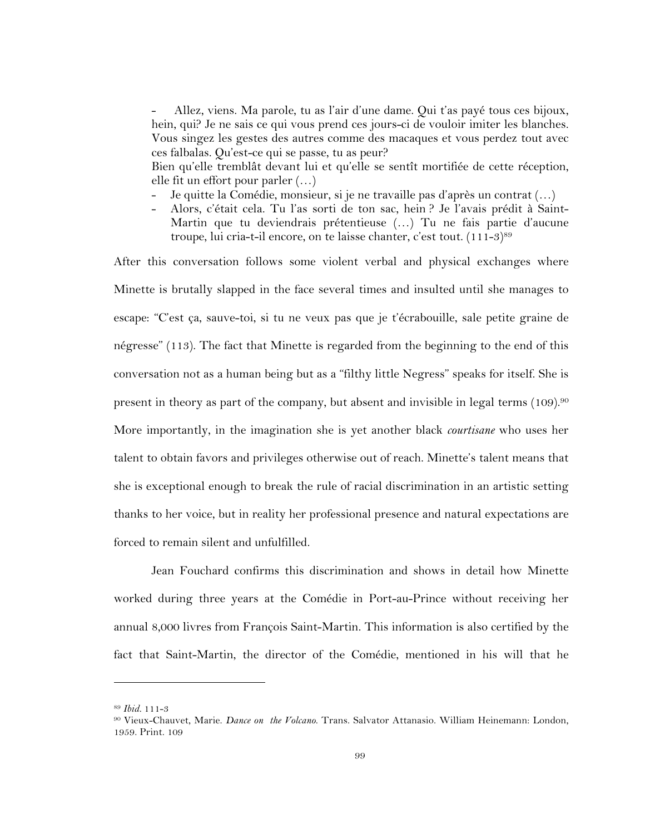Allez, viens. Ma parole, tu as l'air d'une dame. Qui t'as payé tous ces bijoux, hein, qui? Je ne sais ce qui vous prend ces jours-ci de vouloir imiter les blanches. Vous singez les gestes des autres comme des macaques et vous perdez tout avec ces falbalas. Qu'est-ce qui se passe, tu as peur?

Bien qu'elle tremblât devant lui et qu'elle se sentît mortifiée de cette réception, elle fit un effort pour parler (…)

- Je quitte la Comédie, monsieur, si je ne travaille pas d'après un contrat (...)
- Alors, c'était cela. Tu l'as sorti de ton sac, hein ? Je l'avais prédit à Saint-Martin que tu deviendrais prétentieuse (…) Tu ne fais partie d'aucune troupe, lui cria-t-il encore, on te laisse chanter, c'est tout. (111-3)<sup>89</sup>

After this conversation follows some violent verbal and physical exchanges where Minette is brutally slapped in the face several times and insulted until she manages to escape: "C'est ça, sauve-toi, si tu ne veux pas que je t'écrabouille, sale petite graine de négresse" (113). The fact that Minette is regarded from the beginning to the end of this conversation not as a human being but as a "filthy little Negress" speaks for itself. She is present in theory as part of the company, but absent and invisible in legal terms (109).90 More importantly, in the imagination she is yet another black *courtisane* who uses her talent to obtain favors and privileges otherwise out of reach. Minette's talent means that she is exceptional enough to break the rule of racial discrimination in an artistic setting thanks to her voice, but in reality her professional presence and natural expectations are forced to remain silent and unfulfilled.

Jean Fouchard confirms this discrimination and shows in detail how Minette worked during three years at the Comédie in Port-au-Prince without receiving her annual 8,000 livres from François Saint-Martin. This information is also certified by the fact that Saint-Martin, the director of the Comédie, mentioned in his will that he

<sup>89</sup> *Ibid.* 111-3

<sup>90</sup> Vieux-Chauvet, Marie. *Dance on the Volcano*. Trans. Salvator Attanasio. William Heinemann: London, 1959. Print. 109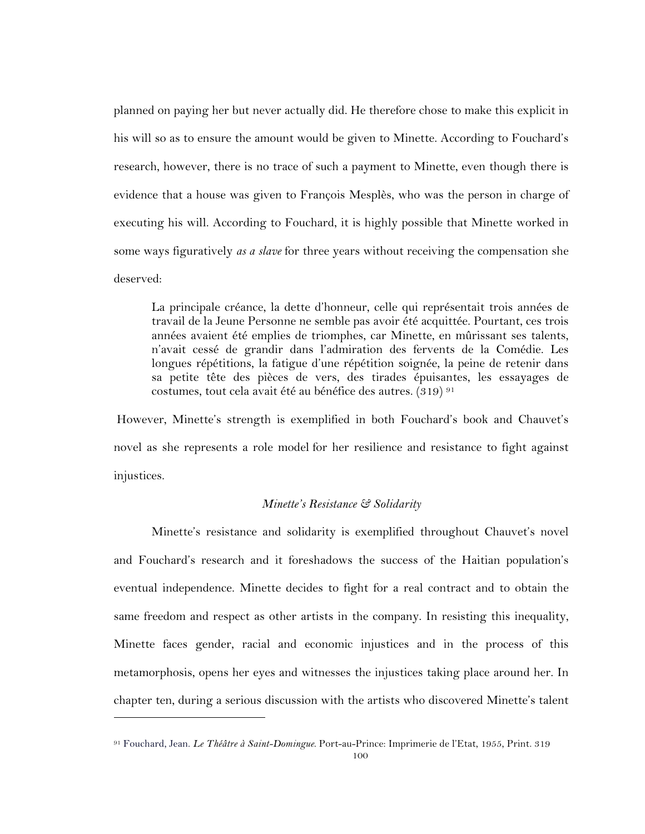planned on paying her but never actually did. He therefore chose to make this explicit in his will so as to ensure the amount would be given to Minette. According to Fouchard's research, however, there is no trace of such a payment to Minette, even though there is evidence that a house was given to François Mesplès, who was the person in charge of executing his will. According to Fouchard, it is highly possible that Minette worked in some ways figuratively *as a slave* for three years without receiving the compensation she deserved:

La principale créance, la dette d'honneur, celle qui représentait trois années de travail de la Jeune Personne ne semble pas avoir été acquittée. Pourtant, ces trois années avaient été emplies de triomphes, car Minette, en mûrissant ses talents, n'avait cessé de grandir dans l'admiration des fervents de la Comédie. Les longues répétitions, la fatigue d'une répétition soignée, la peine de retenir dans sa petite tête des pièces de vers, des tirades épuisantes, les essayages de costumes, tout cela avait été au bénéfice des autres. (319) 91

However, Minette's strength is exemplified in both Fouchard's book and Chauvet's novel as she represents a role model for her resilience and resistance to fight against injustices.

### *Minette's Resistance & Solidarity*

Minette's resistance and solidarity is exemplified throughout Chauvet's novel and Fouchard's research and it foreshadows the success of the Haitian population's eventual independence. Minette decides to fight for a real contract and to obtain the same freedom and respect as other artists in the company. In resisting this inequality, Minette faces gender, racial and economic injustices and in the process of this metamorphosis, opens her eyes and witnesses the injustices taking place around her. In chapter ten, during a serious discussion with the artists who discovered Minette's talent

<sup>91</sup> Fouchard, Jean. *Le Théâtre à Saint-Domingue*. Port-au-Prince: Imprimerie de l'Etat, 1955, Print. 319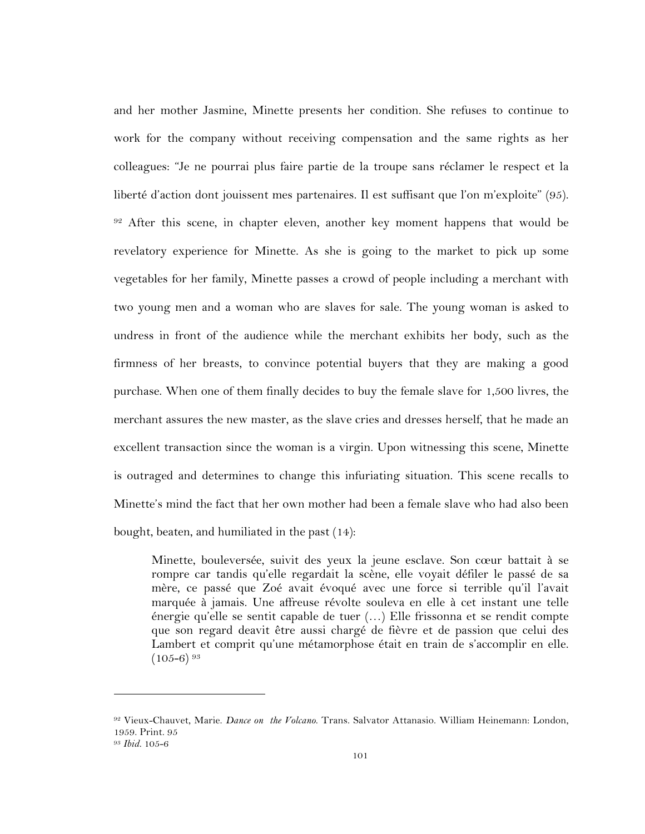and her mother Jasmine, Minette presents her condition. She refuses to continue to work for the company without receiving compensation and the same rights as her colleagues: "Je ne pourrai plus faire partie de la troupe sans réclamer le respect et la liberté d'action dont jouissent mes partenaires. Il est suffisant que l'on m'exploite" (95). <sup>92</sup> After this scene, in chapter eleven, another key moment happens that would be revelatory experience for Minette. As she is going to the market to pick up some vegetables for her family, Minette passes a crowd of people including a merchant with two young men and a woman who are slaves for sale. The young woman is asked to undress in front of the audience while the merchant exhibits her body, such as the firmness of her breasts, to convince potential buyers that they are making a good purchase. When one of them finally decides to buy the female slave for 1,500 livres, the merchant assures the new master, as the slave cries and dresses herself, that he made an excellent transaction since the woman is a virgin. Upon witnessing this scene, Minette is outraged and determines to change this infuriating situation. This scene recalls to Minette's mind the fact that her own mother had been a female slave who had also been bought, beaten, and humiliated in the past (14):

Minette, bouleversée, suivit des yeux la jeune esclave. Son cœur battait à se rompre car tandis qu'elle regardait la scène, elle voyait défiler le passé de sa mère, ce passé que Zoé avait évoqué avec une force si terrible qu'il l'avait marquée à jamais. Une affreuse révolte souleva en elle à cet instant une telle énergie qu'elle se sentit capable de tuer (…) Elle frissonna et se rendit compte que son regard deavit être aussi chargé de fièvre et de passion que celui des Lambert et comprit qu'une métamorphose était en train de s'accomplir en elle.  $(105-6)^{93}$ 

<sup>92</sup> Vieux-Chauvet, Marie. *Dance on the Volcano*. Trans. Salvator Attanasio. William Heinemann: London, 1959. Print. 95

<sup>93</sup> *Ibid.* 105-6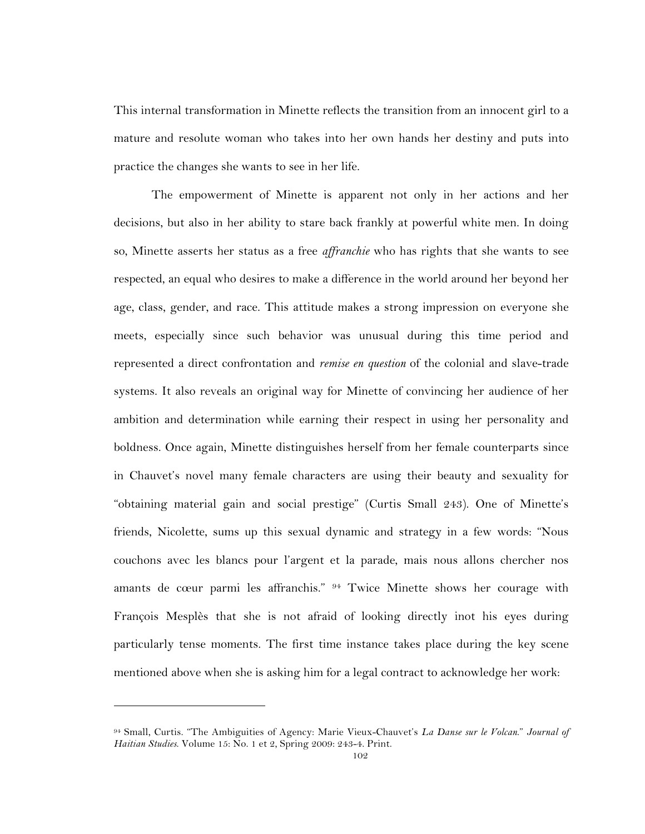This internal transformation in Minette reflects the transition from an innocent girl to a mature and resolute woman who takes into her own hands her destiny and puts into practice the changes she wants to see in her life.

The empowerment of Minette is apparent not only in her actions and her decisions, but also in her ability to stare back frankly at powerful white men. In doing so, Minette asserts her status as a free *affranchie* who has rights that she wants to see respected, an equal who desires to make a difference in the world around her beyond her age, class, gender, and race. This attitude makes a strong impression on everyone she meets, especially since such behavior was unusual during this time period and represented a direct confrontation and *remise en question* of the colonial and slave-trade systems. It also reveals an original way for Minette of convincing her audience of her ambition and determination while earning their respect in using her personality and boldness. Once again, Minette distinguishes herself from her female counterparts since in Chauvet's novel many female characters are using their beauty and sexuality for "obtaining material gain and social prestige" (Curtis Small 243). One of Minette's friends, Nicolette, sums up this sexual dynamic and strategy in a few words: "Nous couchons avec les blancs pour l'argent et la parade, mais nous allons chercher nos amants de cœur parmi les affranchis." 94 Twice Minette shows her courage with François Mesplès that she is not afraid of looking directly inot his eyes during particularly tense moments. The first time instance takes place during the key scene mentioned above when she is asking him for a legal contract to acknowledge her work:

<sup>94</sup> Small, Curtis. "The Ambiguities of Agency: Marie Vieux-Chauvet's *La Danse sur le Volcan*." *Journal of Haitian Studies*. Volume 15: No. 1 et 2, Spring 2009: 243-4. Print.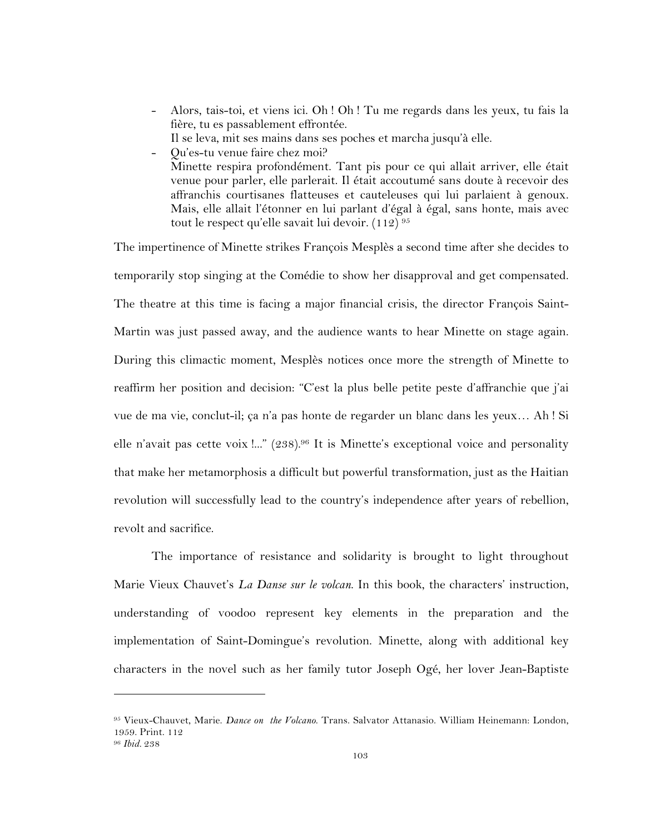- Alors, tais-toi, et viens ici. Oh ! Oh ! Tu me regards dans les yeux, tu fais la fière, tu es passablement effrontée.
	- Il se leva, mit ses mains dans ses poches et marcha jusqu'à elle.
- Qu'es-tu venue faire chez moi? Minette respira profondément. Tant pis pour ce qui allait arriver, elle était venue pour parler, elle parlerait. Il était accoutumé sans doute à recevoir des affranchis courtisanes flatteuses et cauteleuses qui lui parlaient à genoux. Mais, elle allait l'étonner en lui parlant d'égal à égal, sans honte, mais avec tout le respect qu'elle savait lui devoir. (112) 95

The impertinence of Minette strikes François Mesplès a second time after she decides to temporarily stop singing at the Comédie to show her disapproval and get compensated. The theatre at this time is facing a major financial crisis, the director François Saint-Martin was just passed away, and the audience wants to hear Minette on stage again. During this climactic moment, Mesplès notices once more the strength of Minette to reaffirm her position and decision: "C'est la plus belle petite peste d'affranchie que j'ai vue de ma vie, conclut-il; ça n'a pas honte de regarder un blanc dans les yeux… Ah ! Si elle n'avait pas cette voix !..." (238).<sup>96</sup> It is Minette's exceptional voice and personality that make her metamorphosis a difficult but powerful transformation, just as the Haitian revolution will successfully lead to the country's independence after years of rebellion, revolt and sacrifice.

The importance of resistance and solidarity is brought to light throughout Marie Vieux Chauvet's *La Danse sur le volcan*. In this book, the characters' instruction, understanding of voodoo represent key elements in the preparation and the implementation of Saint-Domingue's revolution. Minette, along with additional key characters in the novel such as her family tutor Joseph Ogé, her lover Jean-Baptiste

<sup>95</sup> Vieux-Chauvet, Marie. *Dance on the Volcano*. Trans. Salvator Attanasio. William Heinemann: London, 1959. Print. 112

<sup>96</sup> *Ibid.* 238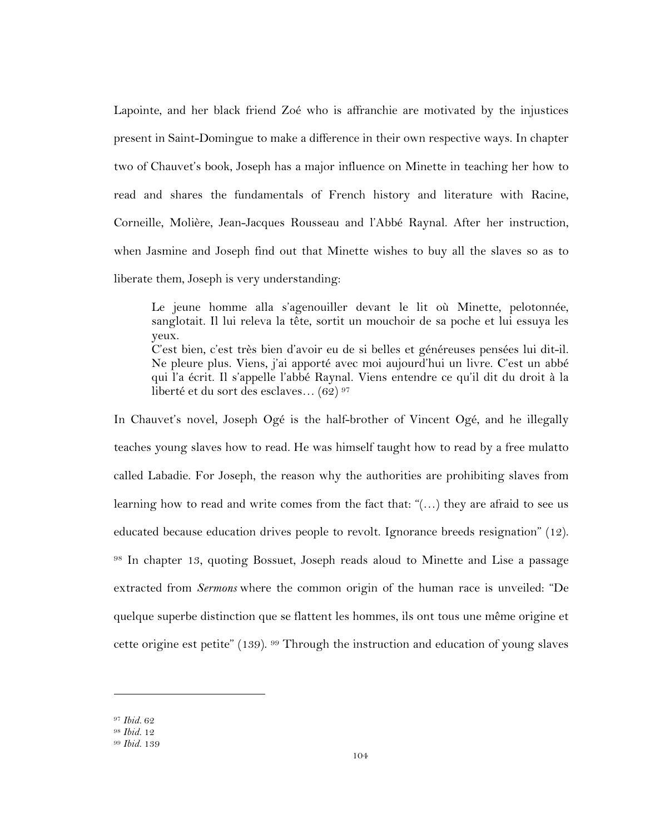Lapointe, and her black friend Zoé who is affranchie are motivated by the injustices present in Saint-Domingue to make a difference in their own respective ways. In chapter two of Chauvet's book, Joseph has a major influence on Minette in teaching her how to read and shares the fundamentals of French history and literature with Racine, Corneille, Molière, Jean-Jacques Rousseau and l'Abbé Raynal. After her instruction, when Jasmine and Joseph find out that Minette wishes to buy all the slaves so as to liberate them, Joseph is very understanding:

Le jeune homme alla s'agenouiller devant le lit où Minette, pelotonnée, sanglotait. Il lui releva la tête, sortit un mouchoir de sa poche et lui essuya les yeux. C'est bien, c'est très bien d'avoir eu de si belles et généreuses pensées lui dit-il. Ne pleure plus. Viens, j'ai apporté avec moi aujourd'hui un livre. C'est un abbé qui l'a écrit. Il s'appelle l'abbé Raynal. Viens entendre ce qu'il dit du droit à la

liberté et du sort des esclaves… (62) 97

In Chauvet's novel, Joseph Ogé is the half-brother of Vincent Ogé, and he illegally teaches young slaves how to read. He was himself taught how to read by a free mulatto called Labadie. For Joseph, the reason why the authorities are prohibiting slaves from learning how to read and write comes from the fact that: "(…) they are afraid to see us educated because education drives people to revolt. Ignorance breeds resignation" (12). <sup>98</sup> In chapter 13, quoting Bossuet, Joseph reads aloud to Minette and Lise a passage extracted from *Sermons* where the common origin of the human race is unveiled: "De quelque superbe distinction que se flattent les hommes, ils ont tous une même origine et cette origine est petite" (139). <sup>99</sup> Through the instruction and education of young slaves

<sup>97</sup> *Ibid.* 62

<sup>98</sup> *Ibid.* 12

<sup>99</sup> *Ibid.* 139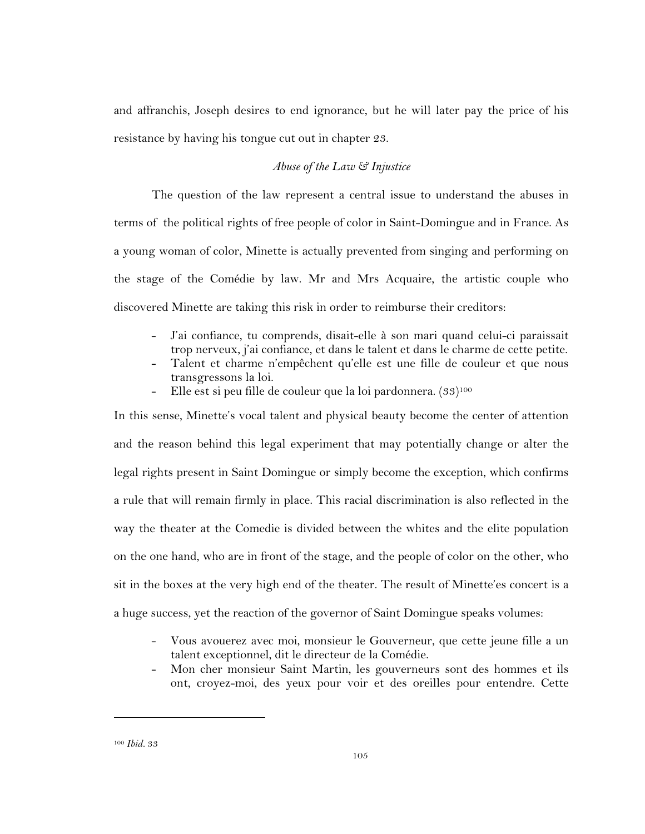and affranchis, Joseph desires to end ignorance, but he will later pay the price of his resistance by having his tongue cut out in chapter 23.

## *Abuse of the Law & Injustice*

The question of the law represent a central issue to understand the abuses in terms of the political rights of free people of color in Saint-Domingue and in France. As a young woman of color, Minette is actually prevented from singing and performing on the stage of the Comédie by law. Mr and Mrs Acquaire, the artistic couple who discovered Minette are taking this risk in order to reimburse their creditors:

- J'ai confiance, tu comprends, disait-elle à son mari quand celui-ci paraissait trop nerveux, j'ai confiance, et dans le talent et dans le charme de cette petite.
- Talent et charme n'empêchent qu'elle est une fille de couleur et que nous transgressons la loi.
- Elle est si peu fille de couleur que la loi pardonnera. (33)<sup>100</sup>

In this sense, Minette's vocal talent and physical beauty become the center of attention and the reason behind this legal experiment that may potentially change or alter the legal rights present in Saint Domingue or simply become the exception, which confirms a rule that will remain firmly in place. This racial discrimination is also reflected in the way the theater at the Comedie is divided between the whites and the elite population on the one hand, who are in front of the stage, and the people of color on the other, who sit in the boxes at the very high end of the theater. The result of Minette'es concert is a a huge success, yet the reaction of the governor of Saint Domingue speaks volumes:

- Vous avouerez avec moi, monsieur le Gouverneur, que cette jeune fille a un talent exceptionnel, dit le directeur de la Comédie.
- Mon cher monsieur Saint Martin, les gouverneurs sont des hommes et ils ont, croyez-moi, des yeux pour voir et des oreilles pour entendre. Cette

<sup>100</sup> *Ibid.* 33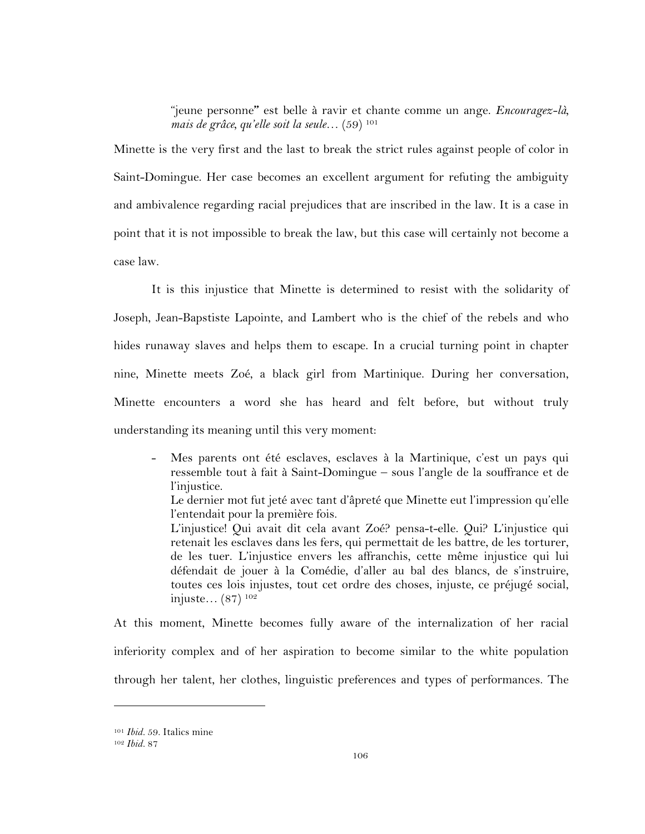"jeune personne**"** est belle à ravir et chante comme un ange. *Encouragez-là, mais de grâce, qu'elle soit la seule…* (59) 101

Minette is the very first and the last to break the strict rules against people of color in Saint-Domingue. Her case becomes an excellent argument for refuting the ambiguity and ambivalence regarding racial prejudices that are inscribed in the law. It is a case in point that it is not impossible to break the law, but this case will certainly not become a case law.

It is this injustice that Minette is determined to resist with the solidarity of Joseph, Jean-Bapstiste Lapointe, and Lambert who is the chief of the rebels and who hides runaway slaves and helps them to escape. In a crucial turning point in chapter nine, Minette meets Zoé, a black girl from Martinique. During her conversation, Minette encounters a word she has heard and felt before, but without truly understanding its meaning until this very moment:

- Mes parents ont été esclaves, esclaves à la Martinique, c'est un pays qui ressemble tout à fait à Saint-Domingue – sous l'angle de la souffrance et de l'injustice. Le dernier mot fut jeté avec tant d'âpreté que Minette eut l'impression qu'elle l'entendait pour la première fois. L'injustice! Qui avait dit cela avant Zoé? pensa-t-elle. Qui? L'injustice qui retenait les esclaves dans les fers, qui permettait de les battre, de les torturer, de les tuer. L'injustice envers les affranchis, cette même injustice qui lui défendait de jouer à la Comédie, d'aller au bal des blancs, de s'instruire, toutes ces lois injustes, tout cet ordre des choses, injuste, ce préjugé social, injuste… (87) 102

At this moment, Minette becomes fully aware of the internalization of her racial inferiority complex and of her aspiration to become similar to the white population through her talent, her clothes, linguistic preferences and types of performances. The

<sup>101</sup> *Ibid.* 59. Italics mine

<sup>102</sup> *Ibid.* 87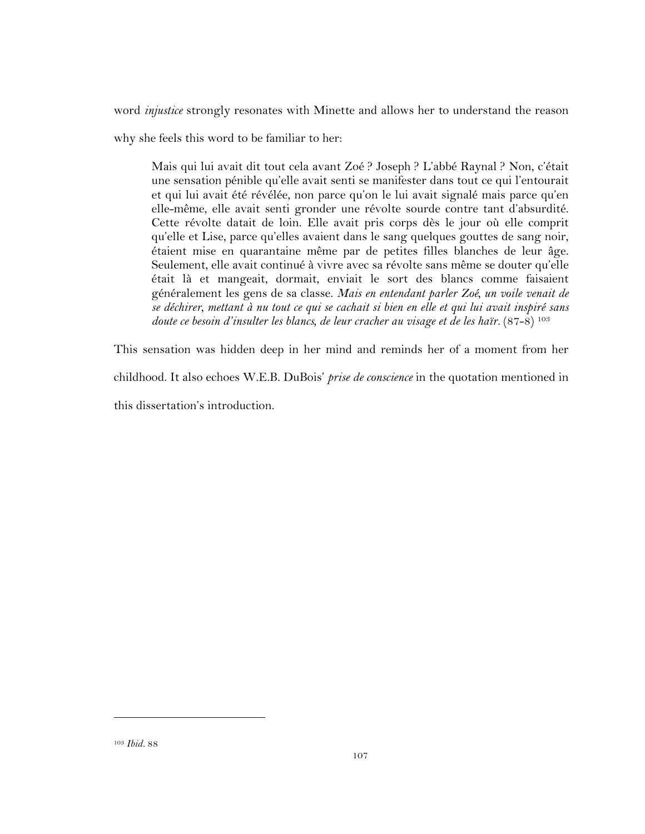word *injustice* strongly resonates with Minette and allows her to understand the reason

why she feels this word to be familiar to her:

Mais qui lui avait dit tout cela avant Zoé ? Joseph ? L'abbé Raynal ? Non, c'était une sensation pénible qu'elle avait senti se manifester dans tout ce qui l'entourait et qui lui avait été révélée, non parce qu'on le lui avait signalé mais parce qu'en elle-même, elle avait senti gronder une révolte sourde contre tant d'absurdité. Cette révolte datait de loin. Elle avait pris corps dès le jour où elle comprit qu'elle et Lise, parce qu'elles avaient dans le sang quelques gouttes de sang noir, étaient mise en quarantaine même par de petites filles blanches de leur âge. Seulement, elle avait continué à vivre avec sa révolte sans même se douter qu'elle était là et mangeait, dormait, enviait le sort des blancs comme faisaient généralement les gens de sa classe. *Mais en entendant parler Zoé, un voile venait de se déchirer, mettant à nu tout ce qui se cachait si bien en elle et qui lui avait inspiré sans*  doute ce besoin d'insulter les blancs, de leur cracher au visage et de les haïr. (87-8) <sup>103</sup>

This sensation was hidden deep in her mind and reminds her of a moment from her childhood. It also echoes W.E.B. DuBois' *prise de conscience* in the quotation mentioned in this dissertation's introduction.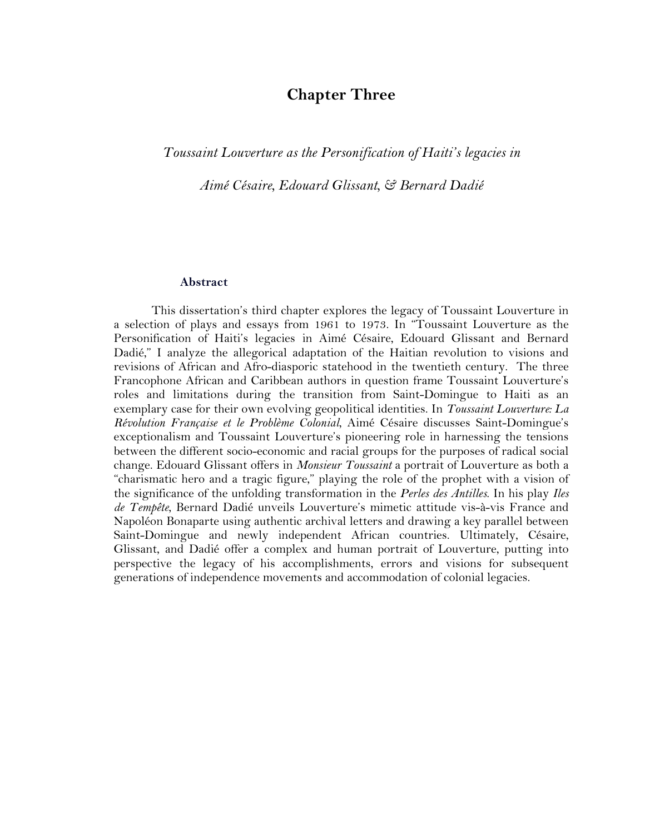# **Chapter Three**

## *Toussaint Louverture as the Personification of Haiti's legacies in*

*Aimé Césaire, Edouard Glissant, & Bernard Dadié*

#### **Abstract**

This dissertation's third chapter explores the legacy of Toussaint Louverture in a selection of plays and essays from 1961 to 1973. In "Toussaint Louverture as the Personification of Haiti's legacies in Aimé Césaire, Edouard Glissant and Bernard Dadié," I analyze the allegorical adaptation of the Haitian revolution to visions and revisions of African and Afro-diasporic statehood in the twentieth century. The three Francophone African and Caribbean authors in question frame Toussaint Louverture's roles and limitations during the transition from Saint-Domingue to Haiti as an exemplary case for their own evolving geopolitical identities. In *Toussaint Louverture: La Révolution Française et le Problème Colonial*, Aimé Césaire discusses Saint-Domingue's exceptionalism and Toussaint Louverture's pioneering role in harnessing the tensions between the different socio-economic and racial groups for the purposes of radical social change. Edouard Glissant offers in *Monsieur Toussaint* a portrait of Louverture as both a "charismatic hero and a tragic figure," playing the role of the prophet with a vision of the significance of the unfolding transformation in the *Perles des Antilles*. In his play *Iles de Tempête*, Bernard Dadié unveils Louverture's mimetic attitude vis-à-vis France and Napoléon Bonaparte using authentic archival letters and drawing a key parallel between Saint-Domingue and newly independent African countries. Ultimately, Césaire, Glissant, and Dadié offer a complex and human portrait of Louverture, putting into perspective the legacy of his accomplishments, errors and visions for subsequent generations of independence movements and accommodation of colonial legacies.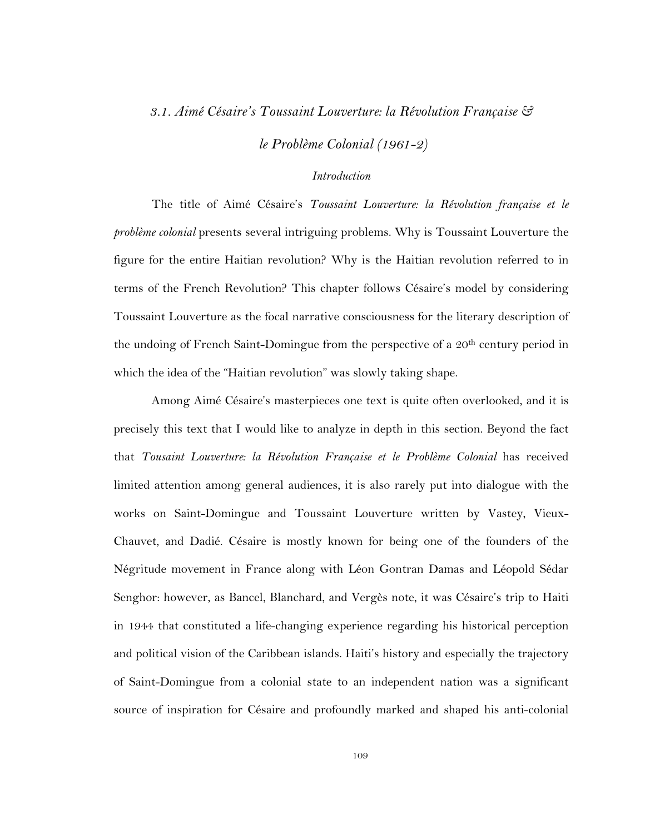## *3.1. Aimé Césaire's Toussaint Louverture: la Révolution Française &*

*le Problème Colonial (1961-2)*

## *Introduction*

The title of Aimé Césaire's *Toussaint Louverture: la Révolution française et le problème colonial* presents several intriguing problems. Why is Toussaint Louverture the figure for the entire Haitian revolution? Why is the Haitian revolution referred to in terms of the French Revolution? This chapter follows Césaire's model by considering Toussaint Louverture as the focal narrative consciousness for the literary description of the undoing of French Saint-Domingue from the perspective of a  $20<sup>th</sup>$  century period in which the idea of the "Haitian revolution" was slowly taking shape.

Among Aimé Césaire's masterpieces one text is quite often overlooked, and it is precisely this text that I would like to analyze in depth in this section. Beyond the fact that *Tousaint Louverture: la Révolution Française et le Problème Colonial* has received limited attention among general audiences, it is also rarely put into dialogue with the works on Saint-Domingue and Toussaint Louverture written by Vastey, Vieux-Chauvet, and Dadié. Césaire is mostly known for being one of the founders of the Négritude movement in France along with Léon Gontran Damas and Léopold Sédar Senghor: however, as Bancel, Blanchard, and Vergès note, it was Césaire's trip to Haiti in 1944 that constituted a life-changing experience regarding his historical perception and political vision of the Caribbean islands. Haiti's history and especially the trajectory of Saint-Domingue from a colonial state to an independent nation was a significant source of inspiration for Césaire and profoundly marked and shaped his anti-colonial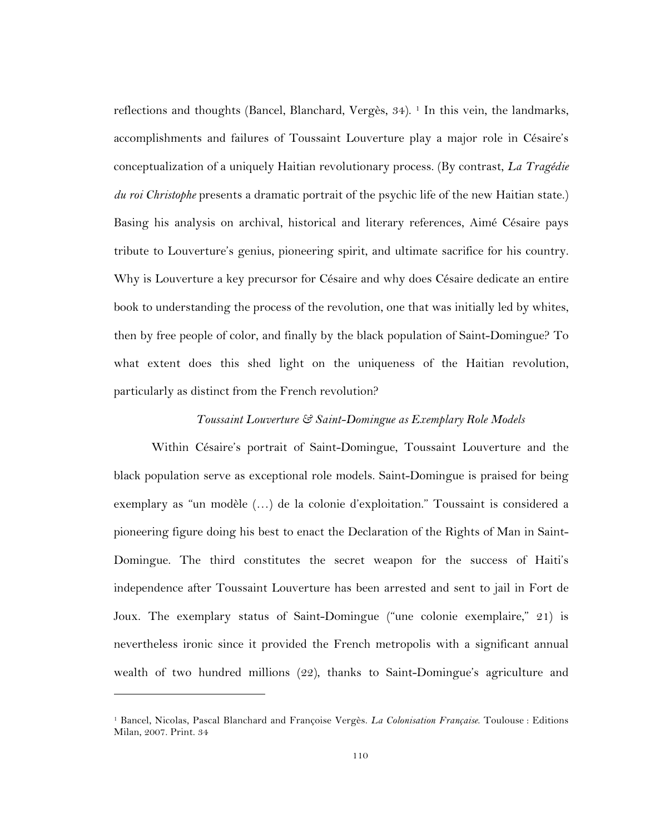reflections and thoughts (Bancel, Blanchard, Vergès, 34). 1 In this vein, the landmarks, accomplishments and failures of Toussaint Louverture play a major role in Césaire's conceptualization of a uniquely Haitian revolutionary process. (By contrast, *La Tragédie du roi Christophe* presents a dramatic portrait of the psychic life of the new Haitian state.) Basing his analysis on archival, historical and literary references, Aimé Césaire pays tribute to Louverture's genius, pioneering spirit, and ultimate sacrifice for his country. Why is Louverture a key precursor for Césaire and why does Césaire dedicate an entire book to understanding the process of the revolution, one that was initially led by whites, then by free people of color, and finally by the black population of Saint-Domingue? To what extent does this shed light on the uniqueness of the Haitian revolution, particularly as distinct from the French revolution?

#### *Toussaint Louverture & Saint-Domingue as Exemplary Role Models*

Within Césaire's portrait of Saint-Domingue, Toussaint Louverture and the black population serve as exceptional role models. Saint-Domingue is praised for being exemplary as "un modèle (…) de la colonie d'exploitation." Toussaint is considered a pioneering figure doing his best to enact the Declaration of the Rights of Man in Saint-Domingue. The third constitutes the secret weapon for the success of Haiti's independence after Toussaint Louverture has been arrested and sent to jail in Fort de Joux. The exemplary status of Saint-Domingue ("une colonie exemplaire," 21) is nevertheless ironic since it provided the French metropolis with a significant annual wealth of two hundred millions (22), thanks to Saint-Domingue's agriculture and

<sup>1</sup> Bancel, Nicolas, Pascal Blanchard and Françoise Vergès. *La Colonisation Française*. Toulouse : Editions Milan, 2007. Print. 34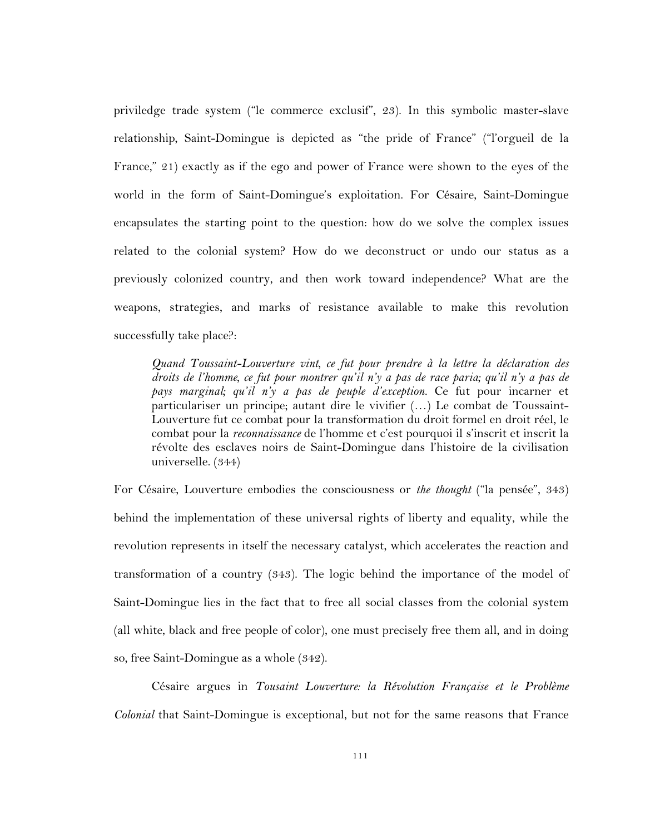priviledge trade system ("le commerce exclusif", 23). In this symbolic master-slave relationship, Saint-Domingue is depicted as "the pride of France" ("l'orgueil de la France," 21) exactly as if the ego and power of France were shown to the eyes of the world in the form of Saint-Domingue's exploitation. For Césaire, Saint-Domingue encapsulates the starting point to the question: how do we solve the complex issues related to the colonial system? How do we deconstruct or undo our status as a previously colonized country, and then work toward independence? What are the weapons, strategies, and marks of resistance available to make this revolution successfully take place?:

*Quand Toussaint-Louverture vint, ce fut pour prendre à la lettre la déclaration des droits de l'homme, ce fut pour montrer qu'il n'y a pas de race paria; qu'il n'y a pas de pays marginal; qu'il n'y a pas de peuple d'exception.* Ce fut pour incarner et particulariser un principe; autant dire le vivifier (…) Le combat de Toussaint-Louverture fut ce combat pour la transformation du droit formel en droit réel, le combat pour la *reconnaissance* de l'homme et c'est pourquoi il s'inscrit et inscrit la révolte des esclaves noirs de Saint-Domingue dans l'histoire de la civilisation universelle. (344)

For Césaire, Louverture embodies the consciousness or *the thought* ("la pensée", 343) behind the implementation of these universal rights of liberty and equality, while the revolution represents in itself the necessary catalyst, which accelerates the reaction and transformation of a country (343). The logic behind the importance of the model of Saint-Domingue lies in the fact that to free all social classes from the colonial system (all white, black and free people of color), one must precisely free them all, and in doing so, free Saint-Domingue as a whole (342).

Césaire argues in *Tousaint Louverture: la Révolution Française et le Problème Colonial* that Saint-Domingue is exceptional, but not for the same reasons that France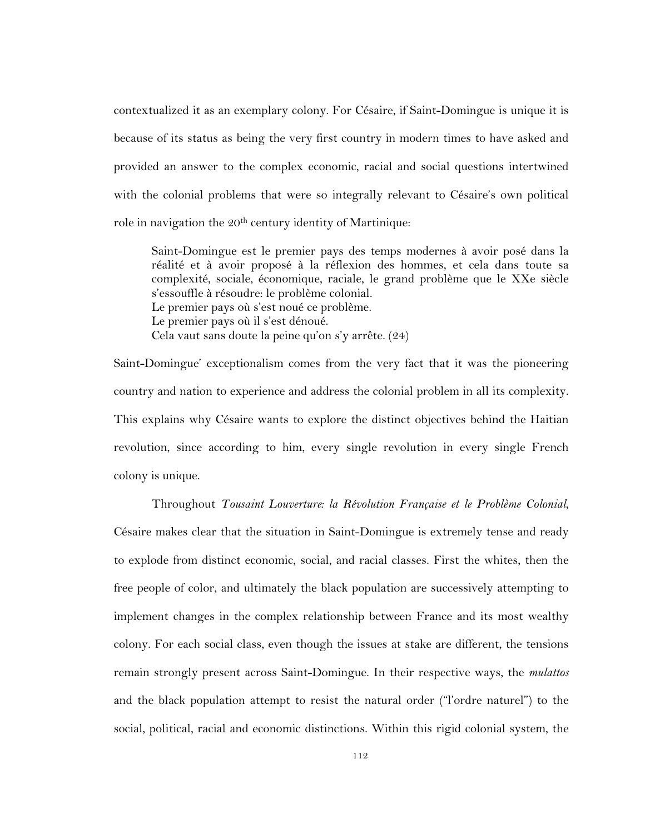contextualized it as an exemplary colony. For Césaire, if Saint-Domingue is unique it is because of its status as being the very first country in modern times to have asked and provided an answer to the complex economic, racial and social questions intertwined with the colonial problems that were so integrally relevant to Césaire's own political role in navigation the 20<sup>th</sup> century identity of Martinique:

Saint-Domingue est le premier pays des temps modernes à avoir posé dans la réalité et à avoir proposé à la réflexion des hommes, et cela dans toute sa complexité, sociale, économique, raciale, le grand problème que le XXe siècle s'essouffle à résoudre: le problème colonial. Le premier pays où s'est noué ce problème. Le premier pays où il s'est dénoué. Cela vaut sans doute la peine qu'on s'y arrête. (24)

Saint-Domingue' exceptionalism comes from the very fact that it was the pioneering country and nation to experience and address the colonial problem in all its complexity. This explains why Césaire wants to explore the distinct objectives behind the Haitian revolution, since according to him, every single revolution in every single French colony is unique.

Throughout *Tousaint Louverture: la Révolution Française et le Problème Colonial*, Césaire makes clear that the situation in Saint-Domingue is extremely tense and ready to explode from distinct economic, social, and racial classes. First the whites, then the free people of color, and ultimately the black population are successively attempting to implement changes in the complex relationship between France and its most wealthy colony. For each social class, even though the issues at stake are different, the tensions remain strongly present across Saint-Domingue. In their respective ways, the *mulattos* and the black population attempt to resist the natural order ("l'ordre naturel") to the social, political, racial and economic distinctions. Within this rigid colonial system, the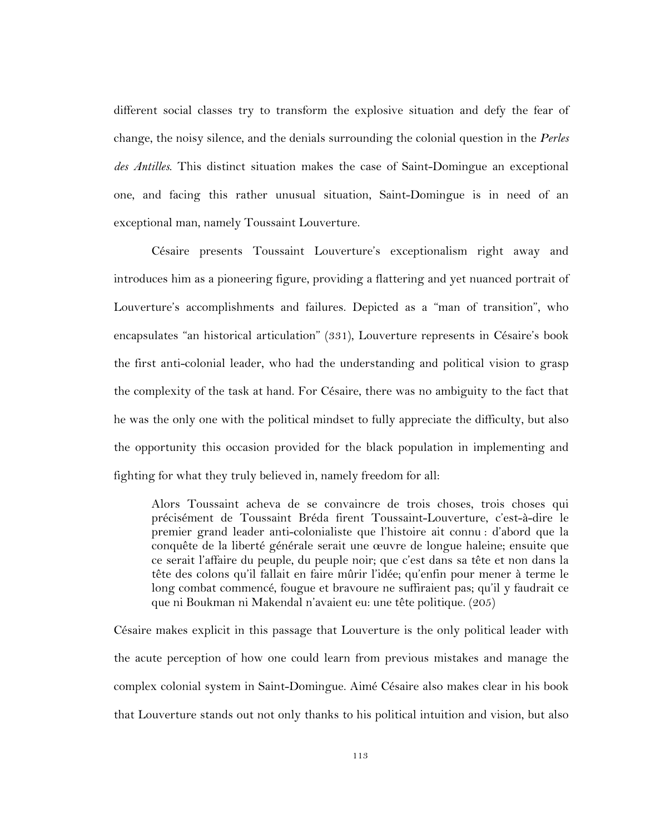different social classes try to transform the explosive situation and defy the fear of change, the noisy silence, and the denials surrounding the colonial question in the *Perles des Antilles*. This distinct situation makes the case of Saint-Domingue an exceptional one, and facing this rather unusual situation, Saint-Domingue is in need of an exceptional man, namely Toussaint Louverture.

Césaire presents Toussaint Louverture's exceptionalism right away and introduces him as a pioneering figure, providing a flattering and yet nuanced portrait of Louverture's accomplishments and failures. Depicted as a "man of transition", who encapsulates "an historical articulation" (331), Louverture represents in Césaire's book the first anti-colonial leader, who had the understanding and political vision to grasp the complexity of the task at hand. For Césaire, there was no ambiguity to the fact that he was the only one with the political mindset to fully appreciate the difficulty, but also the opportunity this occasion provided for the black population in implementing and fighting for what they truly believed in, namely freedom for all:

Alors Toussaint acheva de se convaincre de trois choses, trois choses qui précisément de Toussaint Bréda firent Toussaint-Louverture, c'est-à-dire le premier grand leader anti-colonialiste que l'histoire ait connu : d'abord que la conquête de la liberté générale serait une œuvre de longue haleine; ensuite que ce serait l'affaire du peuple, du peuple noir; que c'est dans sa tête et non dans la tête des colons qu'il fallait en faire mûrir l'idée; qu'enfin pour mener à terme le long combat commencé, fougue et bravoure ne suffiraient pas; qu'il y faudrait ce que ni Boukman ni Makendal n'avaient eu: une tête politique. (205)

Césaire makes explicit in this passage that Louverture is the only political leader with the acute perception of how one could learn from previous mistakes and manage the complex colonial system in Saint-Domingue. Aimé Césaire also makes clear in his book that Louverture stands out not only thanks to his political intuition and vision, but also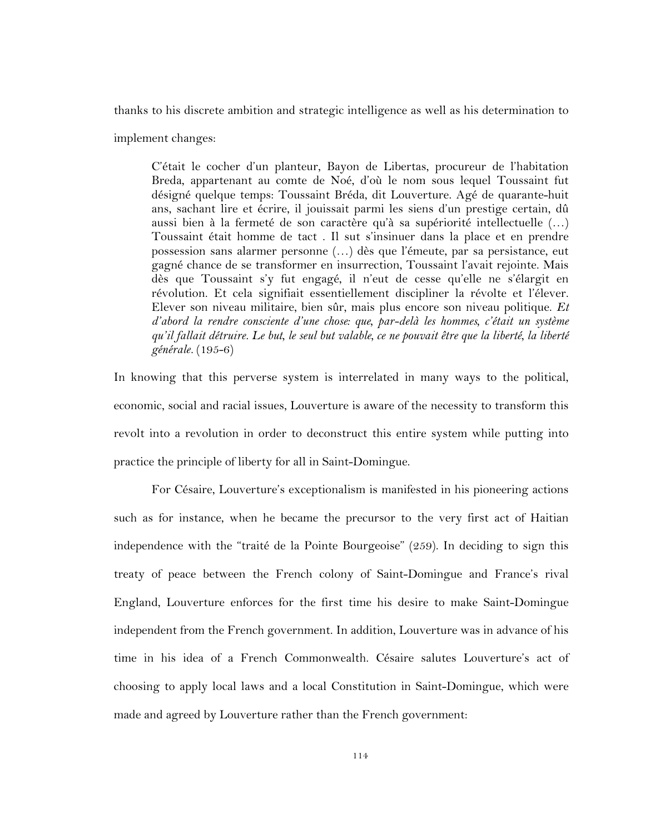thanks to his discrete ambition and strategic intelligence as well as his determination to

implement changes:

C'était le cocher d'un planteur, Bayon de Libertas, procureur de l'habitation Breda, appartenant au comte de Noé, d'où le nom sous lequel Toussaint fut désigné quelque temps: Toussaint Bréda, dit Louverture. Agé de quarante-huit ans, sachant lire et écrire, il jouissait parmi les siens d'un prestige certain, dû aussi bien à la fermeté de son caractère qu'à sa supériorité intellectuelle (…) Toussaint était homme de tact . Il sut s'insinuer dans la place et en prendre possession sans alarmer personne (…) dès que l'émeute, par sa persistance, eut gagné chance de se transformer en insurrection, Toussaint l'avait rejointe. Mais dès que Toussaint s'y fut engagé, il n'eut de cesse qu'elle ne s'élargit en révolution. Et cela signifiait essentiellement discipliner la révolte et l'élever. Elever son niveau militaire, bien sûr, mais plus encore son niveau politique. *Et d'abord la rendre consciente d'une chose: que, par-delà les hommes, c'était un système qu'il fallait détruire. Le but, le seul but valable, ce ne pouvait être que la liberté, la liberté générale.* (195-6)

In knowing that this perverse system is interrelated in many ways to the political, economic, social and racial issues, Louverture is aware of the necessity to transform this revolt into a revolution in order to deconstruct this entire system while putting into practice the principle of liberty for all in Saint-Domingue.

For Césaire, Louverture's exceptionalism is manifested in his pioneering actions such as for instance, when he became the precursor to the very first act of Haitian independence with the "traité de la Pointe Bourgeoise" (259). In deciding to sign this treaty of peace between the French colony of Saint-Domingue and France's rival England, Louverture enforces for the first time his desire to make Saint-Domingue independent from the French government. In addition, Louverture was in advance of his time in his idea of a French Commonwealth. Césaire salutes Louverture's act of choosing to apply local laws and a local Constitution in Saint-Domingue, which were made and agreed by Louverture rather than the French government: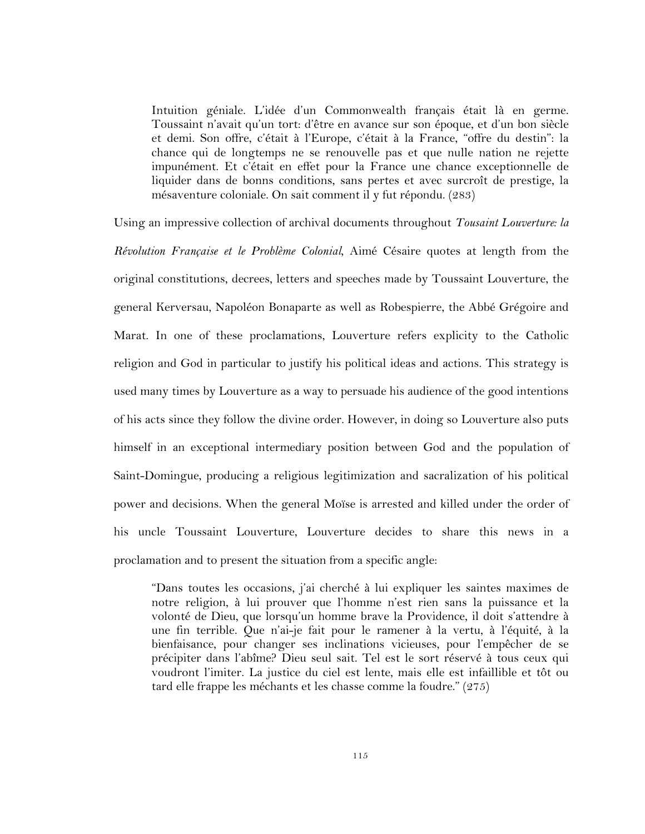Intuition géniale. L'idée d'un Commonwealth français était là en germe. Toussaint n'avait qu'un tort: d'être en avance sur son époque, et d'un bon siècle et demi. Son offre, c'était à l'Europe, c'était à la France, "offre du destin": la chance qui de longtemps ne se renouvelle pas et que nulle nation ne rejette impunément. Et c'était en effet pour la France une chance exceptionnelle de liquider dans de bonns conditions, sans pertes et avec surcroît de prestige, la mésaventure coloniale. On sait comment il y fut répondu. (283)

Using an impressive collection of archival documents throughout *Tousaint Louverture: la Révolution Française et le Problème Colonial*, Aimé Césaire quotes at length from the original constitutions, decrees, letters and speeches made by Toussaint Louverture, the general Kerversau, Napoléon Bonaparte as well as Robespierre, the Abbé Grégoire and Marat. In one of these proclamations, Louverture refers explicity to the Catholic religion and God in particular to justify his political ideas and actions. This strategy is used many times by Louverture as a way to persuade his audience of the good intentions of his acts since they follow the divine order. However, in doing so Louverture also puts himself in an exceptional intermediary position between God and the population of Saint-Domingue, producing a religious legitimization and sacralization of his political power and decisions. When the general Moïse is arrested and killed under the order of his uncle Toussaint Louverture, Louverture decides to share this news in a proclamation and to present the situation from a specific angle:

"Dans toutes les occasions, j'ai cherché à lui expliquer les saintes maximes de notre religion, à lui prouver que l'homme n'est rien sans la puissance et la volonté de Dieu, que lorsqu'un homme brave la Providence, il doit s'attendre à une fin terrible. Que n'ai-je fait pour le ramener à la vertu, à l'équité, à la bienfaisance, pour changer ses inclinations vicieuses, pour l'empêcher de se précipiter dans l'abîme? Dieu seul sait. Tel est le sort réservé à tous ceux qui voudront l'imiter. La justice du ciel est lente, mais elle est infaillible et tôt ou tard elle frappe les méchants et les chasse comme la foudre." (275)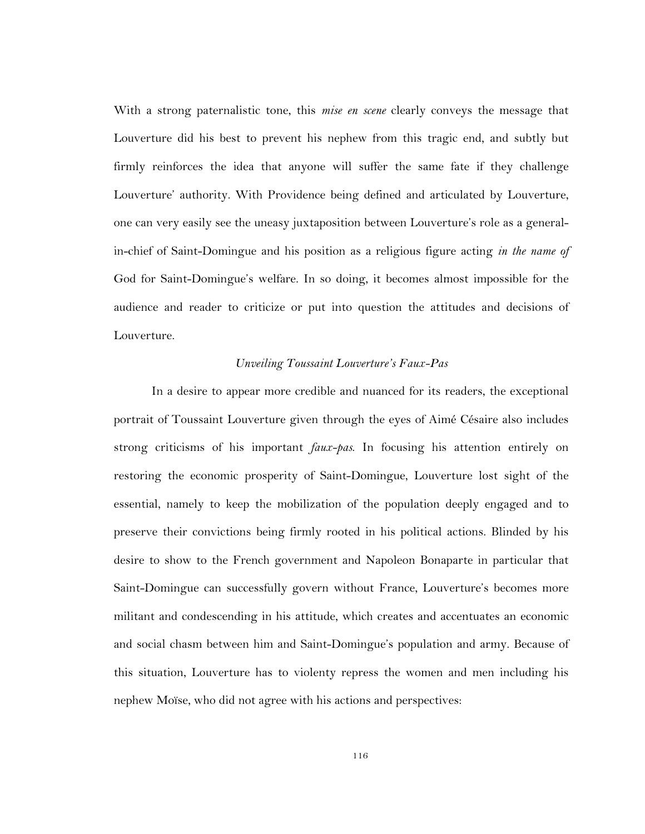With a strong paternalistic tone, this *mise en scene* clearly conveys the message that Louverture did his best to prevent his nephew from this tragic end, and subtly but firmly reinforces the idea that anyone will suffer the same fate if they challenge Louverture' authority. With Providence being defined and articulated by Louverture, one can very easily see the uneasy juxtaposition between Louverture's role as a generalin-chief of Saint-Domingue and his position as a religious figure acting *in the name of* God for Saint-Domingue's welfare. In so doing, it becomes almost impossible for the audience and reader to criticize or put into question the attitudes and decisions of Louverture.

#### *Unveiling Toussaint Louverture's Faux-Pas*

In a desire to appear more credible and nuanced for its readers, the exceptional portrait of Toussaint Louverture given through the eyes of Aimé Césaire also includes strong criticisms of his important *faux-pas*. In focusing his attention entirely on restoring the economic prosperity of Saint-Domingue, Louverture lost sight of the essential, namely to keep the mobilization of the population deeply engaged and to preserve their convictions being firmly rooted in his political actions. Blinded by his desire to show to the French government and Napoleon Bonaparte in particular that Saint-Domingue can successfully govern without France, Louverture's becomes more militant and condescending in his attitude, which creates and accentuates an economic and social chasm between him and Saint-Domingue's population and army. Because of this situation, Louverture has to violenty repress the women and men including his nephew Moïse, who did not agree with his actions and perspectives: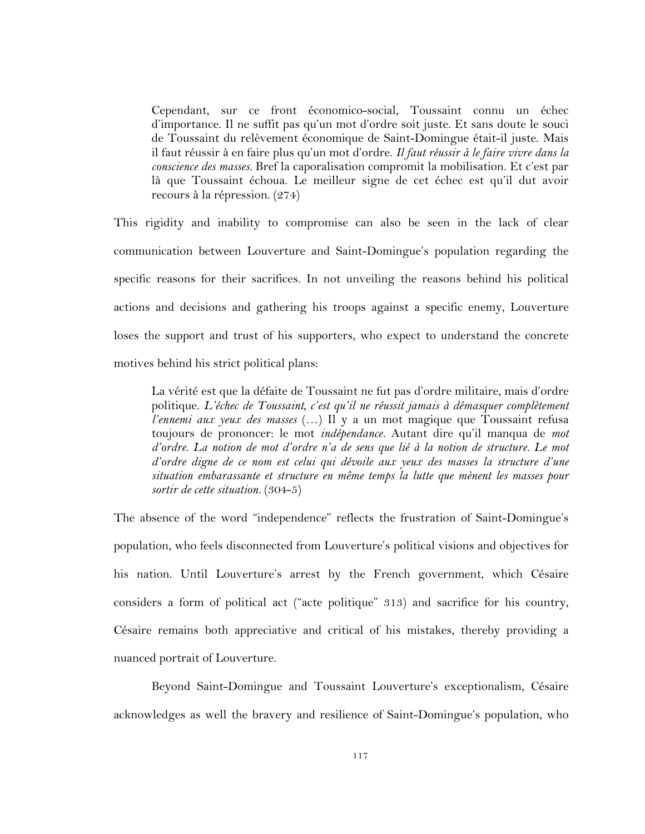Cependant, sur ce front économico-social, Toussaint connu un échec d'importance. Il ne suffit pas qu'un mot d'ordre soit juste. Et sans doute le souci de Toussaint du relèvement économique de Saint-Domingue était-il juste. Mais il faut réussir à en faire plus qu'un mot d'ordre. *Il faut réussir à le faire vivre dans la conscience des masses.* Bref la caporalisation compromit la mobilisation. Et c'est par là que Toussaint échoua. Le meilleur signe de cet échec est qu'il dut avoir recours à la répression. (274)

This rigidity and inability to compromise can also be seen in the lack of clear communication between Louverture and Saint-Domingue's population regarding the specific reasons for their sacrifices. In not unveiling the reasons behind his political actions and decisions and gathering his troops against a specific enemy, Louverture loses the support and trust of his supporters, who expect to understand the concrete motives behind his strict political plans:

La vérité est que la défaite de Toussaint ne fut pas d'ordre militaire, mais d'ordre politique. *L'échec de Toussaint, c'est qu'il ne réussit jamais à démasquer complètement l'ennemi aux yeux des masses* (…) Il y a un mot magique que Toussaint refusa toujours de prononcer: le mot *indépendance.* Autant dire qu'il manqua de *mot d'ordre*. *La notion de mot d'ordre n'a de sens que lié à la notion de structure. Le mot d'ordre digne de ce nom est celui qui dévoile aux yeux des masses la structure d'une situation embarassante et structure en même temps la lutte que mènent les masses pour sortir de cette situation.* (304-5)

The absence of the word "independence" reflects the frustration of Saint-Domingue's population, who feels disconnected from Louverture's political visions and objectives for his nation. Until Louverture's arrest by the French government, which Césaire considers a form of political act ("acte politique" 313) and sacrifice for his country, Césaire remains both appreciative and critical of his mistakes, thereby providing a nuanced portrait of Louverture.

Beyond Saint-Domingue and Toussaint Louverture's exceptionalism, Césaire acknowledges as well the bravery and resilience of Saint-Domingue's population, who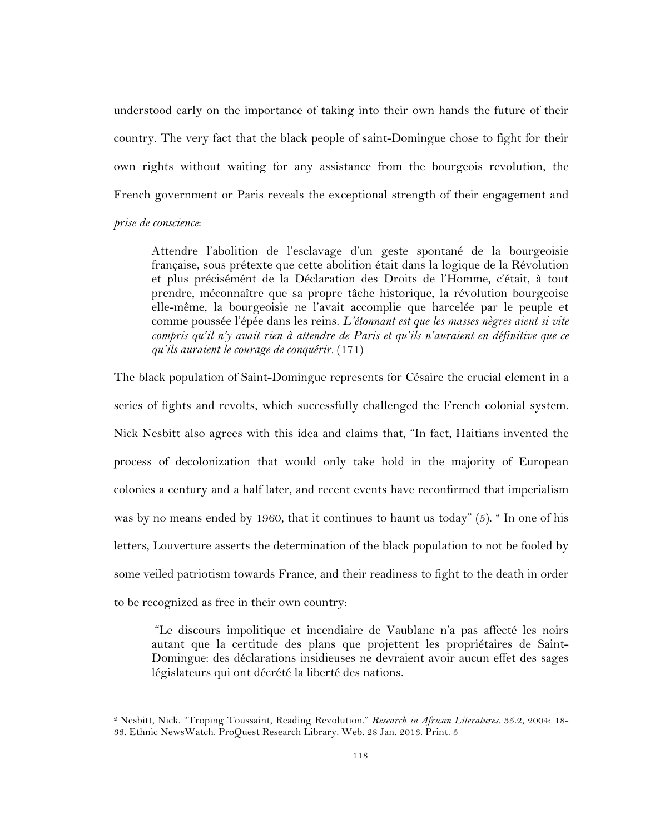understood early on the importance of taking into their own hands the future of their country. The very fact that the black people of saint-Domingue chose to fight for their own rights without waiting for any assistance from the bourgeois revolution, the French government or Paris reveals the exceptional strength of their engagement and *prise de conscience*:

Attendre l'abolition de l'esclavage d'un geste spontané de la bourgeoisie française, sous prétexte que cette abolition était dans la logique de la Révolution et plus précisémént de la Déclaration des Droits de l'Homme, c'était, à tout prendre, méconnaître que sa propre tâche historique, la révolution bourgeoise elle-même, la bourgeoisie ne l'avait accomplie que harcelée par le peuple et comme poussée l'épée dans les reins. *L'étonnant est que les masses nègres aient si vite compris qu'il n'y avait rien à attendre de Paris et qu'ils n'auraient en définitive que ce qu'ils auraient le courage de conquérir.* (171)

The black population of Saint-Domingue represents for Césaire the crucial element in a series of fights and revolts, which successfully challenged the French colonial system. Nick Nesbitt also agrees with this idea and claims that, "In fact, Haitians invented the process of decolonization that would only take hold in the majority of European colonies a century and a half later, and recent events have reconfirmed that imperialism was by no means ended by 1960, that it continues to haunt us today"  $(5)$ . <sup>2</sup> In one of his letters, Louverture asserts the determination of the black population to not be fooled by some veiled patriotism towards France, and their readiness to fight to the death in order to be recognized as free in their own country:

"Le discours impolitique et incendiaire de Vaublanc n'a pas affecté les noirs autant que la certitude des plans que projettent les propriétaires de Saint-Domingue: des déclarations insidieuses ne devraient avoir aucun effet des sages législateurs qui ont décrété la liberté des nations.

<sup>2</sup> Nesbitt, Nick. "Troping Toussaint, Reading Revolution." *Research in African Literatures*. 35.2, 2004: 18- 33. Ethnic NewsWatch. ProQuest Research Library. Web. 28 Jan. 2013. Print. 5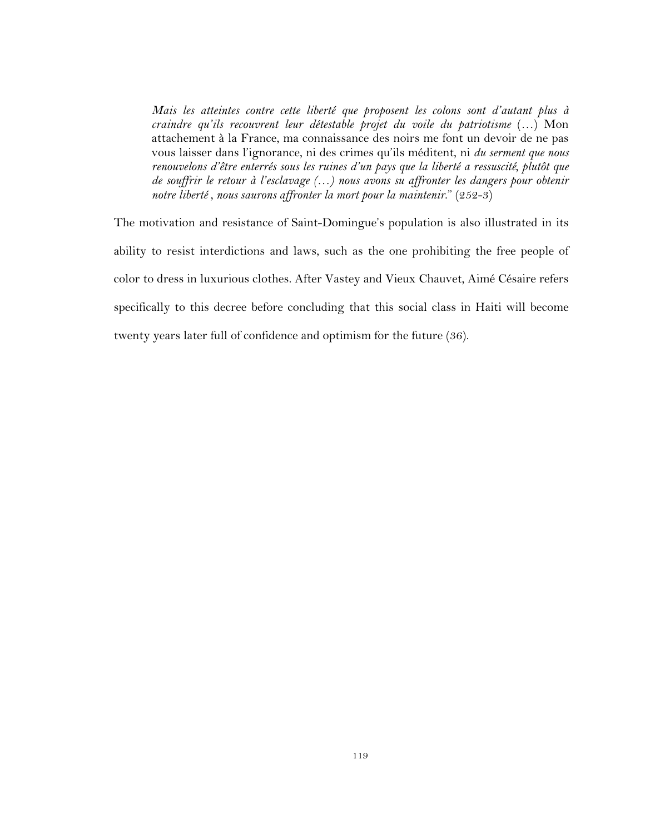*Mais les atteintes contre cette liberté que proposent les colons sont d'autant plus à craindre qu'ils recouvrent leur détestable projet du voile du patriotisme* (…) Mon attachement à la France, ma connaissance des noirs me font un devoir de ne pas vous laisser dans l'ignorance, ni des crimes qu'ils méditent, ni *du serment que nous renouvelons d'être enterrés sous les ruines d'un pays que la liberté a ressuscité, plutôt que de souffrir le retour à l'esclavage (…) nous avons su affronter les dangers pour obtenir notre liberté , nous saurons affronter la mort pour la maintenir*." (252-3)

The motivation and resistance of Saint-Domingue's population is also illustrated in its ability to resist interdictions and laws, such as the one prohibiting the free people of color to dress in luxurious clothes. After Vastey and Vieux Chauvet, Aimé Césaire refers specifically to this decree before concluding that this social class in Haiti will become twenty years later full of confidence and optimism for the future (36).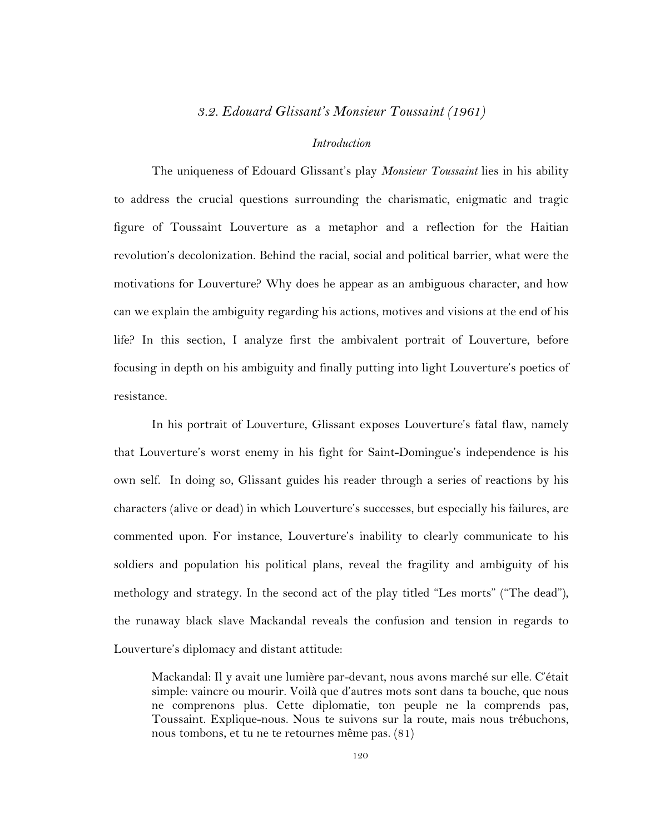## *3.2. Edouard Glissant's Monsieur Toussaint (1961)*

## *Introduction*

The uniqueness of Edouard Glissant's play *Monsieur Toussaint* lies in his ability to address the crucial questions surrounding the charismatic, enigmatic and tragic figure of Toussaint Louverture as a metaphor and a reflection for the Haitian revolution's decolonization. Behind the racial, social and political barrier, what were the motivations for Louverture? Why does he appear as an ambiguous character, and how can we explain the ambiguity regarding his actions, motives and visions at the end of his life? In this section, I analyze first the ambivalent portrait of Louverture, before focusing in depth on his ambiguity and finally putting into light Louverture's poetics of resistance.

In his portrait of Louverture, Glissant exposes Louverture's fatal flaw, namely that Louverture's worst enemy in his fight for Saint-Domingue's independence is his own self. In doing so, Glissant guides his reader through a series of reactions by his characters (alive or dead) in which Louverture's successes, but especially his failures, are commented upon. For instance, Louverture's inability to clearly communicate to his soldiers and population his political plans, reveal the fragility and ambiguity of his methology and strategy. In the second act of the play titled "Les morts" ("The dead"), the runaway black slave Mackandal reveals the confusion and tension in regards to Louverture's diplomacy and distant attitude:

Mackandal: Il y avait une lumière par-devant, nous avons marché sur elle. C'était simple: vaincre ou mourir. Voilà que d'autres mots sont dans ta bouche, que nous ne comprenons plus. Cette diplomatie, ton peuple ne la comprends pas, Toussaint. Explique-nous. Nous te suivons sur la route, mais nous trébuchons, nous tombons, et tu ne te retournes même pas. (81)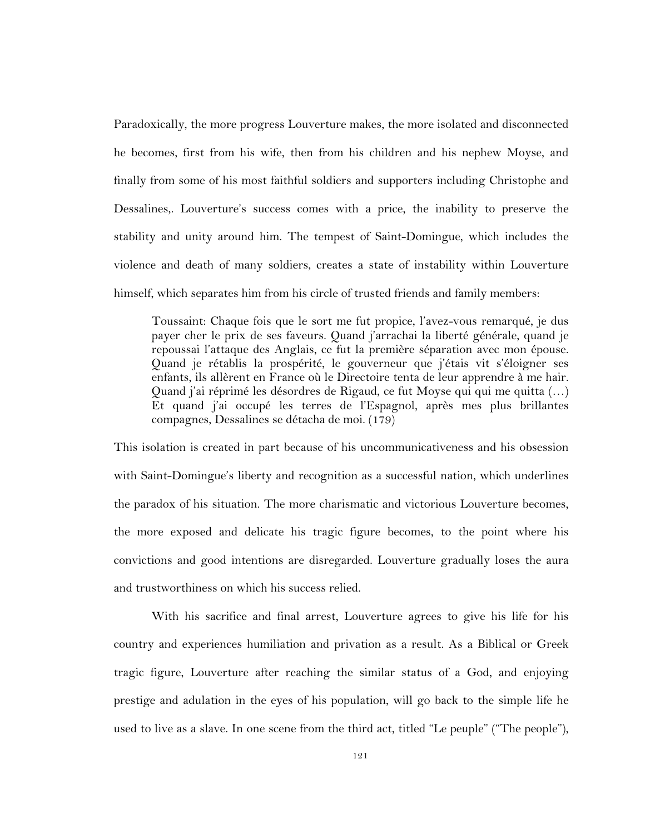Paradoxically, the more progress Louverture makes, the more isolated and disconnected he becomes, first from his wife, then from his children and his nephew Moyse, and finally from some of his most faithful soldiers and supporters including Christophe and Dessalines,. Louverture's success comes with a price, the inability to preserve the stability and unity around him. The tempest of Saint-Domingue, which includes the violence and death of many soldiers, creates a state of instability within Louverture himself, which separates him from his circle of trusted friends and family members:

Toussaint: Chaque fois que le sort me fut propice, l'avez-vous remarqué, je dus payer cher le prix de ses faveurs. Quand j'arrachai la liberté générale, quand je repoussai l'attaque des Anglais, ce fut la première séparation avec mon épouse. Quand je rétablis la prospérité, le gouverneur que j'étais vit s'éloigner ses enfants, ils allèrent en France où le Directoire tenta de leur apprendre à me hair. Quand j'ai réprimé les désordres de Rigaud, ce fut Moyse qui qui me quitta (…) Et quand j'ai occupé les terres de l'Espagnol, après mes plus brillantes compagnes, Dessalines se détacha de moi. (179)

This isolation is created in part because of his uncommunicativeness and his obsession with Saint-Domingue's liberty and recognition as a successful nation, which underlines the paradox of his situation. The more charismatic and victorious Louverture becomes, the more exposed and delicate his tragic figure becomes, to the point where his convictions and good intentions are disregarded. Louverture gradually loses the aura and trustworthiness on which his success relied.

With his sacrifice and final arrest, Louverture agrees to give his life for his country and experiences humiliation and privation as a result. As a Biblical or Greek tragic figure, Louverture after reaching the similar status of a God, and enjoying prestige and adulation in the eyes of his population, will go back to the simple life he used to live as a slave. In one scene from the third act, titled "Le peuple" ("The people"),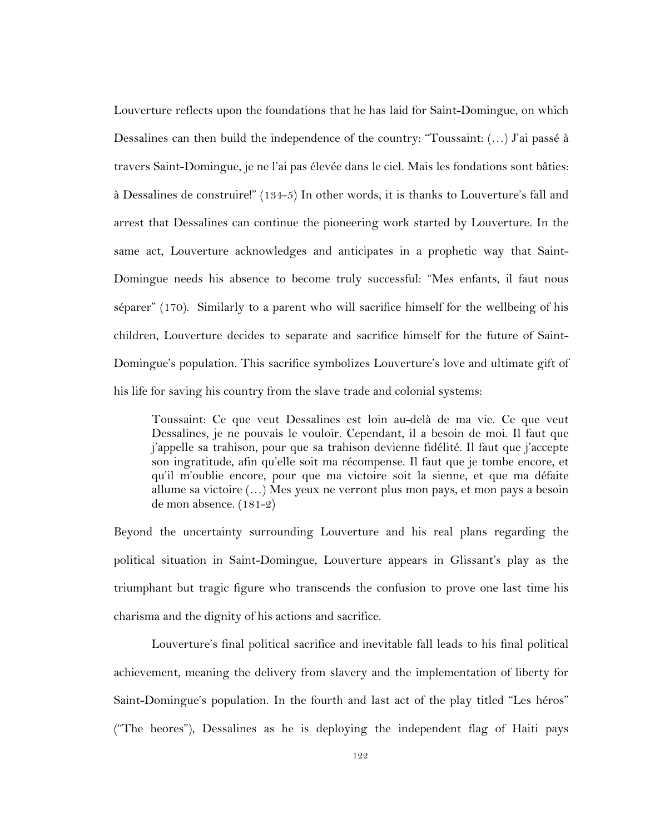Louverture reflects upon the foundations that he has laid for Saint-Domingue, on which Dessalines can then build the independence of the country: "Toussaint: (…) J'ai passé à travers Saint-Domingue, je ne l'ai pas élevée dans le ciel. Mais les fondations sont bâties: à Dessalines de construire!" (134-5) In other words, it is thanks to Louverture's fall and arrest that Dessalines can continue the pioneering work started by Louverture. In the same act, Louverture acknowledges and anticipates in a prophetic way that Saint-Domingue needs his absence to become truly successful: "Mes enfants, il faut nous séparer" (170). Similarly to a parent who will sacrifice himself for the wellbeing of his children, Louverture decides to separate and sacrifice himself for the future of Saint-Domingue's population. This sacrifice symbolizes Louverture's love and ultimate gift of his life for saving his country from the slave trade and colonial systems:

Toussaint: Ce que veut Dessalines est loin au-delà de ma vie. Ce que veut Dessalines, je ne pouvais le vouloir. Cependant, il a besoin de moi. Il faut que j'appelle sa trahison, pour que sa trahison devienne fidélité. Il faut que j'accepte son ingratitude, afin qu'elle soit ma récompense. Il faut que je tombe encore, et qu'il m'oublie encore, pour que ma victoire soit la sienne, et que ma défaite allume sa victoire (…) Mes yeux ne verront plus mon pays, et mon pays a besoin de mon absence. (181-2)

Beyond the uncertainty surrounding Louverture and his real plans regarding the political situation in Saint-Domingue, Louverture appears in Glissant's play as the triumphant but tragic figure who transcends the confusion to prove one last time his charisma and the dignity of his actions and sacrifice.

Louverture's final political sacrifice and inevitable fall leads to his final political achievement, meaning the delivery from slavery and the implementation of liberty for Saint-Domingue's population. In the fourth and last act of the play titled "Les héros" ("The heores"), Dessalines as he is deploying the independent flag of Haiti pays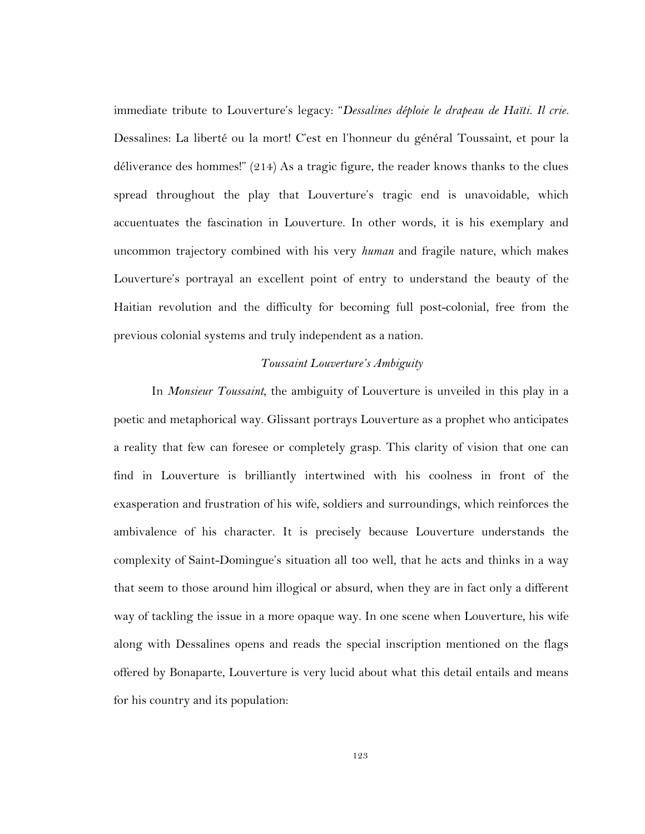immediate tribute to Louverture's legacy: "*Dessalines déploie le drapeau de Haïti. Il crie.*  Dessalines: La liberté ou la mort! C'est en l'honneur du général Toussaint, et pour la déliverance des hommes!" (214) As a tragic figure, the reader knows thanks to the clues spread throughout the play that Louverture's tragic end is unavoidable, which accuentuates the fascination in Louverture. In other words, it is his exemplary and uncommon trajectory combined with his very *human* and fragile nature, which makes Louverture's portrayal an excellent point of entry to understand the beauty of the Haitian revolution and the difficulty for becoming full post-colonial, free from the previous colonial systems and truly independent as a nation.

#### *Toussaint Louverture's Ambiguity*

In *Monsieur Toussaint*, the ambiguity of Louverture is unveiled in this play in a poetic and metaphorical way. Glissant portrays Louverture as a prophet who anticipates a reality that few can foresee or completely grasp. This clarity of vision that one can find in Louverture is brilliantly intertwined with his coolness in front of the exasperation and frustration of his wife, soldiers and surroundings, which reinforces the ambivalence of his character. It is precisely because Louverture understands the complexity of Saint-Domingue's situation all too well, that he acts and thinks in a way that seem to those around him illogical or absurd, when they are in fact only a different way of tackling the issue in a more opaque way. In one scene when Louverture, his wife along with Dessalines opens and reads the special inscription mentioned on the flags offered by Bonaparte, Louverture is very lucid about what this detail entails and means for his country and its population: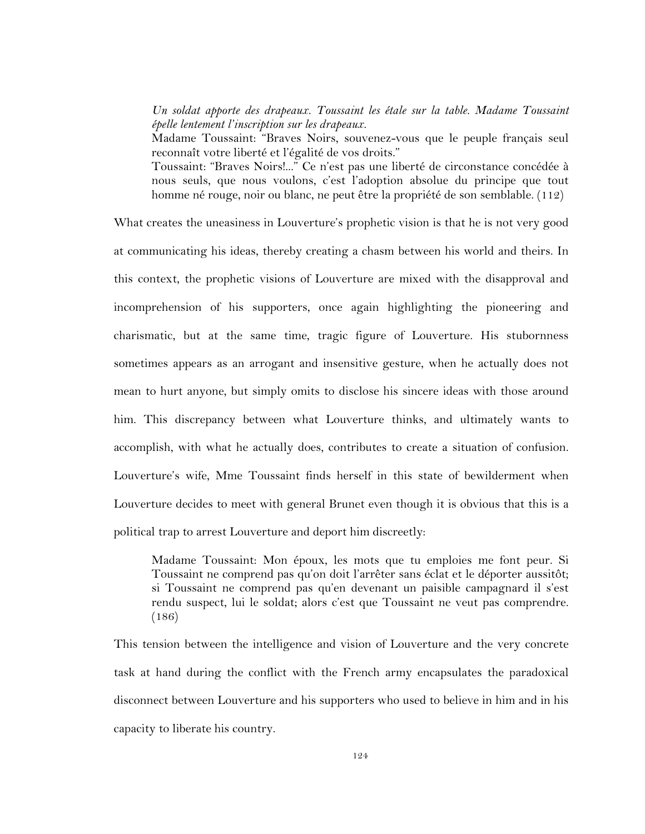*Un soldat apporte des drapeaux. Toussaint les étale sur la table. Madame Toussaint épelle lentement l'inscription sur les drapeaux.* 

Madame Toussaint: "Braves Noirs, souvenez-vous que le peuple français seul reconnaît votre liberté et l'égalité de vos droits."

Toussaint: "Braves Noirs!..." Ce n'est pas une liberté de circonstance concédée à nous seuls, que nous voulons, c'est l'adoption absolue du principe que tout homme né rouge, noir ou blanc, ne peut être la propriété de son semblable. (112)

What creates the uneasiness in Louverture's prophetic vision is that he is not very good at communicating his ideas, thereby creating a chasm between his world and theirs. In this context, the prophetic visions of Louverture are mixed with the disapproval and incomprehension of his supporters, once again highlighting the pioneering and charismatic, but at the same time, tragic figure of Louverture. His stubornness sometimes appears as an arrogant and insensitive gesture, when he actually does not mean to hurt anyone, but simply omits to disclose his sincere ideas with those around him. This discrepancy between what Louverture thinks, and ultimately wants to accomplish, with what he actually does, contributes to create a situation of confusion. Louverture's wife, Mme Toussaint finds herself in this state of bewilderment when Louverture decides to meet with general Brunet even though it is obvious that this is a political trap to arrest Louverture and deport him discreetly:

Madame Toussaint: Mon époux, les mots que tu emploies me font peur. Si Toussaint ne comprend pas qu'on doit l'arrêter sans éclat et le déporter aussitôt; si Toussaint ne comprend pas qu'en devenant un paisible campagnard il s'est rendu suspect, lui le soldat; alors c'est que Toussaint ne veut pas comprendre. (186)

This tension between the intelligence and vision of Louverture and the very concrete task at hand during the conflict with the French army encapsulates the paradoxical disconnect between Louverture and his supporters who used to believe in him and in his capacity to liberate his country.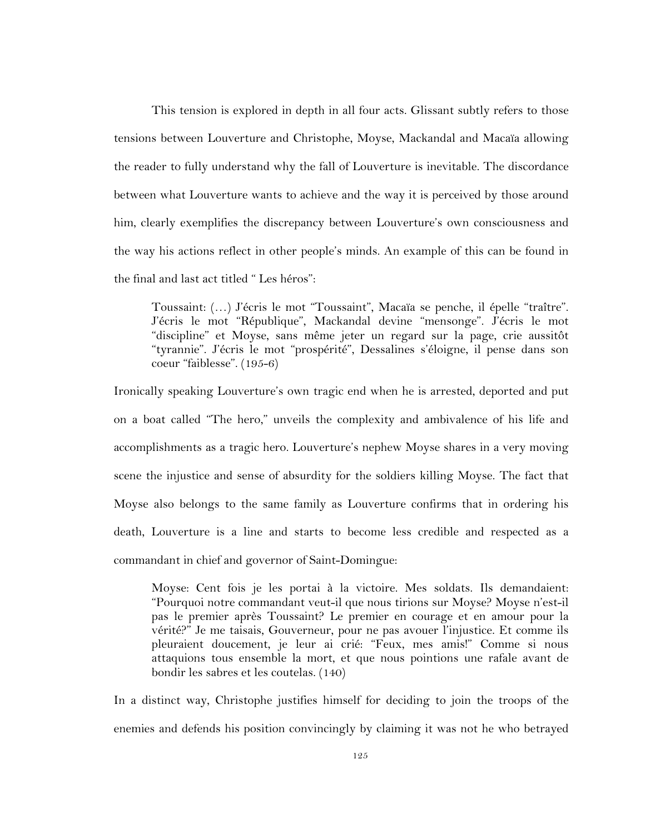This tension is explored in depth in all four acts. Glissant subtly refers to those tensions between Louverture and Christophe, Moyse, Mackandal and Macaïa allowing the reader to fully understand why the fall of Louverture is inevitable. The discordance between what Louverture wants to achieve and the way it is perceived by those around him, clearly exemplifies the discrepancy between Louverture's own consciousness and the way his actions reflect in other people's minds. An example of this can be found in the final and last act titled " Les héros":

Toussaint: (…) J'écris le mot "Toussaint", Macaïa se penche, il épelle "traître". J'écris le mot "République", Mackandal devine "mensonge". J'écris le mot "discipline" et Moyse, sans même jeter un regard sur la page, crie aussitôt "tyrannie". J'écris le mot "prospérité", Dessalines s'éloigne, il pense dans son coeur "faiblesse". (195-6)

Ironically speaking Louverture's own tragic end when he is arrested, deported and put on a boat called "The hero," unveils the complexity and ambivalence of his life and accomplishments as a tragic hero. Louverture's nephew Moyse shares in a very moving scene the injustice and sense of absurdity for the soldiers killing Moyse. The fact that Moyse also belongs to the same family as Louverture confirms that in ordering his death, Louverture is a line and starts to become less credible and respected as a commandant in chief and governor of Saint-Domingue:

Moyse: Cent fois je les portai à la victoire. Mes soldats. Ils demandaient: "Pourquoi notre commandant veut-il que nous tirions sur Moyse? Moyse n'est-il pas le premier après Toussaint? Le premier en courage et en amour pour la vérité?" Je me taisais, Gouverneur, pour ne pas avouer l'injustice. Et comme ils pleuraient doucement, je leur ai crié: "Feux, mes amis!" Comme si nous attaquions tous ensemble la mort, et que nous pointions une rafale avant de bondir les sabres et les coutelas. (140)

In a distinct way, Christophe justifies himself for deciding to join the troops of the enemies and defends his position convincingly by claiming it was not he who betrayed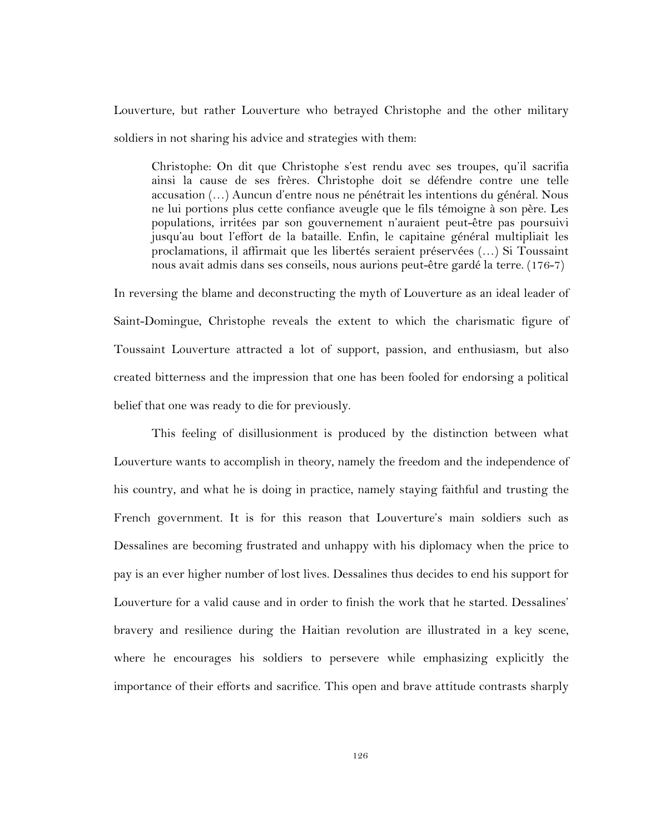Louverture, but rather Louverture who betrayed Christophe and the other military soldiers in not sharing his advice and strategies with them:

Christophe: On dit que Christophe s'est rendu avec ses troupes, qu'il sacrifia ainsi la cause de ses frères. Christophe doit se défendre contre une telle accusation (…) Auncun d'entre nous ne pénétrait les intentions du général. Nous ne lui portions plus cette confiance aveugle que le fils témoigne à son père. Les populations, irritées par son gouvernement n'auraient peut-être pas poursuivi jusqu'au bout l'effort de la bataille. Enfin, le capitaine général multipliait les proclamations, il affirmait que les libertés seraient préservées (…) Si Toussaint nous avait admis dans ses conseils, nous aurions peut-être gardé la terre. (176-7)

In reversing the blame and deconstructing the myth of Louverture as an ideal leader of Saint-Domingue, Christophe reveals the extent to which the charismatic figure of Toussaint Louverture attracted a lot of support, passion, and enthusiasm, but also created bitterness and the impression that one has been fooled for endorsing a political belief that one was ready to die for previously.

This feeling of disillusionment is produced by the distinction between what Louverture wants to accomplish in theory, namely the freedom and the independence of his country, and what he is doing in practice, namely staying faithful and trusting the French government. It is for this reason that Louverture's main soldiers such as Dessalines are becoming frustrated and unhappy with his diplomacy when the price to pay is an ever higher number of lost lives. Dessalines thus decides to end his support for Louverture for a valid cause and in order to finish the work that he started. Dessalines' bravery and resilience during the Haitian revolution are illustrated in a key scene, where he encourages his soldiers to persevere while emphasizing explicitly the importance of their efforts and sacrifice. This open and brave attitude contrasts sharply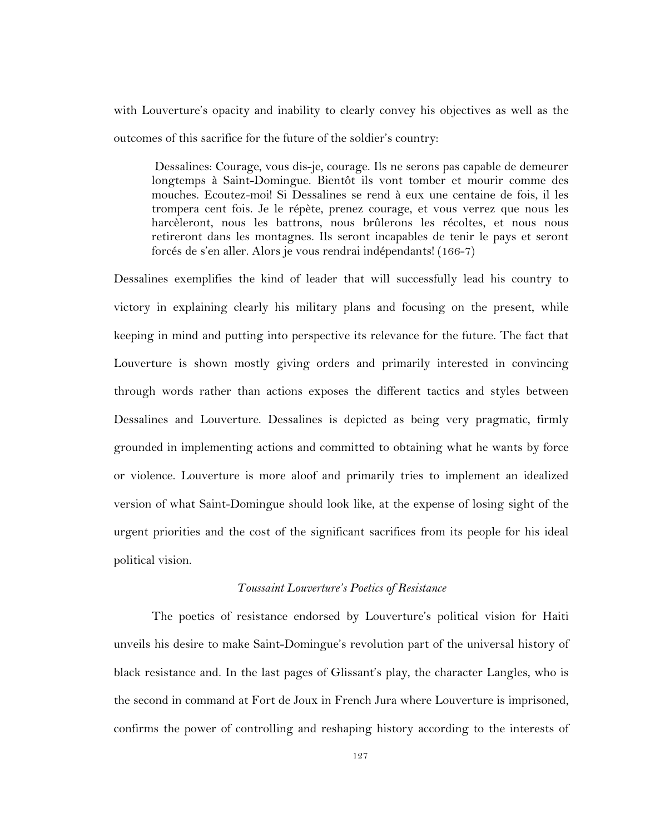with Louverture's opacity and inability to clearly convey his objectives as well as the outcomes of this sacrifice for the future of the soldier's country:

Dessalines: Courage, vous dis-je, courage. Ils ne serons pas capable de demeurer longtemps à Saint-Domingue. Bientôt ils vont tomber et mourir comme des mouches. Ecoutez-moi! Si Dessalines se rend à eux une centaine de fois, il les trompera cent fois. Je le répète, prenez courage, et vous verrez que nous les harcèleront, nous les battrons, nous brûlerons les récoltes, et nous nous retireront dans les montagnes. Ils seront incapables de tenir le pays et seront forcés de s'en aller. Alors je vous rendrai indépendants! (166-7)

Dessalines exemplifies the kind of leader that will successfully lead his country to victory in explaining clearly his military plans and focusing on the present, while keeping in mind and putting into perspective its relevance for the future. The fact that Louverture is shown mostly giving orders and primarily interested in convincing through words rather than actions exposes the different tactics and styles between Dessalines and Louverture. Dessalines is depicted as being very pragmatic, firmly grounded in implementing actions and committed to obtaining what he wants by force or violence. Louverture is more aloof and primarily tries to implement an idealized version of what Saint-Domingue should look like, at the expense of losing sight of the urgent priorities and the cost of the significant sacrifices from its people for his ideal political vision.

## *Toussaint Louverture's Poetics of Resistance*

The poetics of resistance endorsed by Louverture's political vision for Haiti unveils his desire to make Saint-Domingue's revolution part of the universal history of black resistance and. In the last pages of Glissant's play, the character Langles, who is the second in command at Fort de Joux in French Jura where Louverture is imprisoned, confirms the power of controlling and reshaping history according to the interests of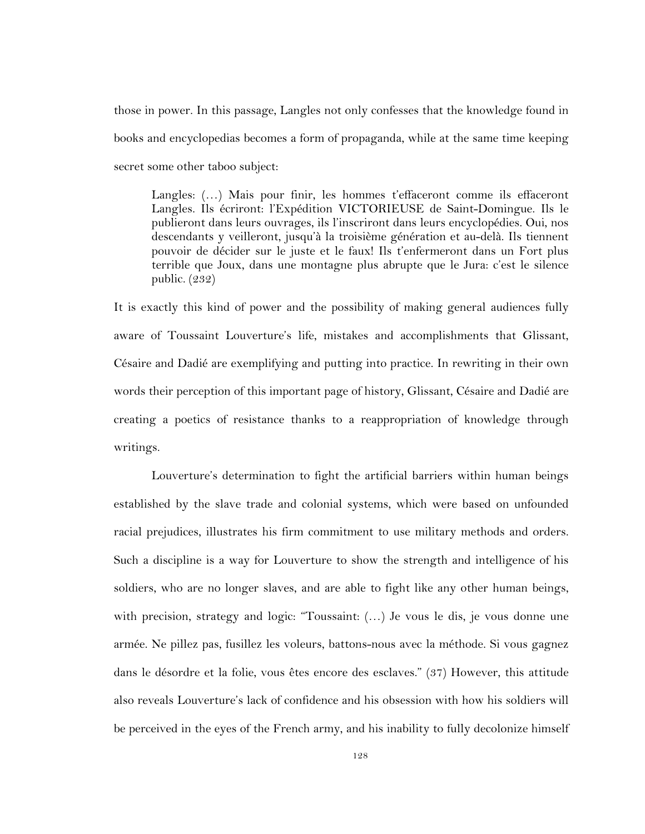those in power. In this passage, Langles not only confesses that the knowledge found in books and encyclopedias becomes a form of propaganda, while at the same time keeping secret some other taboo subject:

Langles: (…) Mais pour finir, les hommes t'effaceront comme ils effaceront Langles. Ils écriront: l'Expédition VICTORIEUSE de Saint-Domingue. Ils le publieront dans leurs ouvrages, ils l'inscriront dans leurs encyclopédies. Oui, nos descendants y veilleront, jusqu'à la troisième génération et au-delà. Ils tiennent pouvoir de décider sur le juste et le faux! Ils t'enfermeront dans un Fort plus terrible que Joux, dans une montagne plus abrupte que le Jura: c'est le silence public. (232)

It is exactly this kind of power and the possibility of making general audiences fully aware of Toussaint Louverture's life, mistakes and accomplishments that Glissant, Césaire and Dadié are exemplifying and putting into practice. In rewriting in their own words their perception of this important page of history, Glissant, Césaire and Dadié are creating a poetics of resistance thanks to a reappropriation of knowledge through writings.

Louverture's determination to fight the artificial barriers within human beings established by the slave trade and colonial systems, which were based on unfounded racial prejudices, illustrates his firm commitment to use military methods and orders. Such a discipline is a way for Louverture to show the strength and intelligence of his soldiers, who are no longer slaves, and are able to fight like any other human beings, with precision, strategy and logic: "Toussaint: (…) Je vous le dis, je vous donne une armée. Ne pillez pas, fusillez les voleurs, battons-nous avec la méthode. Si vous gagnez dans le désordre et la folie, vous êtes encore des esclaves." (37) However, this attitude also reveals Louverture's lack of confidence and his obsession with how his soldiers will be perceived in the eyes of the French army, and his inability to fully decolonize himself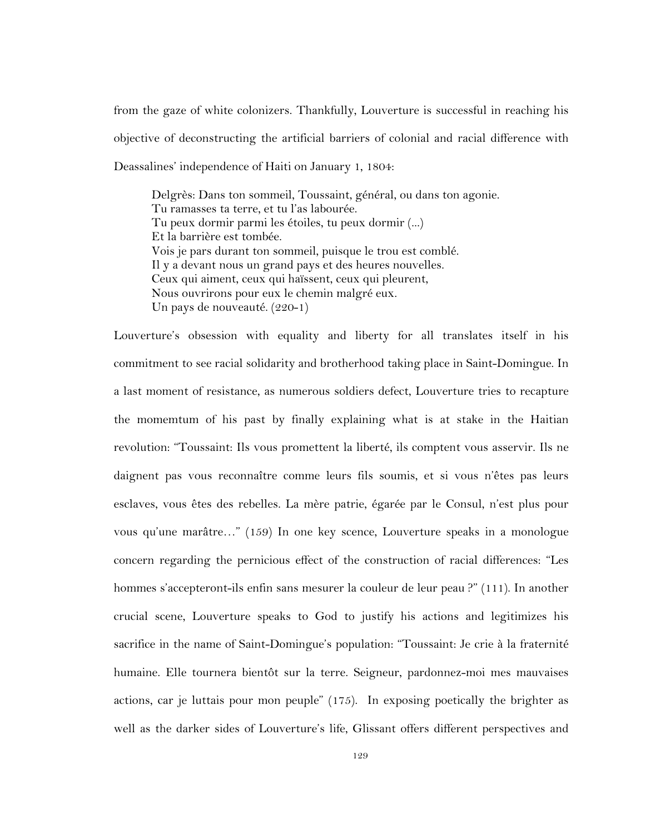from the gaze of white colonizers. Thankfully, Louverture is successful in reaching his objective of deconstructing the artificial barriers of colonial and racial difference with Deassalines' independence of Haiti on January 1, 1804:

Delgrès: Dans ton sommeil, Toussaint, général, ou dans ton agonie. Tu ramasses ta terre, et tu l'as labourée. Tu peux dormir parmi les étoiles, tu peux dormir (...) Et la barrière est tombée. Vois je pars durant ton sommeil, puisque le trou est comblé. Il y a devant nous un grand pays et des heures nouvelles. Ceux qui aiment, ceux qui haïssent, ceux qui pleurent, Nous ouvrirons pour eux le chemin malgré eux. Un pays de nouveauté. (220-1)

Louverture's obsession with equality and liberty for all translates itself in his commitment to see racial solidarity and brotherhood taking place in Saint-Domingue. In a last moment of resistance, as numerous soldiers defect, Louverture tries to recapture the momemtum of his past by finally explaining what is at stake in the Haitian revolution: "Toussaint: Ils vous promettent la liberté, ils comptent vous asservir. Ils ne daignent pas vous reconnaître comme leurs fils soumis, et si vous n'êtes pas leurs esclaves, vous êtes des rebelles. La mère patrie, égarée par le Consul, n'est plus pour vous qu'une marâtre…" (159) In one key scence, Louverture speaks in a monologue concern regarding the pernicious effect of the construction of racial differences: "Les hommes s'accepteront-ils enfin sans mesurer la couleur de leur peau ?" (111). In another crucial scene, Louverture speaks to God to justify his actions and legitimizes his sacrifice in the name of Saint-Domingue's population: "Toussaint: Je crie à la fraternité humaine. Elle tournera bientôt sur la terre. Seigneur, pardonnez-moi mes mauvaises actions, car je luttais pour mon peuple" (175). In exposing poetically the brighter as well as the darker sides of Louverture's life, Glissant offers different perspectives and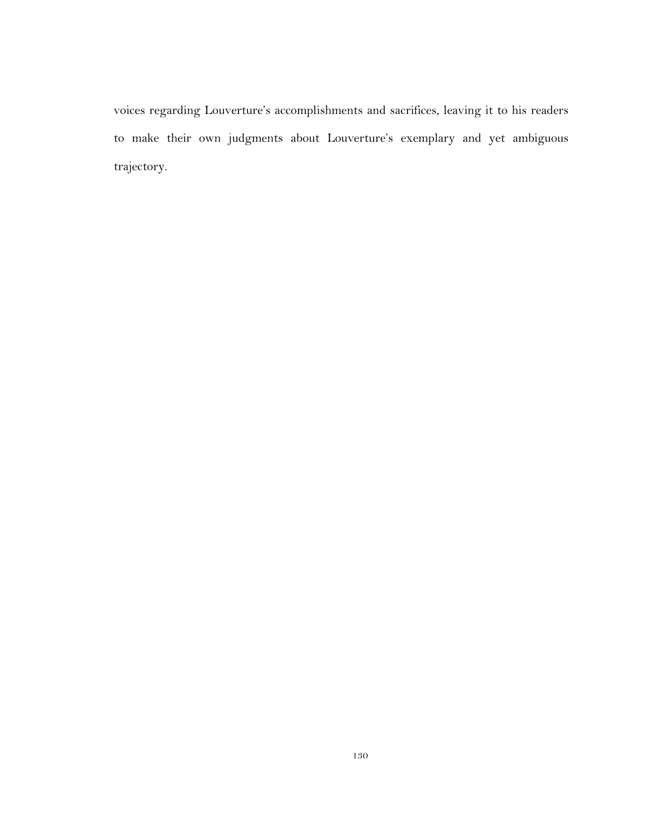voices regarding Louverture's accomplishments and sacrifices, leaving it to his readers to make their own judgments about Louverture's exemplary and yet ambiguous trajectory.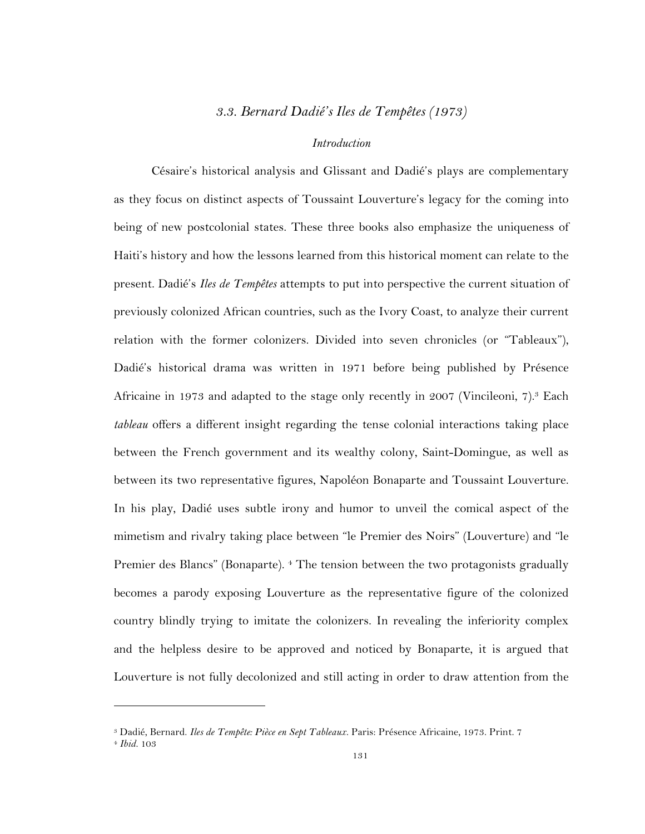## *3.3. Bernard Dadié's Iles de Tempêtes (1973)*

#### *Introduction*

Césaire's historical analysis and Glissant and Dadié's plays are complementary as they focus on distinct aspects of Toussaint Louverture's legacy for the coming into being of new postcolonial states. These three books also emphasize the uniqueness of Haiti's history and how the lessons learned from this historical moment can relate to the present. Dadié's *Iles de Tempêtes* attempts to put into perspective the current situation of previously colonized African countries, such as the Ivory Coast, to analyze their current relation with the former colonizers. Divided into seven chronicles (or "Tableaux"), Dadié's historical drama was written in 1971 before being published by Présence Africaine in 1973 and adapted to the stage only recently in 2007 (Vincileoni, 7).<sup>3</sup> Each *tableau* offers a different insight regarding the tense colonial interactions taking place between the French government and its wealthy colony, Saint-Domingue, as well as between its two representative figures, Napoléon Bonaparte and Toussaint Louverture. In his play, Dadié uses subtle irony and humor to unveil the comical aspect of the mimetism and rivalry taking place between "le Premier des Noirs" (Louverture) and "le Premier des Blancs" (Bonaparte). <sup>4</sup> The tension between the two protagonists gradually becomes a parody exposing Louverture as the representative figure of the colonized country blindly trying to imitate the colonizers. In revealing the inferiority complex and the helpless desire to be approved and noticed by Bonaparte, it is argued that Louverture is not fully decolonized and still acting in order to draw attention from the

<sup>3</sup> Dadié, Bernard. *Iles de Tempête: Pièce en Sept Tableaux*. Paris: Présence Africaine, 1973. Print. 7

<sup>4</sup> *Ibid.* 103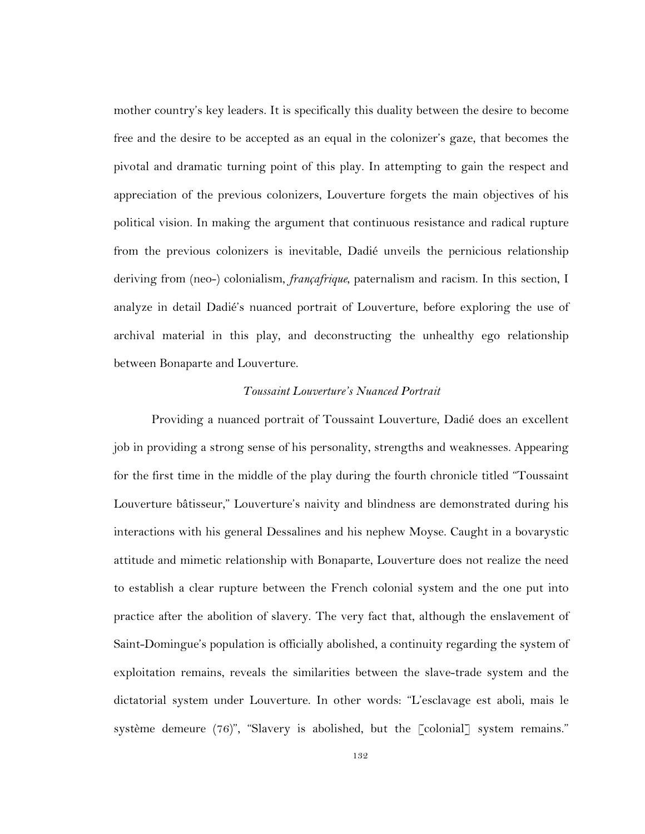mother country's key leaders. It is specifically this duality between the desire to become free and the desire to be accepted as an equal in the colonizer's gaze, that becomes the pivotal and dramatic turning point of this play. In attempting to gain the respect and appreciation of the previous colonizers, Louverture forgets the main objectives of his political vision. In making the argument that continuous resistance and radical rupture from the previous colonizers is inevitable, Dadié unveils the pernicious relationship deriving from (neo-) colonialism, *françafrique*, paternalism and racism. In this section, I analyze in detail Dadié's nuanced portrait of Louverture, before exploring the use of archival material in this play, and deconstructing the unhealthy ego relationship between Bonaparte and Louverture.

#### *Toussaint Louverture's Nuanced Portrait*

Providing a nuanced portrait of Toussaint Louverture, Dadié does an excellent job in providing a strong sense of his personality, strengths and weaknesses. Appearing for the first time in the middle of the play during the fourth chronicle titled "Toussaint Louverture bâtisseur," Louverture's naivity and blindness are demonstrated during his interactions with his general Dessalines and his nephew Moyse. Caught in a bovarystic attitude and mimetic relationship with Bonaparte, Louverture does not realize the need to establish a clear rupture between the French colonial system and the one put into practice after the abolition of slavery. The very fact that, although the enslavement of Saint-Domingue's population is officially abolished, a continuity regarding the system of exploitation remains, reveals the similarities between the slave-trade system and the dictatorial system under Louverture. In other words: "L'esclavage est aboli, mais le système demeure (76)", "Slavery is abolished, but the [colonial] system remains."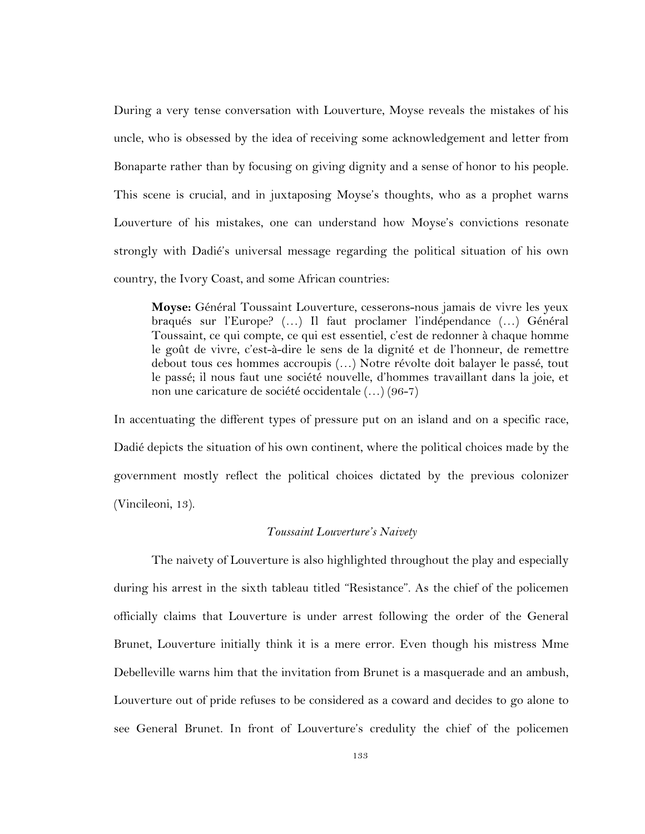During a very tense conversation with Louverture, Moyse reveals the mistakes of his uncle, who is obsessed by the idea of receiving some acknowledgement and letter from Bonaparte rather than by focusing on giving dignity and a sense of honor to his people. This scene is crucial, and in juxtaposing Moyse's thoughts, who as a prophet warns Louverture of his mistakes, one can understand how Moyse's convictions resonate strongly with Dadié's universal message regarding the political situation of his own country, the Ivory Coast, and some African countries:

**Moyse:** Général Toussaint Louverture, cesserons-nous jamais de vivre les yeux braqués sur l'Europe? (…) Il faut proclamer l'indépendance (…) Général Toussaint, ce qui compte, ce qui est essentiel, c'est de redonner à chaque homme le goût de vivre, c'est-à-dire le sens de la dignité et de l'honneur, de remettre debout tous ces hommes accroupis (…) Notre révolte doit balayer le passé, tout le passé; il nous faut une société nouvelle, d'hommes travaillant dans la joie, et non une caricature de société occidentale (…) (96-7)

In accentuating the different types of pressure put on an island and on a specific race, Dadié depicts the situation of his own continent, where the political choices made by the government mostly reflect the political choices dictated by the previous colonizer (Vincileoni, 13).

#### *Toussaint Louverture's Naivety*

The naivety of Louverture is also highlighted throughout the play and especially during his arrest in the sixth tableau titled "Resistance". As the chief of the policemen officially claims that Louverture is under arrest following the order of the General Brunet, Louverture initially think it is a mere error. Even though his mistress Mme Debelleville warns him that the invitation from Brunet is a masquerade and an ambush, Louverture out of pride refuses to be considered as a coward and decides to go alone to see General Brunet. In front of Louverture's credulity the chief of the policemen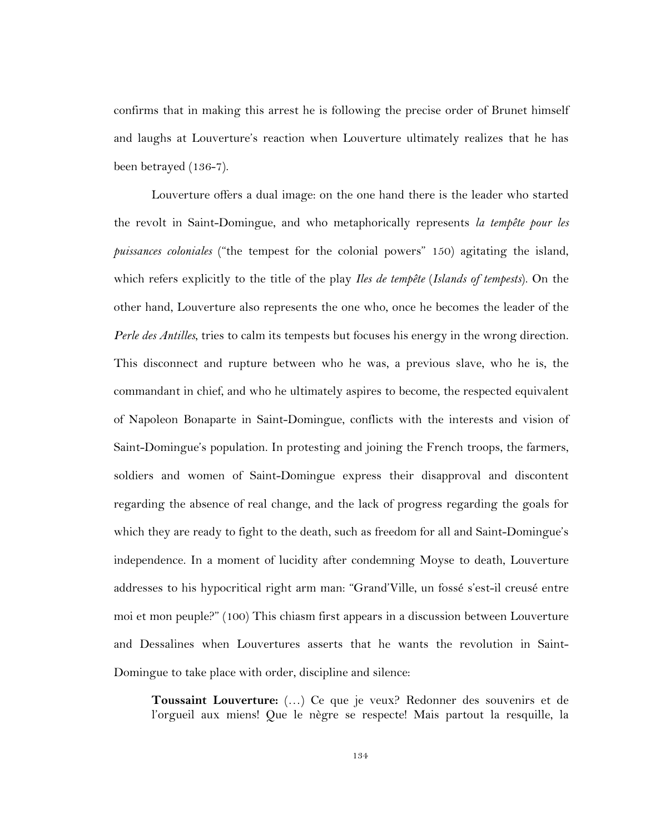confirms that in making this arrest he is following the precise order of Brunet himself and laughs at Louverture's reaction when Louverture ultimately realizes that he has been betrayed (136-7).

Louverture offers a dual image: on the one hand there is the leader who started the revolt in Saint-Domingue, and who metaphorically represents *la tempête pour les puissances coloniales* ("the tempest for the colonial powers" 150) agitating the island, which refers explicitly to the title of the play *Iles de tempête* (*Islands of tempests*). On the other hand, Louverture also represents the one who, once he becomes the leader of the *Perle des Antilles*, tries to calm its tempests but focuses his energy in the wrong direction. This disconnect and rupture between who he was, a previous slave, who he is, the commandant in chief, and who he ultimately aspires to become, the respected equivalent of Napoleon Bonaparte in Saint-Domingue, conflicts with the interests and vision of Saint-Domingue's population. In protesting and joining the French troops, the farmers, soldiers and women of Saint-Domingue express their disapproval and discontent regarding the absence of real change, and the lack of progress regarding the goals for which they are ready to fight to the death, such as freedom for all and Saint-Domingue's independence. In a moment of lucidity after condemning Moyse to death, Louverture addresses to his hypocritical right arm man: "Grand'Ville, un fossé s'est-il creusé entre moi et mon peuple?" (100) This chiasm first appears in a discussion between Louverture and Dessalines when Louvertures asserts that he wants the revolution in Saint-Domingue to take place with order, discipline and silence:

**Toussaint Louverture:** (…) Ce que je veux? Redonner des souvenirs et de l'orgueil aux miens! Que le nègre se respecte! Mais partout la resquille, la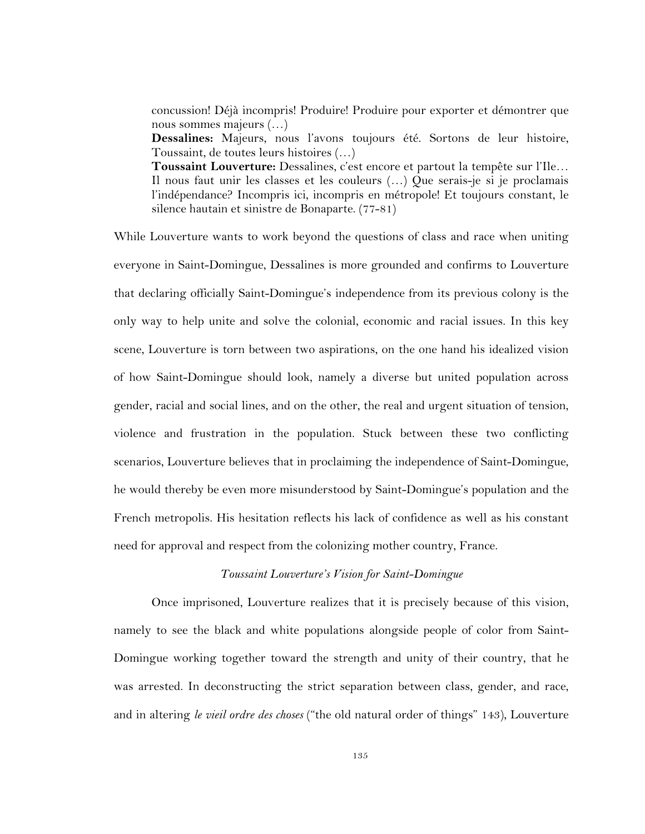concussion! Déjà incompris! Produire! Produire pour exporter et démontrer que nous sommes majeurs (…) **Dessalines:** Majeurs, nous l'avons toujours été. Sortons de leur histoire, Toussaint, de toutes leurs histoires (…) **Toussaint Louverture:** Dessalines, c'est encore et partout la tempête sur l'Ile… Il nous faut unir les classes et les couleurs (…) Que serais-je si je proclamais l'indépendance? Incompris ici, incompris en métropole! Et toujours constant, le silence hautain et sinistre de Bonaparte. (77-81)

While Louverture wants to work beyond the questions of class and race when uniting everyone in Saint-Domingue, Dessalines is more grounded and confirms to Louverture that declaring officially Saint-Domingue's independence from its previous colony is the only way to help unite and solve the colonial, economic and racial issues. In this key scene, Louverture is torn between two aspirations, on the one hand his idealized vision of how Saint-Domingue should look, namely a diverse but united population across gender, racial and social lines, and on the other, the real and urgent situation of tension, violence and frustration in the population. Stuck between these two conflicting scenarios, Louverture believes that in proclaiming the independence of Saint-Domingue, he would thereby be even more misunderstood by Saint-Domingue's population and the French metropolis. His hesitation reflects his lack of confidence as well as his constant need for approval and respect from the colonizing mother country, France.

#### *Toussaint Louverture's Vision for Saint-Domingue*

Once imprisoned, Louverture realizes that it is precisely because of this vision, namely to see the black and white populations alongside people of color from Saint-Domingue working together toward the strength and unity of their country, that he was arrested. In deconstructing the strict separation between class, gender, and race, and in altering *le vieil ordre des choses* ("the old natural order of things" 143), Louverture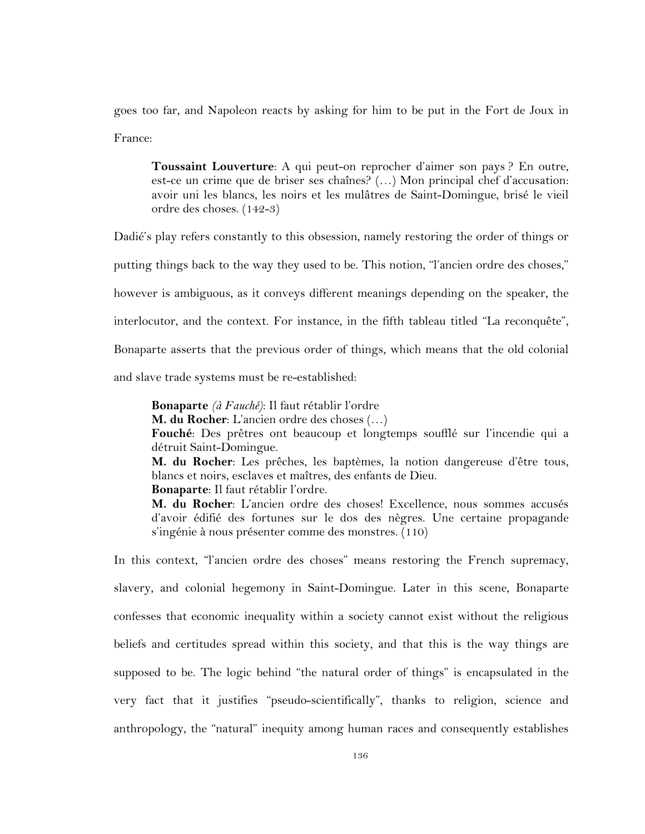goes too far, and Napoleon reacts by asking for him to be put in the Fort de Joux in France:

**Toussaint Louverture**: A qui peut-on reprocher d'aimer son pays ? En outre, est-ce un crime que de briser ses chaînes? (…) Mon principal chef d'accusation: avoir uni les blancs, les noirs et les mulâtres de Saint-Domingue, brisé le vieil ordre des choses. (142-3)

Dadié's play refers constantly to this obsession, namely restoring the order of things or putting things back to the way they used to be. This notion, "l'ancien ordre des choses," however is ambiguous, as it conveys different meanings depending on the speaker, the interlocutor, and the context. For instance, in the fifth tableau titled "La reconquête", Bonaparte asserts that the previous order of things, which means that the old colonial and slave trade systems must be re-established:

**Bonaparte** *(à Fauché)*: Il faut rétablir l'ordre **M. du Rocher**: L'ancien ordre des choses (…) **Fouché**: Des prêtres ont beaucoup et longtemps soufflé sur l'incendie qui a détruit Saint-Domingue. **M. du Rocher**: Les prêches, les baptèmes, la notion dangereuse d'être tous, blancs et noirs, esclaves et maîtres, des enfants de Dieu. **Bonaparte**: Il faut rétablir l'ordre.

**M. du Rocher**: L'ancien ordre des choses! Excellence, nous sommes accusés d'avoir édifié des fortunes sur le dos des nègres. Une certaine propagande s'ingénie à nous présenter comme des monstres. (110)

In this context, "l'ancien ordre des choses" means restoring the French supremacy, slavery, and colonial hegemony in Saint-Domingue. Later in this scene, Bonaparte confesses that economic inequality within a society cannot exist without the religious beliefs and certitudes spread within this society, and that this is the way things are supposed to be. The logic behind "the natural order of things" is encapsulated in the very fact that it justifies "pseudo-scientifically", thanks to religion, science and anthropology, the "natural" inequity among human races and consequently establishes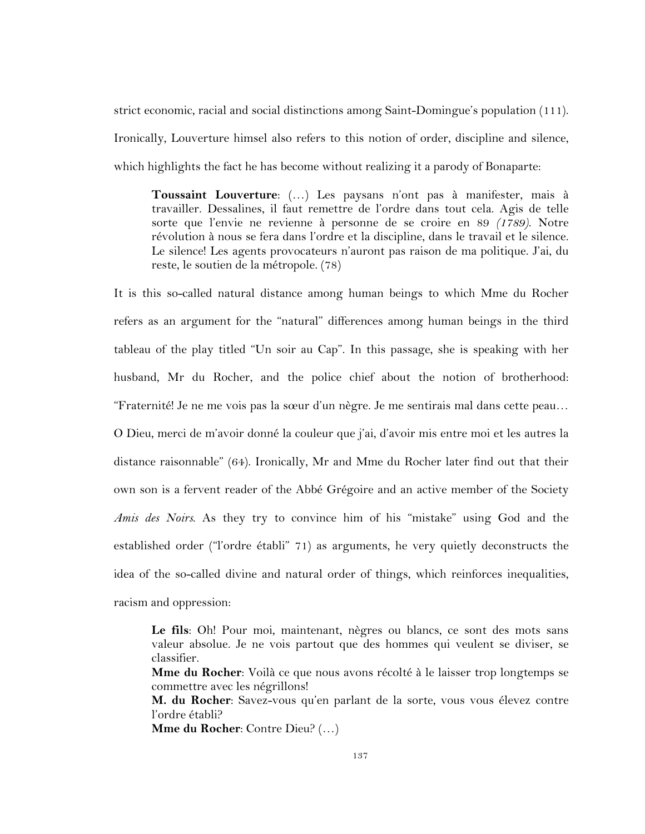strict economic, racial and social distinctions among Saint-Domingue's population (111). Ironically, Louverture himsel also refers to this notion of order, discipline and silence, which highlights the fact he has become without realizing it a parody of Bonaparte:

**Toussaint Louverture**: (…) Les paysans n'ont pas à manifester, mais à travailler. Dessalines, il faut remettre de l'ordre dans tout cela. Agis de telle sorte que l'envie ne revienne à personne de se croire en 89 *(1789)*. Notre révolution à nous se fera dans l'ordre et la discipline, dans le travail et le silence. Le silence! Les agents provocateurs n'auront pas raison de ma politique. J'ai, du reste, le soutien de la métropole. (78)

It is this so-called natural distance among human beings to which Mme du Rocher refers as an argument for the "natural" differences among human beings in the third tableau of the play titled "Un soir au Cap". In this passage, she is speaking with her husband, Mr du Rocher, and the police chief about the notion of brotherhood: "Fraternité! Je ne me vois pas la sœur d'un nègre. Je me sentirais mal dans cette peau… O Dieu, merci de m'avoir donné la couleur que j'ai, d'avoir mis entre moi et les autres la distance raisonnable" (64). Ironically, Mr and Mme du Rocher later find out that their own son is a fervent reader of the Abbé Grégoire and an active member of the Society *Amis des Noirs*. As they try to convince him of his "mistake" using God and the established order ("l'ordre établi" 71) as arguments, he very quietly deconstructs the idea of the so-called divine and natural order of things, which reinforces inequalities, racism and oppression:

**Le fils**: Oh! Pour moi, maintenant, nègres ou blancs, ce sont des mots sans valeur absolue. Je ne vois partout que des hommes qui veulent se diviser, se classifier.

**Mme du Rocher**: Voilà ce que nous avons récolté à le laisser trop longtemps se commettre avec les négrillons!

**M. du Rocher**: Savez-vous qu'en parlant de la sorte, vous vous élevez contre l'ordre établi?

**Mme du Rocher**: Contre Dieu? (…)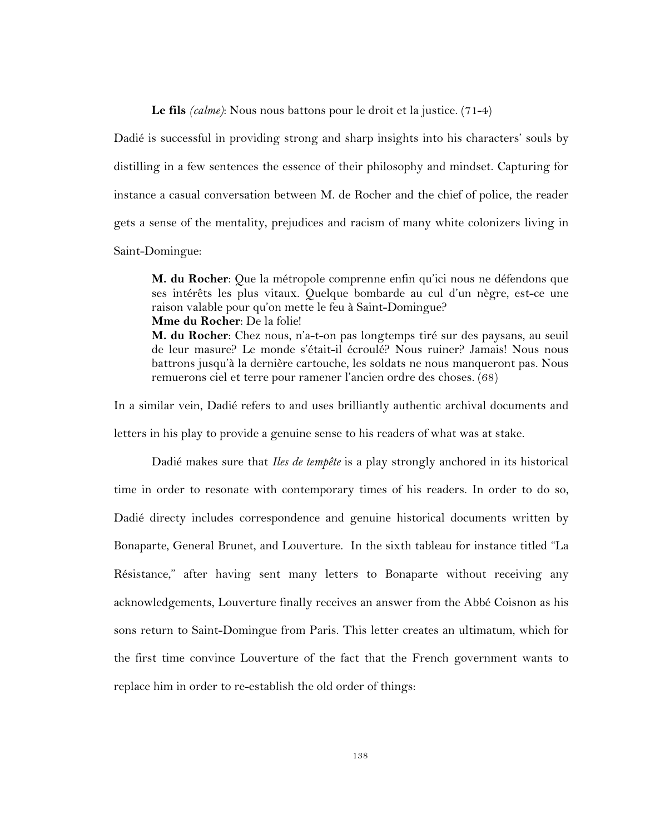**Le fils** *(calme)*: Nous nous battons pour le droit et la justice. (71-4)

Dadié is successful in providing strong and sharp insights into his characters' souls by distilling in a few sentences the essence of their philosophy and mindset. Capturing for instance a casual conversation between M. de Rocher and the chief of police, the reader gets a sense of the mentality, prejudices and racism of many white colonizers living in Saint-Domingue:

**M. du Rocher**: Que la métropole comprenne enfin qu'ici nous ne défendons que ses intérêts les plus vitaux. Quelque bombarde au cul d'un nègre, est-ce une raison valable pour qu'on mette le feu à Saint-Domingue? **Mme du Rocher**: De la folie!

**M. du Rocher**: Chez nous, n'a-t-on pas longtemps tiré sur des paysans, au seuil de leur masure? Le monde s'était-il écroulé? Nous ruiner? Jamais! Nous nous battrons jusqu'à la dernière cartouche, les soldats ne nous manqueront pas. Nous remuerons ciel et terre pour ramener l'ancien ordre des choses. (68)

In a similar vein, Dadié refers to and uses brilliantly authentic archival documents and letters in his play to provide a genuine sense to his readers of what was at stake.

Dadié makes sure that *Iles de tempête* is a play strongly anchored in its historical time in order to resonate with contemporary times of his readers. In order to do so, Dadié directy includes correspondence and genuine historical documents written by Bonaparte, General Brunet, and Louverture. In the sixth tableau for instance titled "La Résistance," after having sent many letters to Bonaparte without receiving any acknowledgements, Louverture finally receives an answer from the Abbé Coisnon as his sons return to Saint-Domingue from Paris. This letter creates an ultimatum, which for the first time convince Louverture of the fact that the French government wants to replace him in order to re-establish the old order of things: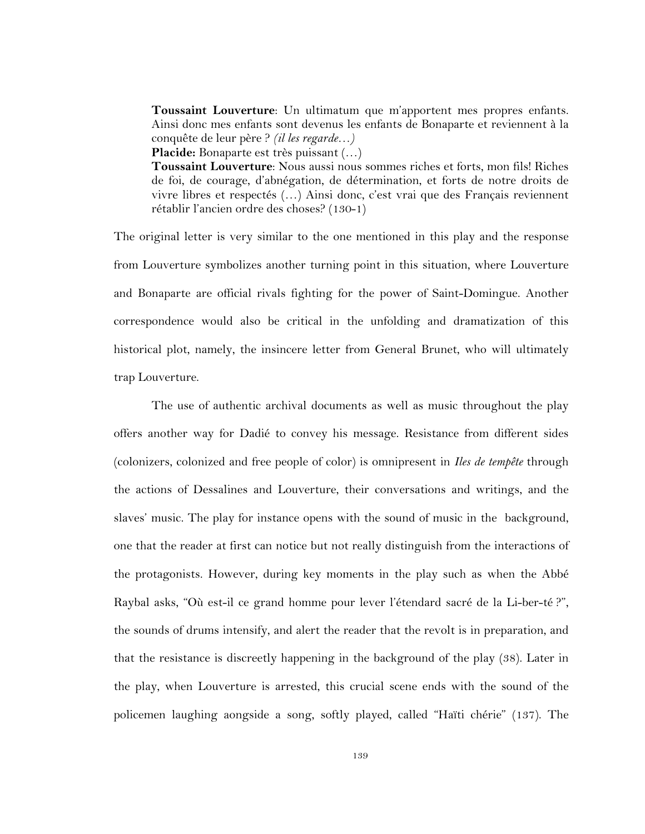**Toussaint Louverture**: Un ultimatum que m'apportent mes propres enfants. Ainsi donc mes enfants sont devenus les enfants de Bonaparte et reviennent à la conquête de leur père ? *(il les regarde…)*

**Placide:** Bonaparte est très puissant (…)

**Toussaint Louverture**: Nous aussi nous sommes riches et forts, mon fils! Riches de foi, de courage, d'abnégation, de détermination, et forts de notre droits de vivre libres et respectés (…) Ainsi donc, c'est vrai que des Français reviennent rétablir l'ancien ordre des choses? (130-1)

The original letter is very similar to the one mentioned in this play and the response from Louverture symbolizes another turning point in this situation, where Louverture and Bonaparte are official rivals fighting for the power of Saint-Domingue. Another correspondence would also be critical in the unfolding and dramatization of this historical plot, namely, the insincere letter from General Brunet, who will ultimately trap Louverture.

The use of authentic archival documents as well as music throughout the play offers another way for Dadié to convey his message. Resistance from different sides (colonizers, colonized and free people of color) is omnipresent in *Iles de tempête* through the actions of Dessalines and Louverture, their conversations and writings, and the slaves' music. The play for instance opens with the sound of music in the background, one that the reader at first can notice but not really distinguish from the interactions of the protagonists. However, during key moments in the play such as when the Abbé Raybal asks, "Où est-il ce grand homme pour lever l'étendard sacré de la Li-ber-té ?", the sounds of drums intensify, and alert the reader that the revolt is in preparation, and that the resistance is discreetly happening in the background of the play (38). Later in the play, when Louverture is arrested, this crucial scene ends with the sound of the policemen laughing aongside a song, softly played, called "Haïti chérie" (137). The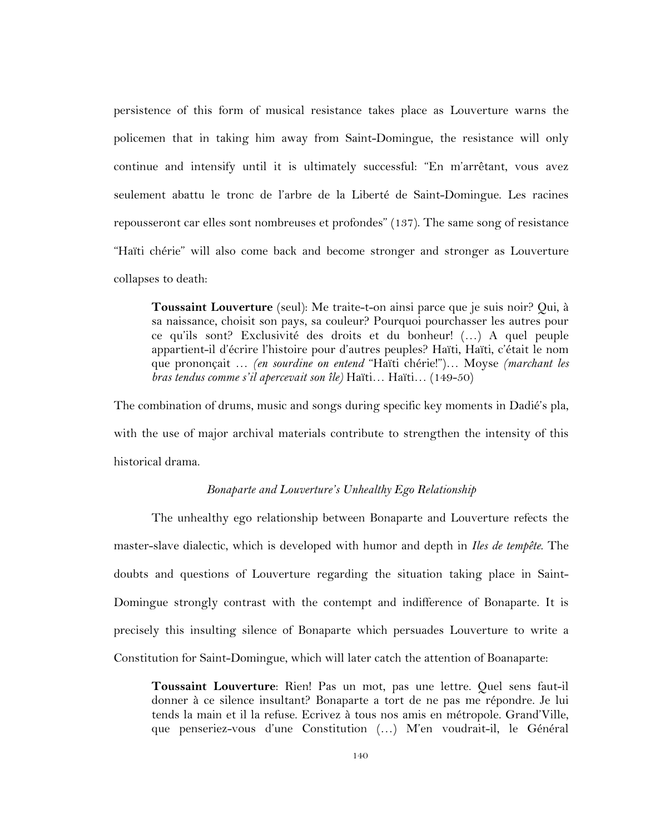persistence of this form of musical resistance takes place as Louverture warns the policemen that in taking him away from Saint-Domingue, the resistance will only continue and intensify until it is ultimately successful: "En m'arrêtant, vous avez seulement abattu le tronc de l'arbre de la Liberté de Saint-Domingue. Les racines repousseront car elles sont nombreuses et profondes" (137). The same song of resistance "Haïti chérie" will also come back and become stronger and stronger as Louverture collapses to death:

**Toussaint Louverture** (seul): Me traite-t-on ainsi parce que je suis noir? Qui, à sa naissance, choisit son pays, sa couleur? Pourquoi pourchasser les autres pour ce qu'ils sont? Exclusivité des droits et du bonheur! (…) A quel peuple appartient-il d'écrire l'histoire pour d'autres peuples? Haïti, Haïti, c'était le nom que prononçait … *(en sourdine on entend* "Haïti chérie!")… Moyse *(marchant les bras tendus comme s'il apercevait son île)* Haïti… Haïti… (149-50)

The combination of drums, music and songs during specific key moments in Dadié's pla, with the use of major archival materials contribute to strengthen the intensity of this historical drama.

#### *Bonaparte and Louverture's Unhealthy Ego Relationship*

The unhealthy ego relationship between Bonaparte and Louverture refects the master-slave dialectic, which is developed with humor and depth in *Iles de tempête*. The doubts and questions of Louverture regarding the situation taking place in Saint-Domingue strongly contrast with the contempt and indifference of Bonaparte. It is precisely this insulting silence of Bonaparte which persuades Louverture to write a Constitution for Saint-Domingue, which will later catch the attention of Boanaparte:

**Toussaint Louverture**: Rien! Pas un mot, pas une lettre. Quel sens faut-il donner à ce silence insultant? Bonaparte a tort de ne pas me répondre. Je lui tends la main et il la refuse. Ecrivez à tous nos amis en métropole. Grand'Ville, que penseriez-vous d'une Constitution (…) M'en voudrait-il, le Général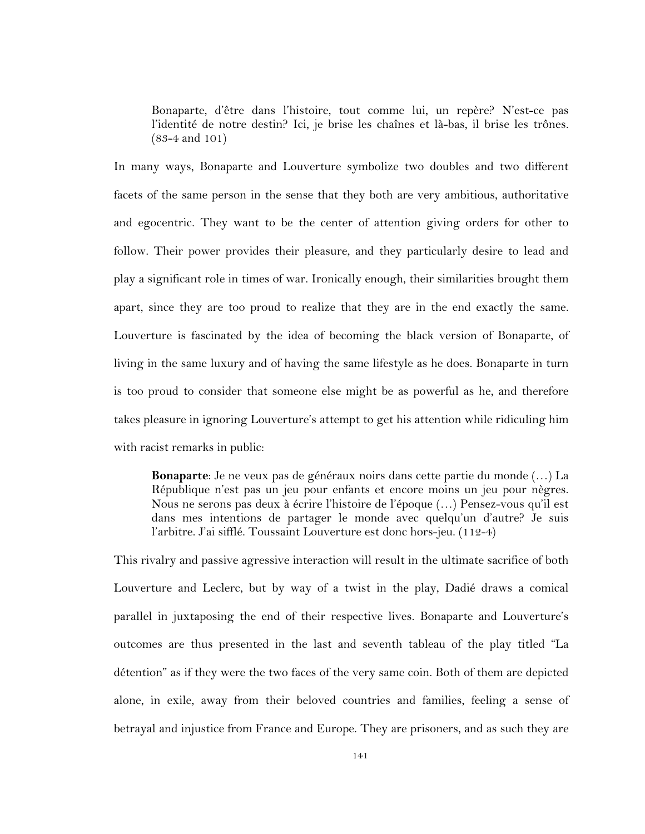Bonaparte, d'être dans l'histoire, tout comme lui, un repère? N'est-ce pas l'identité de notre destin? Ici, je brise les chaînes et là-bas, il brise les trônes. (83-4 and 101)

In many ways, Bonaparte and Louverture symbolize two doubles and two different facets of the same person in the sense that they both are very ambitious, authoritative and egocentric. They want to be the center of attention giving orders for other to follow. Their power provides their pleasure, and they particularly desire to lead and play a significant role in times of war. Ironically enough, their similarities brought them apart, since they are too proud to realize that they are in the end exactly the same. Louverture is fascinated by the idea of becoming the black version of Bonaparte, of living in the same luxury and of having the same lifestyle as he does. Bonaparte in turn is too proud to consider that someone else might be as powerful as he, and therefore takes pleasure in ignoring Louverture's attempt to get his attention while ridiculing him with racist remarks in public:

**Bonaparte**: Je ne veux pas de généraux noirs dans cette partie du monde (…) La République n'est pas un jeu pour enfants et encore moins un jeu pour nègres. Nous ne serons pas deux à écrire l'histoire de l'époque (…) Pensez-vous qu'il est dans mes intentions de partager le monde avec quelqu'un d'autre? Je suis l'arbitre. J'ai sifflé. Toussaint Louverture est donc hors-jeu. (112-4)

This rivalry and passive agressive interaction will result in the ultimate sacrifice of both Louverture and Leclerc, but by way of a twist in the play, Dadié draws a comical parallel in juxtaposing the end of their respective lives. Bonaparte and Louverture's outcomes are thus presented in the last and seventh tableau of the play titled "La détention" as if they were the two faces of the very same coin. Both of them are depicted alone, in exile, away from their beloved countries and families, feeling a sense of betrayal and injustice from France and Europe. They are prisoners, and as such they are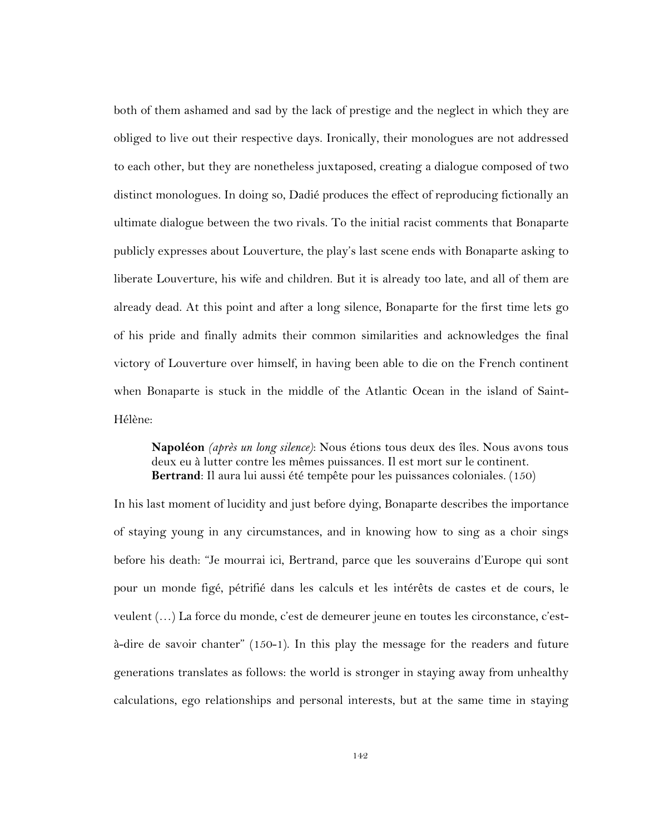both of them ashamed and sad by the lack of prestige and the neglect in which they are obliged to live out their respective days. Ironically, their monologues are not addressed to each other, but they are nonetheless juxtaposed, creating a dialogue composed of two distinct monologues. In doing so, Dadié produces the effect of reproducing fictionally an ultimate dialogue between the two rivals. To the initial racist comments that Bonaparte publicly expresses about Louverture, the play's last scene ends with Bonaparte asking to liberate Louverture, his wife and children. But it is already too late, and all of them are already dead. At this point and after a long silence, Bonaparte for the first time lets go of his pride and finally admits their common similarities and acknowledges the final victory of Louverture over himself, in having been able to die on the French continent when Bonaparte is stuck in the middle of the Atlantic Ocean in the island of Saint-Hélène:

**Napoléon** *(après un long silence)*: Nous étions tous deux des îles. Nous avons tous deux eu à lutter contre les mêmes puissances. Il est mort sur le continent. **Bertrand**: Il aura lui aussi été tempête pour les puissances coloniales. (150)

In his last moment of lucidity and just before dying, Bonaparte describes the importance of staying young in any circumstances, and in knowing how to sing as a choir sings before his death: "Je mourrai ici, Bertrand, parce que les souverains d'Europe qui sont pour un monde figé, pétrifié dans les calculs et les intérêts de castes et de cours, le veulent (…) La force du monde, c'est de demeurer jeune en toutes les circonstance, c'està-dire de savoir chanter" (150-1). In this play the message for the readers and future generations translates as follows: the world is stronger in staying away from unhealthy calculations, ego relationships and personal interests, but at the same time in staying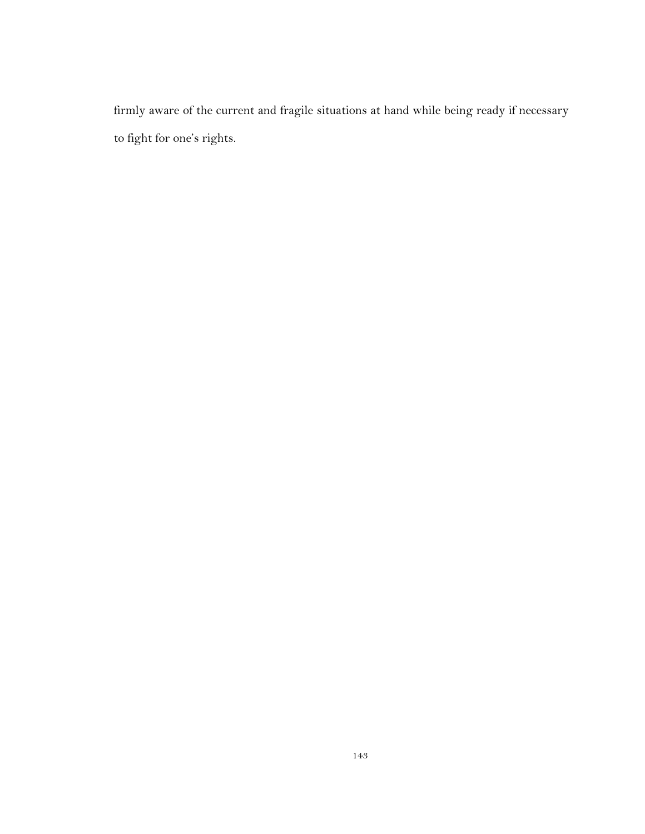firmly aware of the current and fragile situations at hand while being ready if necessary to fight for one's rights.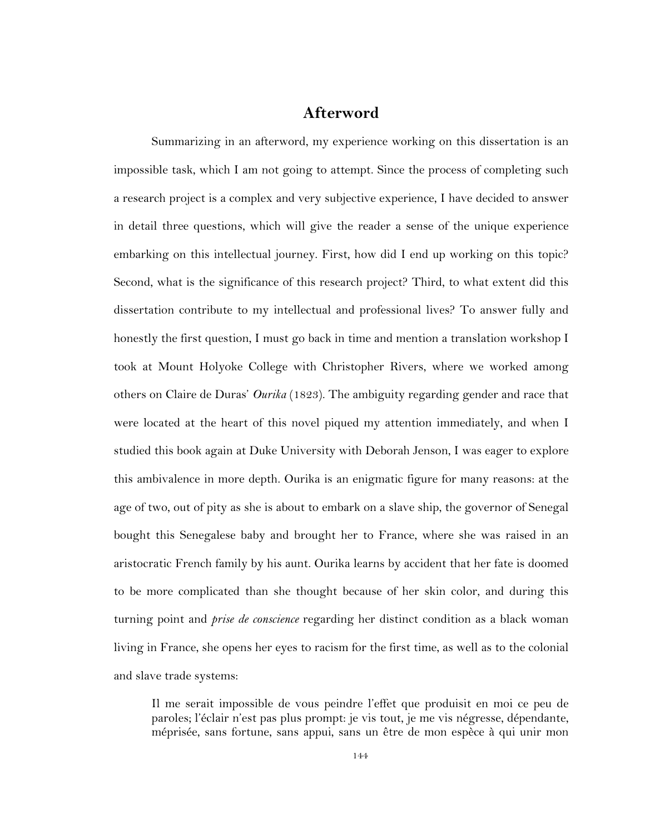#### **Afterword**

Summarizing in an afterword, my experience working on this dissertation is an impossible task, which I am not going to attempt. Since the process of completing such a research project is a complex and very subjective experience, I have decided to answer in detail three questions, which will give the reader a sense of the unique experience embarking on this intellectual journey. First, how did I end up working on this topic? Second, what is the significance of this research project? Third, to what extent did this dissertation contribute to my intellectual and professional lives? To answer fully and honestly the first question, I must go back in time and mention a translation workshop I took at Mount Holyoke College with Christopher Rivers, where we worked among others on Claire de Duras' *Ourika* (1823). The ambiguity regarding gender and race that were located at the heart of this novel piqued my attention immediately, and when I studied this book again at Duke University with Deborah Jenson, I was eager to explore this ambivalence in more depth. Ourika is an enigmatic figure for many reasons: at the age of two, out of pity as she is about to embark on a slave ship, the governor of Senegal bought this Senegalese baby and brought her to France, where she was raised in an aristocratic French family by his aunt. Ourika learns by accident that her fate is doomed to be more complicated than she thought because of her skin color, and during this turning point and *prise de conscience* regarding her distinct condition as a black woman living in France, she opens her eyes to racism for the first time, as well as to the colonial and slave trade systems:

Il me serait impossible de vous peindre l'effet que produisit en moi ce peu de paroles; l'éclair n'est pas plus prompt: je vis tout, je me vis négresse, dépendante, méprisée, sans fortune, sans appui, sans un être de mon espèce à qui unir mon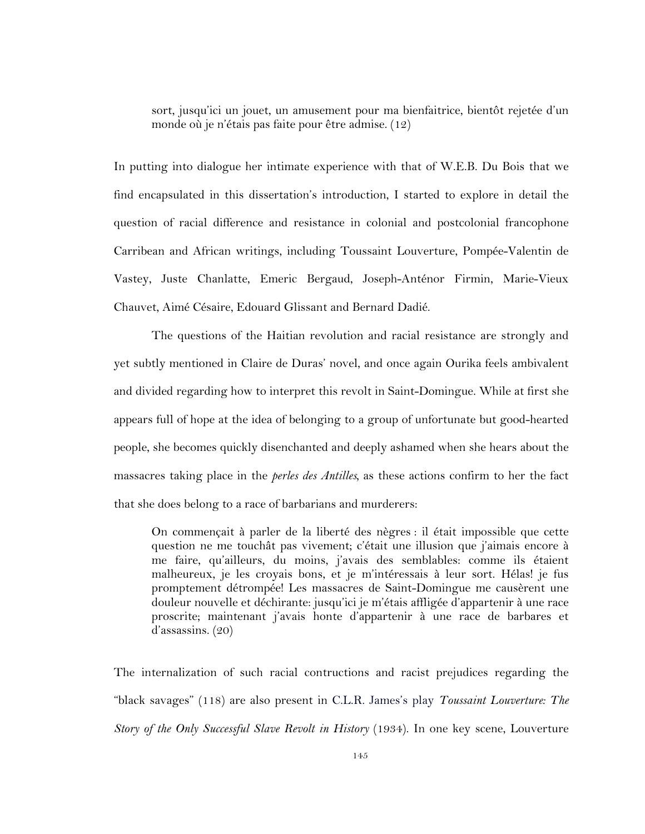sort, jusqu'ici un jouet, un amusement pour ma bienfaitrice, bientôt rejetée d'un monde où je n'étais pas faite pour être admise. (12)

In putting into dialogue her intimate experience with that of W.E.B. Du Bois that we find encapsulated in this dissertation's introduction, I started to explore in detail the question of racial difference and resistance in colonial and postcolonial francophone Carribean and African writings, including Toussaint Louverture, Pompée-Valentin de Vastey, Juste Chanlatte, Emeric Bergaud, Joseph-Anténor Firmin, Marie-Vieux Chauvet, Aimé Césaire, Edouard Glissant and Bernard Dadié.

The questions of the Haitian revolution and racial resistance are strongly and yet subtly mentioned in Claire de Duras' novel, and once again Ourika feels ambivalent and divided regarding how to interpret this revolt in Saint-Domingue. While at first she appears full of hope at the idea of belonging to a group of unfortunate but good-hearted people, she becomes quickly disenchanted and deeply ashamed when she hears about the massacres taking place in the *perles des Antilles,* as these actions confirm to her the fact that she does belong to a race of barbarians and murderers:

On commençait à parler de la liberté des nègres : il était impossible que cette question ne me touchât pas vivement; c'était une illusion que j'aimais encore à me faire, qu'ailleurs, du moins, j'avais des semblables: comme ils étaient malheureux, je les croyais bons, et je m'intéressais à leur sort. Hélas! je fus promptement détrompée! Les massacres de Saint-Domingue me causèrent une douleur nouvelle et déchirante: jusqu'ici je m'étais affligée d'appartenir à une race proscrite; maintenant j'avais honte d'appartenir à une race de barbares et d'assassins. (20)

The internalization of such racial contructions and racist prejudices regarding the "black savages" (118) are also present in C.L.R. James's play *Toussaint Louverture: The Story of the Only Successful Slave Revolt in History* (1934). In one key scene, Louverture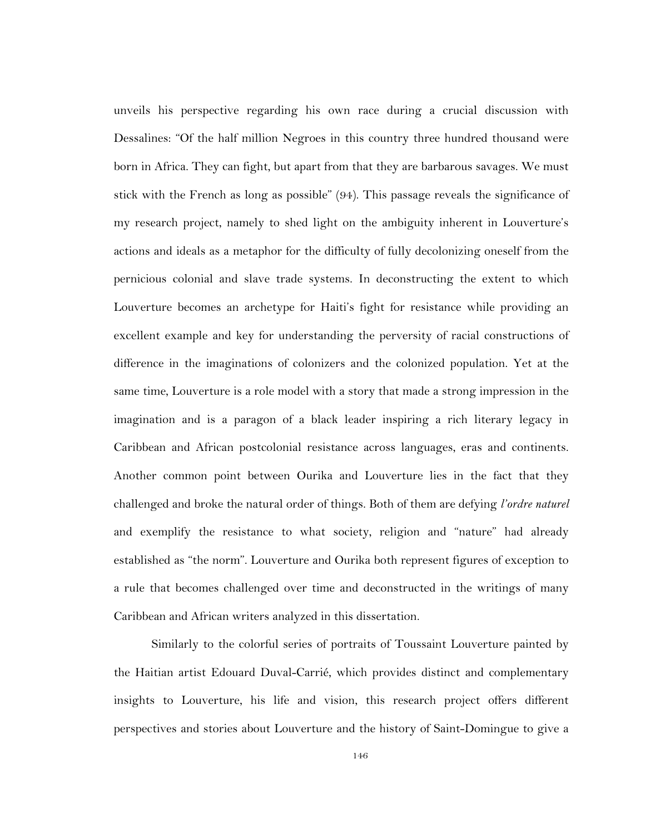unveils his perspective regarding his own race during a crucial discussion with Dessalines: "Of the half million Negroes in this country three hundred thousand were born in Africa. They can fight, but apart from that they are barbarous savages. We must stick with the French as long as possible" (94). This passage reveals the significance of my research project, namely to shed light on the ambiguity inherent in Louverture's actions and ideals as a metaphor for the difficulty of fully decolonizing oneself from the pernicious colonial and slave trade systems. In deconstructing the extent to which Louverture becomes an archetype for Haiti's fight for resistance while providing an excellent example and key for understanding the perversity of racial constructions of difference in the imaginations of colonizers and the colonized population. Yet at the same time, Louverture is a role model with a story that made a strong impression in the imagination and is a paragon of a black leader inspiring a rich literary legacy in Caribbean and African postcolonial resistance across languages, eras and continents. Another common point between Ourika and Louverture lies in the fact that they challenged and broke the natural order of things. Both of them are defying *l'ordre naturel* and exemplify the resistance to what society, religion and "nature" had already established as "the norm". Louverture and Ourika both represent figures of exception to a rule that becomes challenged over time and deconstructed in the writings of many Caribbean and African writers analyzed in this dissertation.

Similarly to the colorful series of portraits of Toussaint Louverture painted by the Haitian artist Edouard Duval-Carrié, which provides distinct and complementary insights to Louverture, his life and vision, this research project offers different perspectives and stories about Louverture and the history of Saint-Domingue to give a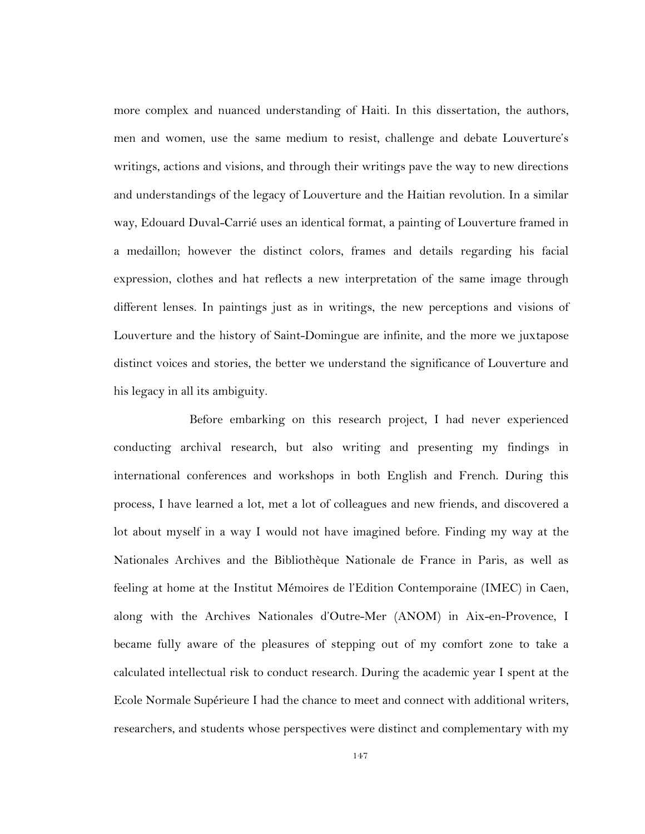more complex and nuanced understanding of Haiti. In this dissertation, the authors, men and women, use the same medium to resist, challenge and debate Louverture's writings, actions and visions, and through their writings pave the way to new directions and understandings of the legacy of Louverture and the Haitian revolution. In a similar way, Edouard Duval-Carrié uses an identical format, a painting of Louverture framed in a medaillon; however the distinct colors, frames and details regarding his facial expression, clothes and hat reflects a new interpretation of the same image through different lenses. In paintings just as in writings, the new perceptions and visions of Louverture and the history of Saint-Domingue are infinite, and the more we juxtapose distinct voices and stories, the better we understand the significance of Louverture and his legacy in all its ambiguity.

Before embarking on this research project, I had never experienced conducting archival research, but also writing and presenting my findings in international conferences and workshops in both English and French. During this process, I have learned a lot, met a lot of colleagues and new friends, and discovered a lot about myself in a way I would not have imagined before. Finding my way at the Nationales Archives and the Bibliothèque Nationale de France in Paris, as well as feeling at home at the Institut Mémoires de l'Edition Contemporaine (IMEC) in Caen, along with the Archives Nationales d'Outre-Mer (ANOM) in Aix-en-Provence, I became fully aware of the pleasures of stepping out of my comfort zone to take a calculated intellectual risk to conduct research. During the academic year I spent at the Ecole Normale Supérieure I had the chance to meet and connect with additional writers, researchers, and students whose perspectives were distinct and complementary with my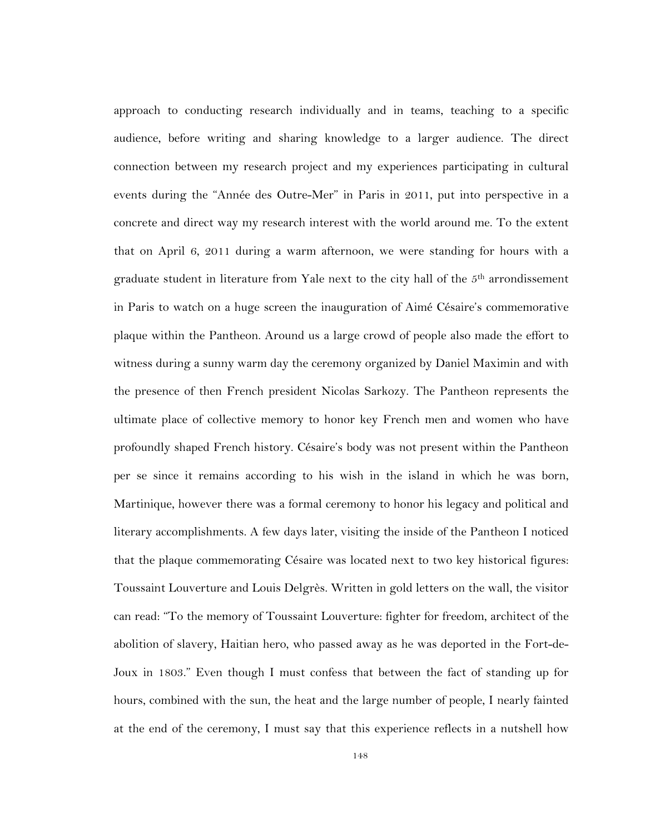approach to conducting research individually and in teams, teaching to a specific audience, before writing and sharing knowledge to a larger audience. The direct connection between my research project and my experiences participating in cultural events during the "Année des Outre-Mer" in Paris in 2011, put into perspective in a concrete and direct way my research interest with the world around me. To the extent that on April 6, 2011 during a warm afternoon, we were standing for hours with a graduate student in literature from Yale next to the city hall of the  $5<sup>th</sup>$  arrondissement in Paris to watch on a huge screen the inauguration of Aimé Césaire's commemorative plaque within the Pantheon. Around us a large crowd of people also made the effort to witness during a sunny warm day the ceremony organized by Daniel Maximin and with the presence of then French president Nicolas Sarkozy. The Pantheon represents the ultimate place of collective memory to honor key French men and women who have profoundly shaped French history. Césaire's body was not present within the Pantheon per se since it remains according to his wish in the island in which he was born, Martinique, however there was a formal ceremony to honor his legacy and political and literary accomplishments. A few days later, visiting the inside of the Pantheon I noticed that the plaque commemorating Césaire was located next to two key historical figures: Toussaint Louverture and Louis Delgrès. Written in gold letters on the wall, the visitor can read: "To the memory of Toussaint Louverture: fighter for freedom, architect of the abolition of slavery, Haitian hero, who passed away as he was deported in the Fort-de-Joux in 1803." Even though I must confess that between the fact of standing up for hours, combined with the sun, the heat and the large number of people, I nearly fainted at the end of the ceremony, I must say that this experience reflects in a nutshell how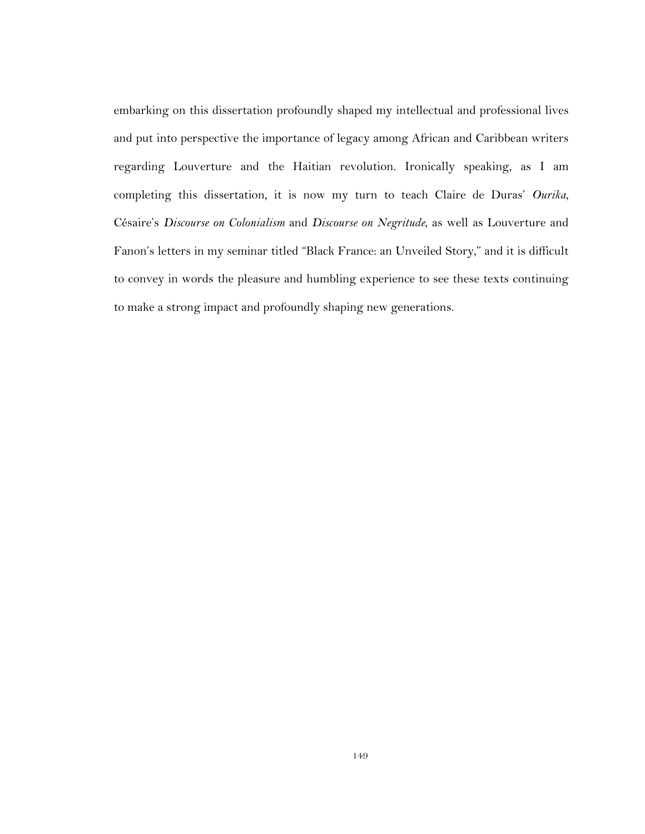embarking on this dissertation profoundly shaped my intellectual and professional lives and put into perspective the importance of legacy among African and Caribbean writers regarding Louverture and the Haitian revolution. Ironically speaking, as I am completing this dissertation, it is now my turn to teach Claire de Duras' *Ourika*, Césaire's *Discourse on Colonialism* and *Discourse on Negritude*, as well as Louverture and Fanon's letters in my seminar titled "Black France: an Unveiled Story," and it is difficult to convey in words the pleasure and humbling experience to see these texts continuing to make a strong impact and profoundly shaping new generations.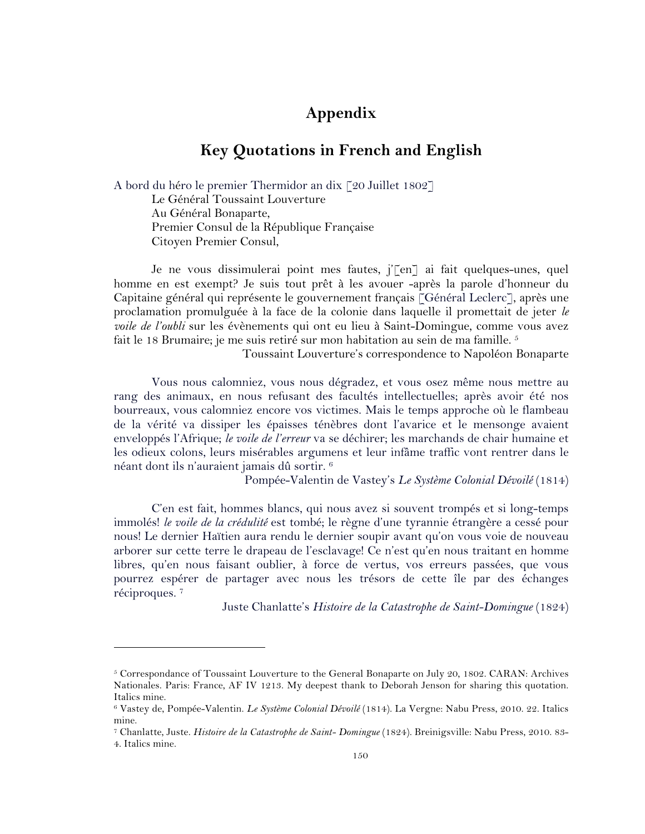## **Appendix**

#### **Key Quotations in French and English**

A bord du héro le premier Thermidor an dix [20 Juillet 1802] Le Général Toussaint Louverture Au Général Bonaparte, Premier Consul de la République Française Citoyen Premier Consul,

Je ne vous dissimulerai point mes fautes, j'[en] ai fait quelques-unes, quel homme en est exempt? Je suis tout prêt à les avouer -après la parole d'honneur du Capitaine général qui représente le gouvernement français [Général Leclerc], après une proclamation promulguée à la face de la colonie dans laquelle il promettait de jeter *le voile de l'oubli* sur les évènements qui ont eu lieu à Saint-Domingue, comme vous avez fait le 18 Brumaire; je me suis retiré sur mon habitation au sein de ma famille.<sup>5</sup>

Toussaint Louverture's correspondence to Napoléon Bonaparte

Vous nous calomniez, vous nous dégradez, et vous osez même nous mettre au rang des animaux, en nous refusant des facultés intellectuelles; après avoir été nos bourreaux, vous calomniez encore vos victimes. Mais le temps approche où le flambeau de la vérité va dissiper les épaisses ténèbres dont l'avarice et le mensonge avaient enveloppés l'Afrique; *le voile de l'erreur* va se déchirer; les marchands de chair humaine et les odieux colons, leurs misérables argumens et leur infâme traffic vont rentrer dans le néant dont ils n'auraient jamais dû sortir. 6

Pompée-Valentin de Vastey's *Le Système Colonial Dévoilé* (1814)

C'en est fait, hommes blancs, qui nous avez si souvent trompés et si long-temps immolés! *le voile de la crédulité* est tombé; le règne d'une tyrannie étrangère a cessé pour nous! Le dernier Haïtien aura rendu le dernier soupir avant qu'on vous voie de nouveau arborer sur cette terre le drapeau de l'esclavage! Ce n'est qu'en nous traitant en homme libres, qu'en nous faisant oublier, à force de vertus, vos erreurs passées, que vous pourrez espérer de partager avec nous les trésors de cette île par des échanges réciproques. 7

Juste Chanlatte's *Histoire de la Catastrophe de Saint-Domingue* (1824)

 $\overline{a}$ 

<sup>5</sup> Correspondance of Toussaint Louverture to the General Bonaparte on July 20, 1802. CARAN: Archives Nationales. Paris: France, AF IV 1213. My deepest thank to Deborah Jenson for sharing this quotation. Italics mine.

<sup>6</sup> Vastey de, Pompée-Valentin. *Le Système Colonial Dévoilé* (1814). La Vergne: Nabu Press, 2010. 22. Italics mine.

<sup>7</sup> Chanlatte, Juste. *Histoire de la Catastrophe de Saint- Domingue* (1824). Breinigsville: Nabu Press, 2010. 83- 4. Italics mine.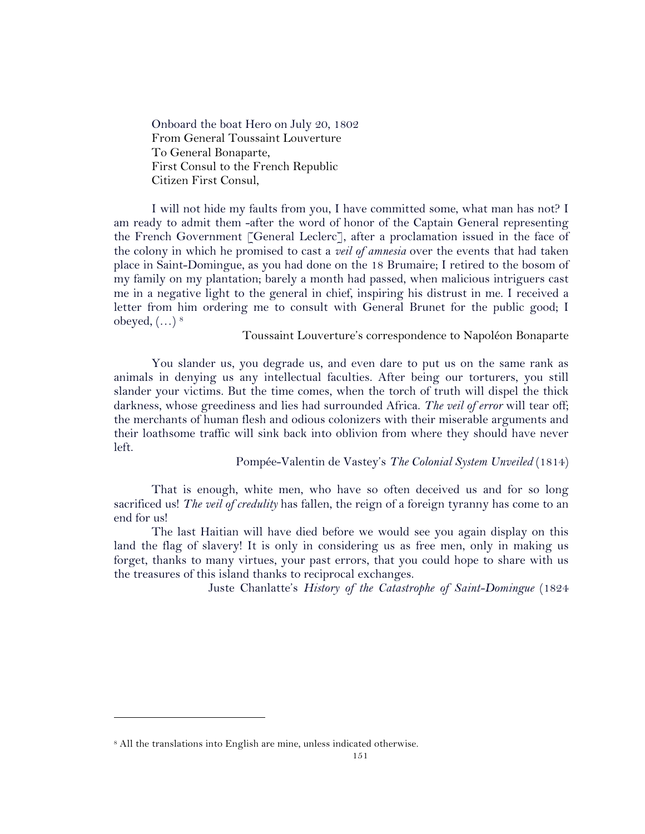Onboard the boat Hero on July 20, 1802 From General Toussaint Louverture To General Bonaparte, First Consul to the French Republic Citizen First Consul,

I will not hide my faults from you, I have committed some, what man has not? I am ready to admit them -after the word of honor of the Captain General representing the French Government [General Leclerc], after a proclamation issued in the face of the colony in which he promised to cast a *veil of amnesia* over the events that had taken place in Saint-Domingue, as you had done on the 18 Brumaire; I retired to the bosom of my family on my plantation; barely a month had passed, when malicious intriguers cast me in a negative light to the general in chief, inspiring his distrust in me. I received a letter from him ordering me to consult with General Brunet for the public good; I obeyed, (…) 8

Toussaint Louverture's correspondence to Napoléon Bonaparte

You slander us, you degrade us, and even dare to put us on the same rank as animals in denying us any intellectual faculties. After being our torturers, you still slander your victims. But the time comes, when the torch of truth will dispel the thick darkness, whose greediness and lies had surrounded Africa. *The veil of error* will tear off; the merchants of human flesh and odious colonizers with their miserable arguments and their loathsome traffic will sink back into oblivion from where they should have never left.

Pompée-Valentin de Vastey's *The Colonial System Unveiled* (1814)

That is enough, white men, who have so often deceived us and for so long sacrificed us! *The veil of credulity* has fallen, the reign of a foreign tyranny has come to an end for us!

The last Haitian will have died before we would see you again display on this land the flag of slavery! It is only in considering us as free men, only in making us forget, thanks to many virtues, your past errors, that you could hope to share with us the treasures of this island thanks to reciprocal exchanges.

Juste Chanlatte's *History of the Catastrophe of Saint-Domingue* (1824

 $\overline{a}$ 

<sup>8</sup> All the translations into English are mine, unless indicated otherwise.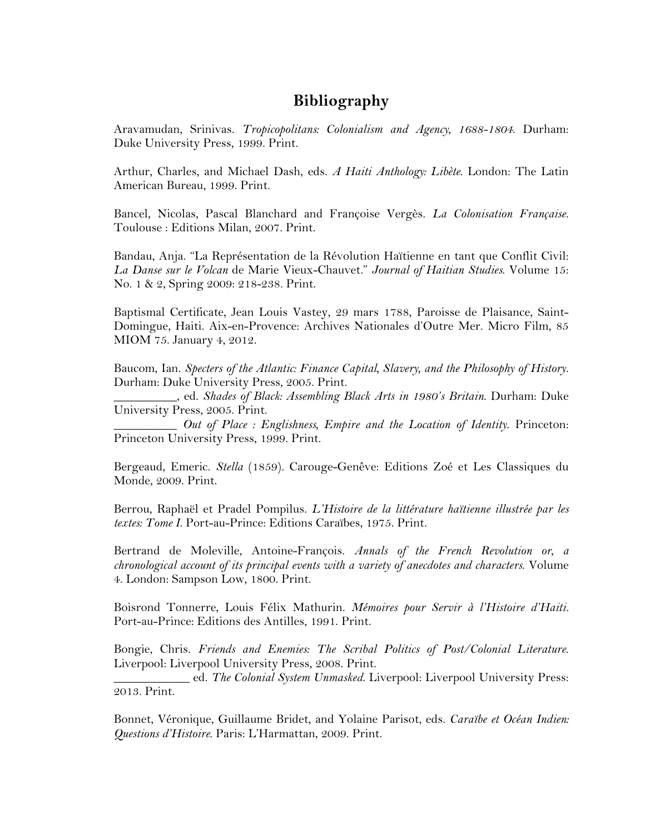# **Bibliography**

Aravamudan, Srinivas. *Tropicopolitans: Colonialism and Agency, 1688-1804*. Durham: Duke University Press, 1999. Print.

Arthur, Charles, and Michael Dash, eds. *A Haiti Anthology: Libète*. London: The Latin American Bureau, 1999. Print.

Bancel, Nicolas, Pascal Blanchard and Françoise Vergès. *La Colonisation Française*. Toulouse : Editions Milan, 2007. Print.

Bandau, Anja. "La Représentation de la Révolution Haïtienne en tant que Conflit Civil: *La Danse sur le Volcan* de Marie Vieux-Chauvet." *Journal of Haitian Studies*. Volume 15: No. 1 & 2, Spring 2009: 218-238. Print.

Baptismal Certificate, Jean Louis Vastey, 29 mars 1788, Paroisse de Plaisance, Saint-Domingue, Haiti. Aix-en-Provence: Archives Nationales d'Outre Mer. Micro Film, 85 MIOM 75. January 4, 2012.

Baucom, Ian. *Specters of the Atlantic: Finance Capital, Slavery, and the Philosophy of History*. Durham: Duke University Press, 2005. Print.

\_\_\_\_\_\_\_\_\_\_, ed. *Shades of Black: Assembling Black Arts in 1980's Britain*. Durham: Duke University Press, 2005. Print.

\_\_\_\_\_\_\_\_\_\_ *Out of Place : Englishness, Empire and the Location of Identity*. Princeton: Princeton University Press, 1999. Print.

Bergeaud, Emeric. *Stella* (1859)*.* Carouge-Genêve: Editions Zoé et Les Classiques du Monde, 2009. Print.

Berrou, Raphaël et Pradel Pompilus. *L'Histoire de la littérature haïtienne illustrée par les textes: Tome I*. Port-au-Prince: Editions Caraïbes, 1975. Print.

Bertrand de Moleville, Antoine-François. *Annals of the French Revolution or, a chronological account of its principal events with a variety of anecdotes and characters*. Volume 4. London: Sampson Low, 1800. Print.

Boisrond Tonnerre, Louis Félix Mathurin. *Mémoires pour Servir à l'Histoire d'Haiti.*  Port-au-Prince: Editions des Antilles, 1991. Print.

Bongie, Chris. *Friends and Enemies: The Scribal Politics of Post/Colonial Literature*. Liverpool: Liverpool University Press, 2008. Print.

\_\_\_\_\_\_\_\_\_\_\_\_ ed. *The Colonial System Unmasked*. Liverpool: Liverpool University Press: 2013. Print.

Bonnet, Véronique, Guillaume Bridet, and Yolaine Parisot, eds. *Caraïbe et Océan Indien: Questions d'Histoire*. Paris: L'Harmattan, 2009. Print.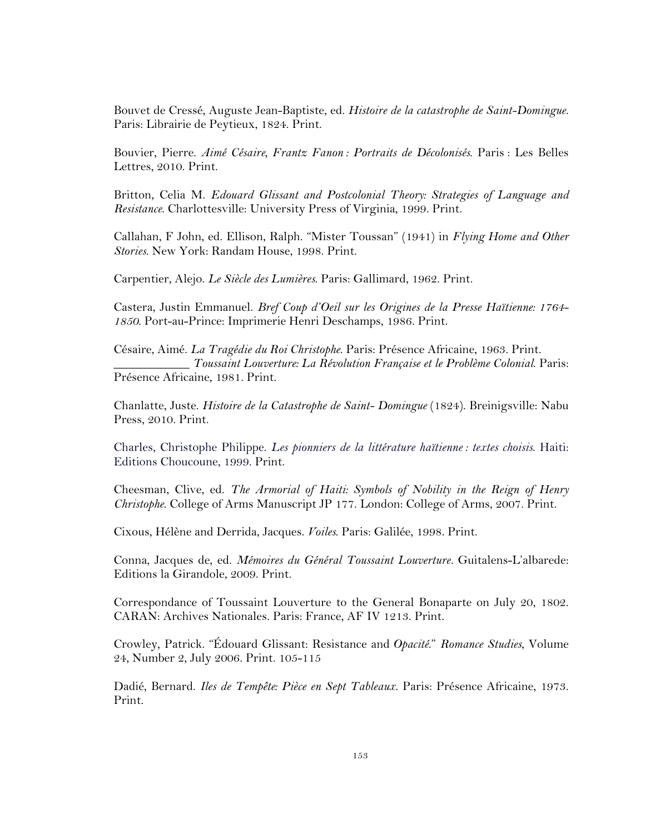Bouvet de Cressé, Auguste Jean-Baptiste, ed. *Histoire de la catastrophe de Saint-Domingue*. Paris: Librairie de Peytieux, 1824. Print.

Bouvier, Pierre. *Aimé Césaire, Frantz Fanon : Portraits de Décolonisés*. Paris : Les Belles Lettres, 2010. Print.

Britton, Celia M. *Edouard Glissant and Postcolonial Theory: Strategies of Language and Resistance*. Charlottesville: University Press of Virginia, 1999. Print.

Callahan, F John, ed. Ellison, Ralph. "Mister Toussan" (1941) in *Flying Home and Other Stories*. New York: Randam House, 1998. Print.

Carpentier, Alejo. *Le Siècle des Lumières*. Paris: Gallimard, 1962. Print.

Castera, Justin Emmanuel. *Bref Coup d'Oeil sur les Origines de la Presse Haïtienne: 1764- 1850*. Port-au-Prince: Imprimerie Henri Deschamps, 1986. Print.

Césaire, Aimé. *La Tragédie du Roi Christophe*. Paris: Présence Africaine, 1963. Print. \_\_\_\_\_\_\_\_\_\_\_\_ *Toussaint Louverture: La Révolution Française et le Problème Colonial*. Paris: Présence Africaine, 1981. Print.

Chanlatte, Juste. *Histoire de la Catastrophe de Saint- Domingue* (1824). Breinigsville: Nabu Press, 2010. Print.

Charles, Christophe Philippe. *Les pionniers de la littérature haïtienne : textes choisis*. Haiti: Editions Choucoune, 1999. Print.

Cheesman, Clive, ed. *The Armorial of Haiti: Symbols of Nobility in the Reign of Henry Christophe*. College of Arms Manuscript JP 177. London: College of Arms, 2007. Print.

Cixous, Hélène and Derrida, Jacques. *Voiles*. Paris: Galilée, 1998. Print.

Conna, Jacques de, ed. *Mémoires du Général Toussaint Louverture.* Guitalens-L'albarede: Editions la Girandole, 2009. Print.

Correspondance of Toussaint Louverture to the General Bonaparte on July 20, 1802. CARAN: Archives Nationales. Paris: France, AF IV 1213. Print.

Crowley, Patrick. "Édouard Glissant: Resistance and *Opacité*." *Romance Studies*, Volume 24, Number 2, July 2006. Print. 105-115

Dadié, Bernard. *Iles de Tempête: Pièce en Sept Tableaux*. Paris: Présence Africaine, 1973. Print.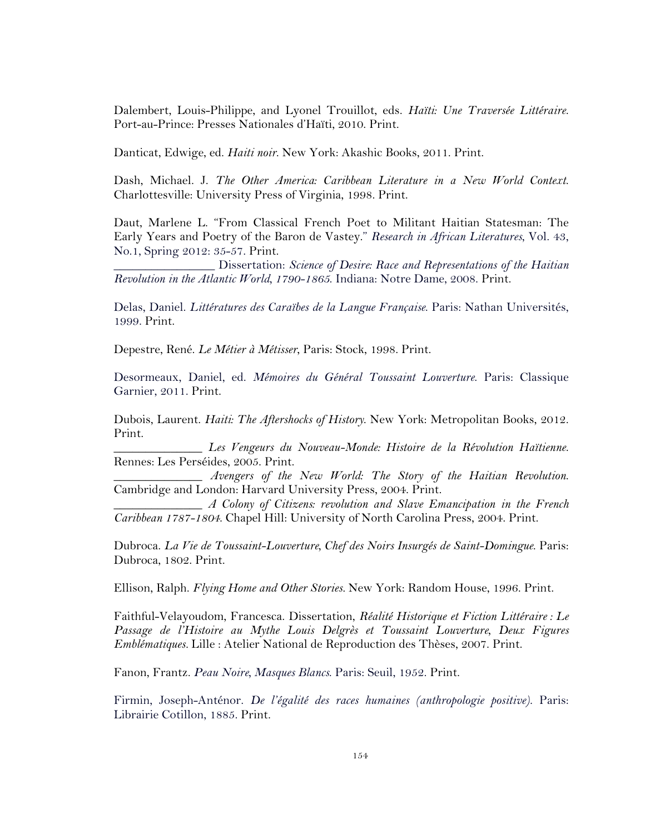Dalembert, Louis-Philippe, and Lyonel Trouillot, eds. *Haïti: Une Traversée Littéraire*. Port-au-Prince: Presses Nationales d'Haïti, 2010. Print.

Danticat, Edwige, ed. *Haiti noir*. New York: Akashic Books, 2011. Print.

Dash, Michael. J. *The Other America: Caribbean Literature in a New World Context*. Charlottesville: University Press of Virginia, 1998. Print.

Daut, Marlene L. "From Classical French Poet to Militant Haitian Statesman: The Early Years and Poetry of the Baron de Vastey." *Research in African Literatures*, Vol. 43, No.1, Spring 2012: 35-57. Print.

\_\_\_\_\_\_\_\_\_\_\_\_\_\_\_\_ Dissertation: *Science of Desire: Race and Representations of the Haitian Revolution in the Atlantic World, 1790-1865*. Indiana: Notre Dame, 2008. Print.

Delas, Daniel. *Littératures des Caraïbes de la Langue Française*. Paris: Nathan Universités, 1999. Print.

Depestre, René. *Le Métier à Métisser*, Paris: Stock, 1998. Print.

Desormeaux, Daniel, ed. *Mémoires du Général Toussaint Louverture*. Paris: Classique Garnier, 2011. Print.

Dubois, Laurent. *Haiti: The Aftershocks of History*. New York: Metropolitan Books, 2012. Print.

\_\_\_\_\_\_\_\_\_\_\_\_\_\_ *Les Vengeurs du Nouveau-Monde: Histoire de la Révolution Haïtienne*. Rennes: Les Perséides, 2005. Print.

\_\_\_\_\_\_\_\_\_\_\_\_\_\_ *Avengers of the New World: The Story of the Haitian Revolution*. Cambridge and London: Harvard University Press, 2004. Print.

\_\_\_\_\_\_\_\_\_\_\_\_\_\_ *A Colony of Citizens: revolution and Slave Emancipation in the French Caribbean 1787-1804*. Chapel Hill: University of North Carolina Press, 2004. Print.

Dubroca. *La Vie de Toussaint-Louverture, Chef des Noirs Insurgés de Saint-Domingue*. Paris: Dubroca, 1802. Print.

Ellison, Ralph. *Flying Home and Other Stories.* New York: Random House, 1996. Print.

Faithful-Velayoudom, Francesca. Dissertation, *Réalité Historique et Fiction Littéraire : Le Passage de l'Histoire au Mythe Louis Delgrès et Toussaint Louverture, Deux Figures Emblématiques.* Lille : Atelier National de Reproduction des Thèses, 2007. Print.

Fanon, Frantz. *Peau Noire, Masques Blancs*. Paris: Seuil, 1952. Print.

Firmin, Joseph-Anténor. *De l'égalité des races humaines (anthropologie positive)*. Paris: Librairie Cotillon, 1885. Print.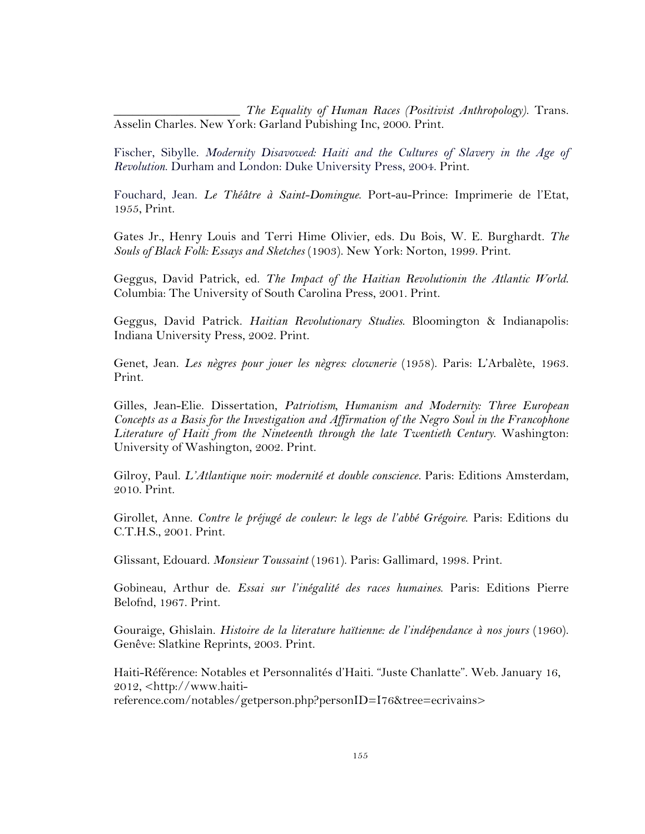\_\_\_\_\_\_\_\_\_\_\_\_\_\_\_\_\_\_\_\_ *The Equality of Human Races (Positivist Anthropology)*. Trans. Asselin Charles. New York: Garland Pubishing Inc, 2000. Print.

Fischer, Sibylle. *Modernity Disavowed: Haiti and the Cultures of Slavery in the Age of Revolution*. Durham and London: Duke University Press, 2004. Print.

Fouchard, Jean. *Le Théâtre à Saint-Domingue*. Port-au-Prince: Imprimerie de l'Etat, 1955, Print.

Gates Jr., Henry Louis and Terri Hime Olivier, eds. Du Bois, W. E. Burghardt. *The Souls of Black Folk: Essays and Sketches* (1903). New York: Norton, 1999. Print.

Geggus, David Patrick, ed. *The Impact of the Haitian Revolutionin the Atlantic World*. Columbia: The University of South Carolina Press, 2001. Print.

Geggus, David Patrick. *Haitian Revolutionary Studies*. Bloomington & Indianapolis: Indiana University Press, 2002. Print.

Genet, Jean. *Les nègres pour jouer les nègres: clownerie* (1958). Paris: L'Arbalète, 1963. Print.

Gilles, Jean-Elie. Dissertation, *Patriotism, Humanism and Modernity: Three European Concepts as a Basis for the Investigation and Affirmation of the Negro Soul in the Francophone Literature of Haiti from the Nineteenth through the late Twentieth Century*. Washington: University of Washington, 2002. Print.

Gilroy, Paul. *L'Atlantique noir: modernité et double conscience.* Paris: Editions Amsterdam, 2010. Print.

Girollet, Anne. *Contre le préjugé de couleur: le legs de l'abbé Grégoire*. Paris: Editions du C.T.H.S., 2001. Print.

Glissant, Edouard. *Monsieur Toussaint* (1961). Paris: Gallimard, 1998. Print.

Gobineau, Arthur de. *Essai sur l'inégalité des races humaines*. Paris: Editions Pierre Belofnd, 1967. Print.

Gouraige, Ghislain. *Histoire de la literature haïtienne: de l'indépendance à nos jours* (1960). Genêve: Slatkine Reprints, 2003. Print.

Haiti-Référence: Notables et Personnalités d'Haiti. "Juste Chanlatte". Web. January 16, 2012, <http://www.haitireference.com/notables/getperson.php?personID=I76&tree=ecrivains>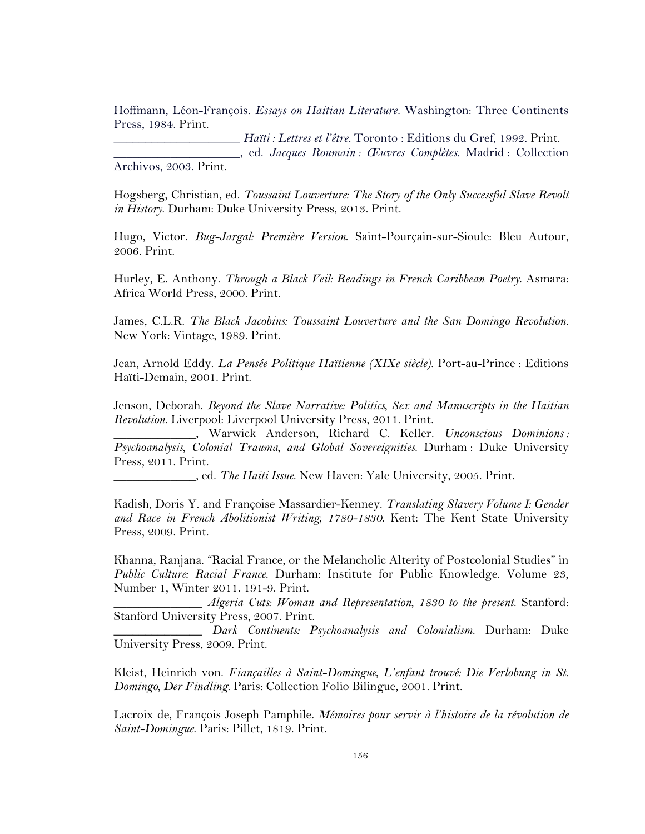Hoffmann, Léon-François. *Essays on Haitian Literature.* Washington: Three Continents Press, 1984. Print.

\_\_\_\_\_\_\_\_\_\_\_\_\_\_\_\_\_\_\_\_ *Haïti : Lettres et l'être.* Toronto : Editions du Gref, 1992. Print. \_\_\_\_\_\_\_\_\_\_\_\_\_\_\_\_\_\_\_\_, ed. *Jacques Roumain : Œuvres Complètes.* Madrid : Collection Archivos, 2003. Print.

Hogsberg, Christian, ed. *Toussaint Louverture: The Story of the Only Successful Slave Revolt in History*. Durham: Duke University Press, 2013. Print.

Hugo, Victor. *Bug-Jargal: Première Version*. Saint-Pourçain-sur-Sioule: Bleu Autour, 2006. Print.

Hurley, E. Anthony. *Through a Black Veil: Readings in French Caribbean Poetry*. Asmara: Africa World Press, 2000. Print.

James, C.L.R. *The Black Jacobins: Toussaint Louverture and the San Domingo Revolution*. New York: Vintage, 1989. Print.

Jean, Arnold Eddy. *La Pensée Politique Haïtienne (XIXe siècle)*. Port-au-Prince : Editions Haïti-Demain, 2001. Print.

Jenson, Deborah. *Beyond the Slave Narrative: Politics, Sex and Manuscripts in the Haitian Revolution*. Liverpool: Liverpool University Press, 2011. Print.

\_\_\_\_\_\_\_\_\_\_\_\_\_, Warwick Anderson, Richard C. Keller. *Unconscious Dominions : Psychoanalysis, Colonial Trauma, and Global Sovereignities*. Durham : Duke University Press, 2011. Print.

\_\_\_\_\_\_\_\_\_\_\_\_\_, ed. *The Haiti Issue*. New Haven: Yale University, 2005. Print.

Kadish, Doris Y. and Françoise Massardier-Kenney. *Translating Slavery Volume I: Gender and Race in French Abolitionist Writing, 1780-1830*. Kent: The Kent State University Press, 2009. Print.

Khanna, Ranjana. "Racial France, or the Melancholic Alterity of Postcolonial Studies" in *Public Culture: Racial France*. Durham: Institute for Public Knowledge. Volume 23, Number 1, Winter 2011. 191-9. Print.

\_\_\_\_\_\_\_\_\_\_\_\_\_\_ *Algeria Cuts: Woman and Representation, 1830 to the present*. Stanford: Stanford University Press, 2007. Print.

\_\_\_\_\_\_\_\_\_\_\_\_\_\_ *Dark Continents: Psychoanalysis and Colonialism*. Durham: Duke University Press, 2009. Print.

Kleist, Heinrich von. *Fiançailles à Saint-Domingue, L'enfant trouvé: Die Verlobung in St. Domingo, Der Findling*. Paris: Collection Folio Bilingue, 2001. Print.

Lacroix de, François Joseph Pamphile. *Mémoires pour servir à l'histoire de la révolution de Saint-Domingue*. Paris: Pillet, 1819. Print.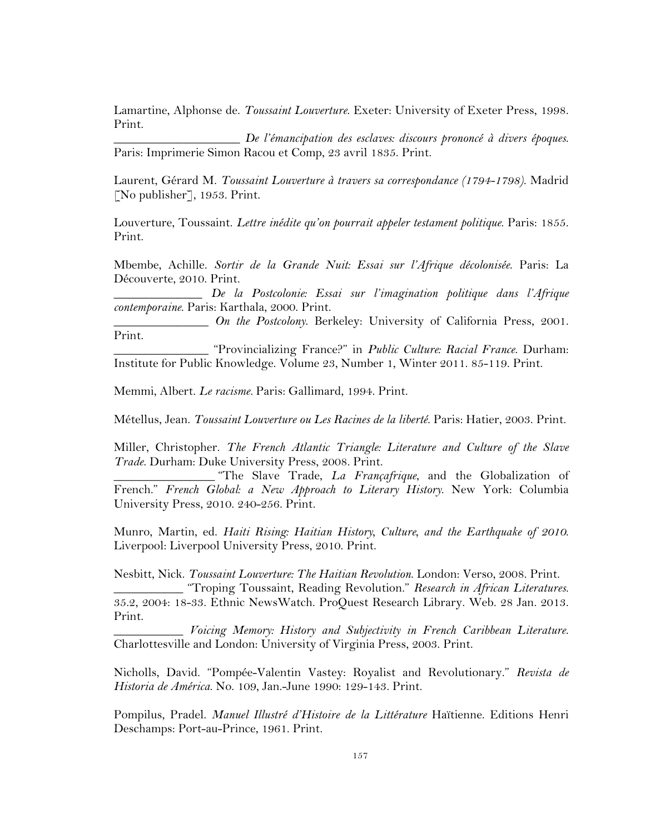Lamartine, Alphonse de. *Toussaint Louverture*. Exeter: University of Exeter Press, 1998. Print.

\_\_\_\_\_\_\_\_\_\_\_\_\_\_\_\_\_\_\_\_ *De l'émancipation des esclaves: discours prononcé à divers époques*. Paris: Imprimerie Simon Racou et Comp, 23 avril 1835. Print.

Laurent, Gérard M. *Toussaint Louverture à travers sa correspondance (1794-1798)*. Madrid [No publisher], 1953. Print.

Louverture, Toussaint. *Lettre inédite qu'on pourrait appeler testament politique*. Paris: 1855. Print.

Mbembe, Achille. *Sortir de la Grande Nuit: Essai sur l'Afrique décolonisée*. Paris: La Découverte, 2010. Print.

\_\_\_\_\_\_\_\_\_\_\_\_\_\_ *De la Postcolonie: Essai sur l'imagination politique dans l'Afrique contemporaine*. Paris: Karthala, 2000. Print.

\_\_\_\_\_\_\_\_\_\_\_\_\_\_\_ *On the Postcolony*. Berkeley: University of California Press, 2001. Print.

\_\_\_\_\_\_\_\_\_\_\_\_\_\_\_ "Provincializing France?" in *Public Culture: Racial France*. Durham: Institute for Public Knowledge. Volume 23, Number 1, Winter 2011. 85-119. Print.

Memmi, Albert. *Le racisme.* Paris: Gallimard, 1994. Print.

Métellus, Jean. *Toussaint Louverture ou Les Racines de la liberté*. Paris: Hatier, 2003. Print.

Miller, Christopher. *The French Atlantic Triangle: Literature and Culture of the Slave Trade*. Durham: Duke University Press, 2008. Print.

\_\_\_\_\_\_\_\_\_\_\_\_\_\_\_\_ "The Slave Trade, *La Françafrique*, and the Globalization of French." *French Global: a New Approach to Literary History*. New York: Columbia University Press, 2010. 240-256. Print.

Munro, Martin, ed. *Haiti Rising: Haitian History, Culture, and the Earthquake of 2010*. Liverpool: Liverpool University Press, 2010. Print.

Nesbitt, Nick. *Toussaint Louverture: The Haitian Revolution*. London: Verso, 2008. Print.

\_\_\_\_\_\_\_\_\_\_\_ "Troping Toussaint, Reading Revolution." *Research in African Literatures*. 35.2, 2004: 18-33. Ethnic NewsWatch. ProQuest Research Library. Web. 28 Jan. 2013. Print.

\_\_\_\_\_\_\_\_\_\_\_ *Voicing Memory: History and Subjectivity in French Caribbean Literature*. Charlottesville and London: University of Virginia Press, 2003. Print.

Nicholls, David. "Pompée-Valentin Vastey: Royalist and Revolutionary." *Revista de Historia de América*. No. 109, Jan.-June 1990: 129-143. Print.

Pompilus, Pradel. *Manuel Illustré d'Histoire de la Littérature* Haïtienne. Editions Henri Deschamps: Port-au-Prince, 1961. Print.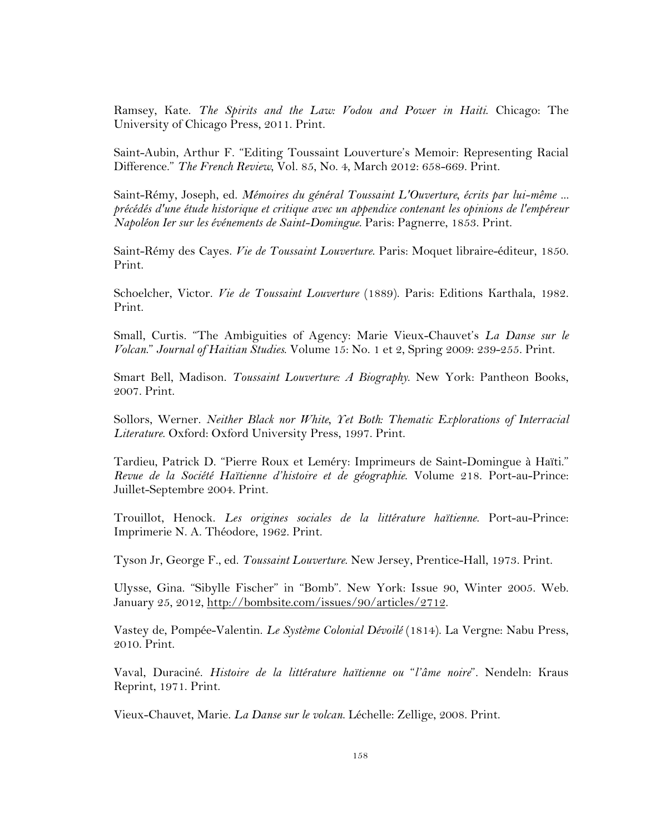Ramsey, Kate. *The Spirits and the Law: Vodou and Power in Haiti*. Chicago: The University of Chicago Press, 2011. Print.

Saint-Aubin, Arthur F. "Editing Toussaint Louverture's Memoir: Representing Racial Difference." *The French Review*, Vol. 85, No. 4, March 2012: 658-669. Print.

Saint-Rémy, Joseph, ed. *Mémoires du général Toussaint L'Ouverture, écrits par lui-même ... précédés d'une étude historique et critique avec un appendice contenant les opinions de l'empéreur Napoléon Ier sur les événements de Saint-Domingue*. Paris: Pagnerre, 1853. Print.

Saint-Rémy des Cayes. *Vie de Toussaint Louverture*. Paris: Moquet libraire-éditeur, 1850. Print.

Schoelcher, Victor. *Vie de Toussaint Louverture* (1889). Paris: Editions Karthala, 1982. Print.

Small, Curtis. "The Ambiguities of Agency: Marie Vieux-Chauvet's *La Danse sur le Volcan*." *Journal of Haitian Studies*. Volume 15: No. 1 et 2, Spring 2009: 239-255. Print.

Smart Bell, Madison. *Toussaint Louverture: A Biography*. New York: Pantheon Books, 2007. Print.

Sollors, Werner. *Neither Black nor White, Yet Both: Thematic Explorations of Interracial Literature*. Oxford: Oxford University Press, 1997. Print.

Tardieu, Patrick D. "Pierre Roux et Leméry: Imprimeurs de Saint-Domingue à Haïti." *Revue de la Société Haïtienne d'histoire et de géographie*. Volume 218. Port-au-Prince: Juillet-Septembre 2004. Print.

Trouillot, Henock. *Les origines sociales de la littérature haïtienne*. Port-au-Prince: Imprimerie N. A. Théodore, 1962. Print.

Tyson Jr, George F., ed. *Toussaint Louverture*. New Jersey, Prentice-Hall, 1973. Print.

Ulysse, Gina. "Sibylle Fischer" in "Bomb". New York: Issue 90, Winter 2005. Web. January 25, 2012, http://bombsite.com/issues/90/articles/2712.

Vastey de, Pompée-Valentin. *Le Système Colonial Dévoilé* (1814). La Vergne: Nabu Press, 2010. Print.

Vaval, Duraciné. *Histoire de la littérature haïtienne ou* "*l'âme noire*"*.* Nendeln: Kraus Reprint, 1971. Print.

Vieux-Chauvet, Marie. *La Danse sur le volcan*. Léchelle: Zellige, 2008. Print.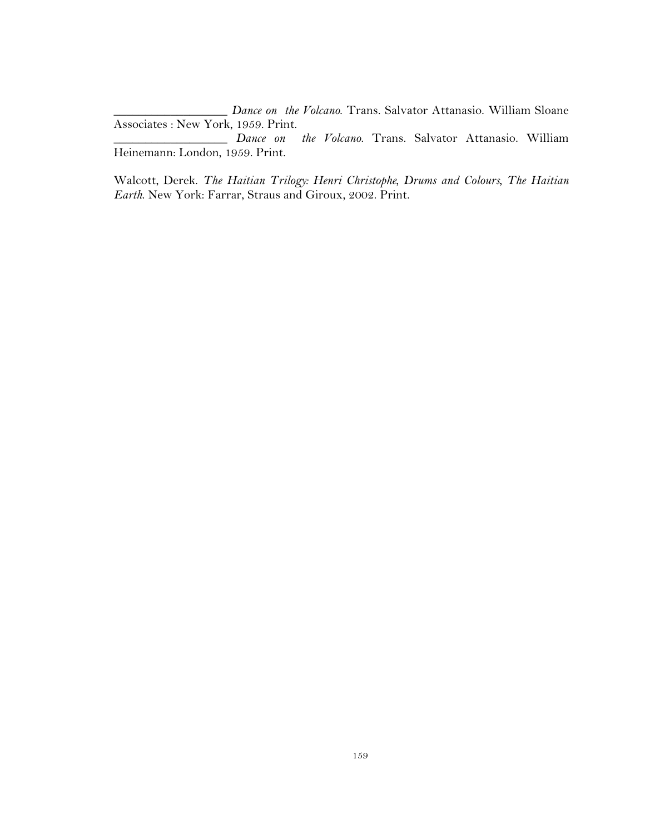\_\_\_\_\_\_\_\_\_\_\_\_\_\_\_\_\_\_ *Dance on the Volcano*. Trans. Salvator Attanasio. William Sloane Associates : New York, 1959. Print.

\_\_\_\_\_\_\_\_\_\_\_\_\_\_\_\_\_\_ *Dance on the Volcano*. Trans. Salvator Attanasio. William Heinemann: London, 1959. Print.

Walcott, Derek. *The Haitian Trilogy: Henri Christophe, Drums and Colours, The Haitian Earth*. New York: Farrar, Straus and Giroux, 2002. Print.